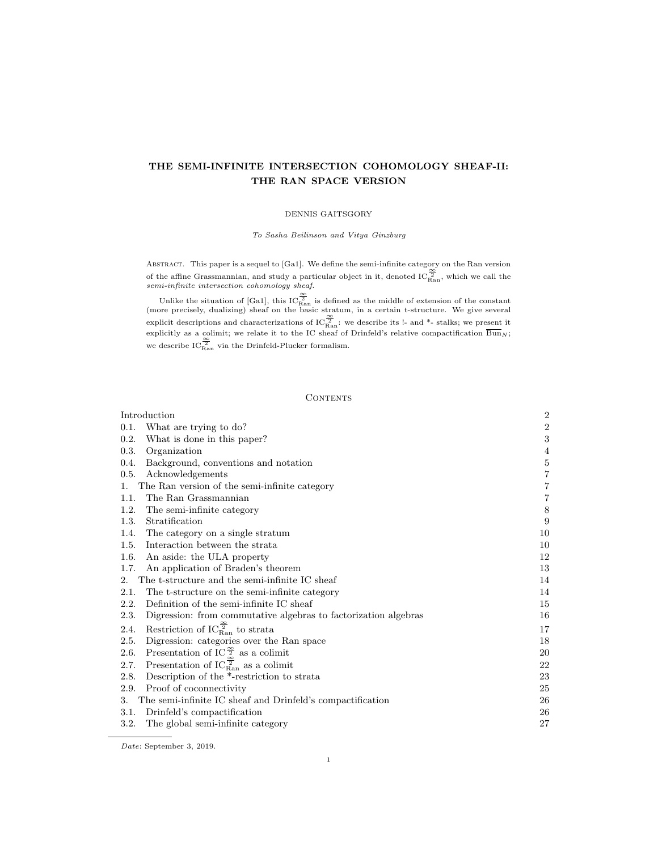# THE SEMI-INFINITE INTERSECTION COHOMOLOGY SHEAF-II: THE RAN SPACE VERSION

## DENNIS GAITSGORY

# To Sasha Beilinson and Vitya Ginzburg

Abstract. This paper is a sequel to [Ga1]. We define the semi-infinite category on the Ran version of the affine Grassmannian, and study a particular object in it, denoted  $\overline{IC}_{\text{Ran}}^{\simeq}$ , which we call the semi-infinite intersection cohomology sheaf.

Unlike the situation of [Ga1], this  $IC^{\frac{\infty}{2}}_{\text{Ran}}$  is defined as the middle of extension of the constant (more precisely, dualizing) sheaf on the basic stratum, in a certain t-structure. We give several explicit descriptions and characterizations of  $IC_{\text{Ran}}^{\frac{\infty}{2}}$ ; we describe its !- and \*- stalks; we present it explicitly as a colimit; we relate it to the IC sheaf of Drinfeld's relative compactification  $\text{Bun}_N$ ; we describe  $IC_{\text{Ran}}^{\frac{\infty}{2}}$  via the Drinfeld-Plucker formalism.

#### CONTENTS

| Introduction                                                                 | $\sqrt{2}$              |
|------------------------------------------------------------------------------|-------------------------|
| 0.1.<br>What are trying to do?                                               | $\overline{2}$          |
| 0.2.<br>What is done in this paper?                                          | 3                       |
| 0.3.<br>Organization                                                         | 4                       |
| 0.4.<br>Background, conventions and notation                                 | $\bf 5$                 |
| 0.5.<br>Acknowledgements                                                     | $\overline{\mathbf{7}}$ |
| The Ran version of the semi-infinite category<br>1.                          | $\overline{7}$          |
| The Ran Grassmannian<br>1.1.                                                 | $\overline{7}$          |
| The semi-infinite category<br>1.2.                                           | $8\,$                   |
| 1.3.<br>Stratification                                                       | 9                       |
| The category on a single stratum<br>1.4.                                     | 10                      |
| Interaction between the strata<br>1.5.                                       | 10                      |
| 1.6.<br>An aside: the ULA property                                           | 12                      |
| An application of Braden's theorem<br>1.7.                                   | 13                      |
| The t-structure and the semi-infinite IC sheaf<br>2.                         | 14                      |
| 2.1.<br>The t-structure on the semi-infinite category                        | 14                      |
| 2.2.<br>Definition of the semi-infinite IC sheaf                             | 15                      |
| Digression: from commutative algebras to factorization algebras<br>2.3.      | 16                      |
| Restriction of $\text{IC}_{\text{Ran}}^{\frac{\infty}{2}}$ to strata<br>2.4. | 17                      |
| Digression: categories over the Ran space<br>2.5.                            | 18                      |
| Presentation of IC $\frac{\infty}{2}$ as a colimit<br>2.6.                   | 20                      |
| Presentation of $IC_{\text{Ran}}^{\frac{\infty}{2}}$ as a colimit<br>2.7.    | 22                      |
| Description of the *-restriction to strata<br>2.8.                           | 23                      |
| 2.9.<br>Proof of coconnectivity                                              | 25                      |
| The semi-infinite IC sheaf and Drinfeld's compactification<br>3.             | 26                      |
| Drinfeld's compactification<br>3.1.                                          | 26                      |
| The global semi-infinite category<br>3.2.                                    | 27                      |

Date: September 3, 2019.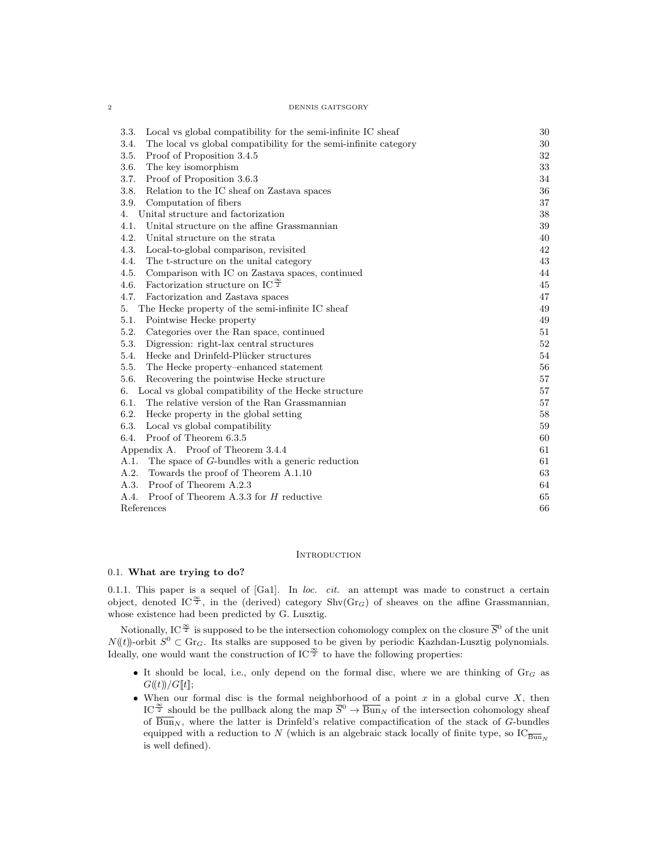#### 2 DENNIS GAITSGORY

| Local vs global compatibility for the semi-infinite IC sheaf<br>3.3.     | 30 |
|--------------------------------------------------------------------------|----|
| The local vs global compatibility for the semi-infinite category<br>3.4. | 30 |
| 3.5.<br>Proof of Proposition 3.4.5                                       | 32 |
| 3.6.<br>The key isomorphism                                              | 33 |
| 3.7.<br>Proof of Proposition 3.6.3                                       | 34 |
| 3.8.<br>Relation to the IC sheaf on Zastava spaces                       | 36 |
| 3.9.<br>Computation of fibers                                            | 37 |
| Unital structure and factorization<br>4.                                 | 38 |
| Unital structure on the affine Grassmannian<br>4.1.                      | 39 |
| 4.2.<br>Unital structure on the strata                                   | 40 |
| 4.3.<br>Local-to-global comparison, revisited                            | 42 |
| 4.4.<br>The t-structure on the unital category                           | 43 |
| 4.5.<br>Comparison with IC on Zastava spaces, continued                  | 44 |
| Factorization structure on IC $\frac{\infty}{2}$<br>4.6.                 | 45 |
| 4.7.<br>Factorization and Zastava spaces                                 | 47 |
| The Hecke property of the semi-infinite IC sheaf<br>5.                   | 49 |
| Pointwise Hecke property<br>5.1.                                         | 49 |
| 5.2.<br>Categories over the Ran space, continued                         | 51 |
| 5.3.<br>Digression: right-lax central structures                         | 52 |
| Hecke and Drinfeld-Plücker structures<br>5.4.                            | 54 |
| 5.5.<br>The Hecke property-enhanced statement                            | 56 |
| 5.6.<br>Recovering the pointwise Hecke structure                         | 57 |
| Local vs global compatibility of the Hecke structure<br>6.               | 57 |
| 6.1.<br>The relative version of the Ran Grassmannian                     | 57 |
| 6.2.<br>Hecke property in the global setting                             | 58 |
| 6.3.<br>Local vs global compatibility                                    | 59 |
| 6.4.<br>Proof of Theorem 6.3.5                                           | 60 |
| Appendix A. Proof of Theorem 3.4.4                                       | 61 |
| The space of $G$ -bundles with a generic reduction<br>A.1.               | 61 |
| A.2.<br>Towards the proof of Theorem A.1.10                              | 63 |
| A.3.<br>Proof of Theorem A.2.3                                           | 64 |
| A.4.<br>Proof of Theorem A.3.3 for H reductive                           | 65 |
| References                                                               | 66 |

#### **INTRODUCTION**

## 0.1. What are trying to do?

0.1.1. This paper is a sequel of  $[Ga1]$ . In loc. cit. an attempt was made to construct a certain object, denoted IC<sup> $\frac{\infty}{2}$ </sup>, in the (derived) category Shv(Gr<sub>G</sub>) of sheaves on the affine Grassmannian, whose existence had been predicted by G. Lusztig.

Notionally, IC  $^{\frac{\infty}{2}}$  is supposed to be the intersection cohomology complex on the closure  $\overline{S}^0$  of the unit  $N((t))$ -orbit  $S^0 \subset \text{Gr}_G$ . Its stalks are supposed to be given by periodic Kazhdan-Lusztig polynomials. Ideally, one would want the construction of IC $\frac{\infty}{2}$  to have the following properties:

- It should be local, i.e., only depend on the formal disc, where we are thinking of  $Gr_G$  as  $G(\!(t)\!) / G[\![t]\!];$
- When our formal disc is the formal neighborhood of a point  $x$  in a global curve  $X$ , then IC<sup> $\frac{\infty}{2}$ </sup> should be the pullback along the map  $\overline{S}^0 \to \overline{\text{Bun}}_N$  of the intersection cohomology sheaf of  $\overline{\text{Bun}}_N$ , where the latter is Drinfeld's relative compactification of the stack of G-bundles equipped with a reduction to N (which is an algebraic stack locally of finite type, so  $\text{IC}_{\overline{Bun}_{N}}$ is well defined).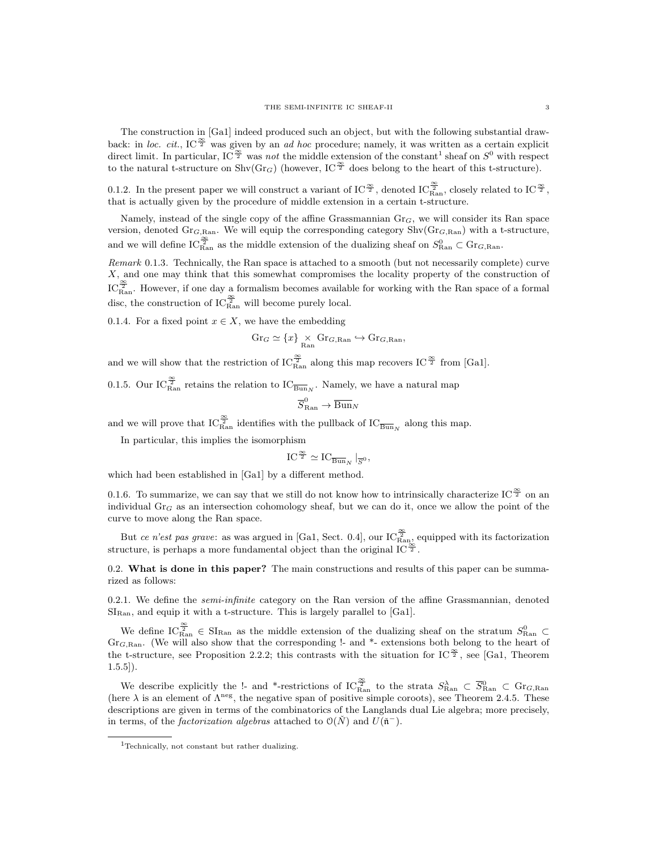The construction in [Ga1] indeed produced such an object, but with the following substantial drawback: in loc. cit., IC $\tilde{z}$  was given by an ad hoc procedure; namely, it was written as a certain explicit direct limit. In particular, IC<sup> $\frac{\infty}{2}$ </sup> was not the middle extension of the constant<sup>1</sup> sheaf on  $S^0$  with respect to the natural t-structure on  $\text{Shv}(Gr_G)$  (however, IC<sup> $\frac{\infty}{2}$ </sup> does belong to the heart of this t-structure).

0.1.2. In the present paper we will construct a variant of IC<sup> $\frac{\infty}{2}$ </sup>, denoted IC<sup> $\frac{\infty}{2}$ </sup>, closely related to IC<sup> $\frac{\infty}{2}$ </sup>, that is actually given by the procedure of middle extension in a certain t-structure.

Namely, instead of the single copy of the affine Grassmannian  $Gr_G$ , we will consider its Ran space version, denoted  $Gr_{G, Ran}$ . We will equip the corresponding category  $Shv(Gr_{G, Ran})$  with a t-structure, and we will define  $IC_{\text{Ran}}^{\frac{\infty}{2}}$  as the middle extension of the dualizing sheaf on  $S_{\text{Ran}}^0 \subset \text{Gr}_{G,\text{Ran}}$ .

Remark 0.1.3. Technically, the Ran space is attached to a smooth (but not necessarily complete) curve X, and one may think that this somewhat compromises the locality property of the construction of  $IC_{\text{Ran}}^{\frac{\infty}{2}}$ . However, if one day a formalism becomes available for working with the Ran space of a formal disc, the construction of  $IC_{\text{Ran}}^{\frac{\infty}{2}}$  will become purely local.

0.1.4. For a fixed point  $x \in X$ , we have the embedding

$$
\mathrm{Gr}_G \simeq \{x\} \underset{\mathrm{Ran}}{\times} \mathrm{Gr}_{G,\mathrm{Ran}} \hookrightarrow \mathrm{Gr}_{G,\mathrm{Ran}},
$$

and we will show that the restriction of  $\mathrm{IC}_{\mathrm{Ran}}^{\frac{\infty}{2}}$  along this map recovers  $\mathrm{IC}^{\frac{\infty}{2}}$  from [Ga1].

0.1.5. Our IC $\frac{\infty}{R_{\rm{an}}}$  retains the relation to  $\text{IC}_{\overline{\text{Bun}}_N}$ . Namely, we have a natural map

$$
\overline{S}_{\text{Ran}}^{0} \to \overline{\text{Bun}}_{N}
$$

and we will prove that  $\text{IC}_{\text{Ran}}^{\frac{\infty}{2}}$  identifies with the pullback of  $\text{IC}_{\overline{\text{Bun}}_N}$  along this map.

In particular, this implies the isomorphism

$$
IC^{\frac{\infty}{2}} \simeq IC_{\overline{\mathrm{Bun}}_N} \mid_{\overline{S}^0},
$$

which had been established in [Ga1] by a different method.

0.1.6. To summarize, we can say that we still do not know how to intrinsically characterize IC  $^{\infty}_{2}$  on an individual  $Gr_G$  as an intersection cohomology sheaf, but we can do it, once we allow the point of the curve to move along the Ran space.

But ce n'est pas grave: as was argued in [Ga1, Sect. 0.4], our  $IC_{\text{Ran}}^{\frac{\infty}{2}}$  equipped with its factorization structure, is perhaps a more fundamental object than the original IC $\frac{\infty}{2}$ .

0.2. What is done in this paper? The main constructions and results of this paper can be summarized as follows:

0.2.1. We define the *semi-infinite* category on the Ran version of the affine Grassmannian, denoted  $SI_{\text{Ran}}$ , and equip it with a t-structure. This is largely parallel to [Ga1].

We define  $IC_{\text{Ran}}^{\frac{\infty}{2}} \in SI_{\text{Ran}}$  as the middle extension of the dualizing sheaf on the stratum  $S_{\text{Ran}}^0 \subset$ Gr<sub>G,Ran</sub>. (We will also show that the corresponding !- and  $*$ - extensions both belong to the heart of the t-structure, see Proposition 2.2.2; this contrasts with the situation for IC<sup> $\frac{\infty}{2}$ </sup>, see [Ga1, Theorem  $1.5.5$ ]).

We describe explicitly the !- and \*-restrictions of  $\text{IC}_{\text{Ran}}^{\frac{\infty}{2}}$  to the strata  $S_{\text{Ran}}^{\lambda} \subset \overline{S}_{\text{Ran}}^0 \subset \text{Gr}_{G,\text{Ran}}$ (here  $\lambda$  is an element of  $\Lambda^{\text{neg}}$ , the negative span of positive simple coroots), see Theorem 2.4.5. These descriptions are given in terms of the combinatorics of the Langlands dual Lie algebra; more precisely, in terms, of the *factorization algebras* attached to  $O(N)$  and  $U(\tilde{n}^-)$ .

<sup>1</sup>Technically, not constant but rather dualizing.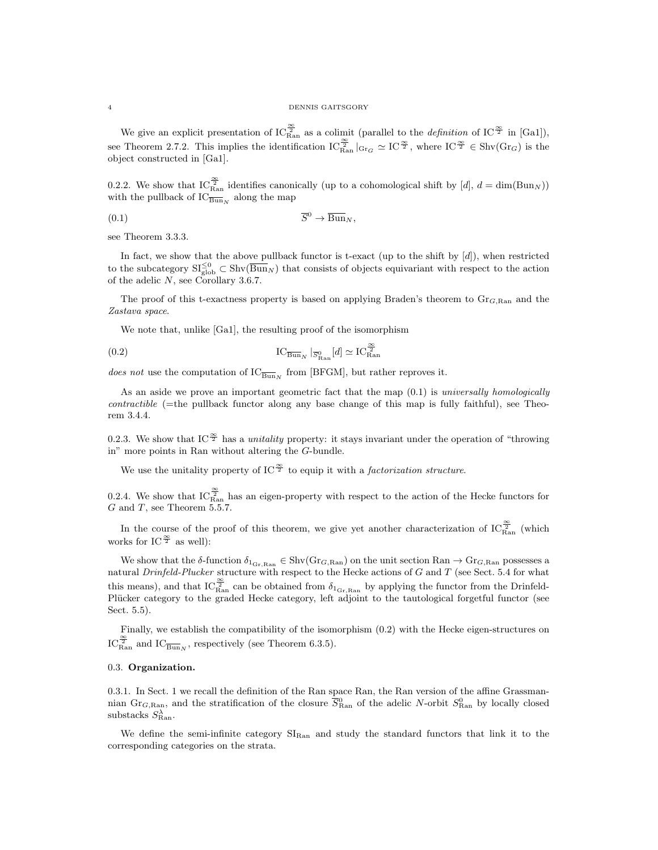#### 4 DENNIS GAITSGORY

We give an explicit presentation of  $IC_{\text{Ran}}^{\frac{\infty}{2}}$  as a colimit (parallel to the *definition* of IC<sup> $\frac{\infty}{2}$ </sup> in [Ga1]), see Theorem 2.7.2. This implies the identification  $IC_{\text{Ran}}^{\frac{\infty}{2}}|_{\text{Gr}_G} \simeq IC^{\frac{\infty}{2}}$ , where  $IC^{\frac{\infty}{2}} \in \text{Shv}(\text{Gr}_G)$  is the object constructed in [Ga1].

0.2.2. We show that  $IC_{\text{Ran}}^{\frac{\infty}{2}}$  identifies canonically (up to a cohomological shift by  $[d]$ ,  $d = \dim(\text{Bun}_N)$ ) with the pullback of  $\text{IC}_{\overline{\text{Bun}}_N}$  along the map

$$
(0.1)\t\t \overline{S}^0 \to \overline{\text{Bun}}_N,
$$

see Theorem 3.3.3.

In fact, we show that the above pullback functor is t-exact (up to the shift by [d]), when restricted to the subcategory  $\mathrm{SI}_{\text{glob}}^{\leq 0} \subset \text{Shv}(\overline{\text{Bun}}_N)$  that consists of objects equivariant with respect to the action of the adelic  $N$ , see Corollary 3.6.7.

The proof of this t-exactness property is based on applying Braden's theorem to  $\text{Gr}_{G, \text{Ran}}$  and the Zastava space.

We note that, unlike [Ga1], the resulting proof of the isomorphism

(0.2) 
$$
\qquad \qquad \mathrm{IC}_{\overline{\mathrm{Bun}}_N} \mid_{\overline{S}_{\mathrm{Ran}}^0} [d] \simeq \mathrm{IC}_{\mathrm{Ran}}^{\frac{\infty}{2}}
$$

does not use the computation of  $IC_{\overline{Bun}_N}$  from [BFGM], but rather reproves it.

As an aside we prove an important geometric fact that the map  $(0.1)$  is universally homologically contractible (=the pullback functor along any base change of this map is fully faithful), see Theorem 3.4.4.

0.2.3. We show that IC<sup> $\frac{\infty}{2}$ </sup> has a *unitality* property: it stays invariant under the operation of "throwing" in" more points in Ran without altering the G-bundle.

We use the unitality property of IC<sup> $\frac{\infty}{2}$ </sup> to equip it with a *factorization structure*.

0.2.4. We show that  $IC_{\text{Ran}}^{\frac{\infty}{2}}$  has an eigen-property with respect to the action of the Hecke functors for  $G$  and  $T$ , see Theorem 5.5.7.

In the course of the proof of this theorem, we give yet another characterization of  $IC_{\rm Ran}^{\frac{\infty}{2}}$  (which works for IC $\frac{\infty}{2}$  as well):

We show that the  $\delta$ -function  $\delta_{1_{\text{Gr,Ran}}} \in \text{Shv}(Gr_{G,\text{Ran}})$  on the unit section  $\text{Ran} \to Gr_{G,\text{Ran}}$  possesses a natural  $Drinfeld-Plucker$  structure with respect to the Hecke actions of  $G$  and  $T$  (see Sect. 5.4 for what this means), and that  $IC_{\text{Ran}}^{\frac{\infty}{2}}$  can be obtained from  $\delta_{1_{\text{Gr},\text{Ran}}}$  by applying the functor from the Drinfeld-Plücker category to the graded Hecke category, left adjoint to the tautological forgetful functor (see Sect. 5.5).

Finally, we establish the compatibility of the isomorphism (0.2) with the Hecke eigen-structures on  $\text{IC}_{\text{Ran}}^{\frac{\infty}{2}}$  and  $\text{IC}_{\overline{\text{Bun}}_N}$ , respectively (see Theorem 6.3.5).

#### 0.3. Organization.

0.3.1. In Sect. 1 we recall the definition of the Ran space Ran, the Ran version of the affine Grassmannian Gr<sub>G,Ran</sub>, and the stratification of the closure  $\overline{S}_{\text{Ran}}^0$  of the adelic N-orbit  $S_{\text{Ran}}^0$  by locally closed substacks  $S_{\text{Ran}}^{\lambda}$ .

We define the semi-infinite category  $SI_{\text{Ran}}$  and study the standard functors that link it to the corresponding categories on the strata.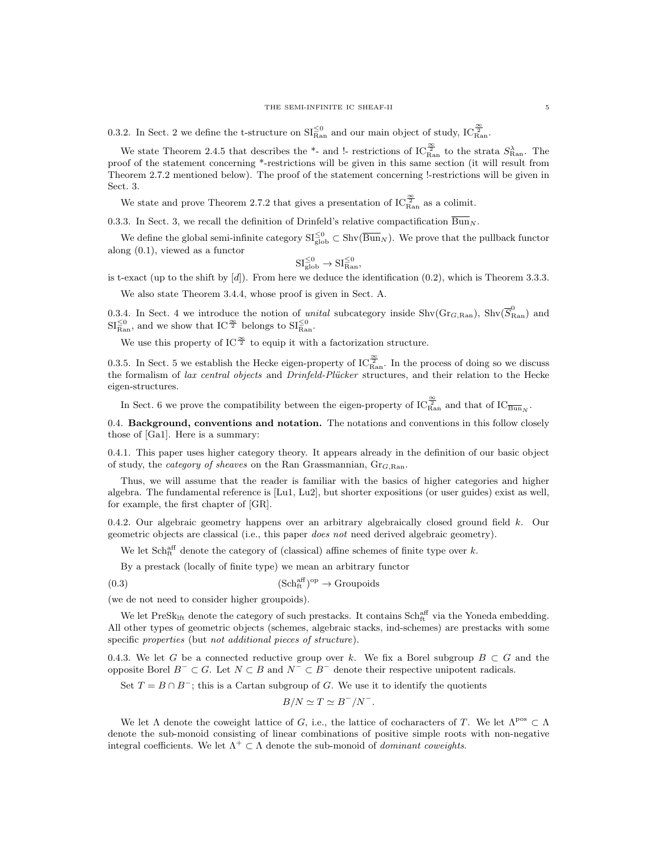0.3.2. In Sect. 2 we define the t-structure on  $\mathrm{SI}_{\mathrm{Ran}}^{\leq 0}$  and our main object of study,  $\mathrm{IC}_{\mathrm{Ran}}^{\frac{\infty}{2}}$ .

We state Theorem 2.4.5 that describes the \*- and !- restrictions of  $IC_{\rm Ran}^{\frac{\infty}{2}}$  to the strata  $S_{\rm Ran}^{\lambda}$ . The proof of the statement concerning \*-restrictions will be given in this same section (it will result from Theorem 2.7.2 mentioned below). The proof of the statement concerning !-restrictions will be given in Sect. 3.

We state and prove Theorem 2.7.2 that gives a presentation of  $IC_{\rm Ran}^{\frac{\infty}{2}}$  as a colimit.

0.3.3. In Sect. 3, we recall the definition of Drinfeld's relative compactification  $\overline{\text{Bun}}_N$ .

We define the global semi-infinite category  $\mathrm{SI}_{\text{glob}}^{\leq 0} \subset \text{Shv}(\overline{\text{Bun}}_N)$ . We prove that the pullback functor along (0.1), viewed as a functor

$$
\mathrm{SI}^{\leq 0}_{\mathrm{glob}} \to \mathrm{SI}^{\leq 0}_{\mathrm{Ran}},
$$

is t-exact (up to the shift by  $[d]$ ). From here we deduce the identification  $(0.2)$ , which is Theorem 3.3.3.

We also state Theorem 3.4.4, whose proof is given in Sect. A.

0.3.4. In Sect. 4 we introduce the notion of *unital* subcategory inside  $\text{Shv}(Gr_{G, Ran})$ ,  $\text{Shv}(\overline{S}_{Ran}^0)$  and  $\mathrm{SI}_{\mathrm{Ran}}^{\leq 0}$ , and we show that  $\mathrm{IC}^{\frac{\infty}{2}}$  belongs to  $\mathrm{SI}_{\mathrm{Ran}}^{\leq 0}$ .

We use this property of IC $^{\infty}$  to equip it with a factorization structure.

0.3.5. In Sect. 5 we establish the Hecke eigen-property of  $IC_{\text{Ran}}^{\frac{\infty}{2}}$ . In the process of doing so we discuss the formalism of lax central objects and Drinfeld-Plücker structures, and their relation to the Hecke eigen-structures.

In Sect. 6 we prove the compatibility between the eigen-property of  $\mathrm{IC}_{\mathrm{Ran}}^{\frac{\infty}{2}}$  and that of  $\mathrm{IC}_{\overline{\mathrm{Bun}}_N}$ .

0.4. Background, conventions and notation. The notations and conventions in this follow closely those of [Ga1]. Here is a summary:

0.4.1. This paper uses higher category theory. It appears already in the definition of our basic object of study, the *category of sheaves* on the Ran Grassmannian,  $Gr_{G, Ran}$ .

Thus, we will assume that the reader is familiar with the basics of higher categories and higher algebra. The fundamental reference is [Lu1, Lu2], but shorter expositions (or user guides) exist as well, for example, the first chapter of [GR].

0.4.2. Our algebraic geometry happens over an arbitrary algebraically closed ground field k. Our geometric objects are classical (i.e., this paper does not need derived algebraic geometry).

We let  $Sch_{ft}^{aff}$  denote the category of (classical) affine schemes of finite type over k.

By a prestack (locally of finite type) we mean an arbitrary functor

(0.3)  $(Sch_{ft}^{aff})^{op} \to \text{Groupoids}$ 

(we de not need to consider higher groupoids).

We let  $PreSk<sub>lft</sub>$  denote the category of such prestacks. It contains  $Sch<sub>ft</sub><sup>aff</sup>$  via the Yoneda embedding. All other types of geometric objects (schemes, algebraic stacks, ind-schemes) are prestacks with some specific properties (but not additional pieces of structure).

0.4.3. We let G be a connected reductive group over k. We fix a Borel subgroup  $B \subset G$  and the opposite Borel  $B^- \subset G$ . Let  $N \subset B$  and  $N^- \subset B^-$  denote their respective unipotent radicals.

Set  $T = B \cap B^-$ ; this is a Cartan subgroup of G. We use it to identify the quotients

 $B/N \simeq T \simeq B^{-}/N^{-}.$ 

We let  $\Lambda$  denote the coweight lattice of G, i.e., the lattice of cocharacters of T. We let  $\Lambda^{pos} \subset \Lambda$ denote the sub-monoid consisting of linear combinations of positive simple roots with non-negative integral coefficients. We let  $\Lambda^+ \subset \Lambda$  denote the sub-monoid of *dominant coweights*.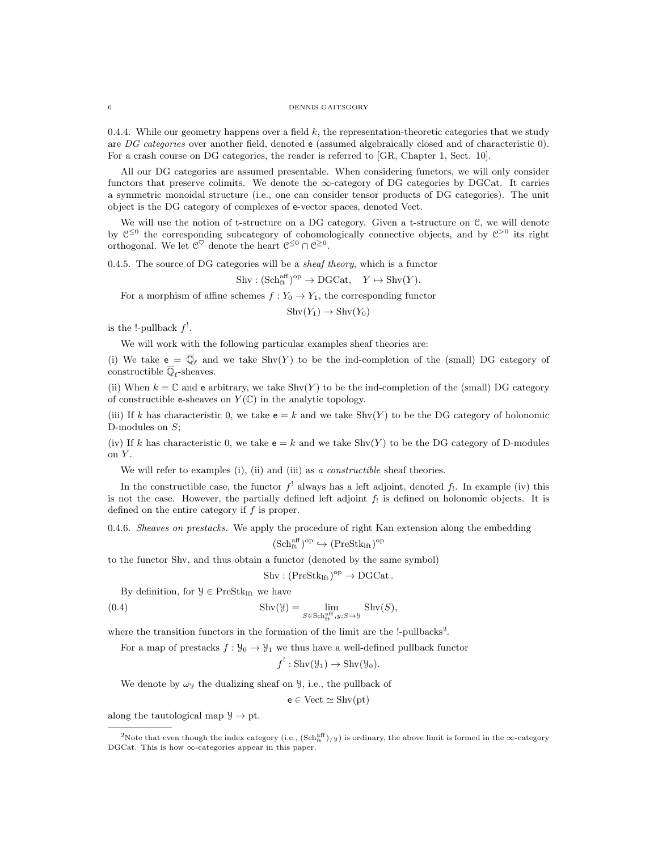#### 6 DENNIS GAITSGORY

0.4.4. While our geometry happens over a field  $k$ , the representation-theoretic categories that we study are DG categories over another field, denoted e (assumed algebraically closed and of characteristic 0). For a crash course on DG categories, the reader is referred to [GR, Chapter 1, Sect. 10].

All our DG categories are assumed presentable. When considering functors, we will only consider functors that preserve colimits. We denote the  $\infty$ -category of DG categories by DGCat. It carries a symmetric monoidal structure (i.e., one can consider tensor products of DG categories). The unit object is the DG category of complexes of e-vector spaces, denoted Vect.

We will use the notion of t-structure on a DG category. Given a t-structure on  $C$ , we will denote by  $\mathfrak{C}^{\leq 0}$  the corresponding subcategory of cohomologically connective objects, and by  $\mathfrak{C}^{>0}$  its right orthogonal. We let  $\mathcal{C}^{\heartsuit}$  denote the heart  $\mathcal{C}^{\leq 0} \cap \mathcal{C}^{\geq 0}$ .

0.4.5. The source of DG categories will be a *sheaf theory*, which is a functor

 $\text{Shv} : (\text{Sch}^{\text{aff}}_{\text{ft}})^{\text{op}} \to \text{DGCat}, \quad Y \mapsto \text{Shv}(Y).$ 

For a morphism of affine schemes  $f: Y_0 \to Y_1$ , the corresponding functor

 $\text{Shv}(Y_1) \to \text{Shv}(Y_0)$ 

is the !-pullback  $f'$ .

We will work with the following particular examples sheaf theories are:

(i) We take  $e = \overline{\mathbb{Q}}_{\ell}$  and we take  $\text{Shv}(Y)$  to be the ind-completion of the (small) DG category of constructible  $\overline{\mathbb{Q}}_{\ell}$  -sheaves.

(ii) When  $k = \mathbb{C}$  and e arbitrary, we take Shv(Y) to be the ind-completion of the (small) DG category of constructible e-sheaves on  $Y(\mathbb{C})$  in the analytic topology.

(iii) If k has characteristic 0, we take  $e = k$  and we take  $Shv(Y)$  to be the DG category of holonomic D-modules on  $S$ ;

(iv) If k has characteristic 0, we take  $e = k$  and we take Shv(Y) to be the DG category of D-modules on Y.

We will refer to examples (i), (ii) and (iii) as a constructible sheaf theories.

In the constructible case, the functor  $f'$  always has a left adjoint, denoted  $f_!$ . In example (iv) this is not the case. However, the partially defined left adjoint  $f_!$  is defined on holonomic objects. It is defined on the entire category if f is proper.

0.4.6. Sheaves on prestacks. We apply the procedure of right Kan extension along the embedding

$$
(\mathrm{Sch}^{\mathrm{aff}}_{\mathrm{ft}})^{\mathrm{op}} \hookrightarrow (\mathrm{PreStk}_{\mathrm{lft}})^{\mathrm{op}}
$$

to the functor Shv, and thus obtain a functor (denoted by the same symbol)

$$
Shv: (\mathrm{PreStk}_{\mathrm{lft}})^{\mathrm{op}} \to \mathrm{DGCat}\,.
$$

By definition, for  $\mathcal{Y} \in \text{PreStk}_{\text{If}}$  we have

(0.4) 
$$
\operatorname{Shv}(\mathcal{Y}) = \lim_{S \in \operatorname{Sch}^{\operatorname{aff}}_{\operatorname{ft}}, y: S \to \mathcal{Y}} \operatorname{Shv}(S),
$$

where the transition functors in the formation of the limit are the !-pullbacks<sup>2</sup>.

For a map of prestacks  $f: \mathcal{Y}_0 \to \mathcal{Y}_1$  we thus have a well-defined pullback functor

 $f' : \text{Shv}(\mathcal{Y}_1) \to \text{Shv}(\mathcal{Y}_0).$ 

We denote by  $\omega_y$  the dualizing sheaf on  $\mathcal{Y}$ , i.e., the pullback of

 $e \in$  Vect  $\simeq$  Shv(pt)

along the tautological map  $\mathcal{Y} \to \text{pt}$ .

<sup>&</sup>lt;sup>2</sup>Note that even though the index category (i.e.,  $(\text{Sch}^{aff}_{tt})_{/y}$ ) is ordinary, the above limit is formed in the  $\infty$ -category DGCat. This is how  $\infty$ -categories appear in this paper.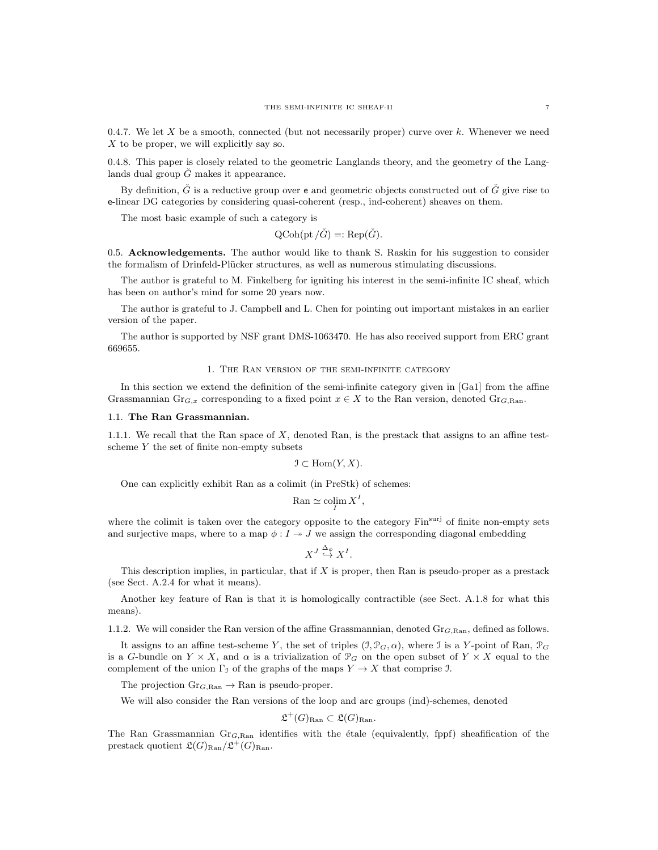0.4.7. We let X be a smooth, connected (but not necessarily proper) curve over k. Whenever we need X to be proper, we will explicitly say so.

0.4.8. This paper is closely related to the geometric Langlands theory, and the geometry of the Langlands dual group  $\dot{G}$  makes it appearance.

By definition,  $\check{G}$  is a reductive group over **e** and geometric objects constructed out of  $\check{G}$  give rise to e-linear DG categories by considering quasi-coherent (resp., ind-coherent) sheaves on them.

The most basic example of such a category is

$$
QCoh(pt / \check{G}) =: Rep(\check{G}).
$$

0.5. Acknowledgements. The author would like to thank S. Raskin for his suggestion to consider the formalism of Drinfeld-Plücker structures, as well as numerous stimulating discussions.

The author is grateful to M. Finkelberg for igniting his interest in the semi-infinite IC sheaf, which has been on author's mind for some 20 years now.

The author is grateful to J. Campbell and L. Chen for pointing out important mistakes in an earlier version of the paper.

The author is supported by NSF grant DMS-1063470. He has also received support from ERC grant 669655.

#### 1. The Ran version of the semi-infinite category

In this section we extend the definition of the semi-infinite category given in [Ga1] from the affine Grassmannian Gr<sub>G,x</sub> corresponding to a fixed point  $x \in X$  to the Ran version, denoted Gr<sub>G,Ran</sub>.

#### 1.1. The Ran Grassmannian.

1.1.1. We recall that the Ran space of X, denoted Ran, is the prestack that assigns to an affine testscheme  $Y$  the set of finite non-empty subsets

$$
\mathfrak{I} \subset \text{Hom}(Y, X).
$$

One can explicitly exhibit Ran as a colimit (in PreStk) of schemes:

$$
\text{Ran} \simeq \operatorname{colim}_I X^I,
$$

where the colimit is taken over the category opposite to the category Fin<sup>surj</sup> of finite non-empty sets and surjective maps, where to a map  $\phi: I \to J$  we assign the corresponding diagonal embedding

$$
X^J \overset{\Delta_{\phi}}{\hookrightarrow} X^I.
$$

This description implies, in particular, that if  $X$  is proper, then Ran is pseudo-proper as a prestack (see Sect. A.2.4 for what it means).

Another key feature of Ran is that it is homologically contractible (see Sect. A.1.8 for what this means).

1.1.2. We will consider the Ran version of the affine Grassmannian, denoted  $\text{Gr}_{G, \text{Ran}}$ , defined as follows.

It assigns to an affine test-scheme Y, the set of triples  $(\mathcal{I}, \mathcal{P}_G, \alpha)$ , where J is a Y-point of Ran,  $\mathcal{P}_G$ is a G-bundle on  $Y \times X$ , and  $\alpha$  is a trivialization of  $\mathcal{P}_G$  on the open subset of  $Y \times X$  equal to the complement of the union  $\Gamma_{\mathcal{I}}$  of the graphs of the maps  $Y \to X$  that comprise J.

The projection  $Gr_{G, Ran} \to Ran$  is pseudo-proper.

We will also consider the Ran versions of the loop and arc groups (ind)-schemes, denoted

$$
\mathfrak{L}^+(G)_{\text{Ran}} \subset \mathfrak{L}(G)_{\text{Ran}}.
$$

The Ran Grassmannian  $Gr_{G, Ran}$  identifies with the étale (equivalently, fppf) sheafification of the prestack quotient  $\mathfrak{L}(G)_{\text{Ran}}/\mathfrak{L}^+(G)_{\text{Ran}}$ .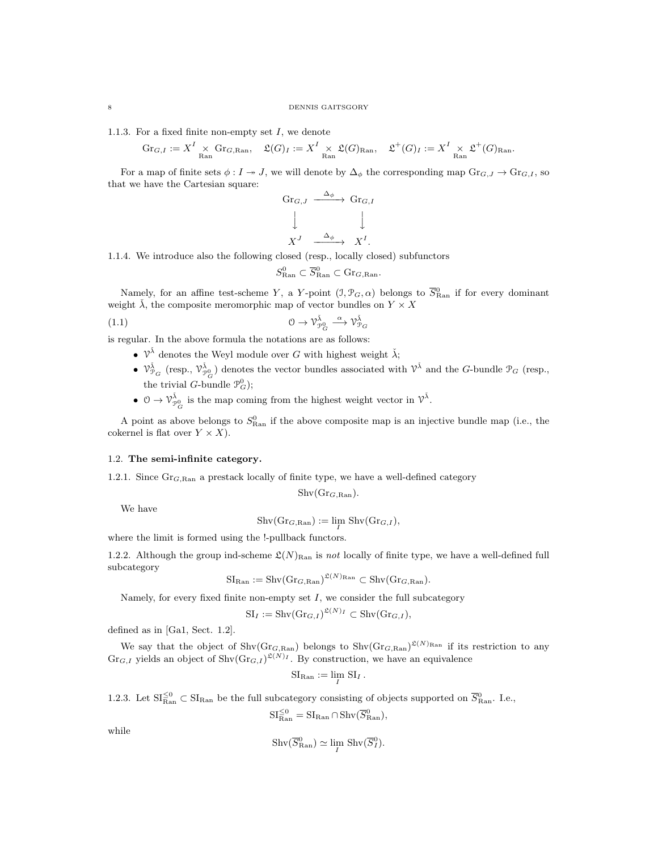1.1.3. For a fixed finite non-empty set  $I$ , we denote

$$
\mathrm{Gr}_{G,I}:=X^I\times_{\mathrm{Ran}}\mathrm{Gr}_{G,\mathrm{Ran}},\quad \mathfrak{L}(G)_I:=X^I\times_{\mathrm{Ran}}\mathfrak{L}(G)_{\mathrm{Ran}},\quad \mathfrak{L}^+(G)_I:=X^I\times_{\mathrm{Ran}}\mathfrak{L}^+(G)_{\mathrm{Ran}}.
$$

For a map of finite sets  $\phi: I \to J$ , we will denote by  $\Delta_{\phi}$  the corresponding map  $\text{Gr}_{G,J} \to \text{Gr}_{G,I}$ , so that we have the Cartesian square:

$$
\begin{array}{ccc}\n\text{Gr}_{G,J} & \xrightarrow{\Delta_{\phi}} & \text{Gr}_{G,I} \\
\downarrow & & \downarrow \\
X^J & \xrightarrow{\Delta_{\phi}} & X^I.\n\end{array}
$$

1.1.4. We introduce also the following closed (resp., locally closed) subfunctors

$$
S_{\text{Ran}}^0 \subset \overline{S}_{\text{Ran}}^0 \subset \text{Gr}_{G,\text{Ran}}.
$$

Namely, for an affine test-scheme Y, a Y-point  $(1, \mathcal{P}_G, \alpha)$  belongs to  $\overline{S}_{\text{Ran}}^0$  if for every dominant weight  $\lambda$ , the composite meromorphic map of vector bundles on  $Y \times X$ 

(1.1) 
$$
0 \to \mathcal{V}_{\mathcal{P}_G}^{\check{\lambda}} \xrightarrow{\alpha} \mathcal{V}_{\mathcal{P}_G}^{\check{\lambda}}
$$

is regular. In the above formula the notations are as follows:

- $\mathcal{V}^{\check{\lambda}}$  denotes the Weyl module over G with highest weight  $\check{\lambda}$ ;
- $\mathcal{V}_{\mathcal{P}_G}^{\tilde{\lambda}}$  (resp.,  $\mathcal{V}_{\mathcal{P}_G}^{\tilde{\lambda}}$ ) denotes the vector bundles associated with  $\mathcal{V}^{\tilde{\lambda}}$  and the *G*-bundle  $\mathcal{P}_G$  (resp., the trivial *G*-bundle  $\mathcal{P}_G^0$ );
- $0 \to \mathcal{V}_{\mathcal{P}_G^0}^{\tilde{\lambda}}$  is the map coming from the highest weight vector in  $\mathcal{V}^{\tilde{\lambda}}$ .

A point as above belongs to  $S_{\text{Ran}}^0$  if the above composite map is an injective bundle map (i.e., the cokernel is flat over  $Y \times X$ ).

# 1.2. The semi-infinite category.

1.2.1. Since  $Gr_{G, Ran}$  a prestack locally of finite type, we have a well-defined category

 $Shv(Gr_{G, Ran}).$ 

We have

 $\text{Shv}(\text{Gr}_{G,\text{Ran}}) := \lim_{I} \text{Shv}(\text{Gr}_{G,I}),$ 

where the limit is formed using the !-pullback functors.

1.2.2. Although the group ind-scheme  $\mathfrak{L}(N)_{\text{Ran}}$  is not locally of finite type, we have a well-defined full subcategory

$$
SI_{\text{Ran}} := Shv(\text{Gr}_{G,\text{Ran}})^{\mathfrak{L}(N)_{\text{Ran}}} \subset Shv(\text{Gr}_{G,\text{Ran}}).
$$

Namely, for every fixed finite non-empty set  $I$ , we consider the full subcategory

$$
SI_I := Shv(Gr_{G,I})^{\mathfrak{L}(N)_I} \subset Shv(Gr_{G,I}),
$$

defined as in [Ga1, Sect. 1.2].

We say that the object of  $\text{Shv}(Gr_{G, Ran})$  belongs to  $\text{Shv}(Gr_{G, Ran})^{\mathfrak{L}(N)_{Ran}}$  if its restriction to any  $\text{Gr}_{G,I}$  yields an object of  $\text{Shv}(\text{Gr}_{G,I})^{\mathfrak{L}(N)}$ . By construction, we have an equivalence

$$
SI_{\mathrm{Ran}} := \lim_{I} SI_{I}.
$$

1.2.3. Let  $SI_{\text{Ran}}^{\leq 0} \subset SI_{\text{Ran}}$  be the full subcategory consisting of objects supported on  $\overline{S}_{\text{Ran}}^0$ . I.e.,

$$
\mathrm{SI}^{\leq 0}_{\mathrm{Ran}}=\mathrm{SI}_{\mathrm{Ran}}\cap \mathrm{Shv}(\overline{S}^{0}_{\mathrm{Ran}}),
$$

while

$$
\mathrm{Shv}(\overline{S}_{\mathrm{Ran}}^0) \simeq \lim_{I} \mathrm{Shv}(\overline{S}_{I}^0).
$$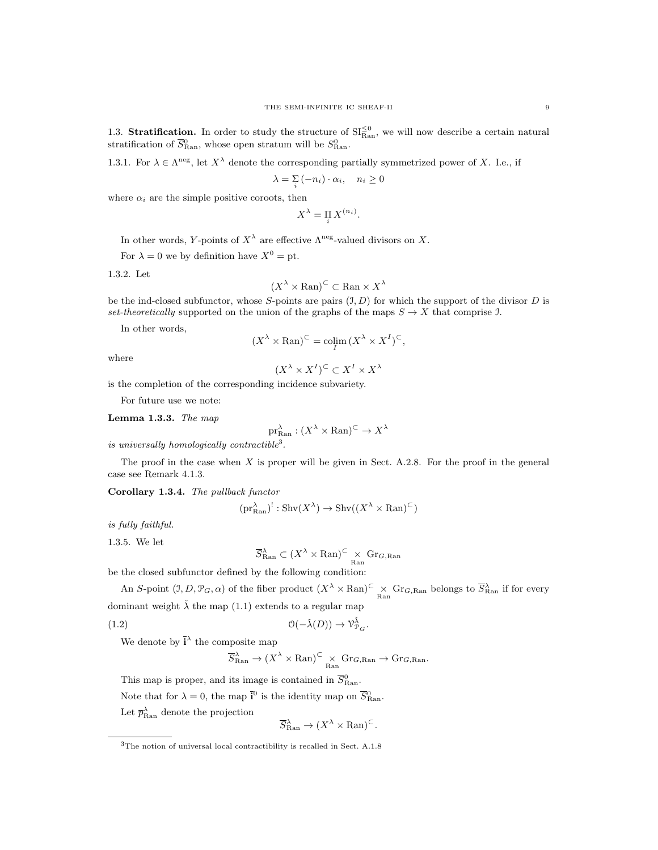1.3. **Stratification.** In order to study the structure of  $SI_{\text{Ran}}^{(0)}$ , we will now describe a certain natural stratification of  $\overline{S}_{\text{Ran}}^0$ , whose open stratum will be  $S_{\text{Ran}}^0$ .

1.3.1. For  $\lambda \in \Lambda^{neg}$ , let  $X^{\lambda}$  denote the corresponding partially symmetrized power of X. I.e., if

$$
\lambda = \sum_{i} \left( -n_i \right) \cdot \alpha_i, \quad n_i \ge 0
$$

where  $\alpha_i$  are the simple positive coroots, then

$$
X^{\lambda} = \prod_{i} X^{(n_i)}.
$$

In other words, Y-points of  $X^{\lambda}$  are effective  $\Lambda^{\text{neg}}$ -valued divisors on X.

For  $\lambda = 0$  we by definition have  $X^0 = pt$ .

1.3.2. Let

$$
(X^{\lambda} \times \mathrm{Ran})^{\subset} \subset \mathrm{Ran} \times X^{\lambda}
$$

be the ind-closed subfunctor, whose S-points are pairs  $(1, D)$  for which the support of the divisor D is set-theoretically supported on the union of the graphs of the maps  $S \to X$  that comprise J.

In other words,

$$
(X^{\lambda} \times \operatorname{Ran})^{\subset} = \operatorname{colim}_{I} (X^{\lambda} \times X^{I})^{\subset},
$$

where

$$
(X^{\lambda} \times X^I)^{\subset} \subset X^I \times X^{\lambda}
$$

is the completion of the corresponding incidence subvariety.

For future use we note:

Lemma 1.3.3. The map

$$
\mathrm{pr}_{\mathrm{Ran}}^{\lambda} : (X^{\lambda} \times \mathrm{Ran})^{\subset} \to X^{\lambda}
$$

is universally homologically contractible<sup>3</sup>.

The proof in the case when  $X$  is proper will be given in Sect. A.2.8. For the proof in the general case see Remark 4.1.3.

Corollary 1.3.4. The pullback functor

$$
(\text{pr}_{\text{Ran}}^{\lambda})^! : \text{Shv}(X^{\lambda}) \to \text{Shv}((X^{\lambda} \times \text{Ran})^{\subset})
$$

is fully faithful.

1.3.5. We let

$$
\overline{S}_{\text{Ran}}^{\lambda} \subset (X^{\lambda} \times \text{Ran})^{\subset} \underset{\text{Ran}}{\times} \text{Gr}_{G,\text{Ran}}
$$

be the closed subfunctor defined by the following condition:

An S-point  $(1, D, \mathcal{P}_G, \alpha)$  of the fiber product  $(X^{\lambda} \times \mathrm{Ran})^{\subset} \times \mathrm{Gr}_{G, \mathrm{Ran}}$  belongs to  $\overline{S}_{\mathrm{Ran}}^{\lambda}$  if for every dominant weight  $\lambda$  the map (1.1) extends to a regular map

(1.2) 
$$
\mathcal{O}(-\check{\lambda}(D)) \to \mathcal{V}_{\mathcal{P}_G}^{\check{\lambda}}.
$$

We denote by  $\mathbf{\bar{i}}^{\lambda}$  the composite map

$$
\overline{S}_{\mathrm{Ran}}^\lambda \to (X^\lambda \times \mathrm{Ran})^{\subset} \underset{\mathrm{Ran}}{\times} \mathrm{Gr}_{G,\mathrm{Ran}} \to \mathrm{Gr}_{G,\mathrm{Ran}}.
$$

This map is proper, and its image is contained in  $\overline{S}_{\text{Ran}}^0$ .

Note that for  $\lambda = 0$ , the map  $\bar{i}^0$  is the identity map on  $\bar{S}_{\text{Ran}}^0$ .

Let  $\bar{p}_{\text{Ran}}^{\lambda}$  denote the projection

$$
\overline{S}_{\text{Ran}}^{\lambda} \to (X^{\lambda} \times \text{Ran})^{\subset}.
$$

<sup>3</sup>The notion of universal local contractibility is recalled in Sect. A.1.8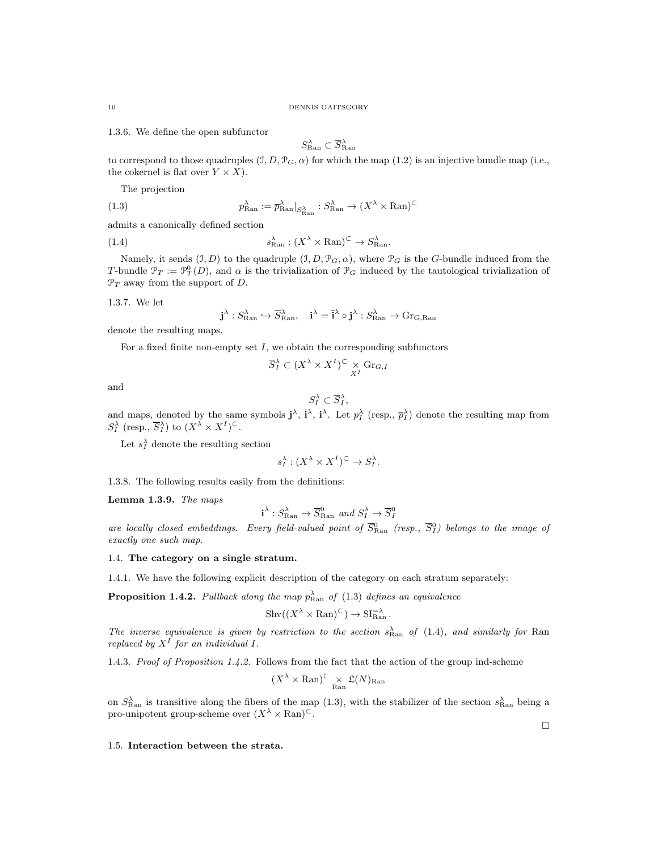1.3.6. We define the open subfunctor

$$
S_{\text{Ran}}^{\lambda} \subset \overline{S}_{\text{Ran}}^{\lambda}
$$

to correspond to those quadruples  $(1, D, \mathcal{P}_G, \alpha)$  for which the map (1.2) is an injective bundle map (i.e., the cokernel is flat over  $Y \times X$ ).

The projection

(1.3) 
$$
p_{\text{Ran}}^{\lambda} := \overline{p}_{\text{Ran}}^{\lambda} |_{S_{\text{Ran}}^{\lambda}} : S_{\text{Ran}}^{\lambda} \to (X^{\lambda} \times \text{Ran})^{\subset}
$$

admits a canonically defined section

(1.4) 
$$
s_{\text{Ran}}^{\lambda} : (X^{\lambda} \times \text{Ran})^{\subset} \to S_{\text{Ran}}^{\lambda}.
$$

Namely, it sends  $(1, D)$  to the quadruple  $(1, D, \mathcal{P}_G, \alpha)$ , where  $\mathcal{P}_G$  is the G-bundle induced from the T-bundle  $\mathcal{P}_T := \mathcal{P}_T^0(D)$ , and  $\alpha$  is the trivialization of  $\mathcal{P}_G$  induced by the tautological trivialization of  $\mathcal{P}_T$  away from the support of D.

1.3.7. We let

$$
\mathbf{j}^{\lambda}: S_{\text{Ran}}^{\lambda} \hookrightarrow \overline{S}_{\text{Ran}}^{\lambda}, \quad \mathbf{i}^{\lambda} = \mathbf{\overline{i}}^{\lambda} \circ \mathbf{j}^{\lambda} : S_{\text{Ran}}^{\lambda} \to \text{Gr}_{G,\text{Ran}}
$$

denote the resulting maps.

For a fixed finite non-empty set  $I$ , we obtain the corresponding subfunctors

$$
\overline{S}_I^\lambda \subset (X^\lambda \times X^I)^\subset \underset{X^I}{\times} \operatorname{Gr}_{G,I}
$$

and

$$
S_I^{\lambda} \subset \overline{S}_I^{\lambda},
$$

and maps, denoted by the same symbols  $\mathbf{j}^{\lambda}$ ,  $\mathbf{\bar{i}}^{\lambda}$ ,  $\mathbf{i}^{\lambda}$ . Let  $p_I^{\lambda}$  (resp.,  $\overline{p}_I^{\lambda}$ ) denote the resulting map from  $S_I^{\lambda}$  (resp.,  $\overline{S}_I^{\lambda}$ ) to  $(X^{\lambda} \times X^I)^{\subset}$ .

Let  $s_I^{\lambda}$  denote the resulting section

$$
s_I^{\lambda}: (X^{\lambda} \times X^I)^{\subset} \to S_I^{\lambda}.
$$

1.3.8. The following results easily from the definitions:

Lemma 1.3.9. The maps

$$
\mathbf{i}^{\lambda}: S_{\text{Ran}}^{\lambda} \to \overline{S}_{\text{Ran}}^0
$$
 and  $S_I^{\lambda} \to \overline{S}_I^0$ 

are locally closed embeddings. Every field-valued point of  $\overline{S}_{\text{Ran}}^0$  (resp.,  $\overline{S}_I^0$ ) belongs to the image of exactly one such map.

## 1.4. The category on a single stratum.

1.4.1. We have the following explicit description of the category on each stratum separately:

**Proposition 1.4.2.** Pullback along the map  $p_{\text{Ran}}^{\lambda}$  of (1.3) defines an equivalence

$$
Shv((X^{\lambda} \times \mathrm{Ran})^{\subset}) \to \mathrm{SI}_{\mathrm{Ran}}^{\supset \lambda}.
$$

The inverse equivalence is given by restriction to the section  $s_{\text{Ran}}^{\lambda}$  of (1.4), and similarly for Ran replaced by  $X<sup>I</sup>$  for an individual I.

1.4.3. Proof of Proposition 1.4.2. Follows from the fact that the action of the group ind-scheme

$$
(X^{\lambda} \times \mathrm{Ran})^{\subset} \times \mathfrak{L}(N)_{\mathrm{Ran}}
$$

on  $S_{\text{Ran}}^{\lambda}$  is transitive along the fibers of the map (1.3), with the stabilizer of the section  $s_{\text{Ran}}^{\lambda}$  being a pro-unipotent group-scheme over  $(X^{\lambda} \times \text{Ran})^{\subset}$ .

1.5. Interaction between the strata.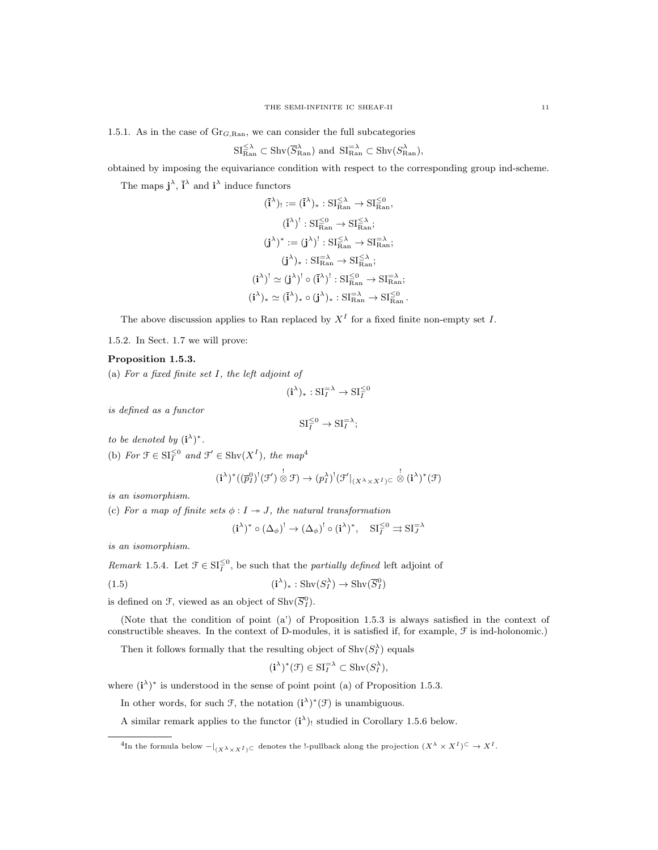1.5.1. As in the case of  $Gr_{G, Ran}$ , we can consider the full subcategories

$$
\mathrm{SI}_{\mathrm{Ran}}^{\leq \lambda} \subset \mathrm{Shv}(\overline{S}_{\mathrm{Ran}}^{\lambda}) \text{ and } \mathrm{SI}_{\mathrm{Ran}}^{\alpha \lambda} \subset \mathrm{Shv}(S_{\mathrm{Ran}}^{\lambda}),
$$

obtained by imposing the equivariance condition with respect to the corresponding group ind-scheme.

The maps  $\mathbf{j}^{\lambda}$ ,  $\mathbf{\bar{i}}^{\lambda}$  and  $\mathbf{i}^{\lambda}$  induce functors

$$
\begin{aligned} (\overline{i}^{\lambda})_! &:= (\overline{i}^{\lambda})_* : \mathrm{SI}^{\leq \lambda}_{\mathrm{Ran}} \rightarrow \mathrm{SI}^{\leq 0}_{\mathrm{Ran}}, \\ (\overline{i}^{\lambda})^! : \mathrm{SI}^{\leq 0}_{\mathrm{Ran}} \rightarrow \mathrm{SI}^{\leq \lambda}_{\mathrm{Ran}}; \\ (\mathbf{j}^{\lambda})^* &:= (\mathbf{j}^{\lambda})^! : \mathrm{SI}^{\leq \lambda}_{\mathrm{Ran}} \rightarrow \mathrm{SI}^{\leq \lambda}_{\mathrm{Ran}}; \\ (\mathbf{j}^{\lambda})_* : \mathrm{SI}^{\geq \lambda}_{\mathrm{Ran}} \rightarrow \mathrm{SI}^{\leq \lambda}_{\mathrm{Ran}}; \\ (\mathbf{i}^{\lambda})^! &\simeq (\mathbf{j}^{\lambda})^! \circ (\overline{i}^{\lambda})^! : \mathrm{SI}^{\leq 0}_{\mathrm{Ran}} \rightarrow \mathrm{SI}^{\leq \lambda}_{\mathrm{Ran}}; \\ (\mathbf{i}^{\lambda})_* &\simeq (\overline{i}^{\lambda})_* \circ (\mathbf{j}^{\lambda})_* : \mathrm{SI}^{\geq \lambda}_{\mathrm{Ran}} \rightarrow \mathrm{SI}^{\leq \lambda}_{\mathrm{Ran}}. \end{aligned}
$$

The above discussion applies to Ran replaced by  $X<sup>I</sup>$  for a fixed finite non-empty set I.

1.5.2. In Sect. 1.7 we will prove:

#### Proposition 1.5.3.

(a) For a fixed finite set I, the left adjoint of

$$
(\mathbf{i}^{\lambda})_* : \mathrm{SI}_{I}^{=\lambda} \to \mathrm{SI}_{I}^{\leq 0}
$$

is defined as a functor

$$
SI_I^{\leq 0} \to SI_I^{=\lambda};
$$

to be denoted by  $(i^{\lambda})^*$ .

(b) For  $\mathcal{F} \in \mathrm{SI}_{I}^{\leq 0}$  and  $\mathcal{F}' \in \mathrm{Shv}(X^{I}),$  the map<sup>4</sup>

$$
(\mathbf{i}^{\lambda})^*((\overline{p}_I^0)^!(\mathcal{F}') \overset{!}{\otimes} \mathcal{F}) \to (p_I^{\lambda})^!(\mathcal{F}'|_{(X^{\lambda} \times X^I)^{\subset}} \overset{!}{\otimes} (\mathbf{i}^{\lambda})^*(\mathcal{F})
$$

is an isomorphism.

(c) For a map of finite sets  $\phi: I \rightarrow J$ , the natural transformation

$$
(\mathbf{i}^{\lambda})^* \circ (\Delta_{\phi})^! \to (\Delta_{\phi})^! \circ (\mathbf{i}^{\lambda})^*, \quad \mathrm{SI}_{I}^{\leq 0} \rightrightarrows \mathrm{SI}_{J}^{= \lambda}
$$

is an isomorphism.

*Remark* 1.5.4. Let  $\mathcal{F} \in \mathrm{SI}_{I}^{\leq 0}$ , be such that the *partially defined* left adjoint of

(1.5) 
$$
(i^{\lambda})_{*}: \text{Shv}(S_{I}^{\lambda}) \to \text{Shv}(\overline{S}_{I}^{0})
$$

is defined on F, viewed as an object of  $\text{Shv}(\overline{S}_I^0)$ .

(Note that the condition of point (a') of Proposition 1.5.3 is always satisfied in the context of constructible sheaves. In the context of D-modules, it is satisfied if, for example, F is ind-holonomic.)

Then it follows formally that the resulting object of  $\text{Shv}(S_I^{\lambda})$  equals

$$
(\mathbf{i}^{\lambda})^*(\mathcal{F}) \in \mathrm{SI}_I^{\mathcal{F}\lambda} \subset \mathrm{Shv}(S_I^{\lambda}),
$$

where  $(i^{\lambda})^*$  is understood in the sense of point point (a) of Proposition 1.5.3.

In other words, for such  $\mathcal{F}$ , the notation  $(i^{\lambda})^*(\mathcal{F})$  is unambiguous.

A similar remark applies to the functor  $(i^{\lambda})_!$  studied in Corollary 1.5.6 below.

 ${}^4$ In the formula below  $-|_{(X^{\lambda} \times X^I) \subset}$  denotes the !-pullback along the projection  $(X^{\lambda} \times X^I) \subset \rightarrow X^I$ .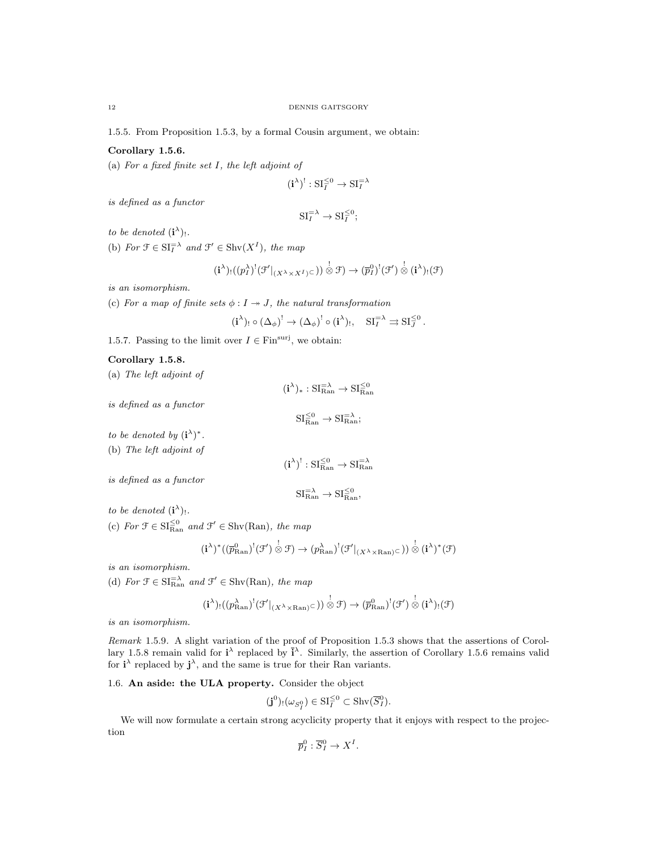1.5.5. From Proposition 1.5.3, by a formal Cousin argument, we obtain:

# Corollary 1.5.6.

(a) For a fixed finite set I, the left adjoint of

$$
(\mathbf{i}^{\lambda})^!: \mathrm{SI}_I^{\leq 0} \to \mathrm{SI}_I^{=\lambda}
$$

is defined as a functor

$$
\mathrm{SI}_{I}^{\mathrm{=}}\lambda \to \mathrm{SI}_{I}^{\leq 0};
$$

to be denoted  $(i^{\lambda})_!$ .

(b) For  $\mathfrak{F} \in \mathrm{SI}_{I}^{\geq \lambda}$  and  $\mathfrak{F}' \in \mathrm{Shv}(X^{I}),$  the map

$$
(\mathbf{i}^{\lambda})_{!}((p_{I}^{\lambda})^{!}(\mathcal{F}'|_{(X^{\lambda}\times X^{I})^{\subset}}))\overset{!}{\otimes}\mathcal{F})\to (p_{I}^{0})^{!}(\mathcal{F}')\overset{!}{\otimes}(\mathbf{i}^{\lambda})_{!}(\mathcal{F})
$$

is an isomorphism.

(c) For a map of finite sets  $\phi: I \rightarrow J$ , the natural transformation

$$
(\mathbf{i}^{\lambda})_! \circ (\Delta_{\phi})^! \to (\Delta_{\phi})^! \circ (\mathbf{i}^{\lambda})_!, \quad \mathrm{SI}_I^{=\lambda} \rightrightarrows \mathrm{SI}_J^{\leq 0}.
$$

1.5.7. Passing to the limit over  $I \in \text{Fin}^{\text{surj}}$ , we obtain:

#### Corollary 1.5.8.

(a) The left adjoint of

 $(i^{\lambda})_{*}:SI_{\text{Ran}}^{=\lambda}\rightarrow SI_{\text{Ran}}^{\leq 0}$ 

is defined as a functor

$$
\mathrm{SI}^{\leq 0}_{\mathrm{Ran}} \to \mathrm{SI}^{\Rightarrow \lambda}_{\mathrm{Ran}};
$$

to be denoted by  $(i^{\lambda})^*$ .

(b) The left adjoint of

$$
(\mathbf{i}^{\lambda})^! : \mathrm{SI}_{\mathrm{Ran}}^{\leq 0} \to \mathrm{SI}_{\mathrm{Ran}}^{=\lambda}
$$

is defined as a functor

$$
\mathrm{SI}^{\mathrm{=\lambda}}_{\mathrm{Ran}}\rightarrow \mathrm{SI}^{\leq 0}_{\mathrm{Ran}},
$$

to be denoted  $(i^{\lambda})_!$ .

(c) For  $\mathcal{F} \in \mathrm{SI}_{\mathrm{Ran}}^{\leq 0}$  and  $\mathcal{F}' \in \mathrm{Shv}(\mathrm{Ran})$ , the map

$$
(\mathbf{i}^{\lambda})^*((\overline{p}^0_{\mathrm{Ran}})^!(\mathcal{F}') \overset{!}{\otimes} \mathcal{F}) \to (p_{\mathrm{Ran}}^{\lambda})^!(\mathcal{F}'|_{(X^{\lambda} \times \mathrm{Ran})^{\subset}})) \overset{!}{\otimes} (\mathbf{i}^{\lambda})^*(\mathcal{F})
$$

is an isomorphism.

(d) For  $\mathfrak{F} \in \mathrm{SI}_{\mathrm{Ran}}^{-\lambda}$  and  $\mathfrak{F}' \in \mathrm{Shv}(\mathrm{Ran})$ , the map

$$
(i^{\lambda})_!((p_{\mathrm{Ran}}^{\lambda})^!(\mathcal{F}'|_{(X^{\lambda}\times \mathrm{Ran})^{\subset}})) \overset{!}{\otimes} \mathcal{F}) \to (\overline{p}_{\mathrm{Ran}}^0)^!(\mathcal{F}') \overset{!}{\otimes} (i^{\lambda})_!(\mathcal{F})
$$

is an isomorphism.

Remark 1.5.9. A slight variation of the proof of Proposition 1.5.3 shows that the assertions of Corollary 1.5.8 remain valid for  $\mathbf{i}^{\lambda}$  replaced by  $\mathbf{\bar{i}}^{\lambda}$ . Similarly, the assertion of Corollary 1.5.6 remains valid for  $\mathbf{i}^{\lambda}$  replaced by  $\mathbf{j}^{\lambda}$ , and the same is true for their Ran variants.

1.6. An aside: the ULA property. Consider the object

$$
(\mathbf{j}^0)_! (\omega_{S_I^0}) \in \mathrm{SI}_I^{\leq 0} \subset \mathrm{Shv}(\overline{S}_I^0).
$$

We will now formulate a certain strong acyclicity property that it enjoys with respect to the projection

$$
\overline{p}_I^0: \overline{S}_I^0 \to X^I.
$$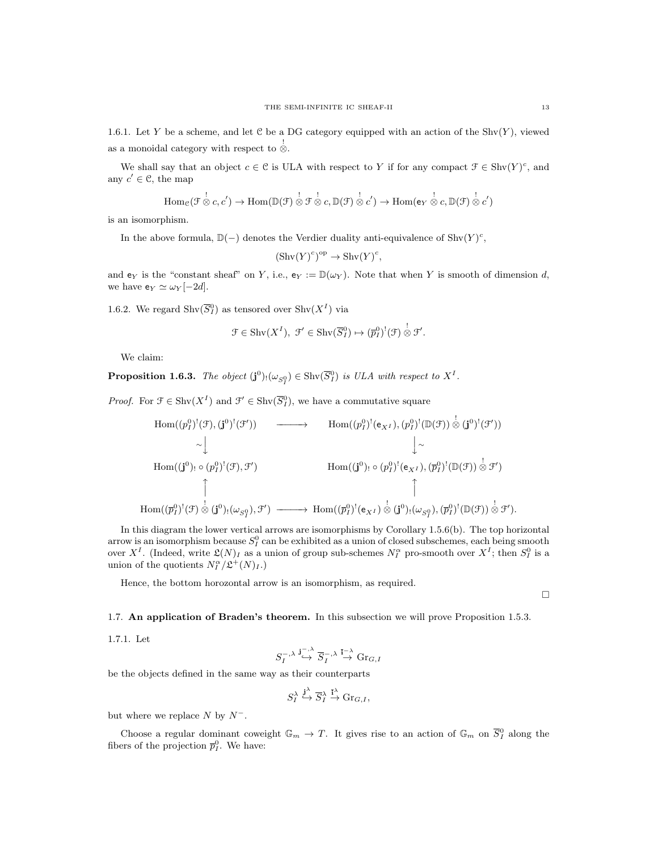1.6.1. Let Y be a scheme, and let C be a DG category equipped with an action of the  $Shv(Y)$ , viewed as a monoidal category with respect to  $\stackrel{!}{\otimes}$ .

We shall say that an object  $c \in \mathcal{C}$  is ULA with respect to Y if for any compact  $\mathcal{F} \in \text{Shv}(Y)^c$ , and any  $c' \in \mathcal{C}$ , the map

$$
\mathrm{Hom}_{\mathcal{C}}(\mathcal{F} \overset{!}{\otimes} c, c') \to \mathrm{Hom}(\mathbb{D}(\mathcal{F}) \overset{!}{\otimes} \mathcal{F} \overset{!}{\otimes} c, \mathbb{D}(\mathcal{F}) \overset{!}{\otimes} c') \to \mathrm{Hom}(\mathsf{e}_Y \overset{!}{\otimes} c, \mathbb{D}(\mathcal{F}) \overset{!}{\otimes} c')
$$

is an isomorphism.

In the above formula,  $\mathbb{D}(-)$  denotes the Verdier duality anti-equivalence of Shv $(Y)^c$ ,

$$
(\operatorname{Shv}(Y)^c)^{\operatorname{op}} \to \operatorname{Shv}(Y)^c,
$$

and  $e_Y$  is the "constant sheaf" on Y, i.e.,  $e_Y := \mathbb{D}(\omega_Y)$ . Note that when Y is smooth of dimension d, we have  $e_Y \simeq \omega_Y [-2d]$ .

1.6.2. We regard  $\text{Shv}(\overline{S}_I^0)$  as tensored over  $\text{Shv}(X^I)$  via

$$
\mathcal{F} \in \mathrm{Shv}(X^{I}), \ \mathcal{F}' \in \mathrm{Shv}(\overline{S}_{I}^{0}) \mapsto (\overline{p}_{I}^{0})^{!}(\mathcal{F}) \overset{!}{\otimes} \mathcal{F}'.
$$

We claim:

**Proposition 1.6.3.** The object  $(\mathbf{j}^0)_! (\omega_{S_1^0}) \in \text{Shv}(\overline{S_1^0})$  is ULA with respect to  $X^I$ .

*Proof.* For  $\mathcal{F} \in \text{Shv}(X^I)$  and  $\mathcal{F}' \in \text{Shv}(\overline{S}_I^0)$ , we have a commutative square

$$
\begin{array}{ccc}\n\text{Hom}((p_1^0)^!(\mathfrak{F}),(\mathbf{j}^0)^!(\mathfrak{F}')) & \longrightarrow & \text{Hom}((p_1^0)^!(\mathbf{e}_{X^I}), (p_1^0)^!(\mathbb{D}(\mathfrak{F})) \overset{!}{\otimes} (\mathbf{j}^0)^!(\mathfrak{F}')) \\
& \sim \downarrow & & \downarrow \cdot \\
\text{Hom}((\mathbf{j}^0)^1 \circ (p_1^0)^!(\mathfrak{F}), \mathfrak{F}') & \text{Hom}((\mathbf{j}^0)^1 \circ (p_1^0)^!(\mathfrak{e}_{X^I}), (\overline{p}_I^0)^!(\mathbb{D}(\mathfrak{F})) \overset{!}{\otimes} \mathfrak{F}') \\
& \uparrow & & \uparrow \\
\text{Hom}((\overline{p}_1^0)^!(\mathfrak{F}) \overset{!}{\otimes} (\mathbf{j}^0)^!(\omega_{S_1^0}), \mathfrak{F}') & \longrightarrow \text{Hom}((\overline{p}_I^0)^!(\mathfrak{e}_{X^I}) \overset{!}{\otimes} (\mathbf{j}^0)^!(\omega_{S_1^0}), (\overline{p}_I^0)^!(\mathbb{D}(\mathfrak{F})) \overset{!}{\otimes} \mathfrak{F}').\n\end{array}
$$

In this diagram the lower vertical arrows are isomorphisms by Corollary 1.5.6(b). The top horizontal arrow is an isomorphism because  $S_I^0$  can be exhibited as a union of closed subschemes, each being smooth over  $X^I$ . (Indeed, write  $\mathfrak{L}(N)_I$  as a union of group sub-schemes  $N_I^{\alpha}$  pro-smooth over  $X^I$ ; then  $S_I^0$  is a union of the quotients  $N_I^{\alpha}/\mathfrak{L}^+(N)_I$ .)

Hence, the bottom horozontal arrow is an isomorphism, as required.

 $\Box$ 

1.7. An application of Braden's theorem. In this subsection we will prove Proposition 1.5.3.

1.7.1. Let

$$
S_I^{-,\lambda} \stackrel{\mathbf{j}^{-,\lambda}}{\hookrightarrow} \overline{S}_I^{-,\lambda} \stackrel{\overline{\mathbf{i}}^{-,\lambda}}{\to} \mathrm{Gr}_{G,I}
$$

be the objects defined in the same way as their counterparts

$$
S_I^\lambda\overset{{\bf j}^\lambda}{\hookrightarrow}\overline{S}_I^\lambda\overset{\overline{\bf i}^\lambda}{\rightarrow}\mathrm{Gr}_{G,I},
$$

but where we replace  $N$  by  $N^-$ .

Choose a regular dominant coweight  $\mathbb{G}_m \to T$ . It gives rise to an action of  $\mathbb{G}_m$  on  $\overline{S}_I^0$  along the fibers of the projection  $\bar{p}_I^0$ . We have: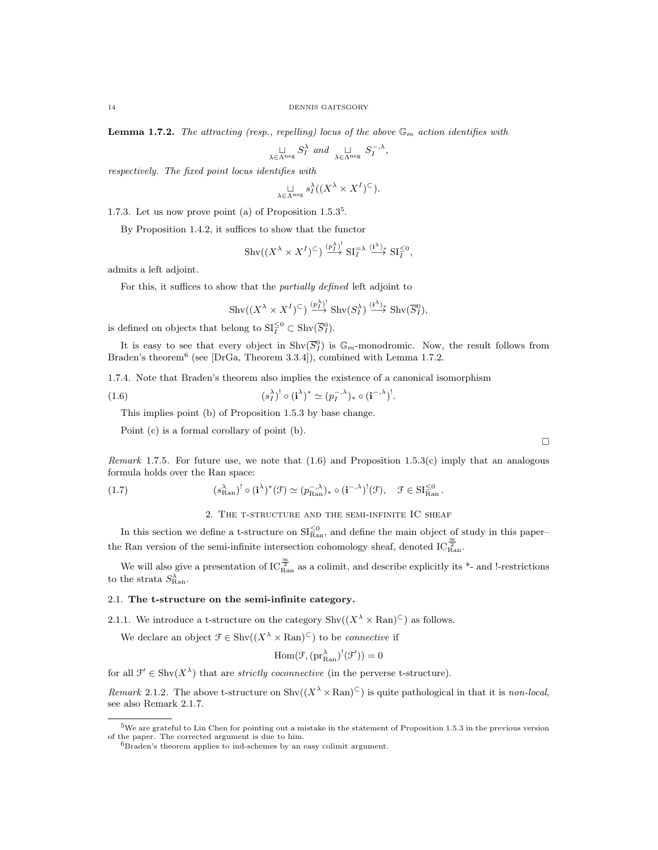**Lemma 1.7.2.** The attracting (resp., repelling) locus of the above  $\mathbb{G}_m$  action identifies with

$$
\underset{\lambda \in \Lambda^{\text{neg}}}{\sqcup} S_I^{\lambda} \text{ and } \underset{\lambda \in \Lambda^{\text{neg}}}{\sqcup} S_I^{-,\lambda},
$$

respectively. The fixed point locus identifies with

$$
\underset{\lambda \in \Lambda^{\text{neg}}}{\sqcup} s_I^{\lambda}((X^{\lambda} \times X^I)^{\subset}).
$$

1.7.3. Let us now prove point (a) of Proposition 1.5.3<sup>5</sup> .

By Proposition 1.4.2, it suffices to show that the functor

$$
\mathrm{Shv}((X^{\lambda} \times X^I)^{\subset}) \stackrel{(p^{\lambda})^!}{\longrightarrow} \mathrm{SI}_{I}^{\equiv \lambda} \stackrel{(i^{\lambda})_*}{\longrightarrow} \mathrm{SI}_{I}^{\leq 0},
$$

admits a left adjoint.

For this, it suffices to show that the partially defined left adjoint to

$$
\operatorname{Shv}((X^{\lambda} \times X^I)^{\subset}) \stackrel{(p^{\lambda})^!}{\longrightarrow} \operatorname{Shv}(S^{\lambda}_I) \stackrel{(i^{\lambda})_*}{\longrightarrow} \operatorname{Shv}(\overline{S}^0_I),
$$

is defined on objects that belong to  $SI_{I}^{\leq 0} \subset Shv(\overline{S}_{I}^{0}).$ 

It is easy to see that every object in  $\text{Shv}(\overline{S}_I^0)$  is  $\mathbb{G}_m$ -monodromic. Now, the result follows from Braden's theorem<sup>6</sup> (see [DrGa, Theorem 3.3.4]), combined with Lemma 1.7.2.

1.7.4. Note that Braden's theorem also implies the existence of a canonical isomorphism

(1.6) 
$$
(s_I^{\lambda})^! \circ (\mathbf{i}^{\lambda})^* \simeq (p_I^{-,\lambda})_* \circ (\mathbf{i}^{-,\lambda})^!.
$$

This implies point (b) of Proposition 1.5.3 by base change.

Point (c) is a formal corollary of point (b).

Remark 1.7.5. For future use, we note that  $(1.6)$  and Proposition 1.5.3(c) imply that an analogous formula holds over the Ran space:

(1.7) 
$$
(s_{\text{Ran}}^{\lambda})^! \circ (\mathbf{i}^{\lambda})^* (\mathcal{F}) \simeq (p_{\text{Ran}}^{-,\lambda})^* \circ (\mathbf{i}^{-,\lambda})^! (\mathcal{F}), \quad \mathcal{F} \in \mathrm{SI}_{\text{Ran}}^{\leq 0}.
$$

2. The t-structure and the semi-infinite IC sheaf

In this section we define a t-structure on  $\text{SI}_{\text{Ran}}^{\leq 0}$ , and define the main object of study in this paper– the Ran version of the semi-infinite intersection cohomology sheaf, denoted  $IC_{\text{Ran}}^{\frac{\infty}{2}}$ .

We will also give a presentation of  $IC_{\text{Ran}}^{\frac{\infty}{2}}$  as a colimit, and describe explicitly its \*- and !-restrictions to the strata  $S_{\text{Ran}}^{\lambda}$ .

#### 2.1. The t-structure on the semi-infinite category.

2.1.1. We introduce a t-structure on the category  $\text{Shv}((X^{\lambda} \times \text{Ran})^{\subset})$  as follows.

We declare an object  $\mathcal{F} \in \text{Shv}((X^{\lambda} \times \text{Ran})^{\subset})$  to be *connective* if

$$
\mathrm{Hom}(\mathcal{F},(\mathrm{pr}_\mathrm{Ran}^\lambda)^!(\mathcal{F}'))=0
$$

for all  $\mathcal{F}' \in \text{Shv}(X^{\lambda})$  that are *strictly coconnective* (in the perverse t-structure).

*Remark* 2.1.2. The above t-structure on  $\text{Shv}((X^{\lambda} \times \text{Ran})^{\subset})$  is quite pathological in that it is non-local, see also Remark 2.1.7.

 $5$ We are grateful to Lin Chen for pointing out a mistake in the statement of Proposition 1.5.3 in the previous version of the paper. The corrected argument is due to him.

 ${}^{6}$ Braden's theorem applies to ind-schemes by an easy colimit argument.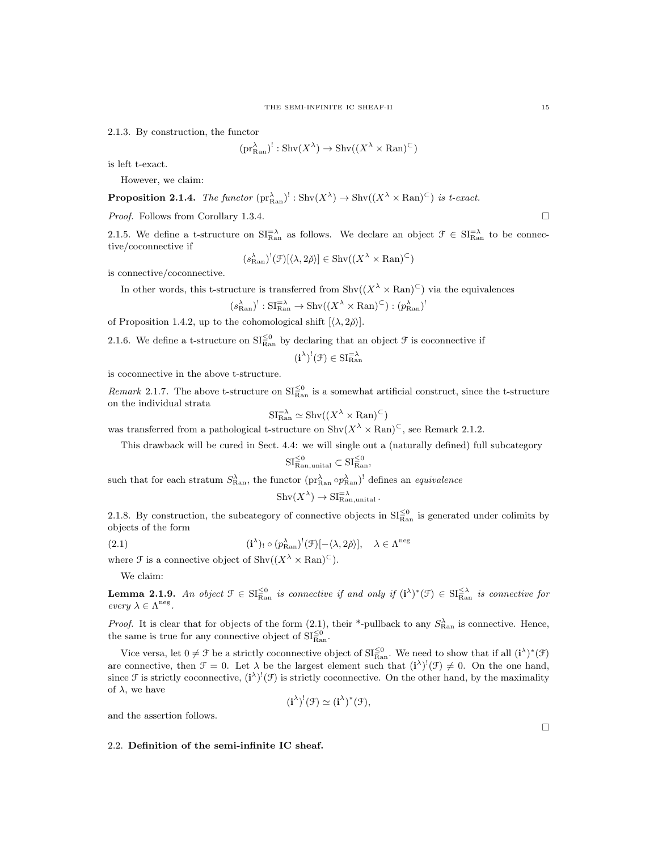2.1.3. By construction, the functor

$$
(\text{pr}_{\text{Ran}}^{\lambda})^! : \text{Shv}(X^{\lambda}) \to \text{Shv}((X^{\lambda} \times \text{Ran})^{\subset})
$$

is left t-exact.

However, we claim:

**Proposition 2.1.4.** The functor  $(\text{pr}_{\text{Ran}}^{\lambda})^! : \text{Shv}(X^{\lambda}) \to \text{Shv}((X^{\lambda} \times \text{Ran})^{\subset})$  is t-exact.

Proof. Follows from Corollary 1.3.4.

2.1.5. We define a t-structure on  $SI_{\text{Ran}}^{-\lambda}$  as follows. We declare an object  $\mathcal{F} \in SI_{\text{Ran}}^{-\lambda}$  to be connective/coconnective if

$$
(s_{\text{Ran}}^{\lambda})^!(\mathcal{F})[\langle \lambda, 2\check{\rho} \rangle] \in \text{Shv}((X^{\lambda} \times \text{Ran})^{\subset})
$$

is connective/coconnective.

In other words, this t-structure is transferred from  $\text{Shv}((X^{\lambda} \times \text{Ran})^{\subset})$  via the equivalences

$$
(s_{\text{Ran}}^{\lambda})^! : \text{SI}_{\text{Ran}}^{\text{=}} \to \text{Shv}((X^{\lambda} \times \text{Ran})^{\text{C}}) : (p_{\text{Ran}}^{\lambda})^!
$$

of Proposition 1.4.2, up to the cohomological shift  $[\langle \lambda, 2\check{\rho} \rangle]$ .

2.1.6. We define a t-structure on  $SI_{\text{Ran}}^{\leq 0}$  by declaring that an object  $\mathcal F$  is coconnective if

 $(i^{\lambda})^!(\mathfrak{F}) \in \mathrm{SI}_{\mathrm{Ran}}^{-\lambda}$ 

is coconnective in the above t-structure.

*Remark* 2.1.7. The above t-structure on  $SI_{\text{Ran}}^{\leq 0}$  is a somewhat artificial construct, since the t-structure on the individual strata

$$
SI_{\text{Ran}}^{-\lambda} \simeq \text{Shv}((X^{\lambda} \times \text{Ran})^{\subset})
$$

was transferred from a pathological t-structure on  $\text{Shv}(X^{\lambda} \times \text{Ran})^{\subset}$ , see Remark 2.1.2.

This drawback will be cured in Sect. 4.4: we will single out a (naturally defined) full subcategory

$$
SI_{\text{Ran,unital}}^{\leq 0} \subset SI_{\text{Ran}}^{\leq 0},
$$

such that for each stratum  $S_{\text{Ran}}^{\lambda}$ , the functor  $(\text{pr}_{\text{Ran}}^{\lambda} \circ p_{\text{Ran}}^{\lambda})^!$  defines an *equivalence* 

$$
Shv(X^{\lambda}) \to SIRan,unital\lambda.
$$

2.1.8. By construction, the subcategory of connective objects in  $SI_{\text{Ran}}^{\leq 0}$  is generated under colimits by objects of the form

(2.1) 
$$
(\mathbf{i}^{\lambda})_! \circ (p_{\text{Ran}}^{\lambda})^! (\mathcal{F})[-\langle \lambda, 2\check{\rho} \rangle], \quad \lambda \in \Lambda^{\text{neg}}
$$

where  $\mathcal F$  is a connective object of  $\text{Shv}((X^{\lambda} \times \text{Ran})^{\subset}).$ 

We claim:

**Lemma 2.1.9.** An object  $\mathcal{F} \in \mathrm{SI}_{\mathrm{Ran}}^{\leq 0}$  is connective if and only if  $(i^{\lambda})^*(\mathcal{F}) \in \mathrm{SI}_{\mathrm{Ran}}^{\leq \lambda}$  is connective for every  $\lambda \in \Lambda^{\text{neg}}$ .

*Proof.* It is clear that for objects of the form  $(2.1)$ , their \*-pullback to any  $S_{\text{Ran}}^{\lambda}$  is connective. Hence, the same is true for any connective object of  $SI_{\text{Ran}}^{\leq 0}$ .

Vice versa, let  $0 \neq \mathcal{F}$  be a strictly coconnective object of  $\text{SI}_{\text{Ran}}^{\leq 0}$ . We need to show that if all  $(i^{\lambda})^*(\mathcal{F})$ are connective, then  $\mathcal{F} = 0$ . Let  $\lambda$  be the largest element such that  $(i^{\lambda})^{\dagger}(\mathcal{F}) \neq 0$ . On the one hand, since F is strictly coconnective,  $(i^{\lambda})^{\dagger}(\mathcal{F})$  is strictly coconnective. On the other hand, by the maximality of  $\lambda$ , we have

$$
(\mathbf{i}^{\lambda})^!(\mathfrak{F}) \simeq (\mathbf{i}^{\lambda})^*(\mathfrak{F}),
$$

and the assertion follows.

#### 2.2. Definition of the semi-infinite IC sheaf.

 $\Box$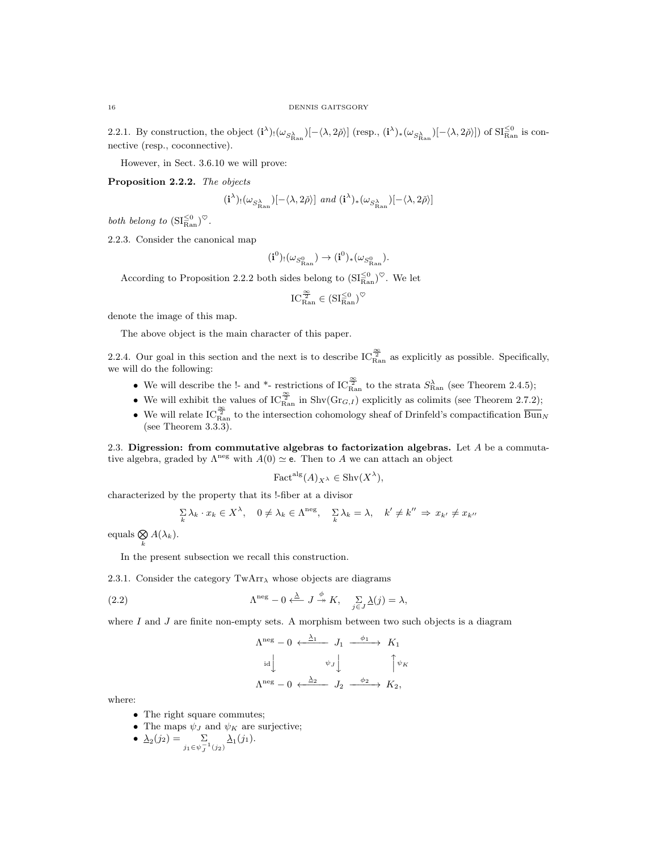2.2.1. By construction, the object  $(i^{\lambda})_! (\omega_{S_{\text{Ran}}^{\lambda}}) [-\langle \lambda, 2\check{\rho} \rangle]$  (resp.,  $(i^{\lambda})_* (\omega_{S_{\text{Ran}}^{\lambda}}) [-\langle \lambda, 2\check{\rho} \rangle]$ ) of  $\text{SI}_{\text{Ran}}^{\leq 0}$  is connective (resp., coconnective).

However, in Sect. 3.6.10 we will prove:

Proposition 2.2.2. The objects

$$
(\mathbf{i}^{\lambda})_! (\omega_{S^{\lambda}_{\text{Ran}}})[-\langle \lambda, 2\check{\rho} \rangle] \ \ and \ (\mathbf{i}^{\lambda})_* (\omega_{S^{\lambda}_{\text{Ran}}})[-\langle \lambda, 2\check{\rho} \rangle]
$$

both belong to  $\left(SI_{\text{Ran}}^{\leq 0}\right)^\heartsuit$ .

2.2.3. Consider the canonical map

$$
(\textbf{i}^0)_! (\omega_{S^0_{\mathrm{Ran}}}) \rightarrow (\textbf{i}^0)_* (\omega_{S^0_{\mathrm{Ran}}}).
$$

According to Proposition 2.2.2 both sides belong to  $(SI_{\text{Ran}}^{\leq 0})^{\heartsuit}$ . We let

$$
IC_{\text{Ran}}^{\frac{\infty}{2}}\in(\mathrm{SI}_{\text{Ran}}^{\leq 0})^{\heartsuit}
$$

denote the image of this map.

The above object is the main character of this paper.

2.2.4. Our goal in this section and the next is to describe  $IC_{\text{Ran}}^{\frac{\infty}{2}}$  as explicitly as possible. Specifically, we will do the following:

- We will describe the !- and \*- restrictions of  $IC_{\text{Ran}}^{\frac{\infty}{2}}$  to the strata  $S_{\text{Ran}}^{\lambda}$  (see Theorem 2.4.5);
- We will exhibit the values of  $IC_{\text{Ran}}^{\frac{\infty}{2}}$  in Shv $(\text{Gr}_{G,I})$  explicitly as colimits (see Theorem 2.7.2);
- We will relate IC $\frac{\infty}{\text{Ran}}$  to the intersection cohomology sheaf of Drinfeld's compactification  $\frac{\infty}{\text{Bun}_N}$ (see Theorem 3.3.3).

2.3. Digression: from commutative algebras to factorization algebras. Let  $A$  be a commutative algebra, graded by  $\Lambda^{neg}$  with  $A(0) \simeq e$ . Then to A we can attach an object

$$
\text{Fact}^{\text{alg}}(A)_{X^{\lambda}} \in \text{Shv}(X^{\lambda}),
$$

characterized by the property that its !-fiber at a divisor

$$
\sum_{k} \lambda_k \cdot x_k \in X^{\lambda}, \quad 0 \neq \lambda_k \in \Lambda^{\text{neg}}, \quad \sum_{k} \lambda_k = \lambda, \quad k' \neq k'' \Rightarrow x_{k'} \neq x_{k''}
$$

equals  $\bigotimes_k A(\lambda_k)$ .

In the present subsection we recall this construction.

2.3.1. Consider the category  $TwArr_{\lambda}$  whose objects are diagrams

(2.2) 
$$
\Lambda^{\text{neg}} - 0 \xleftarrow{\lambda} J \overset{\phi}{\twoheadrightarrow} K, \quad \sum_{j \in J} \underline{\lambda}(j) = \lambda,
$$

where  $I$  and  $J$  are finite non-empty sets. A morphism between two such objects is a diagram

$$
\begin{array}{ccc}\n\Lambda^{\text{neg}} - 0 & \xleftarrow{\Delta_1} & J_1 & \xrightarrow{\phi_1} & K_1 \\
\downarrow \text{id} & & \psi_J \downarrow & & \uparrow \psi_K \\
\Lambda^{\text{neg}} - 0 & \xleftarrow{\Delta_2} & J_2 & \xrightarrow{\phi_2} & K_2,\n\end{array}
$$

where:

- The right square commutes;
- The maps  $\psi_J$  and  $\psi_K$  are surjective;

• 
$$
\underline{\lambda}_2(j_2) = \sum_{j_1 \in \psi_j^{-1}(j_2)} \underline{\lambda}_1(j_1).
$$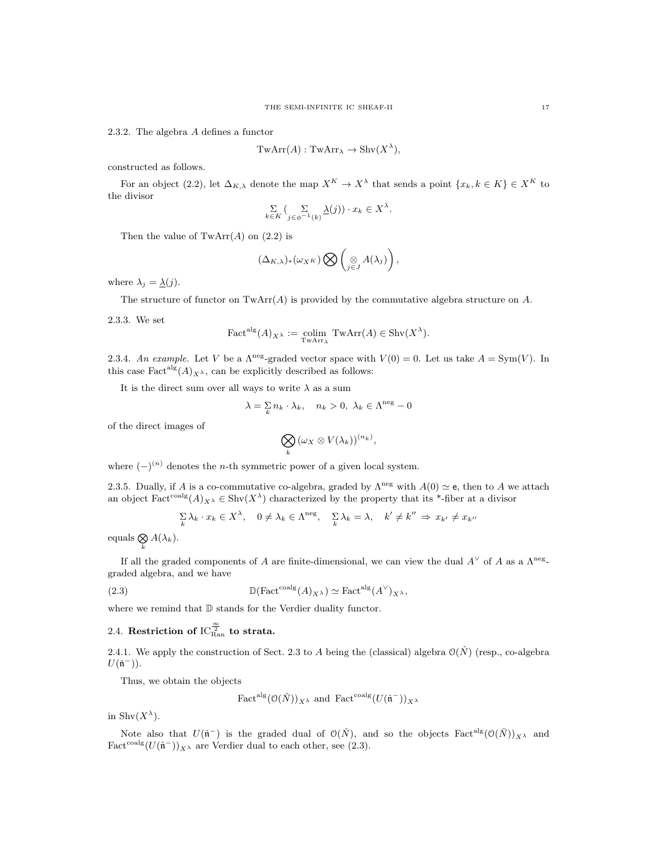2.3.2. The algebra A defines a functor

$$
TwArr(A): TwArr_{\lambda} \to Shv(X^{\lambda}),
$$

constructed as follows.

For an object (2.2), let  $\Delta_{K,\lambda}$  denote the map  $X^K \to X^{\lambda}$  that sends a point  $\{x_k, k \in K\} \in X^K$  to the divisor

$$
\sum_{k \in K} \left( \sum_{j \in \phi^{-1}(k)} \underline{\lambda}(j) \right) \cdot x_k \in X^{\lambda}.
$$

Then the value of  $TwArr(A)$  on  $(2.2)$  is

$$
(\Delta_{K,\lambda})_*(\omega_{X^K})\bigotimes \left(\underset{j\in J}{\otimes}A(\lambda_j)\right),\,
$$

where  $\lambda_j = \underline{\lambda}(j)$ .

The structure of functor on  $\text{TwArr}(A)$  is provided by the commutative algebra structure on A.

2.3.3. We set

$$
\text{Fact}^{\text{alg}}(A)_{X^{\lambda}} := \underset{\text{TwArr}_{\lambda}}{\text{colim}} \text{TwArr}(A) \in \text{Shv}(X^{\lambda}).
$$

2.3.4. An example. Let V be a  $\Lambda^{\text{neg}}$ -graded vector space with  $V(0) = 0$ . Let us take  $A = \text{Sym}(V)$ . In this case  $\text{Fact}^{\text{alg}}(A)_{X^{\lambda}}$ , can be explicitly described as follows:

It is the direct sum over all ways to write  $\lambda$  as a sum

$$
\lambda = \sum_{k} n_k \cdot \lambda_k, \quad n_k > 0, \ \lambda_k \in \Lambda^{\text{neg}} - 0
$$

of the direct images of

$$
\bigotimes_k (\omega_X \otimes V(\lambda_k))^{(n_k)},
$$

where  $(-)^{(n)}$  denotes the *n*-th symmetric power of a given local system.

2.3.5. Dually, if A is a co-commutative co-algebra, graded by  $\Lambda^{neg}$  with  $A(0) \simeq e$ , then to A we attach an object  $\text{Fact}^{\text{coalg}}(A)_{X^{\lambda}} \in \text{Shv}(X^{\lambda})$  characterized by the property that its \*-fiber at a divisor

$$
\sum_{k} \lambda_k \cdot x_k \in X^{\lambda}, \quad 0 \neq \lambda_k \in \Lambda^{\text{neg}}, \quad \sum_{k} \lambda_k = \lambda, \quad k' \neq k'' \Rightarrow x_{k'} \neq x_{k''}
$$

equals  $\bigotimes_k A(\lambda_k)$ .

If all the graded components of A are finite-dimensional, we can view the dual  $A^{\vee}$  of A as a  $\Lambda^{neg}$ . graded algebra, and we have

(2.3) 
$$
\mathbb{D}(\text{Fact}^{\text{coalg}}(A)_{X^{\lambda}}) \simeq \text{Fact}^{\text{alg}}(A^{\vee})_{X^{\lambda}},
$$

where we remind that  $D$  stands for the Verdier duality functor.

# 2.4. Restriction of  $\text{IC}_{\text{Ran}}^{\frac{\infty}{2}}$  to strata.

2.4.1. We apply the construction of Sect. 2.3 to A being the (classical) algebra  $\mathcal{O}(\check{N})$  (resp., co-algebra  $U(\mathfrak{n}^-))$ .

Thus, we obtain the objects

Fact<sup>alg</sup>
$$
(\mathcal{O}(\check{N}))_{X^{\lambda}}
$$
 and Fact<sup>coalg</sup> $(U(\check{\mathfrak{n}}^{-}))_{X^{\lambda}}$ 

in  $\text{Shv}(X^{\lambda}).$ 

Note also that  $U(\tilde{n}^-)$  is the graded dual of  $\mathcal{O}(\tilde{N})$ , and so the objects  $\text{Fact}^{\text{alg}}(\mathcal{O}(\tilde{N}))_{X^{\lambda}}$  and Fact<sup>coalg</sup> $(U(\tilde{\mathfrak{n}}^{-}))_{X^{\lambda}}$  are Verdier dual to each other, see (2.3).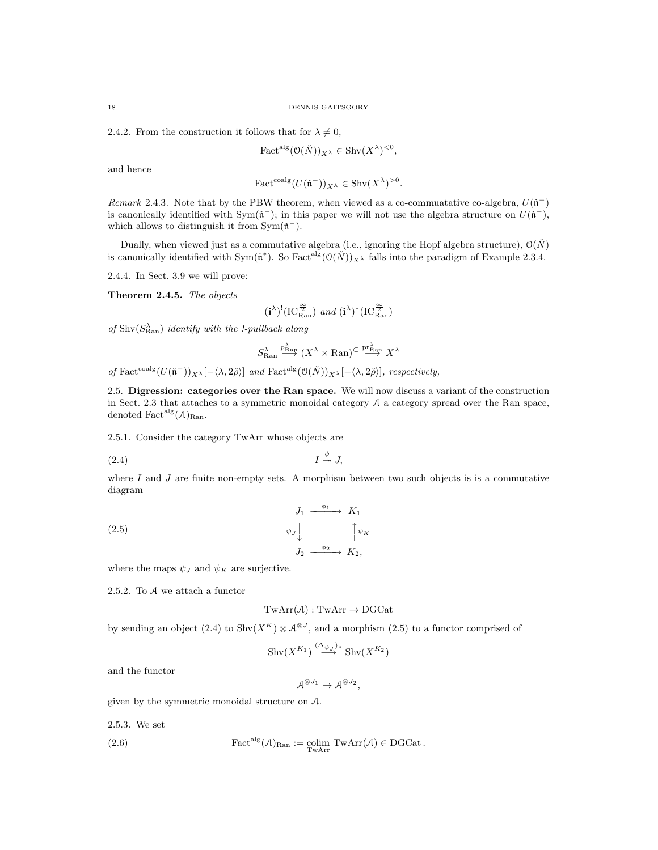2.4.2. From the construction it follows that for  $\lambda \neq 0$ ,

$$
\text{Fact}^{\text{alg}}(\mathcal{O}(\check{N}))_{X^{\lambda}} \in \text{Shv}(X^{\lambda})^{<0},
$$

and hence

$$
\text{Fact}^{\text{coalg}}(U(\mathfrak{\check{n}}^{-}))_{X^{\lambda}} \in \text{Shv}(X^{\lambda})^{>0}.
$$

Remark 2.4.3. Note that by the PBW theorem, when viewed as a co-commuatative co-algebra,  $U(\tilde{n}^-)$ is canonically identified with Sym( $\tilde{n}^-$ ); in this paper we will not use the algebra structure on  $U(\tilde{n}^-)$ , which allows to distinguish it from  $Sym(\tilde{n}^-)$ .

Dually, when viewed just as a commutative algebra (i.e., ignoring the Hopf algebra structure),  $\mathcal{O}(\check{N})$ is canonically identified with Sym( $\tilde{n}^*$ ). So Fact<sup>alg</sup> $(\mathcal{O}(\tilde{N}))_{X^{\lambda}}$  falls into the paradigm of Example 2.3.4.

2.4.4. In Sect. 3.9 we will prove:

Theorem 2.4.5. The objects

$$
(\textbf{i}^{\lambda})^!(\text{IC}^{\frac{\infty}{2}}_{\text{Ran}}) \text{ and } (\textbf{i}^{\lambda})^*(\text{IC}^{\frac{\infty}{2}}_{\text{Ran}})
$$

of  $\text{Shv}(S^{\lambda}_{\text{Ran}})$  identify with the !-pullback along

$$
S^\lambda_{\mathrm{Ran}} \stackrel{p_{\mathrm{Ran}}^\lambda}{\longrightarrow} (X^\lambda \times \mathrm{Ran})^{\subset} \stackrel{\mathrm{pr}_{\mathrm{Ran}}^\lambda}{\longrightarrow} X^\lambda
$$

of Fact<sup>coalg</sup> $(U(\mathfrak{n}^-))_{X^{\lambda}}[-\langle \lambda, 2\check{\rho} \rangle]$  and Fact<sup>alg</sup> $(O(\check{N}))_{X^{\lambda}}[-\langle \lambda, 2\check{\rho} \rangle]$ , respectively,

2.5. Digression: categories over the Ran space. We will now discuss a variant of the construction in Sect. 2.3 that attaches to a symmetric monoidal category A a category spread over the Ran space, denoted  $Fact<sup>alg</sup>(A)<sub>Ran</sub>$ .

2.5.1. Consider the category TwArr whose objects are

$$
(2.4) \t\t I \stackrel{\phi}{\twoheadrightarrow} J,
$$

where  $I$  and  $J$  are finite non-empty sets. A morphism between two such objects is is a commutative diagram

(2.5) 
$$
\begin{array}{ccc}\nJ_1 & \xrightarrow{\phi_1} & K_1 \\
\psi_J \downarrow & & \uparrow \psi_K \\
J_2 & \xrightarrow{\phi_2} & K_2,\n\end{array}
$$

where the maps  $\psi_J$  and  $\psi_K$  are surjective.

2.5.2. To A we attach a functor

$$
TwArr ({\cal A} ): TwArr \rightarrow DGCat
$$

by sending an object  $(2.4)$  to  $\text{Shv}(X^K) \otimes A^{\otimes J}$ , and a morphism  $(2.5)$  to a functor comprised of

$$
\operatorname{Shv}(X^{K_1}) \stackrel{(\Delta_{\psi_J})_*}{\longrightarrow} \operatorname{Shv}(X^{K_2})
$$

and the functor

$$
\mathcal{A}^{\otimes J_1} \to \mathcal{A}^{\otimes J_2},
$$

given by the symmetric monoidal structure on A.

2.5.3. We set

(2.6) 
$$
\operatorname{Fact^{alg}}(\mathcal{A})_{\text{Ran}} := \underset{\mathrm{TwArr}}{\operatorname{colim}} \mathrm{TwArr}(\mathcal{A}) \in \mathrm{DGCat}.
$$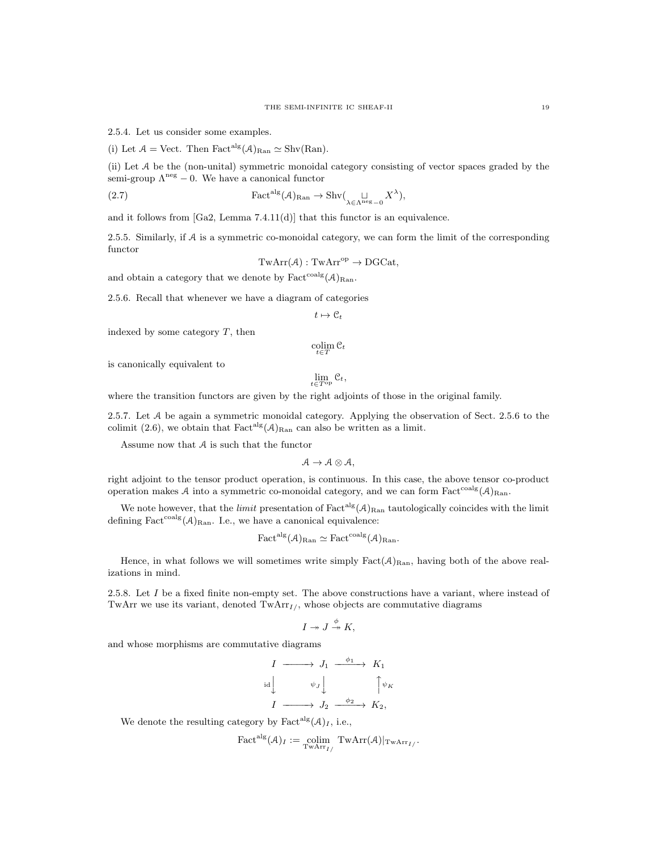2.5.4. Let us consider some examples.

(i) Let  $\mathcal{A} = \text{Vect}$ . Then  $\text{Fact}^{\text{alg}}(\mathcal{A})_{\text{Ran}} \simeq \text{Shv}(\text{Ran})$ .

(ii) Let A be the (non-unital) symmetric monoidal category consisting of vector spaces graded by the semi-group  $\Lambda^{\text{neg}} - 0$ . We have a canonical functor

(2.7) 
$$
\operatorname{Fact}^{\operatorname{alg}}(\mathcal{A})_{\operatorname{Ran}} \to \operatorname{Shv}(\bigcup_{\lambda \in \Lambda^{\operatorname{neg}} - 0} X^{\lambda}),
$$

and it follows from [Ga2, Lemma 7.4.11(d)] that this functor is an equivalence.

2.5.5. Similarly, if A is a symmetric co-monoidal category, we can form the limit of the corresponding functor

$$
TwArr(\mathcal{A}): TwArr^{op} \to DGCat,
$$

and obtain a category that we denote by  $\text{Fact}^{\text{coalg}}(\mathcal{A})_{\text{Ran}}$ .

2.5.6. Recall that whenever we have a diagram of categories

$$
t\mapsto \mathfrak{C}_t
$$

indexed by some category  $T$ , then

 $\operatornamewithlimits{colim}_{t\in T}\mathfrak{C}_t$ 

is canonically equivalent to

$$
\lim_{t \in T^{\mathrm{op}}} \mathcal{C}_t,
$$

where the transition functors are given by the right adjoints of those in the original family.

2.5.7. Let A be again a symmetric monoidal category. Applying the observation of Sect. 2.5.6 to the colimit (2.6), we obtain that  $Fact<sup>alg</sup>(A)_{\text{Ran}}$  can also be written as a limit.

Assume now that  $A$  is such that the functor

 $A \rightarrow A \otimes A$ ,

right adjoint to the tensor product operation, is continuous. In this case, the above tensor co-product operation makes A into a symmetric co-monoidal category, and we can form  $Fact<sup>coalg</sup>(A)_{Ran}$ .

We note however, that the *limit* presentation of  $Fact<sup>alg</sup>(A)_{\text{Ran}}$  tautologically coincides with the limit defining  $Fact{<sup>coalg</sup>(A)<sub>Ran</sub>$ . I.e., we have a canonical equivalence:

$$
\text{Fact}^{\text{alg}}(\mathcal{A})_{\text{Ran}} \simeq \text{Fact}^{\text{coalg}}(\mathcal{A})_{\text{Ran}}.
$$

Hence, in what follows we will sometimes write simply  $Fact(\mathcal{A})_{\text{Ran}}$ , having both of the above realizations in mind.

2.5.8. Let  $I$  be a fixed finite non-empty set. The above constructions have a variant, where instead of TwArr we use its variant, denoted  $\text{TwArr}_{I}$ , whose objects are commutative diagrams

$$
I \twoheadrightarrow J \stackrel{\phi}{\twoheadrightarrow} K,
$$

and whose morphisms are commutative diagrams

$$
\begin{array}{ccc}\nI & \xrightarrow{\quad} & J_1 & \xrightarrow{\phi_1} & K_1 \\
\downarrow \downarrow & & \downarrow & & \uparrow \psi_K \\
I & \xrightarrow{\quad} & J_2 & \xrightarrow{\phi_2} & K_2,\n\end{array}
$$

We denote the resulting category by Fact<sup>alg</sup> $(A)_I$ , i.e.,

$$
\text{Fact}^{\text{alg}}(\mathcal{A})_I := \underset{\text{TwArr}_{I}}{\text{colim}} \text{TwArr}_{\mathcal{A}}(\mathcal{A})|_{\text{TwArr}_{I'}}.
$$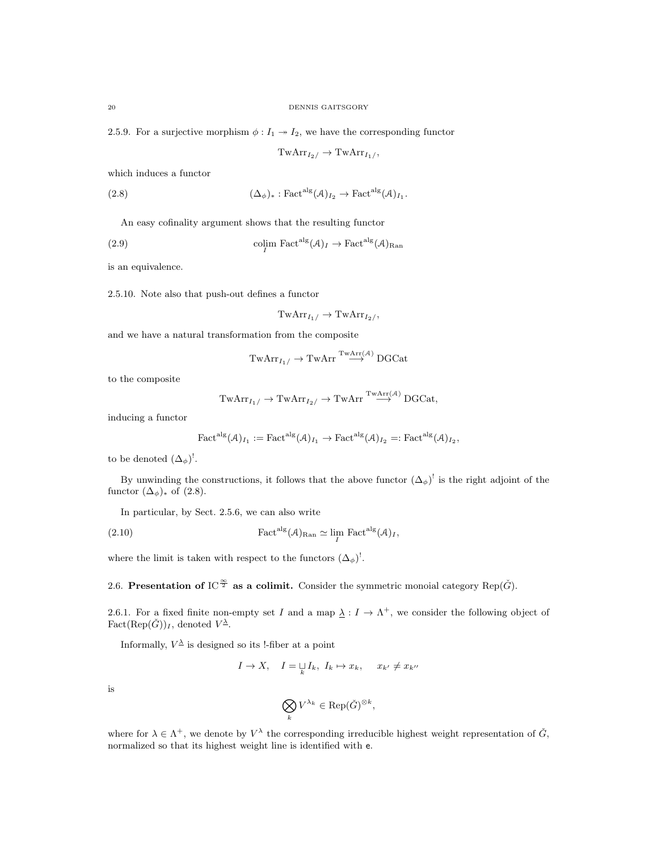2.5.9. For a surjective morphism  $\phi: I_1 \rightarrow I_2$ , we have the corresponding functor

 $TwArr_{I_2}/$   $\rightarrow$  TwArr<sub>I1</sub>/,

.

which induces a functor

(2.8) 
$$
(\Delta_{\phi})_* : \text{Fact}^{\text{alg}}(\mathcal{A})_{I_2} \to \text{Fact}^{\text{alg}}(\mathcal{A})_{I_1}
$$

An easy cofinality argument shows that the resulting functor

(2.9) 
$$
\underset{I}{\text{colim} \ \text{Fact}^{\text{alg}}} (\mathcal{A})_I \to \text{Fact}^{\text{alg}} (\mathcal{A})_{\text{Ran}}
$$

is an equivalence.

2.5.10. Note also that push-out defines a functor

$$
\mathrm{TwArr}_{I_1/} \to \mathrm{TwArr}_{I_2/},
$$

and we have a natural transformation from the composite

$$
\mathrm{TwArr}_{I_1/} \to \mathrm{TwArr}^{\mathrm{TwArr}(\mathcal{A})} \mathrm{DGCat}
$$

to the composite

$$
\mathrm{TwArr}_{I_1/} \to \mathrm{TwArr}_{I_2/} \to \mathrm{TwArr}^{\mathrm{TwArr}(\mathcal{A})} \mathrm{DGCat},
$$

inducing a functor

$$
\text{Fact}^{\text{alg}}(\mathcal{A})_{I_1} := \text{Fact}^{\text{alg}}(\mathcal{A})_{I_1} \to \text{Fact}^{\text{alg}}(\mathcal{A})_{I_2} =: \text{Fact}^{\text{alg}}(\mathcal{A})_{I_2},
$$

to be denoted  $(\Delta_{\phi})^!$ .

By unwinding the constructions, it follows that the above functor  $(\Delta_{\phi})^!$  is the right adjoint of the functor  $(\Delta_{\phi})_*$  of  $(2.8)$ .

In particular, by Sect. 2.5.6, we can also write

(2.10) 
$$
\operatorname{Fact}^{\operatorname{alg}}(\mathcal{A})_{\operatorname{Ran}} \simeq \lim_{I} \operatorname{Fact}^{\operatorname{alg}}(\mathcal{A})_{I},
$$

where the limit is taken with respect to the functors  $(\Delta_{\phi})^!$ .

2.6. Presentation of IC<sup> $\frac{\infty}{2}$ </sup> as a colimit. Consider the symmetric monoial category Rep( $\check{G}$ ).

2.6.1. For a fixed finite non-empty set I and a map  $\lambda : I \to \Lambda^+$ , we consider the following object of  $Fact(Rep( $\check{G}$ ))<sub>I</sub>, denoted  $V^{\underline{\lambda}}$ .$ 

Informally,  $V^{\underline{\lambda}}$  is designed so its !-fiber at a point

$$
I \to X, \quad I = \bigsqcup_{k} I_k, \ I_k \mapsto x_k, \quad x_{k'} \neq x_{k''}
$$

is

$$
\bigotimes_k V^{\lambda_k} \in {\rm Rep}(\check G)^{\otimes k},
$$

where for  $\lambda \in \Lambda^+$ , we denote by  $V^{\lambda}$  the corresponding irreducible highest weight representation of  $\check{G}$ , normalized so that its highest weight line is identified with e.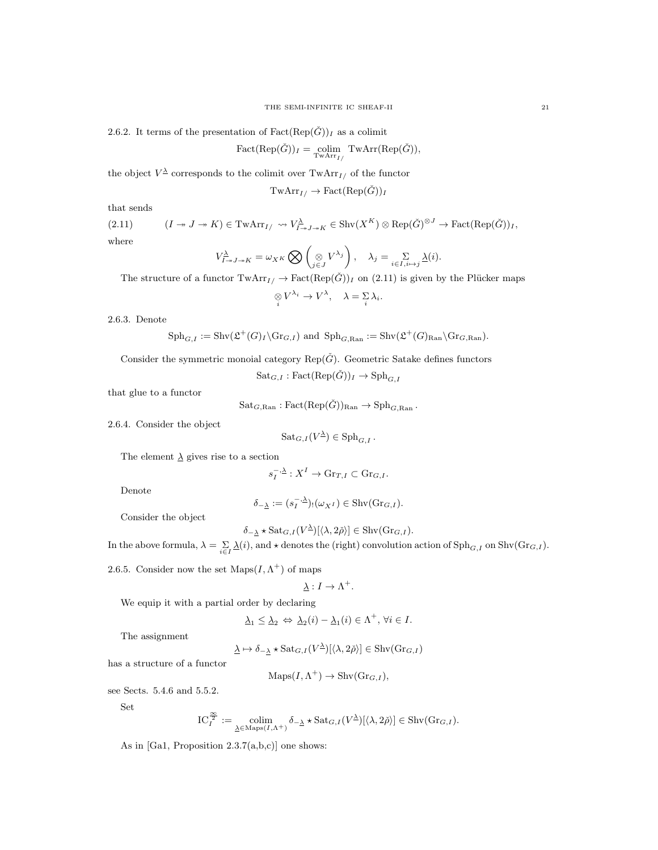2.6.2. It terms of the presentation of  $Fact(Rep( $\tilde{G}$ ))<sub>I</sub> as a colimit)$ 

$$
Fact(Rep(\check{G}))_I = \underset{\text{TwArr}_{I}}{\text{colim}} \text{TwArr}(Rep(\check{G})),
$$

the object  $V^{\underline{\lambda}}$  corresponds to the colimit over  $\text{TwArr}_{I}$  of the functor

$$
\mathrm{TwArr}_{I/} \to \mathrm{Fact}(\mathrm{Rep}(\check{G}))_{I}
$$

that sends

 $(2.11)$   $(I \twoheadrightarrow J \twoheadrightarrow K) \in \text{TwArr}_{I} \land \forall Y^{\underline{\lambda}}_{I \twoheadrightarrow J \twoheadrightarrow K} \in \text{Shv}(X^K) \otimes \text{Rep}(\check{G})^{\otimes J} \rightarrow \text{Fact}(\text{Rep}(\check{G}))_I,$ where

$$
V_{I \to J \to K}^{\underline{\lambda}} = \omega_{X^K} \bigotimes \left( \underset{j \in J}{\otimes} V^{\lambda_j} \right), \quad \lambda_j = \underset{i \in I, i \mapsto j}{\Sigma} \underline{\lambda}(i).
$$

The structure of a functor  $TwArr_{I}/ \rightarrow Fact(Rep(\check{G}))_I$  on (2.11) is given by the Plücker maps  $\mathop{\otimes}\limits_i V^{\lambda_i}\to V^{\lambda},\quad \lambda=\mathop{\Sigma}\limits_i\lambda_i.$ 

2.6.3. Denote

$$
\mathrm{Sph}_{G,I} := \mathrm{Shv}(\mathfrak{L}^+(G)_I \backslash \mathrm{Gr}_{G,I}) \text{ and } \mathrm{Sph}_{G,\mathrm{Ran}} := \mathrm{Shv}(\mathfrak{L}^+(G)_{\mathrm{Ran}} \backslash \mathrm{Gr}_{G,\mathrm{Ran}}).
$$

Consider the symmetric monoial category Rep( $\check{G}$ ). Geometric Satake defines functors

s

 $\text{Sat}_{G,I} : \text{Fact}(\text{Rep}(\check{G}))_I \to \text{Sph}_{G,I}$ 

that glue to a functor

 $\operatorname{Sat}_{G,\text{Ran}}: \operatorname{Fact}(\operatorname{Rep}(\check{G}))_{\text{Ran}} \to \operatorname{Sph}_{G,\text{Ran}}.$ 

2.6.4. Consider the object

$$
Sat_{G,I}(V^{\underline{\lambda}})\in \mathrm{Sph}_{G,I}.
$$

The element  $\lambda$  gives rise to a section

$$
G_I^{-,\underline{\lambda}}: X^I \to \mathrm{Gr}_{T,I} \subset \mathrm{Gr}_{G,I}.
$$

Denote

$$
\delta_{-\underline{\lambda}} := (s_I^{-,\underline{\lambda}})_! (\omega_{X^I}) \in \mathrm{Shv}(\mathrm{Gr}_{G,I}).
$$

Consider the object

$$
\delta_{-\lambda} \star \text{Sat}_{G,I}(V^{\lambda})[\langle \lambda, 2\check{\rho} \rangle] \in \text{Shv}(\text{Gr}_{G,I}).
$$

In the above formula,  $\lambda = \sum_{i \in I} \lambda(i)$ , and  $\star$  denotes the (right) convolution action of  $\text{Sph}_{G,I}$  on  $\text{Shv}(\text{Gr}_{G,I})$ .

2.6.5. Consider now the set  $\text{Maps}(I, \Lambda^+)$  of maps

$$
\underline{\lambda}: I \to \Lambda^+.
$$

We equip it with a partial order by declaring

$$
\underline{\lambda}_1 \le \underline{\lambda}_2 \Leftrightarrow \underline{\lambda}_2(i) - \underline{\lambda}_1(i) \in \Lambda^+, \,\forall i \in I.
$$

The assignment

$$
\underline{\lambda} \mapsto \delta_{-\underline{\lambda}} \star \text{Sat}_{G,I}(V^{\underline{\lambda}})[\langle \lambda, 2\check{\rho} \rangle] \in \text{Shv}(\text{Gr}_{G,I})
$$

has a structure of a functor

 $\mathrm{Maps}(I, \Lambda^+) \to \mathrm{Shv}(\mathrm{Gr}_{G,I}),$ 

see Sects. 5.4.6 and 5.5.2.

Set

$$
\mathcal IC_I^{\frac{\infty}{2}}:=\operatornamewithlimits{colim}_{\underline{\lambda}\in\mathop{\rm Maps}\nolimits(I,\Lambda^+)}\delta_{-\underline{\lambda}}\star\mathop{\rm Sat}\nolimits_{G,I}(V^{\underline{\lambda}})[\langle\lambda,2\check\rho\rangle]\in\mathop{\rm Shv}\nolimits(\mathop{\rm Gr}\nolimits_{G,I}).
$$

As in [Ga1, Proposition  $2.3.7(a,b,c)$ ] one shows: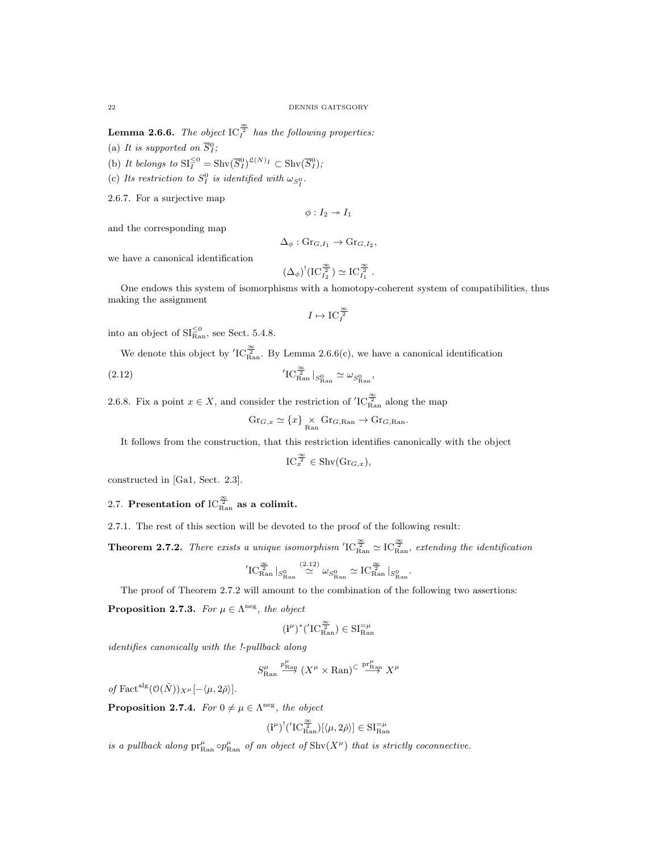**Lemma 2.6.6.** The object  $\text{IC}_I^{\frac{\infty}{2}}$  has the following properties:

(a) It is supported on  $\overline{S}_I^0$ ;

(b) It belongs to  $\operatorname{SI}_{\overline{I}}^{\leq 0} = \operatorname{Shv}(\overline{S}_I^0)^{\mathfrak{L}(N)_I} \subset \operatorname{Shv}(\overline{S}_I^0);$ 

(c) Its restriction to  $S_I^0$  is identified with  $\omega_{S_I^0}$ .

2.6.7. For a surjective map

 $\phi: I_2 \rightarrow I_1$ 

and the corresponding map

 $\Delta_{\phi}$ : Gr<sub>G,I<sub>1</sub></sub>  $\rightarrow$  Gr<sub>G,I<sub>2</sub></sub>,

we have a canonical identification

$$
(\Delta_{\phi})^!(\mathrm{IC}_{I_2}^{\frac{\infty}{2}}) \simeq \mathrm{IC}_{I_1}^{\frac{\infty}{2}}.
$$

One endows this system of isomorphisms with a homotopy-coherent system of compatibilities, thus making the assignment

$$
I\mapsto \operatorname{IC}^{\frac{\infty}{2}}_I
$$

into an object of  $SI_{\text{Ran}}^{\leq 0}$ , see Sect. 5.4.8.

We denote this object by  ${}^{'}C^{\frac{\infty}{2}}_{\text{Ran}}$ . By Lemma 2.6.6(c), we have a canonical identification

(2.12) 
$$
{}^{'}\mathrm{IC}_{\mathrm{Ran}}^{\frac{\infty}{2}} \mid_{S_{\mathrm{Ran}}^{0}} \simeq \omega_{S_{\mathrm{Ran}}^{0}},
$$

2.6.8. Fix a point  $x \in X$ , and consider the restriction of  ${}^{'}IC_{\text{Ran}}^{\frac{\infty}{2}}$  along the map

$$
\mathrm{Gr}_{G,x} \simeq \{x\} \underset{\mathrm{Ran}}{\times} \mathrm{Gr}_{G,\mathrm{Ran}} \to \mathrm{Gr}_{G,\mathrm{Ran}}.
$$

It follows from the construction, that this restriction identifies canonically with the object

$$
\mathrm{IC}_{x}^{\frac{\infty}{2}} \in \mathrm{Shv}(\mathrm{Gr}_{G,x}),
$$

constructed in [Ga1, Sect. 2.3].

# 2.7. Presentation of  $\mathrm{IC}^{\frac{\infty}{2}}_{\mathrm{Ran}}$  as a colimit.

2.7.1. The rest of this section will be devoted to the proof of the following result:

**Theorem 2.7.2.** There exists a unique isomorphism  ${}^t1C_{\text{Ran}}^{\frac{\infty}{2}} \simeq 1C_{\text{Ran}}^{\frac{\infty}{2}}$ , extending the identification

$$
{}^{\prime}IC^{\frac{\infty}{2}}_{\text{Ran}}\left|_{S^0_{\text{Ran}}}\right|^{(2.12)}_{\approx}\omega_{S^0_{\text{Ran}}}\simeq IC^{\frac{\infty}{2}}_{\text{Ran}}\left|_{S^0_{\text{Ran}}}\right|^{(2.12)}
$$

.

The proof of Theorem 2.7.2 will amount to the combination of the following two assertions:

**Proposition 2.7.3.** For  $\mu \in \Lambda^{neg}$ , the object

$$
(\mathbf{i}^{\mu})^*({}^{\prime}\mathrm{IC}^{\frac{\infty}{2}}_{\mathrm{Ran}}) \in \mathrm{SI}^{=\mu}_{\mathrm{Ran}}
$$

identifies canonically with the !-pullback along

$$
S^\mu_{\rm Ran} \stackrel{p^\mu_{\rm Ran}}{\longrightarrow} (X^\mu \times {\rm Ran})^{\subset \stackrel{\rm pr^{\mu}_{\rm Ran}}{\longrightarrow}} X^\mu
$$

of Fact<sup>alg</sup> $(\mathcal{O}(\check{N}))_{X^{\mu}}[-\langle \mu, 2\check{\rho}\rangle].$ 

**Proposition 2.7.4.** For  $0 \neq \mu \in \Lambda^{neg}$ , the object

$$
(\mathbf{i}^\mu)^!(\mathbf{'}\mathrm{IC}^{\frac{\infty}{2}}_{\mathrm{Ran}})[\langle \mu,2\check{\rho}\rangle]\in \mathrm{SI}^{=\mu}_{\mathrm{Ran}}
$$

is a pullback along  $pr_{\text{Ran}}^{\mu} \circ p_{\text{Ran}}^{\mu}$  of an object of  $\text{Shv}(X^{\mu})$  that is strictly coconnective.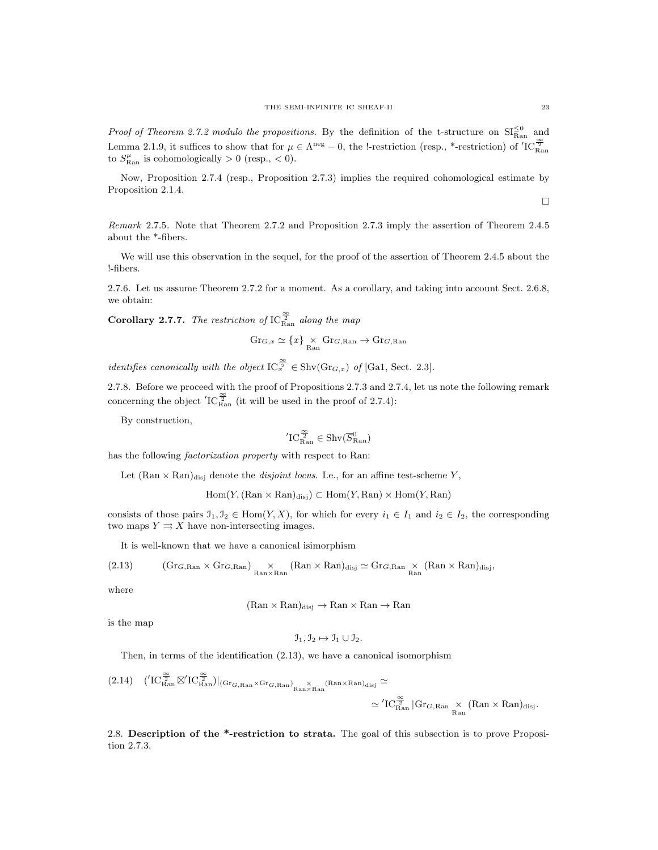*Proof of Theorem 2.7.2 modulo the propositions.* By the definition of the t-structure on  $SI_{\text{Ran}}^{\leq 0}$  and Lemma 2.1.9, it suffices to show that for  $\mu \in \Lambda^{\text{neg}} - 0$ , the l-restriction (resp., \*-restriction) of  ${}^{'}IC_{\text{Ran}}^{\frac{\infty}{2}}$ to  $S_{\text{Ran}}^{\mu}$  is cohomologically  $> 0$  (resp.,  $< 0$ ).

Now, Proposition 2.7.4 (resp., Proposition 2.7.3) implies the required cohomological estimate by Proposition 2.1.4.  $\Box$ 

Remark 2.7.5. Note that Theorem 2.7.2 and Proposition 2.7.3 imply the assertion of Theorem 2.4.5 about the \*-fibers.

We will use this observation in the sequel, for the proof of the assertion of Theorem 2.4.5 about the !-fibers.

2.7.6. Let us assume Theorem 2.7.2 for a moment. As a corollary, and taking into account Sect. 2.6.8, we obtain:

**Corollary 2.7.7.** The restriction of  $\text{IC}_{\text{Ran}}^{\frac{\infty}{2}}$  along the map

$$
\mathrm{Gr}_{G,x} \simeq \{x\} \underset{\mathrm{Ran}}{\times} \mathrm{Gr}_{G,\mathrm{Ran}} \to \mathrm{Gr}_{G,\mathrm{Ran}}
$$

identifies canonically with the object  $IC_{\overline{x}}^{\frac{\infty}{2}} \in \text{Shv}(Gr_{G,x})$  of [Ga1, Sect. 2.3].

2.7.8. Before we proceed with the proof of Propositions 2.7.3 and 2.7.4, let us note the following remark concerning the object  $'IC_{\text{Ran}}^{\frac{\infty}{2}}$  (it will be used in the proof of 2.7.4):

By construction,

$$
{}'\mathrm{IC}^{\frac{\infty}{2}}_{\mathrm{Ran}} \in \mathrm{Shv}(\overline{S}^0_{\mathrm{Ran}})
$$

has the following *factorization property* with respect to Ran:

Let  $(Ran \times Ran)_{disj}$  denote the *disjoint locus*. I.e., for an affine test-scheme Y,

 $Hom(Y, (Ran \times Ran)_{disj}) \subset Hom(Y, Ran) \times Hom(Y, Ran)$ 

consists of those pairs  $I_1, I_2 \in \text{Hom}(Y, X)$ , for which for every  $i_1 \in I_1$  and  $i_2 \in I_2$ , the corresponding two maps  $Y \rightrightarrows X$  have non-intersecting images.

It is well-known that we have a canonical isimorphism

(2.13) 
$$
(\text{Gr}_{G,\text{Ran}} \times \text{Gr}_{G,\text{Ran}}) \underset{\text{Ran} \times \text{Ran}}{\times} (\text{Ran} \times \text{Ran})_{\text{disj}} \simeq \text{Gr}_{G,\text{Ran}} \times (\text{Ran} \times \text{Ran})_{\text{disj}},
$$

where

 $(Ran \times Ran)_{disj} \rightarrow Ran \times Ran \rightarrow Ran$ 

is the map

$$
\mathcal{I}_1, \mathcal{I}_2 \mapsto \mathcal{I}_1 \cup \mathcal{I}_2.
$$

Then, in terms of the identification (2.13), we have a canonical isomorphism

$$
(2.14) \quad (\n\begin{array}{cc}\n(T_{\text{Ran}}^{\frac{\infty}{2}} \boxtimes' IC_{\text{Ran}}^{\frac{\infty}{2}})\n\end{array})\n\begin{array}{c}\n(\text{Gr}_{G,\text{Ran}} \times \text{Gr}_{G,\text{Ran}})_{\text{Ran}} \times \text{Ran} \times \text{Ran}\n\end{array})\n\begin{array}{c}\n\text{Gr}_{G,\text{Ran}} \cong \\
\cong' IC_{\text{Ran}}^{\frac{\infty}{2}} \begin{array}{c}\n\text{Gr}_{G,\text{Ran}} \times (\text{Ran} \times \text{Ran})_{\text{disj}}.\n\end{array}
$$

2.8. Description of the \*-restriction to strata. The goal of this subsection is to prove Proposition 2.7.3.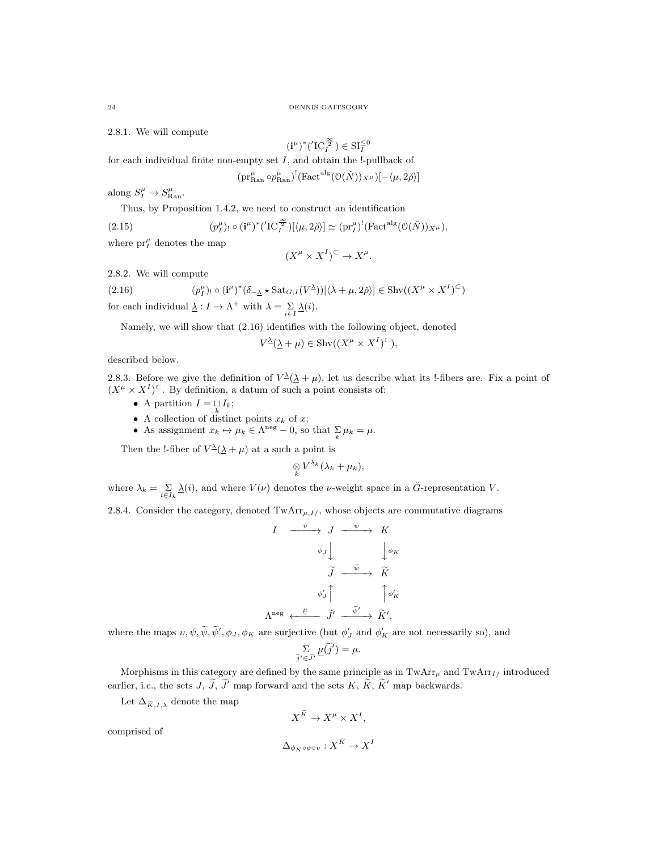2.8.1. We will compute

$$
(\mathbf{i}^\mu)^*({}^{\prime}\mathrm{IC}^{\frac{\infty}{2}}_I)\in\mathrm{SI}_I^{\leq 0}
$$

for each individual finite non-empty set  $I$ , and obtain the !-pullback of

 $(\text{pr}_\text{Ran}^\mu \circ p_{\text{Ran}}^\mu)$ <sup>'</sup>(Fact<sup>alg</sup> $(\mathcal{O}(\check{N}))_{X^\mu})$ ] $-\langle \mu, 2\check{\rho} \rangle$ ]

along  $S_I^{\mu} \to S_{\text{Ran}}^{\mu}$ .

Thus, by Proposition 1.4.2, we need to construct an identification

(2.15) 
$$
(p_I^{\mu})_! \circ (\mathbf{i}^{\mu})^* ({}'\mathrm{IC}_I^{\frac{\infty}{2}}) [\langle \mu, 2\check{\rho} \rangle] \simeq (\mathrm{pr}_I^{\mu})^! (\mathrm{Fact}^{\mathrm{alg}}(\mathcal{O}(\check{N}))_{X^{\mu}}),
$$

where  $\mathrm{pr}_{I}^{\mu}$  denotes the map

$$
(X^{\mu} \times X^{I})^{\subset} \to X^{\mu}.
$$

2.8.2. We will compute

(2.16) 
$$
(p_I^{\mu})_! \circ (\mathbf{i}^{\mu})^* (\delta_{-\underline{\lambda}} \star \mathrm{Sat}_{G,I}(V^{\underline{\lambda}}))[\langle \lambda + \mu, 2\check{\rho} \rangle] \in \mathrm{Shv}((X^{\mu} \times X^I)^{\subset})
$$

for each individual  $\underline{\lambda}: I \to \Lambda^+$  with  $\lambda = \sum\limits_{i \in I} \underline{\lambda}(i)$ .

Namely, we will show that (2.16) identifies with the following object, denoted

$$
V^{\underline{\lambda}}(\underline{\lambda} + \mu) \in \operatorname{Shv}((X^{\mu} \times X^{I})^{\subseteq}),
$$

described below.

2.8.3. Before we give the definition of  $V^{\underline{\lambda}}(\underline{\lambda} + \mu)$ , let us describe what its !-fibers are. Fix a point of  $(X^{\mu} \times X^{I})^{\subset}$ . By definition, a datum of such a point consists of:

- A partition  $I = \bigcup_k I_k;$
- A collection of distinct points  $x_k$  of x;
- As assignment  $x_k \mapsto \mu_k \in \Lambda^{\text{neg}} 0$ , so that  $\sum_k \mu_k = \mu$ .

Then the !-fiber of  $V^{\underline{\lambda}}(\underline{\lambda} + \mu)$  at a such a point is

$$
\underset{k}{\otimes}V^{\lambda_k}(\lambda_k+\mu_k),
$$

where  $\lambda_k = \sum_{i \in I_k} \underline{\lambda}(i)$ , and where  $V(\nu)$  denotes the *v*-weight space in a  $\check{G}$ -representation *V*.

2.8.4. Consider the category, denoted  $\text{TwArr}_{\mu,I/\lambda}$ , whose objects are commutative diagrams

$$
I \xrightarrow{\nu} J \xrightarrow{\psi} K
$$

$$
\phi_J \downarrow \qquad \qquad \downarrow \phi_K
$$

$$
\widetilde{J} \xrightarrow{\widetilde{\psi}} \widetilde{K}
$$

$$
\phi'_J \uparrow \qquad \qquad \uparrow \phi'_K
$$

$$
\Lambda^{\text{neg}} \xleftarrow{\underline{\mu}} \widetilde{J}' \xrightarrow{\widetilde{\psi}'} \widetilde{K}',
$$

where the maps  $v, \psi, \tilde{\psi}, \tilde{\psi}', \phi_J, \phi_K$  are surjective (but  $\phi'_J$  and  $\phi'_K$  are not necessarily so), and

$$
\sum_{\widetilde{j}' \in \widetilde{J}'} \underline{\mu}(\widetilde{j}') = \mu.
$$

Morphisms in this category are defined by the same principle as in  $\text{TwArr}_{\mu}$  and  $\text{TwArr}_{I/\mu}$  introduced earlier, i.e., the sets J,  $\tilde{J}$ ,  $\tilde{J}'$  map forward and the sets K,  $\tilde{K}$ ,  $\tilde{K}'$  map backwards.

Let  $\Delta_{\tilde{K},I,\lambda}$  denote the map

$$
X^{\widetilde{K}} \to X^{\mu} \times X^{I},
$$

comprised of

$$
\Delta_{\phi_K \circ \psi \circ v} : X^{\widetilde{K}} \to X^I
$$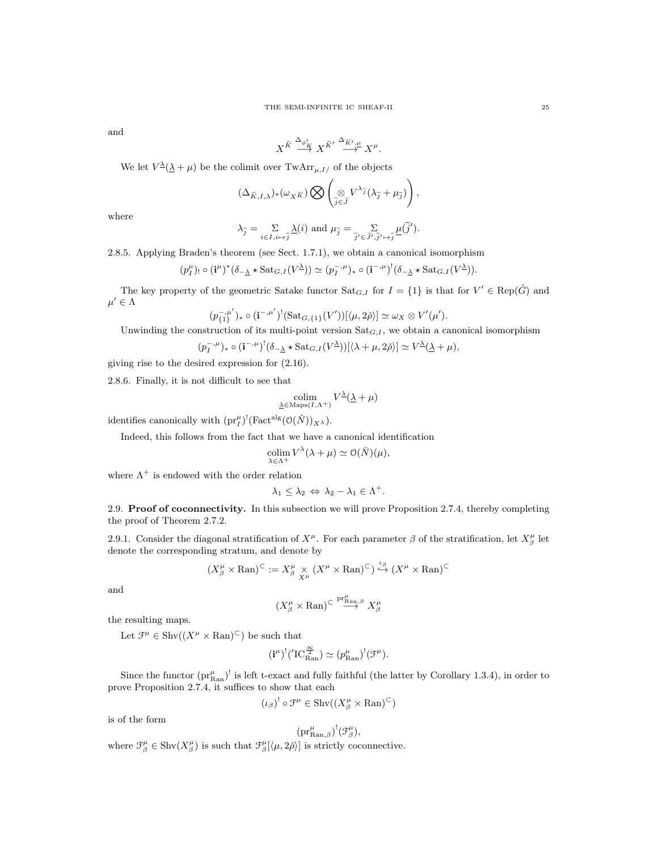and

$$
X^{\widetilde{K}} \stackrel{\Delta_{\phi'_K}}{\longrightarrow} X^{\widetilde{K}'} \stackrel{\Delta_{\widetilde{K}',\mu}}{\longrightarrow} X^{\mu}.
$$

We let  $V^{\underline{\lambda}}(\underline{\lambda} + \mu)$  be the colimit over  $\text{TwArr}_{\mu, I}$  of the objects

$$
(\Delta_{\widetilde{K},I,\lambda})_*(\omega_{X\widetilde{K}})\bigotimes \left(\underset{\widetilde{j}\in\widetilde{J}}{\otimes}V^{\lambda_{\widetilde{j}}}(\lambda_{\widetilde{j}}+\mu_{\widetilde{j}})\right),\,
$$

where

$$
\lambda_{\widetilde{j}} = \sum_{i \in I, i \mapsto \widetilde{j}} \underline{\lambda}(i) \text{ and } \mu_{\widetilde{j}} = \sum_{\widetilde{j}' \in \widetilde{J}', \widetilde{j}' \mapsto \widetilde{j}} \underline{\mu}(\widetilde{j}').
$$

2.8.5. Applying Braden's theorem (see Sect. 1.7.1), we obtain a canonical isomorphism

$$
(p_I^{\mu})_! \circ (\mathbf{i}^{\mu})^* (\delta_{-\underline{\lambda}} \star \mathrm{Sat}_{G,I}(V^{\underline{\lambda}})) \simeq (p_I^{-,\mu})_* \circ (\mathbf{i}^{-,\mu})^! (\delta_{-\underline{\lambda}} \star \mathrm{Sat}_{G,I}(V^{\underline{\lambda}})).
$$

The key property of the geometric Satake functor  $\text{Sat}_{G,I}$  for  $I = \{1\}$  is that for  $V' \in \text{Rep}(\check{G})$  and  $\mu' \in \Lambda$ 

$$
(p_{\{1\}}^{-,\mu'})_* \circ (\mathbf{i}^{-,\mu'})^!(\mathrm{Sat}_{G,\{1\}}(V'))[\langle \mu, 2\check{\rho} \rangle] \simeq \omega_X \otimes V'(\mu').
$$

Unwinding the construction of its multi-point version  $\text{Sat}_{G,I}$ , we obtain a canonical isomorphism

$$
(p_I^{-,\mu})_* \circ (\mathbf{i}^{-,\mu})^! (\delta_{-\underline{\lambda}} \star \mathrm{Sat}_{G,I}(V^{\underline{\lambda}}))[\langle \lambda + \mu, 2\check{\rho} \rangle] \simeq V^{\underline{\lambda}}(\underline{\lambda} + \mu),
$$

giving rise to the desired expression for (2.16).

2.8.6. Finally, it is not difficult to see that

$$
\operatornamewithlimits{colim}_{\underline{\lambda}\in\operatorname{Maps}(I,\Lambda^{+})}V^{\underline{\lambda}}(\underline{\lambda}+\mu)
$$

identifies canonically with  $(\text{pr}_I^{\mu})^!(\text{Fact}^{\text{alg}}(\mathcal{O}(\check{N}))_{X^{\lambda}}).$ 

Indeed, this follows from the fact that we have a canonical identification

$$
\operatorname*{colim}_{\lambda \in \Lambda^{+}} V^{\lambda}(\lambda + \mu) \simeq \mathcal{O}(\check{N})(\mu),
$$

where  $\Lambda^+$  is endowed with the order relation

$$
\lambda_1 \leq \lambda_2 \Leftrightarrow \lambda_2 - \lambda_1 \in \Lambda^+.
$$

2.9. Proof of coconnectivity. In this subsection we will prove Proposition 2.7.4, thereby completing the proof of Theorem 2.7.2.

2.9.1. Consider the diagonal stratification of  $X^{\mu}$ . For each parameter  $\beta$  of the stratification, let  $X^{\mu}_{\beta}$  let denote the corresponding stratum, and denote by

$$
(X^{\mu}_{\beta} \times \mathrm{Ran})^{\subset} := X^{\mu}_{\beta} \times (X^{\mu} \times \mathrm{Ran})^{\subset}) \stackrel{\iota_{\beta}}{\hookrightarrow} (X^{\mu} \times \mathrm{Ran})^{\subset}
$$

and

$$
(X^\mu_\beta \times \mathrm{Ran})^{\subset} \overset{\mathrm{pr}^\mu_{\mathrm{Ran},\beta}}{\longrightarrow} X^\mu_\beta
$$

the resulting maps.

Let  $\mathcal{F}^{\mu} \in \text{Shv}((X^{\mu} \times \text{Ran})^{\subset})$  be such that

$$
(\mathbf{i}^\mu)^!(\mathbf{TC}^{\frac{\infty}{2}}_\mathrm{Ran})\simeq (p^\mu_\mathrm{Ran})^!(\mathfrak{F}^\mu).
$$

Since the functor  $(pr_{\text{Ran}}^{\mu})^!$  is left t-exact and fully faithful (the latter by Corollary 1.3.4), in order to prove Proposition 2.7.4, it suffices to show that each

 $(\iota_{\beta})^! \circ \mathfrak{F}^{\mu} \in \mathrm{Shv}((X^{\mu}_{\beta} \times \mathrm{Ran})^{\subset})$ 

is of the form

$$
(\mathrm{pr}_{{\mathop{\rm Ran}}\nolimits,\beta}^{\mu})^!(\mathfrak{F}_{\beta}^{\mu}),
$$

where  $\mathcal{F}^{\mu}_{\beta} \in \text{Shv}(X^{\mu}_{\beta})$  is such that  $\mathcal{F}^{\mu}_{\beta}[\langle \mu, 2\check{\rho} \rangle]$  is strictly coconnective.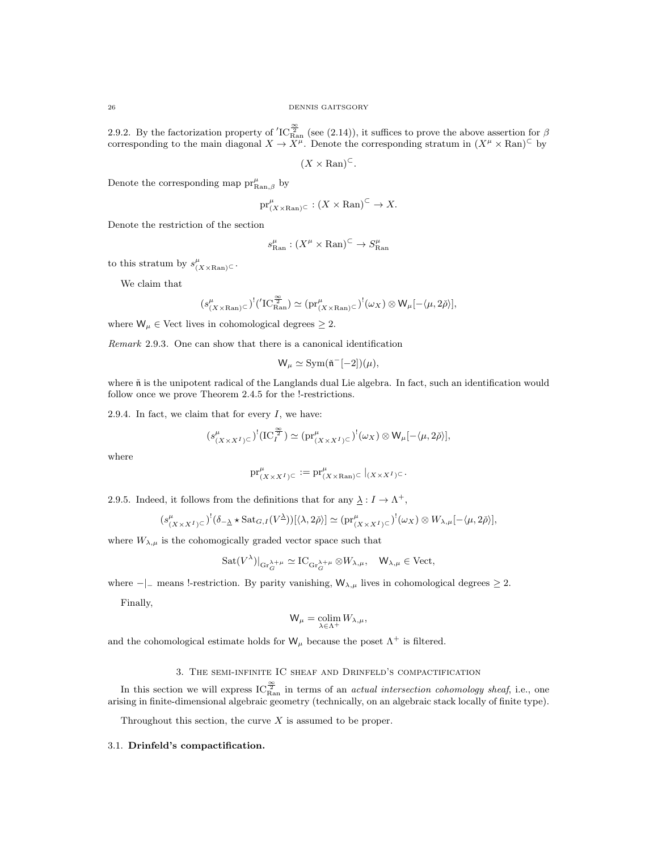2.9.2. By the factorization property of  $'IC_{\text{Ran}}^{\frac{\infty}{2}}$  (see (2.14)), it suffices to prove the above assertion for  $\beta$ corresponding to the main diagonal  $X \to X^{\mu}$ . Denote the corresponding stratum in  $(X^{\mu} \times \text{Ran})^{\subset}$  by

$$
(X \times \mathrm{Ran})^{\subset}
$$
.

Denote the corresponding map  $\text{pr}_{\text{Ran},\beta}^{\mu}$  by

$$
\mathrm{pr}_{(X \times \mathrm{Ran})^{\mathbb{C}}}^{\mu} : (X \times \mathrm{Ran})^{\mathbb{C}} \to X.
$$

Denote the restriction of the section

$$
s_{\text{Ran}}^{\mu} : (X^{\mu} \times \text{Ran})^{\subset} \to S_{\text{Ran}}^{\mu}
$$

to this stratum by  $s^{\mu}_{(X \times \text{Ran})^{\mathbb{C}}}$ .

We claim that

$$
(s^{\mu}_{(X \times \mathrm{Ran})^{\subset}})^!(\mathrm{TC}^{\frac{\infty}{2}}_{\mathrm{Ran}}) \simeq (\mathrm{pr}^{\mu}_{(X \times \mathrm{Ran})^{\subset}})^!(\omega_X) \otimes \mathrm{W}_{\mu}[-\langle \mu, 2\check{\rho} \rangle],
$$

where  $W_{\mu} \in$  Vect lives in cohomological degrees  $\geq 2$ .

Remark 2.9.3. One can show that there is a canonical identification

$$
W_{\mu} \simeq \text{Sym}(\tilde{\mathfrak{n}}^{-}[-2])(\mu),
$$

where  $\check{\text{n}}$  is the unipotent radical of the Langlands dual Lie algebra. In fact, such an identification would follow once we prove Theorem 2.4.5 for the !-restrictions.

2.9.4. In fact, we claim that for every  $I$ , we have:

$$
(s^{\mu}_{(X \times X^I) \subset})^!(\mathrm{IC}^{\frac{\infty}{2}}_I) \simeq (\mathrm{pr}^{\mu}_{(X \times X^I) \subset})^!(\omega_X) \otimes \mathsf{W}_{\mu}[-\langle \mu, 2\check{\rho} \rangle],
$$

where

$$
\text{pr}_{(X\times X^I)\subset}^{\mu}:=\text{pr}_{(X\times \text{Ran})\subset}^{\mu}|_{(X\times X^I)\subset}.
$$

2.9.5. Indeed, it follows from the definitions that for any  $\lambda : I \to \Lambda^+$ ,

$$
(s^{\mu}_{(X\times X^I)^{\subset}})^!(\delta_{-\underline{\lambda}}\star \operatorname{Sat}_{G,I}(V^{\underline{\lambda}}))[\langle \lambda,2\check{\rho}\rangle] \simeq (\operatorname{pr}^{\mu}_{(X\times X^I)^{\subset}})^!(\omega_X) \otimes W_{\lambda,\mu}[-\langle \mu,2\check{\rho}\rangle],
$$

where  $W_{\lambda,\mu}$  is the cohomogically graded vector space such that

$$
\mathrm{Sat}(V^\lambda)|_{\mathrm{Gr}_G^{\lambda+\mu}} \simeq \mathrm{IC}_{\mathrm{Gr}_G^{\lambda+\mu}} \otimes W_{\lambda,\mu}, \quad \mathsf{W}_{\lambda,\mu} \in \mathrm{Vect},
$$

where  $-|$ – means !-restriction. By parity vanishing,  $W_{\lambda,\mu}$  lives in cohomological degrees  $\geq 2$ .

Finally,

$$
W_{\mu} = \operatorname*{colim}_{\lambda \in \Lambda^{+}} W_{\lambda, \mu},
$$

and the cohomological estimate holds for  $W_{\mu}$  because the poset  $\Lambda^{+}$  is filtered.

# 3. The semi-infinite IC sheaf and Drinfeld's compactification

In this section we will express  $IC_{\text{Ran}}^{\frac{\infty}{2}}$  in terms of an *actual intersection cohomology sheaf*, i.e., one arising in finite-dimensional algebraic geometry (technically, on an algebraic stack locally of finite type).

Throughout this section, the curve  $X$  is assumed to be proper.

## 3.1. Drinfeld's compactification.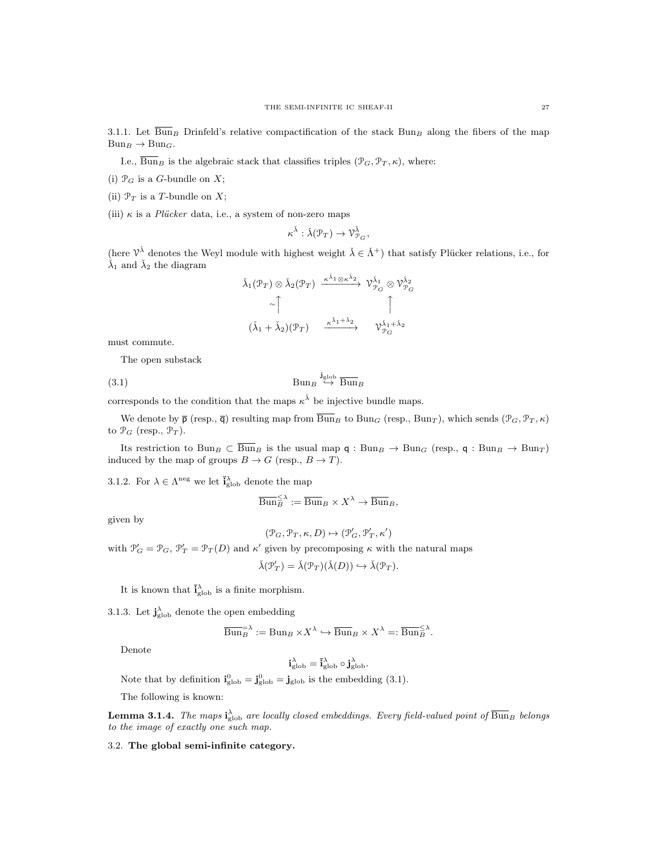3.1.1. Let  $\overline{\text{Bun}}_B$  Drinfeld's relative compactification of the stack Bun<sub>B</sub> along the fibers of the map  $Bun_B \rightarrow Bun_G.$ 

I.e.,  $\overline{\text{Bun}}_B$  is the algebraic stack that classifies triples  $(\mathcal{P}_G, \mathcal{P}_T, \kappa)$ , where:

(i)  $\mathcal{P}_G$  is a G-bundle on X;

(ii)  $\mathcal{P}_T$  is a T-bundle on X;

(iii)  $\kappa$  is a *Plücker* data, i.e., a system of non-zero maps

$$
\kappa^{\check\lambda}:\check\lambda({\mathcal P}_T)\to\mathcal{V}_{\mathcal{P}_G}^{\check\lambda},
$$

(here  $\mathcal{V}^{\check{\lambda}}$  denotes the Weyl module with highest weight  $\check{\lambda} \in \check{\Lambda}^+$ ) that satisfy Plücker relations, i.e., for  $\lambda_1$  and  $\lambda_2$  the diagram

$$
\check{\lambda}_{1}(\mathcal{P}_{T}) \otimes \check{\lambda}_{2}(\mathcal{P}_{T}) \xrightarrow{\kappa^{\check{\lambda}_{1}} \otimes \kappa^{\check{\lambda}_{2}}} \check{\mathcal{V}}_{\mathcal{P}_{G}}^{\check{\lambda}_{1}} \otimes \check{\mathcal{V}}_{\mathcal{P}_{G}}^{\check{\lambda}_{2}}
$$
\n
$$
\sim \uparrow \qquad \qquad \uparrow
$$
\n
$$
(\check{\lambda}_{1} + \check{\lambda}_{2})(\mathcal{P}_{T}) \xrightarrow{\kappa^{\check{\lambda}_{1} + \check{\lambda}_{2}}} \check{\mathcal{V}}_{\mathcal{P}_{G}}^{\check{\lambda}_{1} + \check{\lambda}_{2}}
$$

must commute.

The open substack

 $(3.1)$  Bun<sub>B</sub>  $\stackrel{\mathbf{j}_{\text{glob}}}{\hookrightarrow} \frac{}{\text{Bun}}$ 

corresponds to the condition that the maps  $\kappa^{\check{\lambda}}$  be injective bundle maps.

We denote by  $\bar{\mathsf{p}}$  (resp.,  $\bar{\mathsf{q}}$ ) resulting map from  $\bar{\text{Bun}}_B$  to  $\text{Bun}_G$  (resp.,  $\text{Bun}_T$ ), which sends  $(\mathcal{P}_G, \mathcal{P}_T, \kappa)$ to  $\mathcal{P}_G$  (resp.,  $\mathcal{P}_T$ ).

Its restriction to  $Bun_B \subset \overline{Bun}_B$  is the usual map  $\mathsf{q}: Bun_B \to Bun_G$  (resp.,  $\mathsf{q}: Bun_B \to Bun_T$ ) induced by the map of groups  $B \to G$  (resp.,  $B \to T$ ).

3.1.2. For  $\lambda \in \Lambda^{\text{neg}}$  we let  $\bar{i}_{\text{glob}}^{\lambda}$  denote the map

$$
\overline{\mathrm{Bun}}_{B}^{\leq \lambda} := \overline{\mathrm{Bun}}_{B} \times X^{\lambda} \to \overline{\mathrm{Bun}}_{B},
$$

given by

$$
(\mathcal{P}_G, \mathcal{P}_T, \kappa, D) \mapsto (\mathcal{P}'_G, \mathcal{P}'_T, \kappa')
$$

with  $\mathcal{P}'_G = \mathcal{P}_G, \mathcal{P}'_T = \mathcal{P}_T(D)$  and  $\kappa'$  given by precomposing  $\kappa$  with the natural maps

λ

$$
\check{\lambda}(\mathcal{P}'_T) = \check{\lambda}(\mathcal{P}_T)(\check{\lambda}(D)) \hookrightarrow \check{\lambda}(\mathcal{P}_T).
$$

It is known that  $\bar{i}_{\text{glob}}^{\lambda}$  is a finite morphism.

3.1.3. Let  $\mathbf{j}_{\text{glob}}^{\lambda}$  denote the open embedding

$$
\overline{\mathrm{Bun}}_{B}^{\mathrm{max}} := \mathrm{Bun}_{B} \times X^{\lambda} \hookrightarrow \overline{\mathrm{Bun}}_{B} \times X^{\lambda} =: \overline{\mathrm{Bun}}_{B}^{\mathrm{max}}.
$$

Denote

$$
\mathbf{i}_{\mathrm{glob}}^{\lambda} = \overline{\mathbf{i}}_{\mathrm{glob}}^{\lambda} \circ \mathbf{j}_{\mathrm{glob}}^{\lambda}.
$$

Note that by definition  $\mathbf{i}_{\text{glob}}^0 = \mathbf{j}_{\text{glob}}^0 = \mathbf{j}_{\text{glob}}$  is the embedding (3.1).

The following is known:

**Lemma 3.1.4.** The maps  $\mathbf{i}_{\text{glob}}^{\lambda}$  are locally closed embeddings. Every field-valued point of  $\overline{\text{Bun}}_B$  belongs to the image of exactly one such map.

3.2. The global semi-infinite category.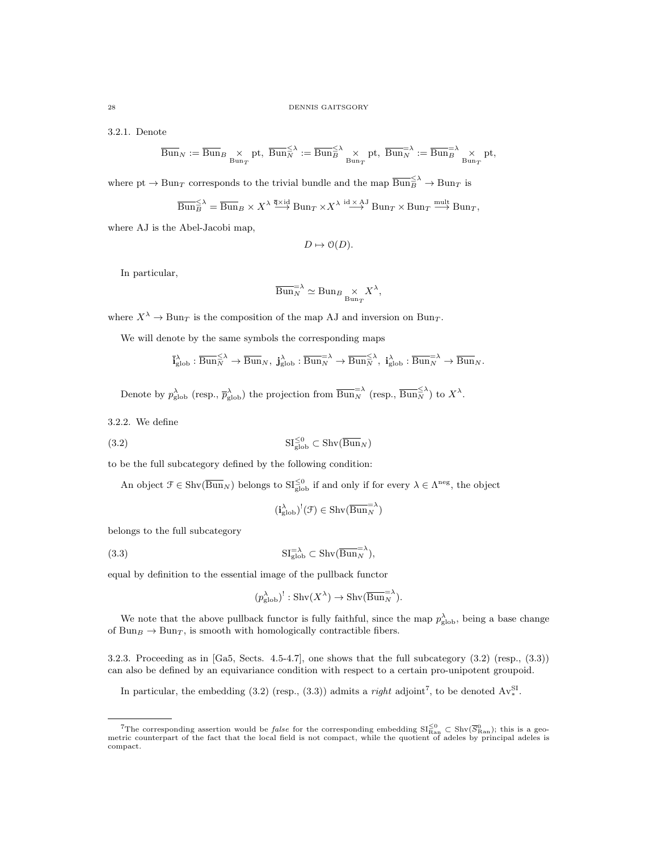3.2.1. Denote

$$
\overline{\mathrm{Bun}}_N := \overline{\mathrm{Bun}}_B \underset{\mathrm{Bun}_T}{\times} \mathrm{pt}, \; \overline{\mathrm{Bun}}_N^{\leq \lambda} := \overline{\mathrm{Bun}}_B^{\leq \lambda} \underset{\mathrm{Bun}_T}{\times} \mathrm{pt}, \; \overline{\mathrm{Bun}}_N^{\geq \lambda} := \overline{\mathrm{Bun}}_B^{\geq \lambda} \underset{\mathrm{Bun}_T}{\times} \mathrm{pt},
$$

where  $pt \to Bun_T$  corresponds to the trivial bundle and the map  $\overline{Bun}_B^{\leq \lambda} \to Bun_T$  is

$$
\overline{\text{Bun}}_B^{\leq \lambda} = \overline{\text{Bun}}_B \times X^{\lambda} \stackrel{\overline{q} \times id}{\longrightarrow} \text{Bun}_T \times X^{\lambda} \stackrel{\text{id} \times \text{AJ}}{\longrightarrow} \text{Bun}_T \times \text{Bun}_T \stackrel{\text{mult}}{\longrightarrow} \text{Bun}_T,
$$

where AJ is the Abel-Jacobi map,

$$
D \mapsto \mathcal{O}(D).
$$

In particular,

$$
\overline{\mathrm{Bun}}_N^{-\lambda} \simeq \mathrm{Bun}_B \underset{\mathrm{Bun}_T}{\times} X^{\lambda},
$$

where  $X^{\lambda} \to \text{Bun}_T$  is the composition of the map AJ and inversion on Bun<sub>T</sub>.

We will denote by the same symbols the corresponding maps

$$
\overline{\mathbf{i}}_{\mathrm{glob}}^{\lambda}: \overline{{\operatorname{Bun}}}_N^{\leq \lambda} \to \overline{{\operatorname{Bun}}}_N, \ \mathbf{j}_{\mathrm{glob}}^{\lambda} : \overline{{\operatorname{Bun}}}_N^{\geq \lambda} \to \overline{{\operatorname{Bun}}}_N^{\leq \lambda}, \ \mathbf{i}_{\mathrm{glob}}^{\lambda} : \overline{{\operatorname{Bun}}}_N^{\geq \lambda} \to \overline{{\operatorname{Bun}}}_N.
$$

Denote by  $p_{\text{glob}}^{\lambda}$  (resp.,  $\overline{p}_{\text{glob}}^{\lambda}$ ) the projection from  $\overline{\text{Bun}_N}^{\lambda}$  (resp.,  $\overline{\text{Bun}_N}^{\leq \lambda}$ ) to  $X^{\lambda}$ .

3.2.2. We define

$$
\mathbf{SI}^{\leq 0}_{\text{glob}} \subset \text{Shv}(\overline{\text{Bun}}_N)
$$

to be the full subcategory defined by the following condition:

An object  $\mathcal{F} \in \text{Shv}(\overline{\text{Bun}}_N)$  belongs to  $\text{SI}_{\text{glob}}^{\leq 0}$  if and only if for every  $\lambda \in \Lambda^{\text{neg}}$ , the object

$$
(\mathbf{i}_{\mathrm{glob}}^{\lambda})^!(\mathfrak{F}) \in \mathrm{Shv}(\overline{\mathrm{Bun}}_N^{=\lambda})
$$

belongs to the full subcategory

(3.3) 
$$
SI_{\text{glob}}^{-\lambda} \subset \text{Shv}(\overline{\text{Bun}}_{N}^{-\lambda}),
$$

equal by definition to the essential image of the pullback functor

$$
(p_{\text{glob}}^{\lambda})^! : \text{Shv}(X^{\lambda}) \to \text{Shv}(\overline{\text{Bun}}_{N}^{-\lambda}).
$$

We note that the above pullback functor is fully faithful, since the map  $p_{\text{glob}}^{\lambda}$ , being a base change of Bun<sub>B</sub>  $\rightarrow$  Bun<sub>T</sub>, is smooth with homologically contractible fibers.

3.2.3. Proceeding as in [Ga5, Sects. 4.5-4.7], one shows that the full subcategory (3.2) (resp., (3.3)) can also be defined by an equivariance condition with respect to a certain pro-unipotent groupoid.

In particular, the embedding (3.2) (resp., (3.3)) admits a *right* adjoint<sup>7</sup>, to be denoted  $Av_*^{SI}$ .

<sup>&</sup>lt;sup>7</sup>The corresponding assertion would be *false* for the corresponding embedding  $SI_{\text{Ran}}^{\leq 0} \subset Shv(\overline{S}_{\text{Ran}}^0)$ ; this is a geometric counterpart of the fact that the local field is not compact, while the quotient of compact.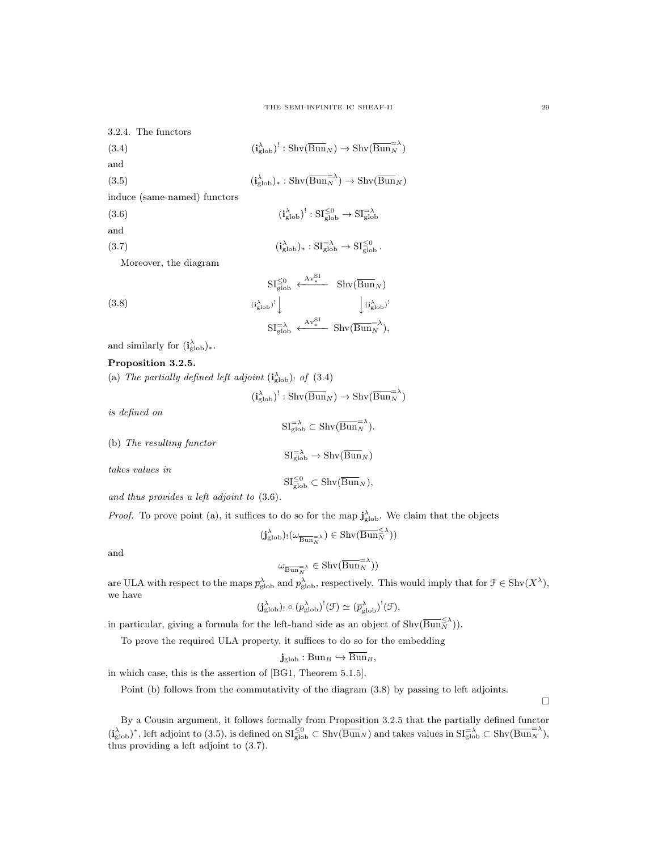$\left(\frac{\lambda}{\text{glob}}\right)^! : \text{SI}_{\text{glob}}^{\leq 0} \to \text{SI}_{\text{glob}}^{\leq \lambda}$ 

 $\chi_{\text{glob}}$ )<sub>\*</sub>:  $\text{SI}_{\text{glob}}^{=\lambda}$   $\rightarrow$   $\text{SI}_{\text{glob}}^{\leq 0}$ .

 $\overline{S}$ 

3.2.4. The functors

 $(3.4)$  $(\frac{\lambda}{\text{glob}})^! : \text{Shv}(\overline{\text{Bun}}_N) \to \text{Shv}(\overline{\text{Bun}}_N^{-\lambda})$ and

(3.5) 
$$
(i_{\text{glob}}^{\lambda})_{*}: \text{Shv}(\overline{\text{Bun}}_{N}^{-\lambda}) \to \text{Shv}(\overline{\text{Bun}}_{N})
$$

induce (same-named) functors

 $(3.6)$  (i)

and

 $(3.7)$ 

Moreover, the diagram

(3.8)  
\n
$$
\frac{SI_{\text{glob}}^{\leq 0} \xleftarrow{Av_{*}^{\leq 1}} \text{Shv}(\overline{\text{Bun}}_{N})}{SI_{\text{glob}}^{\geq 1}} \downarrow \frac{Av_{*}^{\text{SI}}}{\text{Shv}(\overline{\text{Bun}}_{N})!}
$$
\n
$$
SI_{\text{glob}}^{\geq \lambda} \xleftarrow{Av_{*}^{\text{SI}}} \text{Shv}(\overline{\text{Bun}}_{N}^{\geq \lambda}),
$$

and similarly for  $(i_{\text{glob}}^{\lambda})_{*}$ .

# Proposition 3.2.5.

(a) The partially defined left adjoint  $(i_{\text{glob}}^{\lambda})$ ! of (3.4)

$$
(\mathbf{i}_{\mathrm{glob}}^{\lambda})^!: \mathrm{Shv}(\overline{\mathrm{Bun}}_N) \to \mathrm{Shv}(\overline{\mathrm{Bun}}_N^{= \lambda})
$$

is defined on

$$
\mathrm{SI}_{\mathrm{glob}}^{=\lambda} \subset \mathrm{Shv}(\overline{\mathrm{Bun}}_{N}^{=\lambda}).
$$

(b) The resulting functor

 $\mathrm{SI}_{\mathrm{glob}}^{\mathrm{=}\lambda} \to \mathrm{Shv}(\overline{\mathrm{Bun}}_N)$ 

takes values in

$$
\mathrm{SI}_{\mathrm{glob}}^{\leq 0} \subset \mathrm{Shv}(\overline{\mathrm{Bun}}_N),
$$

and thus provides a left adjoint to (3.6).

*Proof.* To prove point (a), it suffices to do so for the map  $\mathbf{j}_{\text{glob}}^{\lambda}$ . We claim that the objects

$$
(\mathbf{j}_{\mathrm{glob}}^{\lambda})_! (\omega_{\overline{\mathrm{Bun}}_N^{-\lambda}}) \in \mathrm{Shv}(\overline{\mathrm{Bun}}_N^{\leq \lambda}))
$$

and

$$
\omega_{\overline{\mathrm{Bun}}_N^{-\lambda}} \in \mathrm{Shv}(\overline{\mathrm{Bun}}_N^{-\lambda}))
$$

are ULA with respect to the maps  $\overline{p}_{\text{glob}}^{\lambda}$  and  $p_{\text{glob}}^{\lambda}$ , respectively. This would imply that for  $\mathcal{F} \in \text{Shv}(X^{\lambda}),$ we have

$$
(\mathbf{j}_{\text{glob}}^{\lambda})_! \circ (p_{\text{glob}}^{\lambda})^! (\mathcal{F}) \simeq (\overline{p}_{\text{glob}}^{\lambda})^! (\mathcal{F}),
$$

in particular, giving a formula for the left-hand side as an object of  $\text{Shv}(\overline{\text{Bun}_N}^{\leq \lambda})$ ).

To prove the required ULA property, it suffices to do so for the embedding

$$
\mathbf{j}_{\mathrm{glob}} : \mathrm{Bun}_B \hookrightarrow \overline{\mathrm{Bun}}_B,
$$

in which case, this is the assertion of [BG1, Theorem 5.1.5].

Point (b) follows from the commutativity of the diagram (3.8) by passing to left adjoints.

 $\Box$ 

By a Cousin argument, it follows formally from Proposition 3.2.5 that the partially defined functor  $(i_{\text{glob}}^{\lambda})^*$ , left adjoint to (3.5), is defined on  $\mathrm{SI}_{\text{glob}}^{\leq 0} \subset \text{Shv}(\overline{\text{Bun}}_N)$  and takes values in  $\mathrm{SI}_{\text{glob}}^{-\lambda} \subset \text{Shv}(\overline{\text{Bun}}_N^{-\lambda})$ , thus providing a left adjoint to (3.7).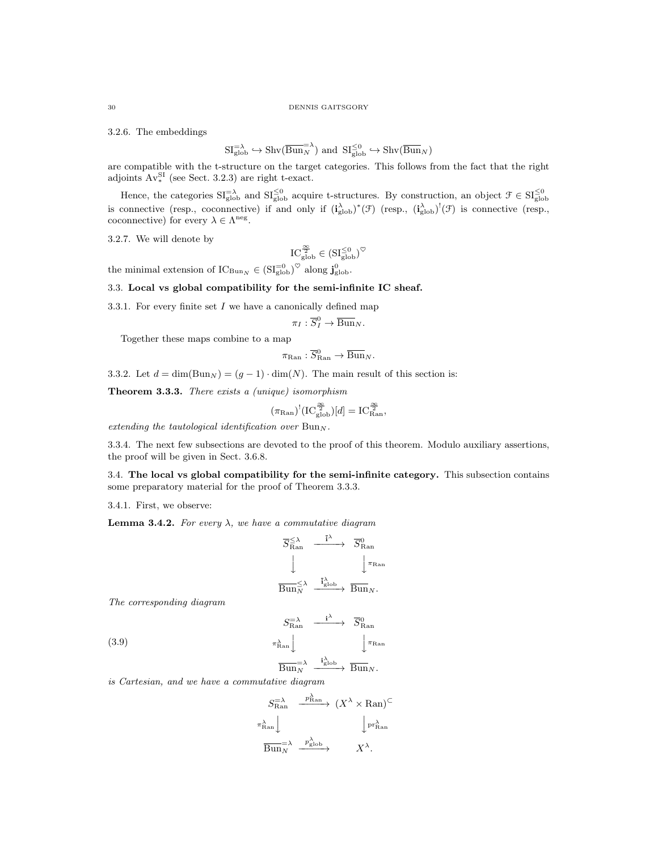3.2.6. The embeddings

$$
SI_{\text{glob}}^{=\lambda} \hookrightarrow \text{Shv}(\overline{\text{Bun}_N}^{\lambda}) \text{ and } SI_{\text{glob}}^{\leq 0} \hookrightarrow \text{Shv}(\overline{\text{Bun}}_N)
$$

are compatible with the t-structure on the target categories. This follows from the fact that the right adjoints  $Av_*^{SI}$  (see Sect. 3.2.3) are right t-exact.

Hence, the categories  $\mathrm{SI}_{\text{glob}}^{-\lambda}$  and  $\mathrm{SI}_{\text{glob}}^{\leq 0}$  acquire t-structures. By construction, an object  $\mathcal{F} \in \mathrm{SI}_{\text{glob}}^{\leq 0}$  is connective (resp., coconnective) if and only if  $(i_{\text{glob}}^{\lambda})^*(\mathcal{F})$  (resp., coconnective) for every  $\lambda \in \Lambda^{\text{neg}}$ .

3.2.7. We will denote by

$$
IC_{\rm glob}^{\frac{\infty}{2}} \in (\mathrm{SI}_{\rm glob}^{\leq 0})^{\heartsuit}
$$

the minimal extension of  $IC_{\text{Bun}_N} \in (\text{SI}_{\text{glob}}^{-0})^{\heartsuit}$  along  $\mathbf{j}_{\text{glob}}^0$ .

# 3.3. Local vs global compatibility for the semi-infinite IC sheaf.

3.3.1. For every finite set  $I$  we have a canonically defined map

$$
\pi_I: \overline{S}^0_I \to \overline{\operatorname{Bun}}_N.
$$

Together these maps combine to a map

$$
\pi_{\mathrm{Ran}} : \overline{S}_{\mathrm{Ran}}^0 \to \overline{\mathrm{Bun}}_N.
$$

3.3.2. Let  $d = \dim(\text{Bun}_N) = (g-1) \cdot \dim(N)$ . The main result of this section is:

Theorem 3.3.3. There exists a (unique) isomorphism

$$
(\pi_{\mathrm{Ran}})^!(\mathrm{IC}^{\frac{\infty}{2}}_{\mathrm{glob}})[d]=\mathrm{IC}^{\frac{\infty}{2}}_{\mathrm{Ran}},
$$

extending the tautological identification over  $Bun_N$ .

3.3.4. The next few subsections are devoted to the proof of this theorem. Modulo auxiliary assertions, the proof will be given in Sect. 3.6.8.

3.4. The local vs global compatibility for the semi-infinite category. This subsection contains some preparatory material for the proof of Theorem 3.3.3.

3.4.1. First, we observe:

**Lemma 3.4.2.** For every  $\lambda$ , we have a commutative diagram

$$
\begin{array}{ccc}\n\overline{S}_{\text{Ran}}^{\leq \lambda} & \xrightarrow{\overline{\mathbf{i}}^{\lambda}} & \overline{S}_{\text{Ran}}^{0} \\
\downarrow & & \downarrow^{\pi_{\text{Ran}}} \\
\overline{\text{Bun}}_{N}^{\leq \lambda} & \xrightarrow{\overline{\mathbf{i}}_{\text{glob}}^{\lambda}} & \overline{\text{Bun}}_{N}.\n\end{array}
$$

The corresponding diagram

(3.9)

$$
\begin{array}{ccc}\nS_{\text{Ran}}^{-\lambda} & \xrightarrow{\mathbf{i}^{\lambda}} & \overline{S}_{\text{Ran}}^{0} \\
\downarrow^{\pi_{\text{Ran}}} & & \downarrow^{\pi_{\text{Ran}}} \\
\overline{\text{Bun}}_{N}^{-\lambda} & \xrightarrow{\mathbf{i}_{\text{glob}}^{\lambda}} & \overline{\text{Bun}}_{N}.\n\end{array}
$$

is Cartesian, and we have a commutative diagram

$$
S_{\text{Ran}}^{\geq \lambda} \xrightarrow{p_{\text{Ran}}^{\lambda}} (X^{\lambda} \times \text{Ran})^{\subset}
$$
  

$$
\uparrow_{\text{Ran}}^{\lambda} \qquad \qquad \downarrow_{\text{pr}_{\text{Ran}}^{\lambda}}
$$
  

$$
\overline{\text{Bun}}_{N}^{\geq \lambda} \xrightarrow{p_{\text{glob}}^{\lambda}} X^{\lambda}.
$$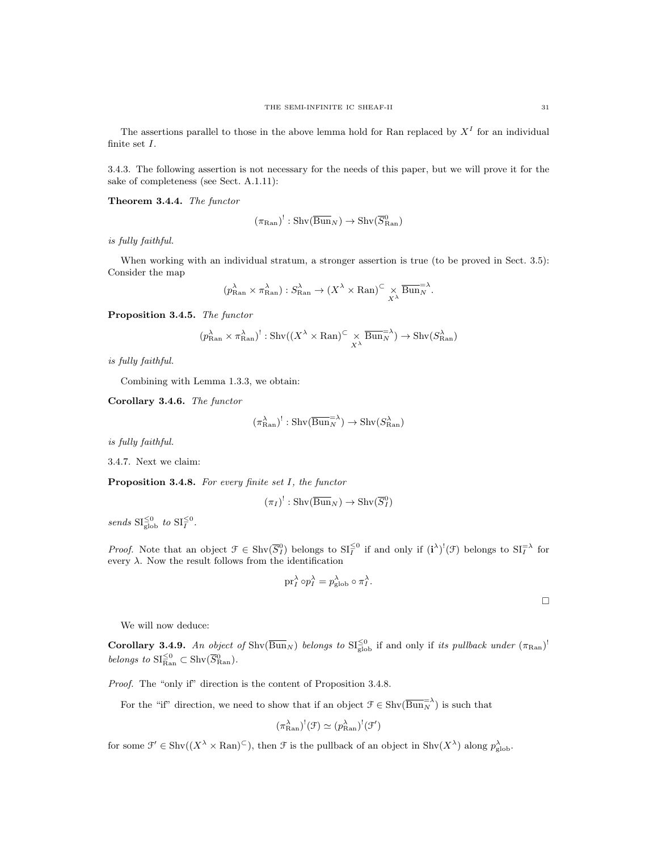The assertions parallel to those in the above lemma hold for Ran replaced by  $X<sup>I</sup>$  for an individual finite set I.

3.4.3. The following assertion is not necessary for the needs of this paper, but we will prove it for the sake of completeness (see Sect. A.1.11):

Theorem 3.4.4. The functor

$$
(\pi_{\mathrm{Ran}})^!: \mathrm{Shv}(\overline{\mathrm{Bun}}_N) \to \mathrm{Shv}(\overline{S^0_{\mathrm{Ran}}})
$$

is fully faithful.

When working with an individual stratum, a stronger assertion is true (to be proved in Sect. 3.5): Consider the map

$$
(p_{\text{Ran}}^{\lambda} \times \pi_{\text{Ran}}^{\lambda}) : S_{\text{Ran}}^{\lambda} \to (X^{\lambda} \times \text{Ran})^{\subset} \times \frac{\overline{\text{Bun}}^{\Sigma}}{X^{\lambda}}.
$$

Proposition 3.4.5. The functor

$$
(p_{\text{Ran}}^{\lambda} \times \pi_{\text{Ran}}^{\lambda})^! : \text{Shv}((X^{\lambda} \times \text{Ran})^{\subset} \times \overline{\text{Bun}}_{N}^{\equiv \lambda}) \to \text{Shv}(S_{\text{Ran}}^{\lambda})
$$

is fully faithful.

Combining with Lemma 1.3.3, we obtain:

Corollary 3.4.6. The functor

$$
(\pi_{\text{Ran}}^{\lambda})^! : \text{Shv}(\overline{\text{Bun}}_N^{=\lambda}) \to \text{Shv}(S_{\text{Ran}}^{\lambda})
$$

is fully faithful.

3.4.7. Next we claim:

Proposition 3.4.8. For every finite set I, the functor

$$
(\pi_I)^!: \operatorname{Shv}(\overline{\operatorname{Bun}}_N) \to \operatorname{Shv}(\overline{S}^0_I)
$$

sends  $\mathrm{SI}_{\mathrm{glob}}^{\leq 0}$  to  $\mathrm{SI}_{I}^{\leq 0}$ .

*Proof.* Note that an object  $\mathcal{F} \in \text{Shv}(\overline{S}_I^0)$  belongs to  $\text{SI}_I^{\leq 0}$  if and only if  $(i^{\lambda})^!(\mathcal{F})$  belongs to  $\text{SI}_I^{\neq \lambda}$  for every  $\lambda$ . Now the result follows from the identification

$$
\text{pr}_I^{\lambda} \circ p_I^{\lambda} = p_{\text{glob}}^{\lambda} \circ \pi_I^{\lambda}.
$$

 $\Box$ 

We will now deduce:

**Corollary 3.4.9.** An object of  $\text{Shv}(\overline{\text{Bun}}_N)$  belongs to  $\text{SI}_{\text{glob}}^{\leq 0}$  if and only if its pullback under  $(\pi_{\text{Ran}})^!$ belongs to  $\mathrm{SI}_{\mathrm{Ran}}^{\leq 0} \subset \mathrm{Shv}(\overline{S}_{\mathrm{Ran}}^0)$ .

Proof. The "only if" direction is the content of Proposition 3.4.8.

For the "if" direction, we need to show that if an object  $\mathcal{F} \in \text{Shv}(\overline{\text{Bun}_N}^{\geq \lambda})$  is such that

$$
(\pi_{\text{Ran}}^{\lambda})^!(\mathfrak{F}) \simeq (p_{\text{Ran}}^{\lambda})^!(\mathfrak{F}')
$$

for some  $\mathcal{F}' \in \text{Shv}((X^{\lambda} \times \text{Ran})^{\subset}),$  then  $\mathcal{F}$  is the pullback of an object in  $\text{Shv}(X^{\lambda})$  along  $p_{\text{glob}}^{\lambda}$ .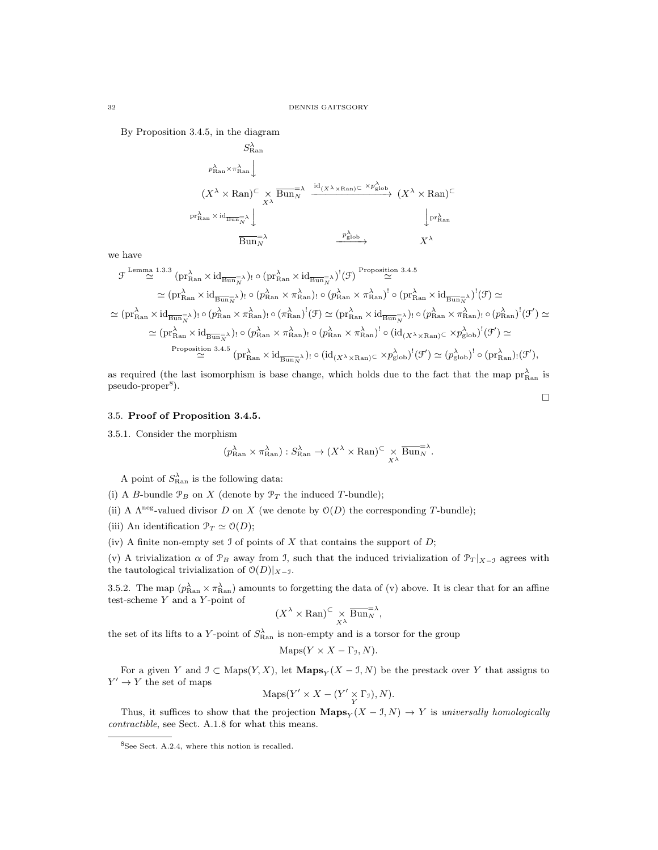By Proposition 3.4.5, in the diagram

$$
\begin{array}{ccc}\n & S_{\text{Ran}}^{\lambda} & & \\
 & p_{\text{Ran}}^{\lambda} \times \pi_{\text{Ran}}^{\lambda} \downarrow & \\
 & & (X^{\lambda} \times \text{Ran})^{\subset} \times \overline{\text{Bun}_N}^{\lambda} & \xrightarrow{\text{id}_{(X^{\lambda} \times \text{Ran})^{\subset}} \times p_{\text{glob}}^{\lambda}} \\
 & & & \text{pr}_{\text{Ran}}^{\lambda} \times \text{id}_{\overline{\text{Bun}_N}^{\lambda}} \downarrow & \\
 & & & \text{Bun}_N^{\lambda} & & \xrightarrow{p_{\text{glob}}^{\lambda}} \\
 & & & & X^{\lambda}\n\end{array}
$$

we have

$$
\mathcal{F}^{\text{Lemma 1.3.3}}(\text{pr}^{\lambda}_{\text{Ran}} \times \text{id}_{\overline{\text{Bun}}^{\lambda}_{N}})_{!} \circ (\text{pr}^{\lambda}_{\text{Ran}} \times \text{id}_{\overline{\text{Bun}}^{\lambda}_{N}})^{!}(\mathcal{F}) \xrightarrow{\text{Proposition 3.4.5}} \\ \simeq (\text{pr}^{\lambda}_{\text{Ran}} \times \text{id}_{\overline{\text{Bun}}^{\lambda}_{N}})_{!} \circ (\text{pr}^{\lambda}_{\text{Ran}} \times \pi^{\lambda}_{\text{Ran}})_{!} \circ (\text{pr}^{\lambda}_{\text{Ran}} \times \pi^{\lambda}_{\text{Ran}})^{!} \circ (\text{pr}^{\lambda}_{\text{Ran}} \times \text{id}_{\overline{\text{Bun}}^{\lambda}_{N}})^{!}(\mathcal{F}) \simeq \\ \simeq (\text{pr}^{\lambda}_{\text{Ran}} \times \text{id}_{\overline{\text{Bun}}^{\lambda}_{N}})_{!} \circ (\text{pr}^{\lambda}_{\text{Ran}} \times \pi^{\lambda}_{\text{Ran}})_{!} \circ (\pi^{\lambda}_{\text{Ran}})^{!}(\mathcal{F}) \simeq (\text{pr}^{\lambda}_{\text{Ran}} \times \text{id}_{\overline{\text{Bun}}^{\lambda}_{N}})_{!} \circ (\text{pr}^{\lambda}_{\text{Ran}} \times \pi^{\lambda}_{\text{Ran}})_{!} \circ (\pi^{\lambda}_{\text{Ran}} \times \text{id}_{\overline{\text{Bun}}^{\lambda}_{N}})_{!} \circ (\text{pr}^{\lambda}_{\text{Ran}} \times \pi^{\lambda}_{\text{Ran}})_{!} \circ (\text{pr}^{\lambda}_{\text{Ran}} \times \pi^{\lambda}_{\text{Ran}})^{!} \circ (\text{pr}^{\lambda}_{\text{Ran}} \times \pi^{\lambda}_{\text{Ran}})^{!}(\mathcal{F}) \simeq \\ \simeq (\text{pr}^{\lambda}_{\text{Ran}} \times \text{id}_{\overline{\text{Bun}}^{\lambda}_{N}})_{!} \circ (\text{pr}^{\lambda}_{\text{Ran}} \times \pi^{\lambda}_{\text{Ran}})_{!} \circ (\text{pr}^{\lambda}_{\text{Ran}} \times \pi^{\lambda}_{\text{Ran}})^{!} \circ (\text{pr}^{\lambda}_{\text{Ran}} \times \
$$

as required (the last isomorphism is base change, which holds due to the fact that the map  $pr_{\text{Ran}}^{\lambda}$  is pseudo-proper<sup>8</sup>).  $\Box$ 

#### 3.5. Proof of Proposition 3.4.5.

3.5.1. Consider the morphism

$$
(p_{\text{Ran}}^{\lambda} \times \pi_{\text{Ran}}^{\lambda}) : S_{\text{Ran}}^{\lambda} \to (X^{\lambda} \times \text{Ran})^{\subset} \times \frac{\overline{\text{Bun}}^{\Sigma}}{X^{\lambda}}.
$$

A point of  $S_{\text{Ran}}^{\lambda}$  is the following data:

(i) A B-bundle  $\mathcal{P}_B$  on X (denote by  $\mathcal{P}_T$  the induced T-bundle);

(ii) A  $\Lambda^{neg}$ -valued divisor D on X (we denote by  $\mathcal{O}(D)$  the corresponding T-bundle);

- (iii) An identification  $\mathcal{P}_T \simeq \mathcal{O}(D);$
- (iv) A finite non-empty set  $\mathcal I$  of points of  $X$  that contains the support of  $D$ ;

(v) A trivialization  $\alpha$  of  $\mathcal{P}_B$  away from J, such that the induced trivialization of  $\mathcal{P}_T|_{X\to\mathcal{I}}$  agrees with the tautological trivialization of  $\mathcal{O}(D)|_{X-\mathcal{I}}$ .

3.5.2. The map  $(p_{\text{Ran}}^{\lambda} \times \pi_{\text{Ran}}^{\lambda})$  amounts to forgetting the data of (v) above. It is clear that for an affine test-scheme  $Y$  and a  $Y$ -point of

$$
(X^{\lambda} \times \mathrm{Ran})^{\subset} \underset{X^{\lambda}}{\times} \overline{\mathrm{Bun}}_{N}^{\Longrightarrow},
$$

the set of its lifts to a Y-point of  $S_{\text{Ran}}^{\lambda}$  is non-empty and is a torsor for the group

$$
Maps(Y \times X - \Gamma_{\mathcal{I}}, N).
$$

For a given Y and  $\mathcal{I} \subset \text{Maps}(Y, X)$ , let  $\mathbf{Maps}_Y(X - \mathcal{I}, N)$  be the prestack over Y that assigns to  $Y' \to Y$  the set of maps

$$
Maps(Y' \times X - (Y' \underset{Y}{\times} \Gamma_{\mathcal{I}}), N).
$$

Thus, it suffices to show that the projection  $\mathbf{Maps}_Y(X - J, N) \to Y$  is universally homologically contractible, see Sect. A.1.8 for what this means.

<sup>8</sup>See Sect. A.2.4, where this notion is recalled.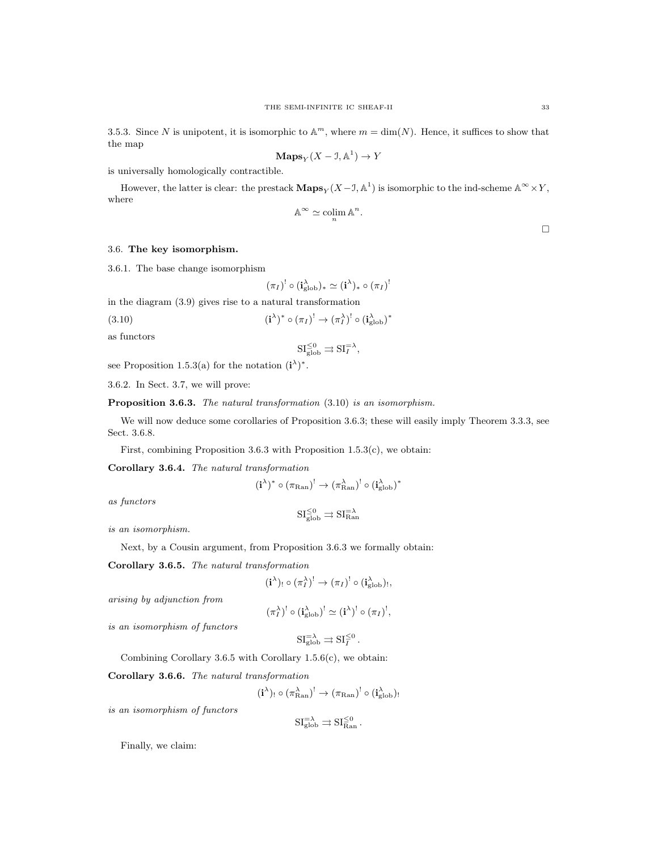3.5.3. Since N is unipotent, it is isomorphic to  $\mathbb{A}^m$ , where  $m = \dim(N)$ . Hence, it suffices to show that the map

$$
\mathbf{Maps}_Y(X - \mathbf{I}, \mathbb{A}^1) \to Y
$$

is universally homologically contractible.

However, the latter is clear: the prestack  $\mathbf{Maps}_Y(X-\mathcal{I}, \mathbb{A}^1)$  is isomorphic to the ind-scheme  $\mathbb{A}^{\infty} \times Y$ , where

$$
\mathbb{A}^\infty \simeq \operatornamewithlimits{colim}_n \mathbb{A}^n.
$$

 $\Box$ 

# 3.6. The key isomorphism.

3.6.1. The base change isomorphism

$$
(\pi_I)^! \circ (\mathbf{i}_{\mathrm{glob}}^\lambda)_* \simeq (\mathbf{i}^\lambda)_* \circ (\pi_I)
$$

!

in the diagram (3.9) gives rise to a natural transformation

 $(3.10)$  $(\pi_{I})^* \circ (\pi_{I})^! \to (\pi_{I}^{\lambda})^! \circ (\mathbf{i}_{\mathrm{glob}}^{\lambda})^*$ 

as functors

$$
\mathrm{SI}_{\mathrm{glob}}^{\leq 0} \rightrightarrows \mathrm{SI}_{I}^{=\lambda},
$$

see Proposition 1.5.3(a) for the notation  $(i^{\lambda})^*$ .

3.6.2. In Sect. 3.7, we will prove:

Proposition 3.6.3. The natural transformation  $(3.10)$  is an isomorphism.

We will now deduce some corollaries of Proposition 3.6.3; these will easily imply Theorem 3.3.3, see Sect. 3.6.8.

First, combining Proposition 3.6.3 with Proposition 1.5.3(c), we obtain:

Corollary 3.6.4. The natural transformation

$$
(\textbf{i}^\lambda)^*\circ (\pi_{\mathrm{Ran}})^! \to (\pi_{\mathrm{Ran}}^\lambda)^! \circ (\textbf{i}_{\mathrm{glob}}^\lambda)^*
$$

as functors

$$
\mathrm{SI}^{\leq 0}_{\mathrm{glob}} \rightrightarrows \mathrm{SI}^{\simeq \lambda}_{\mathrm{Ran}}
$$

is an isomorphism.

Next, by a Cousin argument, from Proposition 3.6.3 we formally obtain:

Corollary 3.6.5. The natural transformation

$$
(\mathbf{i}^{\lambda})_! \circ (\pi_I^{\lambda})^! \to (\pi_I)^! \circ (\mathbf{i}_{\text{glob}}^{\lambda})_!,
$$

arising by adjunction from

$$
(\pi_I^{\lambda})^! \circ (\mathbf{i}_{\mathrm{glob}}^{\lambda})^! \simeq (\mathbf{i}^{\lambda})^! \circ (\pi_I)^!,
$$

is an isomorphism of functors

$$
SI_{\text{glob}}^{=\lambda} \rightrightarrows SI_{I}^{\leq 0}.
$$

Combining Corollary 3.6.5 with Corollary  $1.5.6(c)$ , we obtain:

Corollary 3.6.6. The natural transformation

 $(\textbf{i}^{\lambda})_! \circ (\pi_{\text{Ran}}^{\lambda})^! \rightarrow (\pi_{\text{Ran}})^! \circ (\textbf{i}_{\text{glob}}^{\lambda})_!$ 

is an isomorphism of functors

$$
SI_{\rm glob}^{=\lambda} \rightrightarrows SI_{\rm Ran}^{\leq 0}.
$$

Finally, we claim: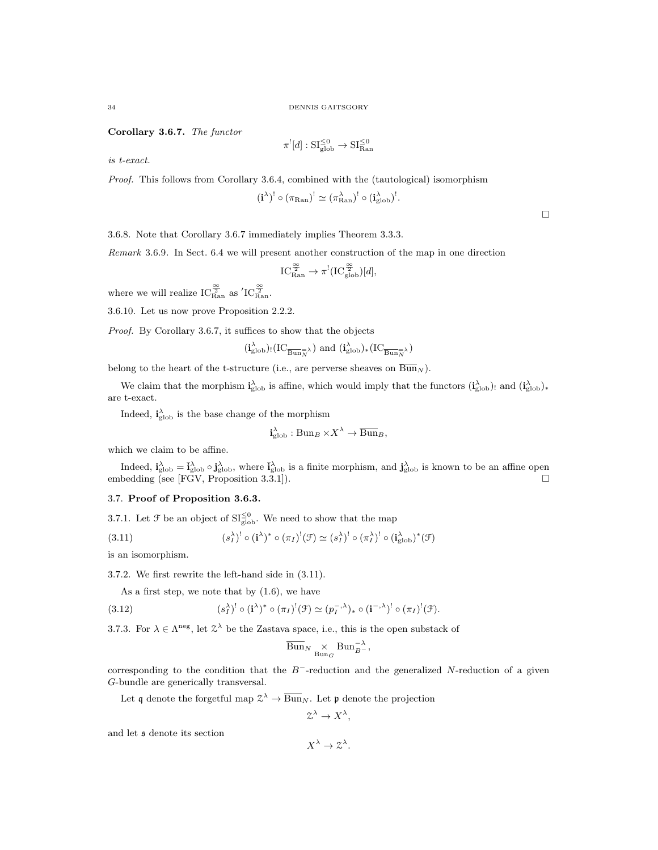Corollary 3.6.7. The functor

$$
\pi^![d]:\mathrm{SI}_{\mathrm{glob}}^{\leq 0}\to \mathrm{SI}_{\mathrm{Ran}}^{\leq 0}
$$

is t-exact.

Proof. This follows from Corollary 3.6.4, combined with the (tautological) isomorphism

$$
(\mathbf{i}^{\lambda})^! \circ (\pi_{\mathrm{Ran}})^! \simeq (\pi_{\mathrm{Ran}}^{\lambda})^! \circ (\mathbf{i}_{\mathrm{glob}}^{\lambda})^!.
$$

3.6.8. Note that Corollary 3.6.7 immediately implies Theorem 3.3.3.

Remark 3.6.9. In Sect. 6.4 we will present another construction of the map in one direction

$$
\operatorname{IC}^{\frac{\infty}{2}}_{\mathrm{Ran}} \to \pi^! (\operatorname{IC}^{\frac{\infty}{2}}_{\mathrm{glob}})[d],
$$

where we will realize  $\text{IC}^{\frac{\infty}{2}}_{\text{Ran}}$  as  $'\text{IC}^{\frac{\infty}{2}}_{\text{Ran}}.$ 

3.6.10. Let us now prove Proposition 2.2.2.

Proof. By Corollary 3.6.7, it suffices to show that the objects

$$
(\mathbf{i}_{\text{glob}}^{\lambda})(IC_{\overline{\text{Bun}}_{N}^{-\lambda}})
$$
 and  $(\mathbf{i}_{\text{glob}}^{\lambda})_{*}(IC_{\overline{\text{Bun}}_{N}^{-\lambda}})$ 

belong to the heart of the t-structure (i.e., are perverse sheaves on  $\overline{Bun}_N$ ).

We claim that the morphism  $\mathbf{i}_{\text{glob}}^{\lambda}$  is affine, which would imply that the functors  $(\mathbf{i}_{\text{glob}}^{\lambda})_!$  and  $(\mathbf{i}_{\text{glob}}^{\lambda})_*$ are t-exact.

Indeed,  $\mathbf{i}_{\text{glob}}^{\lambda}$  is the base change of the morphism

$$
\mathbf{i}_{\text{glob}}^{\lambda}: \text{Bun}_B \times X^{\lambda} \to \overline{\text{Bun}}_B,
$$

which we claim to be affine.

Indeed,  $\mathbf{i}_{\text{glob}}^{\lambda} = \mathbf{i}_{\text{glob}}^{\lambda} \circ \mathbf{j}_{\text{glob}}^{\lambda}$ , where  $\mathbf{i}_{\text{glob}}^{\lambda}$  is a finite morphism, and  $\mathbf{j}_{\text{glob}}^{\lambda}$  is known to be an affine open embedding (see [FGV, Proposition 3.3.1]).

#### 3.7. Proof of Proposition 3.6.3.

3.7.1. Let  $\mathcal F$  be an object of  $\mathrm{SI}_{\mathrm{glob}}^{\leq 0}$ . We need to show that the map

(3.11) 
$$
(s_I^{\lambda})^! \circ (\mathbf{i}^{\lambda})^* \circ (\pi_I)^! (\mathcal{F}) \simeq (s_I^{\lambda})^! \circ (\pi_I^{\lambda})^! \circ (\mathbf{i}_{\text{glob}}^{\lambda})^* (\mathcal{F})
$$

is an isomorphism.

3.7.2. We first rewrite the left-hand side in (3.11).

As a first step, we note that by (1.6), we have

(3.12) 
$$
(s_I^{\lambda})^! \circ (\mathbf{i}^{\lambda})^* \circ (\pi_I)^! (\mathcal{F}) \simeq (p_I^{-,\lambda})_* \circ (\mathbf{i}^{-,\lambda})^! \circ (\pi_I)^! (\mathcal{F}).
$$

3.7.3. For  $\lambda \in \Lambda^{\text{neg}}$ , let  $\mathcal{Z}^{\lambda}$  be the Zastava space, i.e., this is the open substack of

$$
\overline{\operatorname{Bun}}_{N}\underset{\operatorname{Bun}_G}{\times}\operatorname{Bun}_{B^-}^{-\lambda},
$$

corresponding to the condition that the  $B^-$ -reduction and the generalized N-reduction of a given G-bundle are generically transversal.

Let q denote the forgetful map  $\mathfrak{S}^{\lambda} \to \overline{\text{Bun}}_N$ . Let p denote the projection

$$
\mathfrak{Z}^{\lambda} \to X^{\lambda}
$$

,

and let s denote its section

 $X^{\lambda} \to \mathcal{Z}^{\lambda}$ .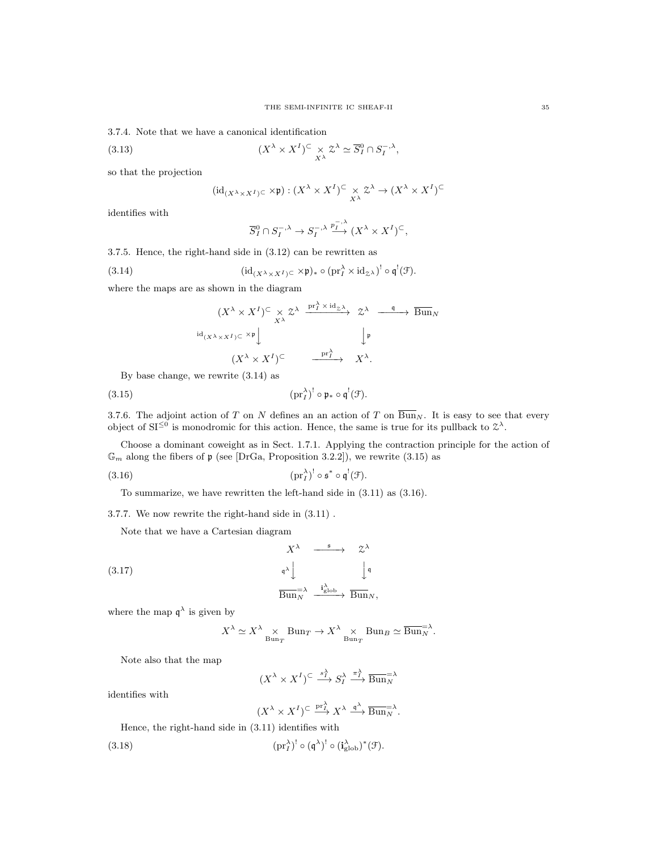3.7.4. Note that we have a canonical identification

(3.13) 
$$
(X^{\lambda} \times X^I)^C \times \mathcal{Z}^{\lambda} \simeq \overline{S}_I^0 \cap S_I^{-,\lambda},
$$

so that the projection

$$
(\mathrm{id}_{(X^{\lambda} \times X^I) \subset} \times \mathfrak{p}) : (X^{\lambda} \times X^I)^{\subset} \underset{X^{\lambda}}{\times} \mathcal{Z}^{\lambda} \to (X^{\lambda} \times X^I)^{\subset}
$$

identifies with

$$
\overline{S}_{I}^{0} \cap S_{I}^{-,\lambda} \to S_{I}^{-,\lambda} \xrightarrow{p_{I}^{-,\lambda}} (X^{\lambda} \times X^{I})^{C},
$$

3.7.5. Hence, the right-hand side in (3.12) can be rewritten as

(3.14) 
$$
(\mathrm{id}_{(X^{\lambda} \times X^I) \subset} \times \mathfrak{p})_* \circ (\mathrm{pr}_I^{\lambda} \times \mathrm{id}_{\mathcal{Z}^{\lambda}})^! \circ \mathfrak{q}^!(\mathcal{F}).
$$

where the maps are as shown in the diagram

$$
(X^{\lambda} \times X^I)^{\subset} \times \mathbb{Z}^{\lambda} \xrightarrow{\text{pr}_{I}^{\lambda} \times \text{id}_{\mathbb{Z}^{\lambda}}} \mathbb{Z}^{\lambda} \xrightarrow{\mathfrak{q}} \overline{\text{Bun}}_{N}
$$

$$
\xrightarrow{\text{id}_{(X^{\lambda} \times X^I)^{\subset}} \times \mathfrak{p}} \downarrow \qquad \qquad \downarrow \mathfrak{p}
$$

$$
(X^{\lambda} \times X^I)^{\subset} \xrightarrow{\text{pr}_{I}^{\lambda}} X^{\lambda}.
$$

By base change, we rewrite (3.14) as

$$
(3.15) \t\t\t (pr_I^{\lambda})^! \circ \mathfrak{p}_* \circ \mathfrak{q}^!(\mathfrak{F}).
$$

3.7.6. The adjoint action of T on N defines an an action of T on  $\overline{Bun}_N$ . It is easy to see that every object of  $SI^{\leq 0}$  is monodromic for this action. Hence, the same is true for its pullback to  $\mathcal{Z}^{\lambda}$ .

Choose a dominant coweight as in Sect. 1.7.1. Applying the contraction principle for the action of  $\mathbb{G}_m$  along the fibers of  $\mathfrak{p}$  (see [DrGa, Proposition 3.2.2]), we rewrite (3.15) as

$$
(3.16) \t\t\t (pr_I^{\lambda})^! \circ \mathfrak{s}^* \circ \mathfrak{q}^! (\mathcal{F}).
$$

To summarize, we have rewritten the left-hand side in (3.11) as (3.16).

3.7.7. We now rewrite the right-hand side in (3.11) .

Note that we have a Cartesian diagram

$$
X^{\lambda} \xrightarrow{\text{f}} \mathcal{Z}^{\lambda}
$$
\n
$$
(\text{3.17})
$$
\n
$$
\xrightarrow{\text{q}} \downarrow \qquad \qquad \downarrow \text{q}
$$
\n
$$
\overline{\text{Bun}_N}^{\lambda} \xrightarrow{\text{i}_{\text{glob}}^{\lambda}} \overline{\text{Bun}_N},
$$

where the map  $\mathfrak{q}^{\lambda}$  is given by

$$
X^{\lambda} \simeq X^{\lambda} \underset{\text{Bun}_T}{\times} \text{Bun}_T \to X^{\lambda} \underset{\text{Bun}_T}{\times} \text{Bun}_B \simeq \overline{\text{Bun}}_N^{\lambda}.
$$

Note also that the map

$$
(X^{\lambda} \times X^{I})^{\subset} \xrightarrow{s_{I}^{\lambda}} S_{I}^{\lambda} \xrightarrow{\pi_{I}^{\lambda}} \overline{\operatorname{Bun}}_{N}^{\lambda}
$$

identifies with

$$
(X^{\lambda} \times X^{I})^{\subset} \xrightarrow{\text{pr}_{I}^{\lambda}} X^{\lambda} \xrightarrow{\mathfrak{q}^{\lambda}} \overline{\text{Bun}}_{N}^{\lambda}.
$$

Hence, the right-hand side in (3.11) identifies with

(3.18) 
$$
(\text{pr}_I^{\lambda})^! \circ (\mathfrak{q}^{\lambda})^! \circ (\mathfrak{i}_{\text{glob}}^{\lambda})^* (\mathfrak{F}).
$$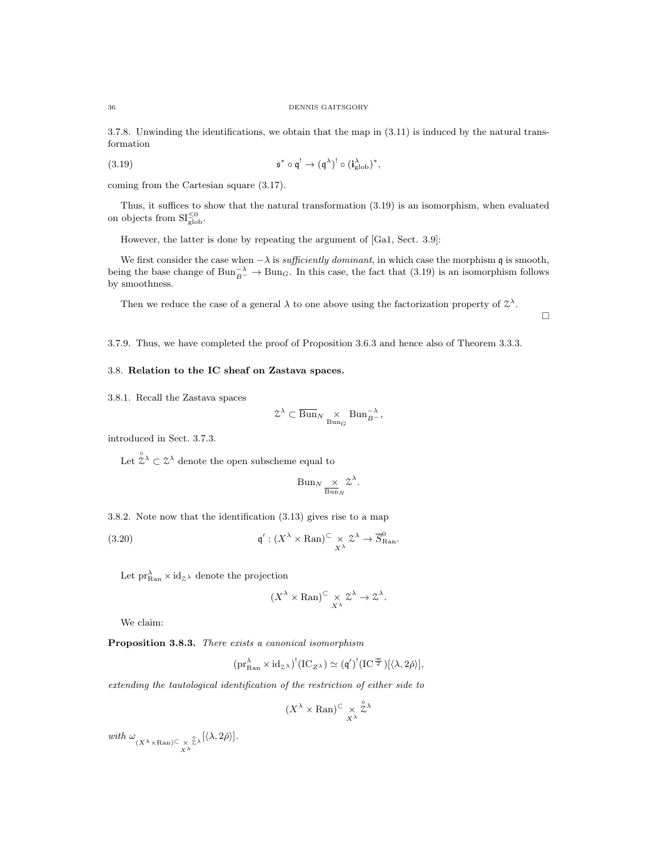3.7.8. Unwinding the identifications, we obtain that the map in (3.11) is induced by the natural transformation

(3.19) 
$$
\mathfrak{s}^* \circ \mathfrak{q}^! \to (\mathfrak{q}^\lambda)^! \circ (\mathbf{i}_{\text{glob}}^\lambda)^*,
$$

coming from the Cartesian square (3.17).

Thus, it suffices to show that the natural transformation (3.19) is an isomorphism, when evaluated on objects from  $SI_{\rm glob}^{\leq 0}$ .

However, the latter is done by repeating the argument of [Ga1, Sect. 3.9]:

We first consider the case when  $-\lambda$  is *sufficiently dominant*, in which case the morphism q is smooth, being the base change of  $Bun_{B^-}^{-\lambda} \to Bun_G$ . In this case, the fact that (3.19) is an isomorphism follows by smoothness.

 $\Box$ 

Then we reduce the case of a general  $\lambda$  to one above using the factorization property of  $\mathcal{Z}^{\lambda}$ .

3.7.9. Thus, we have completed the proof of Proposition 3.6.3 and hence also of Theorem 3.3.3.

# 3.8. Relation to the IC sheaf on Zastava spaces.

3.8.1. Recall the Zastava spaces

$$
\mathcal{Z}^{\lambda} \subset \overline{\mathrm{Bun}}_{N} \underset{\mathrm{Bun}_{G}}{\times} \mathrm{Bun}_{B^{-}}^{-\lambda},
$$

introduced in Sect. 3.7.3.

Let  $\hat{\ddot{\mathcal{Z}}}^{\lambda} \subset \mathcal{Z}^{\lambda}$  denote the open subscheme equal to

$$
Bun_N \underset{\overline{Bun}_N}{\times} \mathcal{Z}^{\lambda}.
$$

3.8.2. Note now that the identification (3.13) gives rise to a map

(3.20) 
$$
\mathfrak{q}' : (X^{\lambda} \times \operatorname{Ran})^{\subset} \times_{X^{\lambda}} \mathfrak{Z}^{\lambda} \to \overline{S}_{\operatorname{Ran}}^{0}.
$$

Let  $\text{pr}_{\text{Ran}}^{\lambda} \times \text{id}_{\mathcal{Z}^{\lambda}}$  denote the projection

$$
(X^{\lambda} \times \mathrm{Ran})^{\subset} \underset{X^{\lambda}}{\times} \mathcal{Z}^{\lambda} \to \mathcal{Z}^{\lambda}.
$$

We claim:

Proposition 3.8.3. There exists a canonical isomorphism

$$
(\mathrm{pr}^\lambda_{\mathrm{Ran}}\times \mathrm{id}_{\mathbb{Z}^\lambda})^!(\mathrm{IC}_{Z^\lambda})\simeq ({\mathfrak{q}}')^!(\mathrm{IC}^{\frac{\infty}{2}})[\langle\lambda,2\check{\rho}\rangle],
$$

extending the tautological identification of the restriction of either side to

$$
(X^{\lambda} \times \mathrm{Ran})^{\subset} \underset{X^{\lambda}}{\times} \overset{\circ}{\mathfrak{L}}^{\lambda}
$$

with  $\omega_{(X^{\lambda} \times \text{Ran}) \subseteq X^{\lambda}}$  $\int_{\mathbb{Z}^{\lambda}} [ \langle \lambda, 2 \check{\rho} \rangle ].$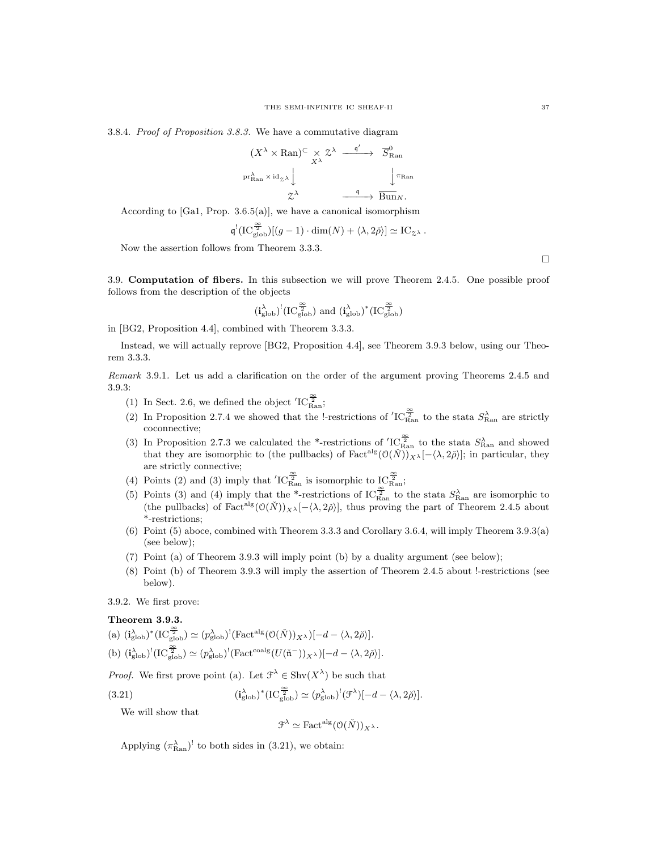3.8.4. Proof of Proposition 3.8.3. We have a commutative diagram

$$
(X^{\lambda} \times \mathrm{Ran})^{\subset} \times X^{\lambda} \xrightarrow{q'} \overline{S}_{\mathrm{Ran}}^{0}
$$
  

$$
\xrightarrow{\mathrm{pr}_{\mathrm{Ran}}^{\lambda} \times \mathrm{id}_{\mathcal{Z}}^{\lambda}} \downarrow \xrightarrow{q} \overline{B}_{\mathrm{un}_{N}}^{0}
$$
  

$$
X^{\lambda} \xrightarrow{q} \overline{B}_{\mathrm{un}_{N}}.
$$

According to  $[Ga1, Prop. 3.6.5(a)],$  we have a canonical isomorphism

$$
\mathfrak{q}^! ( \mathrm{IC}^{\frac{\infty}{2}}_{\mathrm{glob}}) [(g-1) \cdot \mathrm{dim}(N) + \langle \lambda, 2 \check{\rho} \rangle] \simeq \mathrm{IC}_{\mathbb{Z}^\lambda} \, .
$$

Now the assertion follows from Theorem 3.3.3.

3.9. Computation of fibers. In this subsection we will prove Theorem 2.4.5. One possible proof follows from the description of the objects

$$
(\textbf{i}_{\mathrm{glob}}^{\lambda})^!(\mathrm{IC}^{\frac{\infty}{2}}_{\mathrm{glob}}) \text{ and } (\textbf{i}_{\mathrm{glob}}^{\lambda})^*(\mathrm{IC}^{\frac{\infty}{2}}_{\mathrm{glob}})
$$

in [BG2, Proposition 4.4], combined with Theorem 3.3.3.

Instead, we will actually reprove [BG2, Proposition 4.4], see Theorem 3.9.3 below, using our Theorem 3.3.3.

Remark 3.9.1. Let us add a clarification on the order of the argument proving Theorems 2.4.5 and 3.9.3:

- (1) In Sect. 2.6, we defined the object  $'IC_{\rm Ran}^{\frac{\infty}{2}}$ ;
- (2) In Proposition 2.7.4 we showed that the !-restrictions of  ${}^{\prime}IC_{\rm Ran}^{\frac{\infty}{2}}$  to the stata  $S_{\rm Ran}^{\lambda}$  are strictly coconnective;
- (3) In Proposition 2.7.3 we calculated the \*-restrictions of  $'IC_{\text{Ran}}^{\frac{\infty}{2}}$  to the stata  $S_{\text{Ran}}^{\lambda}$  and showed that they are isomorphic to (the pullbacks) of Fact<sup>alg</sup> $(O(N))_{X}$ <sub>λ</sub> $[-\langle \lambda, 2\tilde{\rho} \rangle]$ ; in particular, they are strictly connective;
- (4) Points (2) and (3) imply that  $'IC_{\text{Ran}}^{\frac{\infty}{2}}$  is isomorphic to  $IC_{\text{Ran}}^{\frac{\infty}{2}}$ ;
- (5) Points (3) and (4) imply that the \*-restrictions of IC $\frac{\infty}{R}$  to the stata  $S_{\text{Ran}}^{\lambda}$  are isomorphic to (the pullbacks) of Fact<sup>alg</sup> $(\mathcal{O}(\check{N}))_{X^{\lambda}}[-\langle \lambda, 2\check{\rho} \rangle]$ , thus proving the part of Theorem 2.4.5 about \*-restrictions;
- (6) Point (5) aboce, combined with Theorem 3.3.3 and Corollary 3.6.4, will imply Theorem 3.9.3(a) (see below);
- (7) Point (a) of Theorem 3.9.3 will imply point (b) by a duality argument (see below);
- (8) Point (b) of Theorem 3.9.3 will imply the assertion of Theorem 2.4.5 about !-restrictions (see below).

# 3.9.2. We first prove:

# Theorem 3.9.3.

(a)  $(i_{\text{glob}}^{\lambda})^* (\text{IC}_{\text{glob}}^{\frac{\infty}{2}}) \simeq (p_{\text{glob}}^{\lambda})^! (\text{Fact}^{\text{alg}}(\mathcal{O}(\check{N}))_{X^{\lambda}})[-d - \langle \lambda, 2\check{\rho} \rangle].$ (b)  $(i_{\text{glob}}^{\lambda})^!(IC_{\text{glob}}^{\frac{\infty}{2}}) \simeq (p_{\text{glob}}^{\lambda})^!(\text{Fact}^{\text{coalg}}(U(\tilde{\mathfrak{n}}^{-}))_{X^{\lambda}})[-d - \langle \lambda, 2\tilde{\rho} \rangle].$ 

*Proof.* We first prove point (a). Let  $\mathcal{F}^{\lambda} \in \text{Shv}(X^{\lambda})$  be such that

(3.21) 
$$
(\mathbf{i}_{\text{glob}}^{\lambda})^* (\text{IC}_{\text{glob}}^{\frac{\infty}{2}}) \simeq (p_{\text{glob}}^{\lambda})^!(\mathcal{F}^{\lambda})[-d - \langle \lambda, 2\check{\rho} \rangle].
$$

We will show that

$$
\mathcal{F}^{\lambda} \simeq \text{Fact}^{\text{alg}}(\mathcal{O}(\check{N}))_{X^{\lambda}}.
$$

Applying  $(\pi_{\text{Ran}}^{\lambda})^!$  to both sides in (3.21), we obtain:

 $\Box$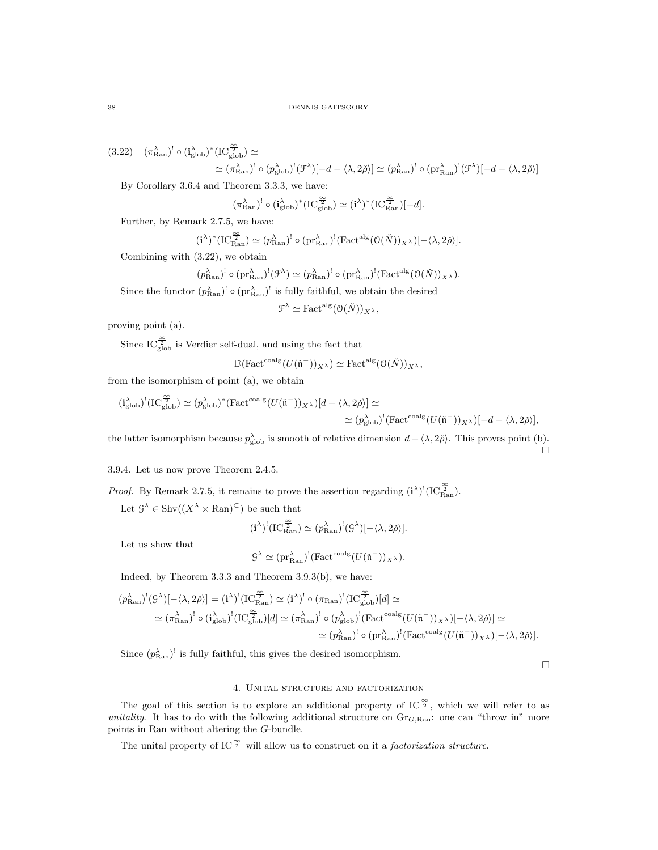$(3.22)$   $(\pi_{\text{Ran}}^{\lambda})^! \circ (\mathbf{i}_{\text{glob}}^{\lambda})^* (IC_{\text{glob}}^{\frac{\infty}{2}}) \simeq$  $\simeq (\pi_{\mathrm{Ran}}^{\lambda})^! \circ (p_{\mathrm{glob}}^{\lambda})^! (\mathcal{F}^{\lambda})[-d - \langle \lambda, 2\check{\rho}\rangle] \simeq (p_{\mathrm{Ran}}^{\lambda})^! \circ (\mathrm{pr}_{\mathrm{Ran}}^{\lambda})^! (\mathcal{F}^{\lambda})[-d - \langle \lambda, 2\check{\rho}\rangle]$ 

By Corollary 3.6.4 and Theorem 3.3.3, we have:

$$
(\pi_{\text{Ran}}^\lambda)^!\circ(\mathbf{i}_{\text{glob}}^\lambda)^*(\text{IC}_{\text{glob}}^{\frac{\infty}{2}})\simeq (\mathbf{i}^\lambda)^*(\text{IC}_{\text{Ran}}^{\frac{\infty}{2}})[-d].
$$

Further, by Remark 2.7.5, we have:

$$
(\mathbf{i}^{\lambda})^*(\mathrm{IC}^{\frac{\infty}{2}}_{\mathrm{Ran}})\simeq (p_{\mathrm{Ran}}^{\lambda})^! \circ (\mathrm{pr}_{\mathrm{Ran}}^{\lambda})^! (\mathrm{Fact}^{\mathrm{alg}}(\mathfrak{O}(\check{N}))_{X^{\lambda}})[- \langle \lambda, 2\check{\rho} \rangle].
$$

Combining with (3.22), we obtain

$$
(p_{\text{Ran}}^{\lambda})^! \circ (\text{pr}_{\text{Ran}}^{\lambda})^! (\mathcal{F}^{\lambda}) \simeq (p_{\text{Ran}}^{\lambda})^! \circ (\text{pr}_{\text{Ran}}^{\lambda})^! (\text{Factalg} (\mathcal{O}(\tilde{N}))_{X^{\lambda}}).
$$

Since the functor  $(p_{\text{Ran}}^{\lambda})^! \circ (pr_{\text{Ran}}^{\lambda})^!$  is fully faithful, we obtain the desired

$$
\mathcal{F}^{\lambda} \simeq \text{Fact}^{\text{alg}}(\mathcal{O}(\check{N}))_{X^{\lambda}},
$$

proving point (a).

Since  $IC_{\text{glob}}^{\frac{\infty}{2}}$  is Verdier self-dual, and using the fact that

$$
\mathbb{D}(\mathrm{Fact}^{\mathrm{coalg}}(U(\check{\mathfrak{n}}^-))_{X^{\lambda}}) \simeq \mathrm{Fact}^{\mathrm{alg}}(\mathcal{O}(\check{N}))_{X^{\lambda}},
$$

from the isomorphism of point (a), we obtain

$$
(\mathbf{i}_{\mathrm{glob}}^{\lambda})^!(\mathrm{IC}_{\mathrm{glob}}^{\frac{\infty}{2}}) \simeq (p_{\mathrm{glob}}^{\lambda})^*(\mathrm{Fact}^{\mathrm{coalg}}(U(\check{\mathfrak{n}}^-))_{X^{\lambda}})[d + \langle \lambda, 2\check{\rho} \rangle] \simeq \\ \simeq (p_{\mathrm{glob}}^{\lambda})^!(\mathrm{Fact}^{\mathrm{coalg}}(U(\check{\mathfrak{n}}^-))_{X^{\lambda}})[-d - \langle \lambda, 2\check{\rho} \rangle],
$$

the latter isomorphism because  $p_{\text{glob}}^{\lambda}$  is smooth of relative dimension  $d + \langle \lambda, 2\check{\rho} \rangle$ . This proves point (b).  $\Box$ 

3.9.4. Let us now prove Theorem 2.4.5.

*Proof.* By Remark 2.7.5, it remains to prove the assertion regarding 
$$
(i^{\lambda})^!(IC_{\text{Ran}}^{\frac{\infty}{2}})
$$
.

Let  $\mathcal{G}^{\lambda} \in \text{Shv}((X^{\lambda} \times \text{Ran})^{\subset})$  be such that

$$
(\mathbf{i}^{\lambda})^!(IC_{\mathrm{Ran}}^{\frac{\infty}{2}}) \simeq (p_{\mathrm{Ran}}^{\lambda})^!(\mathcal{G}^{\lambda})[-\langle \lambda, 2\check{\rho} \rangle].
$$

Let us show that

$$
\mathcal{G}^\lambda\simeq (\text{pr}_\text{Ran}^\lambda)^!(\text{Fact}^\text{coalg}(U(\check{\mathfrak{n}}^-))_{X^\lambda}).
$$

Indeed, by Theorem 3.3.3 and Theorem 3.9.3(b), we have:

$$
\begin{split} (p_{\text{Ran}}^{\lambda})^!(\mathcal{G}^{\lambda})[-\langle\lambda,2\check{\rho}\rangle] & = (\mathbf{i}^{\lambda})^!(\mathrm{IC}^{\frac{\infty}{2}}_{\text{Ran}}) \simeq (\mathbf{i}^{\lambda})^! \circ (\pi_{\text{Ran}})^!(\mathrm{IC}^{\frac{\infty}{2}}_{\text{glob}})[d] \simeq \\ & \simeq (\pi_{\text{Ran}}^{\lambda})^! \circ (\mathbf{i}_{\text{glob}}^{\lambda})^!(\mathrm{IC}^{\frac{\infty}{2}}_{\text{glob}})[d] \simeq (\pi_{\text{Ran}}^{\lambda})^! \circ (p_{\text{glob}}^{\lambda})^!(\mathrm{Fact}^{\text{coalg}}(U(\mathfrak{\tilde{n}}^-))_{X^{\lambda}})[-\langle\lambda,2\check{\rho}\rangle] \simeq \\ & \simeq (p_{\text{Ran}}^{\lambda})^! \circ (\mathrm{pr}_{\text{Ran}}^{\lambda})^!(\mathrm{Fact}^{\text{coalg}}(U(\mathfrak{\tilde{n}}^-))_{X^{\lambda}})[-\langle\lambda,2\check{\rho}\rangle]. \end{split}
$$

Since  $(p_{\text{Ran}}^{\lambda})^!$  is fully faithful, this gives the desired isomorphism.

 $\Box$ 

# 4. Unital structure and factorization

The goal of this section is to explore an additional property of IC $\mathbb{S}^2$ , which we will refer to as unitality. It has to do with the following additional structure on  $Gr_{G, Ran}$ : one can "throw in" more points in Ran without altering the G-bundle.

The unital property of IC<sup> $\frac{\infty}{2}$ </sup> will allow us to construct on it a *factorization structure*.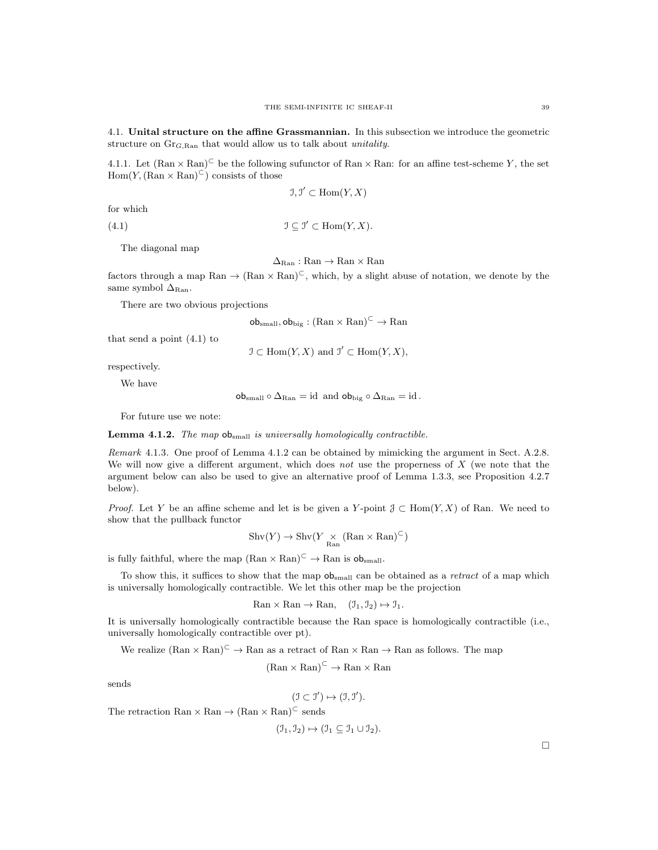4.1. Unital structure on the affine Grassmannian. In this subsection we introduce the geometric structure on  $\text{Gr}_{G, \text{Ran}}$  that would allow us to talk about *unitality*.

4.1.1. Let  $(\text{Ran} \times \text{Ran})^{\subset}$  be the following sufunctor of  $\text{Ran} \times \text{Ran}$ : for an affine test-scheme Y, the set  $Hom(Y, (\text{Ran} \times \text{Ran})^{\subset})$  consists of those

$$
\mathfrak{I}, \mathfrak{I}' \subset \text{Hom}(Y, X)
$$

for which

(4.1)  $\mathfrak{I} \subseteq \mathfrak{I}' \subset \text{Hom}(Y,X).$ 

The diagonal map

 $\Delta_{\text{Ran}} : \text{Ran} \to \text{Ran} \times \text{Ran}$ 

factors through a map Ran  $\rightarrow$   $(\text{Ran} \times \text{Ran})^{\subset}$ , which, by a slight abuse of notation, we denote by the same symbol  $\Delta_{\text{Ran}}$ .

There are two obvious projections

 $\mathsf{ob}_{\mathsf{small}}, \mathsf{ob}_{\mathsf{big}} : (\mathsf{Ran} \times \mathsf{Ran})^{\subset} \to \mathsf{Ran}$ 

that send a point (4.1) to

 $\mathcal{I} \subset \text{Hom}(Y, X)$  and  $\mathcal{I}' \subset \text{Hom}(Y, X)$ ,

respectively.

We have

 $\text{ob}_{\text{small}} \circ \Delta_{\text{Ran}} = \text{id}$  and  $\text{ob}_{\text{big}} \circ \Delta_{\text{Ran}} = \text{id}$ .

For future use we note:

**Lemma 4.1.2.** The map  $ob<sub>small</sub>$  is universally homologically contractible.

Remark 4.1.3. One proof of Lemma 4.1.2 can be obtained by mimicking the argument in Sect. A.2.8. We will now give a different argument, which does not use the properness of  $X$  (we note that the argument below can also be used to give an alternative proof of Lemma 1.3.3, see Proposition 4.2.7 below).

*Proof.* Let Y be an affine scheme and let is be given a Y-point  $\mathcal{J} \subset \text{Hom}(Y, X)$  of Ran. We need to show that the pullback functor

$$
\mathrm{Shv}(Y) \to \mathrm{Shv}(Y \underset{\mathrm{Ran}}{\times} (\mathrm{Ran} \times \mathrm{Ran})^{\subset})
$$

is fully faithful, where the map  $(Ran \times Ran)^{\subset} \to Ran$  is  $ob<sub>small</sub>$ .

To show this, it suffices to show that the map  $ob_{small}$  can be obtained as a *retract* of a map which is universally homologically contractible. We let this other map be the projection

$$
\text{Ran} \times \text{Ran} \to \text{Ran}, \quad (\mathfrak{I}_1, \mathfrak{I}_2) \mapsto \mathfrak{I}_1.
$$

It is universally homologically contractible because the Ran space is homologically contractible (i.e., universally homologically contractible over pt).

We realize  $(Ran \times Ran)^{\subset} \to Ran$  as a retract of  $Ran \times Ran \to Ran$  as follows. The map

 $(Ran \times Ran)^{\subset} \rightarrow Ran \times Ran$ 

sends

$$
(\mathfrak{I} \subset \mathfrak{I}') \mapsto (\mathfrak{I}, \mathfrak{I}').
$$

The retraction Ran  $\times$  Ran  $\rightarrow$  (Ran  $\times$  Ran)<sup> $\subset$ </sup> sends

$$
(\mathcal{I}_1, \mathcal{I}_2) \mapsto (\mathcal{I}_1 \subseteq \mathcal{I}_1 \cup \mathcal{I}_2).
$$

 $\Box$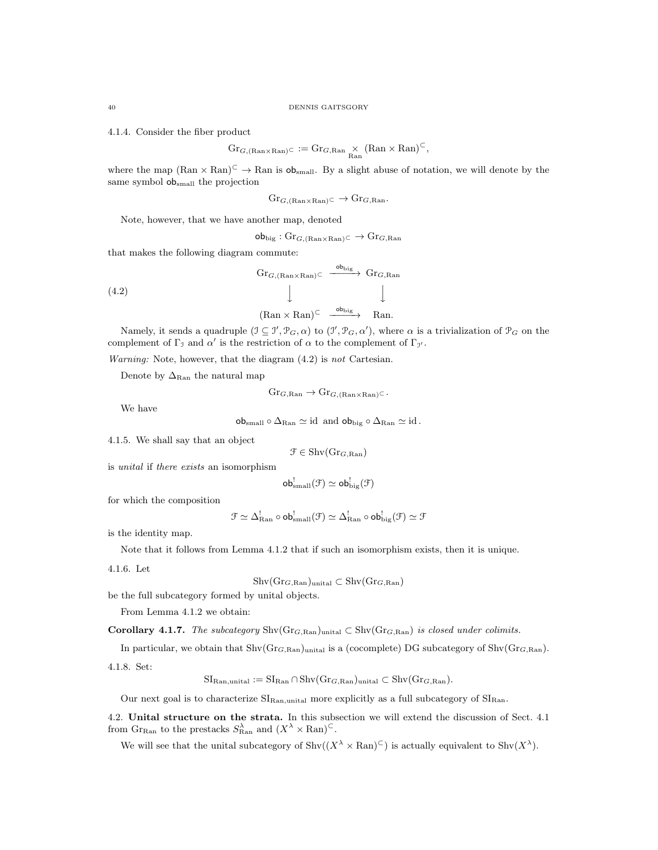4.1.4. Consider the fiber product

$$
\mathrm{Gr}_{G,(\mathrm{Ran}\times\mathrm{Ran})^{\subset}}:=\mathrm{Gr}_{G,\mathrm{Ran}}\underset{\mathrm{Ran}}{\times}(\mathrm{Ran}\times\mathrm{Ran})^{\subset},
$$

where the map  $(Ran \times Ran)^{\subset} \to Ran$  is  $ob_{small}$ . By a slight abuse of notation, we will denote by the same symbol obsmall the projection

$$
\mathrm{Gr}_{G,(\mathrm{Ran}\times\mathrm{Ran})}\subset\to\mathrm{Gr}_{G,\mathrm{Ran}}.
$$

Note, however, that we have another map, denoted

 $\textsf{obj}_{\text{big}} : \text{Gr}_{G,(\text{Ran} \times \text{Ran})} \subset \rightarrow \text{Gr}_{G,\text{Ran}}$ 

that makes the following diagram commute:

$$
(4.2)
$$
\n
$$
\begin{array}{c}\n\text{Gr}_{G,(\text{Ran}\times\text{Ran})}\subset \xrightarrow{\text{ob}_{\text{big}}} \text{Gr}_{G,\text{Ran}} \\
\downarrow \qquad \qquad \downarrow \qquad \qquad \downarrow \qquad \qquad \downarrow \qquad \qquad \downarrow \qquad \qquad \downarrow \qquad \qquad \downarrow \qquad \text{Ran}.\n\end{array}
$$

Namely, it sends a quadruple  $(\mathcal{I} \subseteq \mathcal{I}', \mathcal{P}_G, \alpha)$  to  $(\mathcal{I}', \mathcal{P}_G, \alpha')$ , where  $\alpha$  is a trivialization of  $\mathcal{P}_G$  on the complement of  $\Gamma_{\mathcal{I}}$  and  $\alpha'$  is the restriction of  $\alpha$  to the complement of  $\Gamma_{\mathcal{I}}$ .

Warning: Note, however, that the diagram  $(4.2)$  is not Cartesian.

Denote by  $\Delta_{\text{Ran}}$  the natural map

$$
\mathrm{Gr}_{G,\mathrm{Ran}} \to \mathrm{Gr}_{G,(\mathrm{Ran}\times\mathrm{Ran})^{\subset}}.
$$

We have

 $\text{obj}_{\text{small}} \circ \Delta_{\text{Ran}} \simeq \text{id}$  and  $\text{obj}_{\text{big}} \circ \Delta_{\text{Ran}} \simeq \text{id}$ .

4.1.5. We shall say that an object

$$
\mathcal{F} \in \mathrm{Shv}(\mathrm{Gr}_{G,\mathrm{Ran}})
$$

is unital if there exists an isomorphism

$$
\mathsf{ob}_{\text{small}}^!(\mathcal{F})\simeq \mathsf{ob}_{\text{big}}^!(\mathcal{F})
$$

for which the composition

$$
\mathcal{F} \simeq \Delta^!_{\mathrm{Ran}} \circ \mathsf{ob}^!_{\mathrm{small}}(\mathcal{F}) \simeq \Delta^!_{\mathrm{Ran}} \circ \mathsf{ob}^!_{\mathrm{big}}(\mathcal{F}) \simeq \mathcal{F}
$$

is the identity map.

Note that it follows from Lemma 4.1.2 that if such an isomorphism exists, then it is unique.

4.1.6. Let

 $\text{Shv}(Gr_{G, \text{Ran}})$ unital ⊂  $\text{Shv}(Gr_{G, \text{Ran}})$ 

be the full subcategory formed by unital objects.

From Lemma 4.1.2 we obtain:

Corollary 4.1.7. The subcategory  $\text{Shv}(Gr_{G, Ran})_{unital} \subset \text{Shv}(Gr_{G, Ran})$  is closed under colimits.

In particular, we obtain that  $\text{Shv}(Gr_{G, Ran})$ <sub>unital</sub> is a (cocomplete) DG subcategory of  $\text{Shv}(Gr_{G, Ran})$ .

4.1.8. Set:

$$
SI_{\text{Ran,unital}} := SI_{\text{Ran}} \cap Shv(\text{Gr}_{G,\text{Ran}})_{\text{unital}} \subset Shv(\text{Gr}_{G,\text{Ran}}).
$$

Our next goal is to characterize  $SI_{\text{Ran},\text{unital}}$  more explicitly as a full subcategory of  $SI_{\text{Ran}}$ .

4.2. Unital structure on the strata. In this subsection we will extend the discussion of Sect. 4.1 from  $\text{Gr}_{\text{Ran}}$  to the prestacks  $S^{\lambda}_{\text{Ran}}$  and  $(X^{\lambda} \times \text{Ran})^{\subset}$ .

We will see that the unital subcategory of  $\text{Shv}((X^{\lambda} \times \text{Ran})^{\subset})$  is actually equivalent to  $\text{Shv}(X^{\lambda})$ .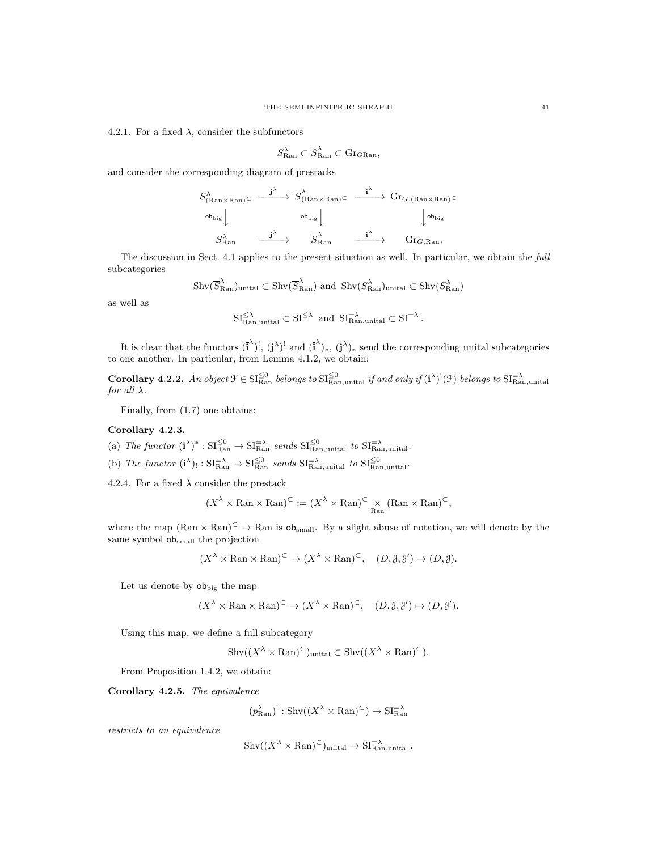4.2.1. For a fixed  $\lambda$ , consider the subfunctors

$$
S^{\lambda}_{\text{Ran}} \subset \overline{S}^{\lambda}_{\text{Ran}} \subset \text{Gr}_{G\text{Ran}},
$$

and consider the corresponding diagram of prestacks

$$
S_{(\text{Ran} \times \text{Ran})}^{\lambda} \subset \xrightarrow{\mathbf{j}^{\lambda}} \overline{S}_{(\text{Ran} \times \text{Ran})}^{\lambda} \subset \xrightarrow{\overline{\mathbf{i}}^{\lambda}} \text{Gr}_{G,(\text{Ran} \times \text{Ran})} \subset
$$
  
\n
$$
\xrightarrow{\mathbf{ob}_{\text{big}}} \downarrow \text{b}_{\text{big}}
$$
  
\n
$$
S_{\text{Ran}}^{\lambda} \xrightarrow{\mathbf{j}^{\lambda}} \overline{S}_{\text{Ran}}^{\lambda} \xrightarrow{\overline{\mathbf{i}}^{\lambda}} \text{Gr}_{G, \text{Ran}}.
$$

The discussion in Sect. 4.1 applies to the present situation as well. In particular, we obtain the full subcategories

$$
\text{Shv}(\overline{S}_{\text{Ran}}^{\lambda})_{\text{unital}} \subset \text{Shv}(\overline{S}_{\text{Ran}}^{\lambda})
$$
 and  $\text{Shv}(S_{\text{Ran}}^{\lambda})_{\text{unital}} \subset \text{Shv}(S_{\text{Ran}}^{\lambda})$ 

as well as

$$
\mathrm{SI}_{\mathrm{Ran},\mathrm{unital}}^{\leq \lambda} \subset \mathrm{SI}^{\leq \lambda} \ \ \mathrm{and} \ \ \mathrm{SI}_{\mathrm{Ran},\mathrm{unital}}^{\equiv \lambda} \subset \mathrm{SI}^{=\lambda} \, .
$$

It is clear that the functors  $(\mathbf{i}^{\lambda})^!$ ,  $(\mathbf{j}^{\lambda})^!$  and  $(\mathbf{i}^{\lambda})_*$ ,  $(\mathbf{j}^{\lambda})_*$  send the corresponding unital subcategories to one another. In particular, from Lemma 4.1.2, we obtain:

**Corollary 4.2.2.** An object  $\mathcal{F} \in \mathrm{SI}_{\mathrm{Ran}}^{\leq 0}$  belongs to  $\mathrm{SI}_{\mathrm{Ran},\mathrm{unital}}^{\leq 0}$  if and only if  $(i^{\lambda})^!(\mathcal{F})$  belongs to  $\mathrm{SI}_{\mathrm{Ran},\mathrm{unital}}^{\leq \lambda}$ for all  $\lambda$ .

Finally, from (1.7) one obtains:

#### Corollary 4.2.3.

- (a) The functor  $(i^{\lambda})^* : SI_{\text{Ran}}^{\leq 0} \to SI_{\text{Ran}}^{-\lambda}$  sends  $SI_{\text{Ran},\text{unital}}^{\leq 0}$  to  $SI_{\text{Ran},\text{unital}}^{-\lambda}$ .
- (b) The functor  $(i^{\lambda})_! : SI_{\text{Ran}}^{-\lambda} \to SI_{\text{Ran}}^{\leq 0}$  sends  $SI_{\text{Ran},\text{unital}}^{-\lambda}$  to  $SI_{\text{Ran},\text{unital}}^{\leq 0}$ .

4.2.4. For a fixed  $\lambda$  consider the prestack

$$
(X^{\lambda} \times \mathrm{Ran} \times \mathrm{Ran})^{\subset} := (X^{\lambda} \times \mathrm{Ran})^{\subset} \times_{\mathrm{Ran}} (\mathrm{Ran} \times \mathrm{Ran})^{\subset},
$$

where the map  $(Ran \times Ran)^{\subset} \to Ran$  is  $ob<sub>small</sub>$ . By a slight abuse of notation, we will denote by the same symbol obsmall the projection

$$
(X^{\lambda} \times \text{Ran} \times \text{Ran})^{\subset} \to (X^{\lambda} \times \text{Ran})^{\subset}, \quad (D, \mathcal{J}, \mathcal{J}') \mapsto (D, \mathcal{J}).
$$

Let us denote by  $ob_{\text{big}}$  the map

$$
(X^{\lambda} \times \text{Ran} \times \text{Ran})^{\subset} \to (X^{\lambda} \times \text{Ran})^{\subset}, \quad (D, \mathcal{J}, \mathcal{J}') \mapsto (D, \mathcal{J}').
$$

Using this map, we define a full subcategory

 $\mathrm{Shv}((X^{\lambda} \times \mathrm{Ran})^{\subset})$ unital  $\subset \mathrm{Shv}((X^{\lambda} \times \mathrm{Ran})^{\subset}).$ 

From Proposition 1.4.2, we obtain:

Corollary 4.2.5. The equivalence

$$
(p_{\text{Ran}}^{\lambda})^! : \text{Shv}((X^{\lambda} \times \text{Ran})^{\subset}) \to \text{SI}_{\text{Ran}}^{-\lambda}
$$

restricts to an equivalence

$$
Shv((X^{\lambda} \times \mathrm{Ran})^{\subset})_{\text{unital}} \to \mathrm{SI}_{\mathrm{Ran}, \mathrm{unital}}^{\equiv \lambda}.
$$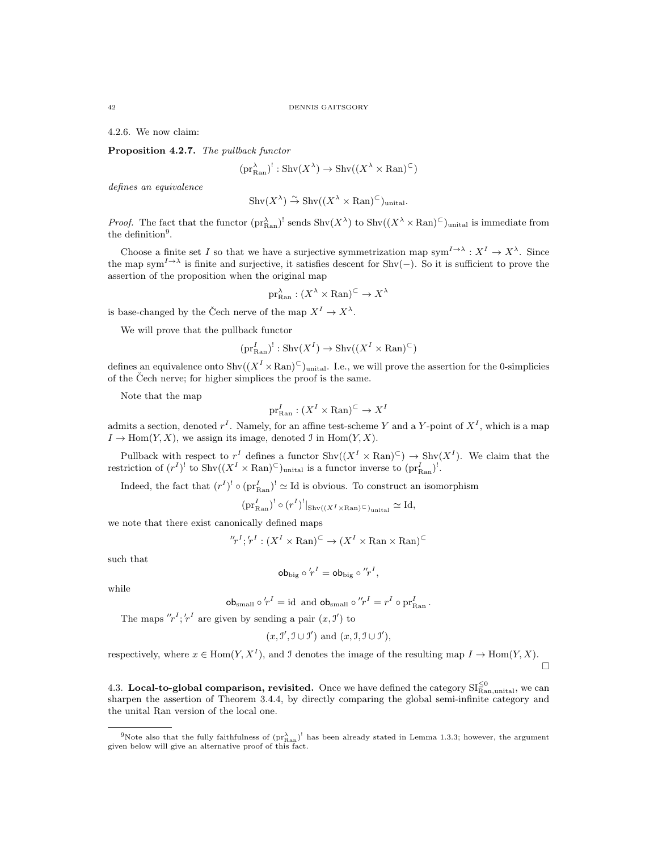4.2.6. We now claim:

Proposition 4.2.7. The pullback functor

$$
(\text{pr}_{\text{Ran}}^{\lambda})^! : \text{Shv}(X^{\lambda}) \to \text{Shv}((X^{\lambda} \times \text{Ran})^{\subset})
$$

defines an equivalence

$$
Shv(X^{\lambda}) \stackrel{\sim}{\to} Shv((X^{\lambda} \times \mathrm{Ran})^{\subset})_{\mathrm{unital}}.
$$

*Proof.* The fact that the functor  $(\text{pr}_{\text{Ran}}^{\lambda})^!$  sends  $\text{Shv}(X^{\lambda})$  to  $\text{Shv}((X^{\lambda} \times \text{Ran})^{\subset})$ <sub>unital</sub> is immediate from the definition<sup>9</sup>.

Choose a finite set I so that we have a surjective symmetrization map  $sym^{I\to\lambda}: X^I \to X^{\lambda}$ . Since the map sym<sup> $I \rightarrow \lambda$ </sup> is finite and surjective, it satisfies descent for Shv(-). So it is sufficient to prove the assertion of the proposition when the original map

$$
\mathrm{pr}^\lambda_{\mathrm{Ran}} : (X^\lambda \times \mathrm{Ran})^{\subset} \to X^\lambda
$$

is base-changed by the Čech nerve of the map  $X^I \to X^{\lambda}$ .

We will prove that the pullback functor

$$
(\text{pr}_{\text{Ran}}^I)^!: \text{Shv}(X^I) \to \text{Shv}((X^I \times \text{Ran})^{\subset})
$$

defines an equivalence onto  $\text{Shv}((X^I \times \text{Ran})^{\subset})$ unital. I.e., we will prove the assertion for the 0-simplicies of the Čech nerve; for higher simplices the proof is the same.

Note that the map

$$
\mathrm{pr}_\mathrm{Ran}^I:(X^I\times\mathrm{Ran})^\subset\to X^I
$$

admits a section, denoted  $r^I$ . Namely, for an affine test-scheme Y and a Y-point of  $X^I$ , which is a map  $I \to \text{Hom}(Y, X)$ , we assign its image, denoted J in  $\text{Hom}(Y, X)$ .

Pullback with respect to  $r^I$  defines a functor  $\text{Shv}((X^I \times \text{Ran})^{\subset}) \to \text{Shv}(X^I)$ . We claim that the restriction of  $(r^I)^!$  to  $\text{Shv}((X^I \times \text{Ran})^{\subset})$ <sub>unital</sub> is a functor inverse to  $(\text{pr}_{\text{Ran}}^I)^!$ .

Indeed, the fact that  $(r^I)^! \circ (\text{pr}_{\text{Ran}}^I)^! \simeq \text{Id}$  is obvious. To construct an isomorphism

 $\left(\text{pr}_{\text{Ran}}^I\right)^! \circ (r^I)^!|_{\text{Shv}((X^I \times \text{Ran}) \subseteq)_{\text{unital}}} \simeq \text{Id},$ 

we note that there exist canonically defined maps

$$
''r^I; r^I : (X^I \times \text{Ran})^{\subset} \to (X^I \times \text{Ran} \times \text{Ran})^{\subset}
$$

such that

$$
\mathsf{ob}_{\mathrm{big}} \circ r^I = \mathsf{ob}_{\mathrm{big}} \circ r^I,
$$

while

$$
\mathbf{ob}_{\text{small}} \circ 'r^I = \text{id} \text{ and } \mathbf{ob}_{\text{small}} \circ ''r^I = r^I \circ \text{pr}_{\text{Ran}}^I.
$$

The maps  $''r^I; r^I$  are given by sending a pair  $(x, \mathcal{I}')$  to

$$
(x, \mathcal{I}', \mathcal{I} \cup \mathcal{I}')
$$
 and  $(x, \mathcal{I}, \mathcal{I} \cup \mathcal{I}')$ ,

respectively, where  $x \in \text{Hom}(Y, X^I)$ , and J denotes the image of the resulting map  $I \to \text{Hom}(Y, X)$ . П

4.3. Local-to-global comparison, revisited. Once we have defined the category  $\text{SI}_{\text{Ran,unital}}^{\leq 0}$ , we can sharpen the assertion of Theorem 3.4.4, by directly comparing the global semi-infinite category and the unital Ran version of the local one.

<sup>&</sup>lt;sup>9</sup>Note also that the fully faithfulness of  $(pr_{\text{Ran}}^2)$ <sup>1</sup> has been already stated in Lemma 1.3.3; however, the argument given below will give an alternative proof of this fact.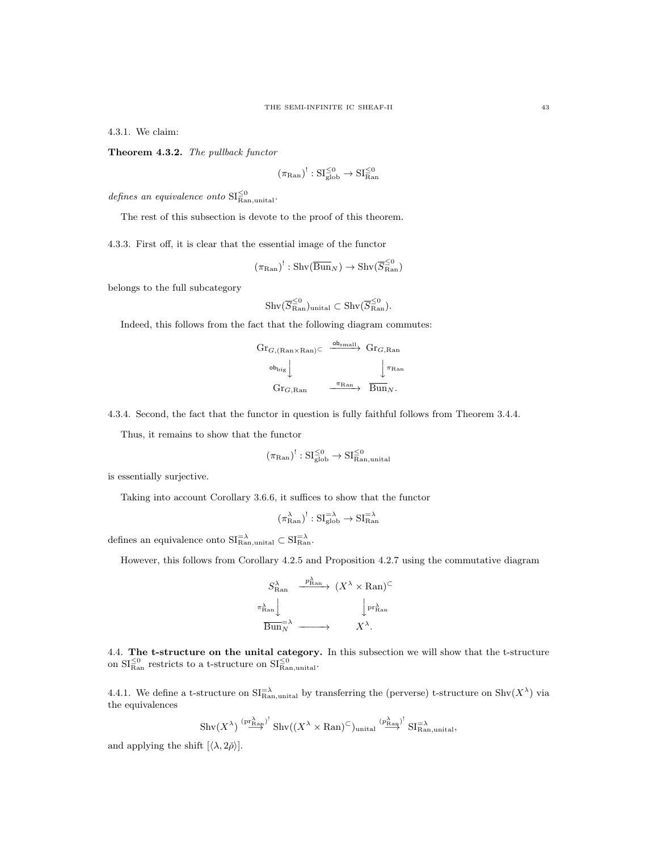4.3.1. We claim:

Theorem 4.3.2. The pullback functor

$$
(\pi_{\mathrm{Ran}})^!: \mathrm{SI}^{\leq 0}_{\mathrm{glob}} \to \mathrm{SI}^{\leq 0}_{\mathrm{Ran}}
$$

defines an equivalence onto  $\text{SI}_{\text{Ran},\text{unital}}^{\leq 0}$ .

The rest of this subsection is devote to the proof of this theorem.

4.3.3. First off, it is clear that the essential image of the functor

$$
(\pi_{\mathrm{Ran}})^!: \mathrm{Shv}(\overline{\mathrm{Bun}}_N) \to \mathrm{Shv}(\overline{S}_{\mathrm{Ran}}^{\leq 0})
$$

belongs to the full subcategory

$$
\mathrm{Shv}(\overline{S}_{\mathrm{Ran}}^{\leq 0})_{\mathrm{unital}} \subset \mathrm{Shv}(\overline{S}_{\mathrm{Ran}}^{\leq 0}).
$$

Indeed, this follows from the fact that the following diagram commutes:

$$
\begin{array}{ccc}\n\operatorname{Gr}_{G,(\mathrm{Ran}\times\mathrm{Ran})}\subset & \xrightarrow{\operatorname{ob}_{\mathrm{small}}} & \operatorname{Gr}_{G,\mathrm{Ran}} \\
& & \downarrow^{\pi_{\mathrm{Ran}}} & \downarrow^{\pi_{\mathrm{Ran}}} \\
& & \operatorname{Gr}_{G,\mathrm{Ran}} & \xrightarrow{\pi_{\mathrm{Ran}}} & \operatorname{Bun}_{N}.\n\end{array}
$$

4.3.4. Second, the fact that the functor in question is fully faithful follows from Theorem 3.4.4.

Thus, it remains to show that the functor

$$
(\pi_{\mathrm{Ran}})^!: \mathrm{SI}^{\leq 0}_{\mathrm{glob}} \rightarrow \mathrm{SI}^{\leq 0}_{\mathrm{Ran,unital}}
$$

is essentially surjective.

Taking into account Corollary 3.6.6, it suffices to show that the functor

$$
(\pi^{\lambda}_{\text{Ran}})^!: \mathrm{SI}^{=\lambda}_{\text{glob}} \to \mathrm{SI}^{=\lambda}_{\text{Ran}}
$$

defines an equivalence onto  $SI<sub>Ran,unital</sub><sup>=</sup> \subset SI<sub>Ran</sub><sup>=</sup>$ .

However, this follows from Corollary 4.2.5 and Proposition 4.2.7 using the commutative diagram

$$
S_{\text{Ran}}^{\lambda} \xrightarrow{p_{\text{Ran}}^{\lambda}} (X^{\lambda} \times \text{Ran})^{\subset}
$$
  

$$
\pi_{\text{Ran}}^{\lambda} \downarrow \qquad \qquad \downarrow \text{pr}_{\text{Ran}}^{\lambda}
$$
  

$$
\overline{\text{Bun}}_{N} \xrightarrow{}
$$
  

$$
X^{\lambda}.
$$

4.4. The t-structure on the unital category. In this subsection we will show that the t-structure on  $SI_{\text{Ran}}^{\leq 0}$  restricts to a t-structure on  $SI_{\text{Ran},\text{unital}}^{\leq 0}$ .

4.4.1. We define a t-structure on  $\text{SI}_{\text{Ran},\text{unital}}^{-\lambda}$  by transferring the (perverse) t-structure on  $\text{Shv}(X^{\lambda})$  via the equivalences

$$
\operatorname{Shv}(X^{\lambda}) \stackrel{\left(\operatorname{pr}_{\operatorname{Ran}}^{\lambda}\right)^!}{\longrightarrow} \operatorname{Shv}((X^{\lambda} \times \operatorname{Ran})^{\subset})_{\text{unital}} \stackrel{\left(\operatorname{pr}_{\operatorname{Ran}}^{\lambda}\right)^!}{\longrightarrow} \operatorname{SI}_{\operatorname{Ran},\text{unital}}^{\sup},
$$

and applying the shift  $\left[\langle \lambda, 2\rho \rangle\right]$ .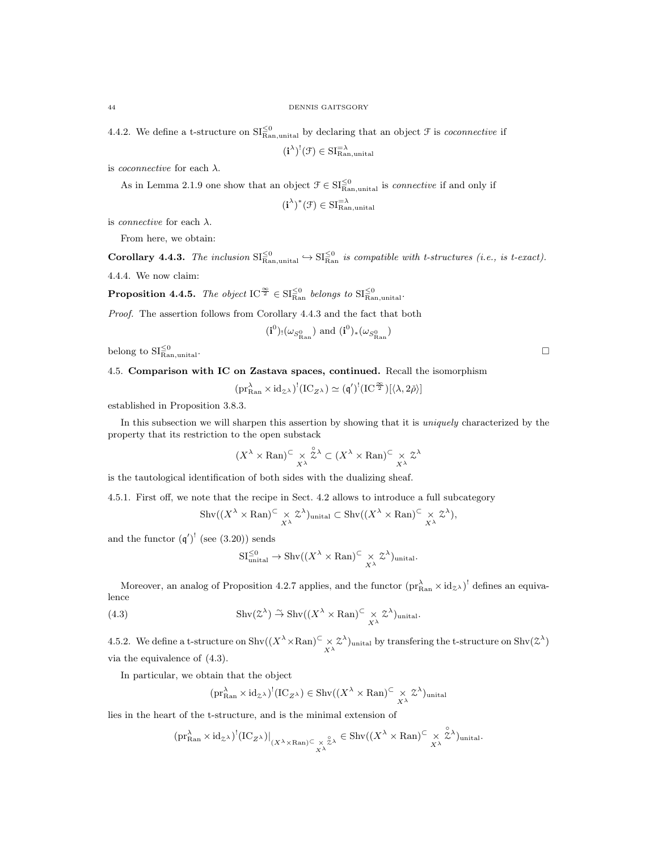4.4.2. We define a t-structure on  $\mathrm{SI}_{\text{Ran},\text{unital}}^{\leq 0}$  by declaring that an object  $\mathcal F$  is *coconnective* if

$$
(\mathbf{i}^{\lambda})^!(\mathfrak{F}) \in \mathrm{SI}_{\mathrm{Ran},\mathrm{unital}}^{=\lambda}
$$

is *coconnective* for each  $\lambda$ .

As in Lemma 2.1.9 one show that an object  $\mathcal{F} \in \mathrm{SI}_{\mathrm{Ran},\mathrm{unital}}^{\leq 0}$  is *connective* if and only if

$$
(\mathbf{i}^{\lambda})^*(\mathcal{F}) \in \mathrm{SI}_{\mathrm{Ran,unital}}^{-\lambda}
$$

is *connective* for each  $\lambda$ .

From here, we obtain:

**Corollary 4.4.3.** The inclusion  $\text{SI}_{\text{Ran},\text{unital}}^{\leq 0}$   $\hookrightarrow$   $\text{SI}_{\text{Ran}}^{\leq 0}$  is compatible with t-structures (i.e., is t-exact). 4.4.4. We now claim:

**Proposition 4.4.5.** The object  $IC^{\frac{\infty}{2}} \in \mathrm{SI}_{\mathrm{Ran}}^{\leq 0}$  belongs to  $\mathrm{SI}_{\mathrm{Ran},\mathrm{unital}}^{\leq 0}$ .

Proof. The assertion follows from Corollary 4.4.3 and the fact that both

$$
(\mathbf{i}^{0})_{!}(\omega_{S^{0}_{\text{Ran}}})
$$
 and  $(\mathbf{i}^{0})_{*}(\omega_{S^{0}_{\text{Ran}}})$ 

belong to  $\mathrm{SI}_{\mathrm{Ran,unital}}^{\leq 0}$ Ran,unital.

4.5. Comparison with IC on Zastava spaces, continued. Recall the isomorphism

$$
(\mathrm{pr}^\lambda_{\mathrm{Ran}}\times \mathrm{id}_{\mathbb{Z}^\lambda})^!(\mathrm{IC}_{\mathbb{Z}^\lambda})\simeq (\mathfrak{q}')^!(\mathrm{IC}^{\frac{\infty}{2}})[\langle \lambda,2\check{\rho}\rangle]
$$

established in Proposition 3.8.3.

In this subsection we will sharpen this assertion by showing that it is *uniquely* characterized by the property that its restriction to the open substack

$$
(X^\lambda\times\operatorname{Ran})^{\subset}\underset{X^\lambda}{\times}\overset{\circ}{\mathcal{Z}}{}^\lambda\subset (X^\lambda\times\operatorname{Ran})^{\subset}\underset{X^\lambda}{\times}\mathcal{Z}^\lambda
$$

is the tautological identification of both sides with the dualizing sheaf.

4.5.1. First off, we note that the recipe in Sect. 4.2 allows to introduce a full subcategory

$$
\mathrm{Shv}((X^{\lambda} \times \mathrm{Ran})^{\subset} \underset{X^{\lambda}}{\times} \mathcal{Z}^{\lambda})_{\mathrm{unital}} \subset \mathrm{Shv}((X^{\lambda} \times \mathrm{Ran})^{\subset} \underset{X^{\lambda}}{\times} \mathcal{Z}^{\lambda}),
$$

and the functor  $(q')^!$  (see (3.20)) sends

$$
\mathrm{SI}_{\mathrm{unital}}^{\leq 0} \to \mathrm{Shv}((X^{\lambda} \times \mathrm{Ran})^{\subset} \underset{X^{\lambda}}{\times} \mathcal{Z}^{\lambda})_{\mathrm{unital}}.
$$

Moreover, an analog of Proposition 4.2.7 applies, and the functor  $(\text{pr}_{\text{Ran}}^{\lambda} \times \text{id}_{\mathcal{Z}})^!$  defines an equivalence

(4.3) 
$$
\operatorname{Shv}(\mathcal{Z}^{\lambda}) \overset{\sim}{\to} \operatorname{Shv}((X^{\lambda} \times \operatorname{Ran})^{\subset} \underset{X^{\lambda}}{\times} \mathcal{Z}^{\lambda})_{\text{unital}}.
$$

4.5.2. We define a t-structure on  $\text{Shv}((X^{\lambda} \times \text{Ran})^{\subset} \times \mathcal{Z}^{\lambda})$  unital by transfering the t-structure on  $\text{Shv}(\mathcal{Z}^{\lambda})$ via the equivalence of (4.3).

In particular, we obtain that the object

$$
(\text{pr}_{\text{Ran}}^{\lambda} \times \text{id}_{\mathcal{Z}^{\lambda}})^{!}(\text{IC}_{Z^{\lambda}}) \in \text{Shv}((X^{\lambda} \times \text{Ran})^{\subset} \underset{X^{\lambda}}{\times} \mathcal{Z}^{\lambda})_{\text{unital}}
$$

lies in the heart of the t-structure, and is the minimal extension of

$$
(\textup{pr}_{\textup{Ran}}^\lambda \times \textup{id}_{\mathcal{Z}^\lambda})^!(\textup{IC}_{Z^\lambda})|_{(X^\lambda \times \textup{Ran}) \subseteq \underset{X^\lambda}{\times} \overset{\circ}{\mathcal{Z}^\lambda}} \in \textup{Shv}((X^\lambda \times \textup{Ran}) \subseteq \underset{X^\lambda}{\times} \overset{\circ}{\mathcal{Z}^\lambda})_{\textup{unital}}.
$$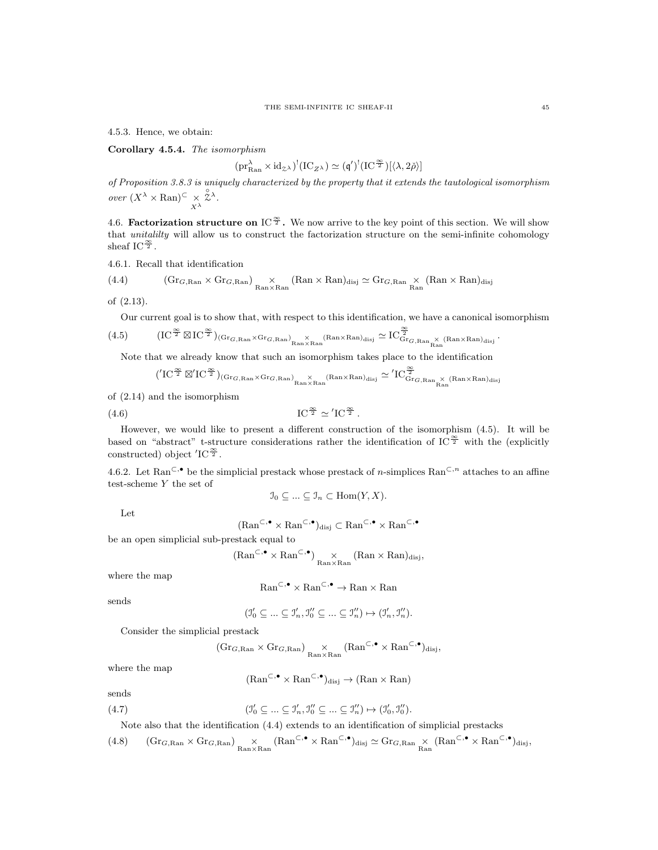4.5.3. Hence, we obtain:

Corollary 4.5.4. The isomorphism

$$
(\mathrm{pr}^{\lambda}_{\mathrm{Ran}} \times \mathrm{id}_{\mathcal{Z}^{\lambda}})^!(\mathrm{IC}_{Z^{\lambda}}) \simeq (\mathfrak{q}')^!(\mathrm{IC}^{\frac{\infty}{2}})[\langle \lambda, 2\check{\rho}\rangle]
$$

of Proposition 3.8.3 is uniquely characterized by the property that it extends the tautological isomorphism over  $(X^{\lambda} \times \mathrm{Ran})^{\subset} \underset{X^{\lambda}}{\times}$  $\overset{\circ}{\chi}{}^{\lambda}$ .

4.6. **Factorization structure on** IC<sup> $\frac{\infty}{2}$ </sup>. We now arrive to the key point of this section. We will show that *unitalilty* will allow us to construct the factorization structure on the semi-infinite cohomology sheaf IC $\frac{\infty}{2}$ .

4.6.1. Recall that identification

(4.4) 
$$
(\text{Gr}_{G, \text{Ran}} \times \text{Gr}_{G, \text{Ran}}) \underset{\text{Ran} \times \text{Ran}}{\times} (\text{Ran} \times \text{Ran})_{\text{disj}} \simeq \text{Gr}_{G, \text{Ran}} \times (\text{Ran} \times \text{Ran})_{\text{disj}}
$$

of 
$$
(2.13)
$$
.

Our current goal is to show that, with respect to this identification, we have a canonical isomorphism

$$
(4.5) \qquad \quad (IC^{\frac{\infty}{2}}\boxtimes IC^{\frac{\infty}{2}})_{(\mathrm{Gr}_{G,\mathrm{Ran}}\times \mathrm{Gr}_{G,\mathrm{Ran}})}\underset{\mathrm{Ran}\times \mathrm{Ran}}{\times}(\mathrm{Ran}\times \mathrm{Ran})_{\mathrm{disj}}\simeq IC_{\mathrm{Gr}_{G,\mathrm{Ran}}}\overset{\infty}{\times}(\mathrm{Ran}\times \mathrm{Ran})_{\mathrm{disj}}
$$

Note that we already know that such an isomorphism takes place to the identification

$$
('IC^{\frac{\infty}{2}}\boxtimes' IC^{\frac{\infty}{2}})_{(\mathrm{Gr}_{G,\mathrm{Ran}}\times \mathrm{Gr}_{G,\mathrm{Ran}})}_{\mathrm{Kan}\times \mathrm{Ran}}}{\times}^{(\mathrm{Ran}\times \mathrm{Ran})_{\mathrm{disj}}}\simeq 'IC_{\mathrm{Gr}_{G,\mathrm{Ran}}}\overset{\infty}{\times}^{(\mathrm{Ran}\times \mathrm{Ran})_{\mathrm{disj}}}
$$

of (2.14) and the isomorphism

$$
\text{IC}^{\frac{\infty}{2}} \simeq \text{'IC}^{\frac{\infty}{2}}.
$$

However, we would like to present a different construction of the isomorphism (4.5). It will be based on "abstract" t-structure considerations rather the identification of IC<sup> $\frac{\infty}{2}$ </sup> with the (explicitly constructed) object  $\mathrm{IC}^{\frac{\infty}{2}}$ .

4.6.2. Let Ran<sup> $\subset$ ,•</sup> be the simplicial prestack whose prestack of *n*-simplices Ran<sup> $\subset$ ,*n*</sup> attaches to an affine test-scheme Y the set of

$$
\mathfrak{I}_0 \subseteq \ldots \subseteq \mathfrak{I}_n \subset \text{Hom}(Y, X).
$$

Let

$$
(\mathrm{Ran}^{\subset,\bullet} \times \mathrm{Ran}^{\subset,\bullet})_{\mathrm{disj}} \subset \mathrm{Ran}^{\subset,\bullet} \times \mathrm{Ran}^{\subset,\bullet}
$$

be an open simplicial sub-prestack equal to

$$
(\mathrm{Ran}^{\subset,\bullet}\times\mathrm{Ran}^{\subset,\bullet})\underset{\mathrm{Ran}\times\mathrm{Ran}}{\times}(\mathrm{Ran}\times\mathrm{Ran})_{\mathrm{disj}},
$$

where the map

$$
\mathrm{Ran}^{\subset,\bullet}\times\mathrm{Ran}^{\subset,\bullet}\to\mathrm{Ran}\times\mathrm{Ran}
$$

sends

$$
(\mathfrak{I}'_0 \subseteq \ldots \subseteq \mathfrak{I}'_n, \mathfrak{I}''_0 \subseteq \ldots \subseteq \mathfrak{I}''_n) \mapsto (\mathfrak{I}'_n, \mathfrak{I}''_n).
$$

Consider the simplicial prestack

$$
(\mathrm{Gr}_{G,\mathrm{Ran}}\times \mathrm{Gr}_{G,\mathrm{Ran}}) \underset{\mathrm{Ran}\times \mathrm{Ran}}{\times} (\mathrm{Ran}^{\subset,\bullet}\times \mathrm{Ran}^{\subset,\bullet})_{\mathrm{disj}},
$$

where the map

$$
(\text{Ran}^{\subset,\bullet} \times \text{Ran}^{\subset,\bullet})_{\text{disj}} \to (\text{Ran} \times \text{Ran})
$$

sends

$$
(4.7) \qquad \qquad (J'_0 \subseteq \dots \subseteq J'_n, J''_0 \subseteq \dots \subseteq J''_n) \mapsto (J'_0, J''_0).
$$

Note also that the identification (4.4) extends to an identification of simplicial prestacks

$$
(4.8) \qquad ({\rm Gr}_{G, \rm Ran} \times {\rm Gr}_{G, \rm Ran}) \underset{{\rm Ran} \times {\rm Ran}}{\times} ({\rm Ran}^{\subset, \bullet} \times {\rm Ran}^{\subset, \bullet})_{{\rm disj}} \simeq {\rm Gr}_{G, \rm Ran} \times ({\rm Ran}^{\subset, \bullet} \times {\rm Ran}^{\subset, \bullet})_{{\rm disj}},
$$

.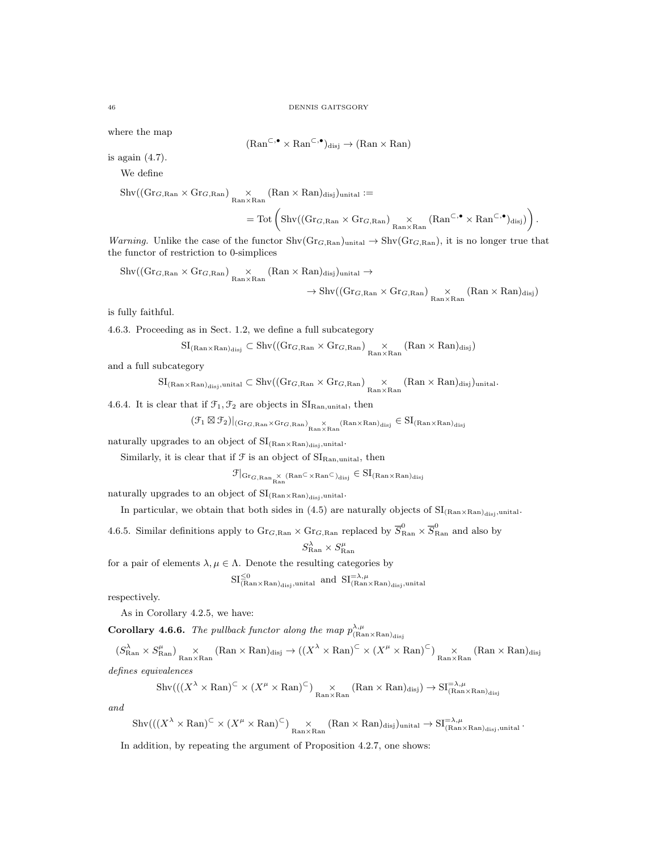where the map

$$
(\text{Ran}^{\subset,\bullet} \times \text{Ran}^{\subset,\bullet})_{\text{disj}} \to (\text{Ran} \times \text{Ran})
$$

is again (4.7).

We define

 $\mathrm{Shv}((\mathrm{Gr}_{G,\mathrm{Ran}}\times \mathrm{Gr}_{G,\mathrm{Ran}}) \underset{\mathrm{Ran}\times \mathrm{Ran}}{\times} (\mathrm{Ran}\times \mathrm{Ran})_{\mathrm{disj}})_{\mathrm{unital}} :=$ 

$$
=\mathrm{Tot}\left(\mathrm{Shv}((\mathrm{Gr}_{G,\mathrm{Ran}}\times \mathrm{Gr}_{G,\mathrm{Ran}}) \underset{\mathrm{Ran}\times \mathrm{Ran}}{\times} (\mathrm{Ran}^{\subset,\bullet}\times \mathrm{Ran}^{\subset,\bullet})_{\mathrm{disj}})\right).
$$

Warning. Unlike the case of the functor  $\text{Shv}(Gr_{G,Ran})_{\text{unital}} \to \text{Shv}(Gr_{G,Ran})$ , it is no longer true that the functor of restriction to 0-simplices

$$
\begin{aligned} \operatorname{Shv}((\operatorname{Gr}_{G,\operatorname{Ran}}\times \operatorname{Gr}_{G,\operatorname{Ran}}) &\underset{\operatorname{Ran}\times \operatorname{Ran}}{\times}(\operatorname{Ran}\times \operatorname{Ran})_{\operatorname{disj}})_{\operatorname{unital}} \to \\ &\to \operatorname{Shv}((\operatorname{Gr}_{G,\operatorname{Ran}}\times \operatorname{Gr}_{G,\operatorname{Ran}}) \underset{\operatorname{Ran}\times \operatorname{Ran}}{\times}(\operatorname{Ran}\times \operatorname{Ran})_{\operatorname{disj}}) \end{aligned}
$$

is fully faithful.

4.6.3. Proceeding as in Sect. 1.2, we define a full subcategory

$$
SI_{(Ran \times Ran)_{disj}} \subset Shv((Gr_{G, Ran} \times Gr_{G, Ran})\underset{Ran \times Ran}{\times}(Ran \times Ran)_{disj})
$$

and a full subcategory

 $\mathrm{SI}_{(\text{Ran}\times\text{Ran})_{\text{disj}},\text{unital}}\subset \mathrm{Shv}((\text{Gr}_{G,\text{Ran}}\times\text{Gr}_{G,\text{Ran}})\underset{\text{Ran}\times\text{Ran}}{\times}(\text{Ran}\times\text{Ran})_{\text{disj}})_{\text{unital}}.$ 

4.6.4. It is clear that if  $\mathfrak{F}_1, \mathfrak{F}_2$  are objects in  $\text{SI}_{\text{Ran},\text{unital}}$ , then

 $(\mathcal{F}_1 \boxtimes \mathcal{F}_2)|_{(\mathrm{Gr}_{G,\mathrm{Ran}} \times \mathrm{Gr}_{G,\mathrm{Ran}})}$   $\underset{\mathrm{Ran} \times \mathrm{Ran}}{\times}$  (Ran $\times$ Ran) $_\mathrm{disj} \in \mathrm{SI}_{(\mathrm{Ran} \times \mathrm{Ran})_\mathrm{disj}}$ 

naturally upgrades to an object of  $\mathrm{SI_{(Ran\times Ran)_{disj}},unital}.$ 

Similarly, it is clear that if  $\mathcal F$  is an object of  $\mathrm{SI}_{\mathrm{Ran,unital}}$ , then

 $\mathcal{F}|_{\mathrm{Gr}_{G,\mathrm{Ran}}\times\mathrm{Ran}^{\mathbb{C}}\times\mathrm{Ran}^{\mathbb{C}}\times\mathrm{Ran}^{\mathbb{C}}})_{\mathrm{disj}}\in\mathrm{SI}_{(\mathrm{Ran}\times\mathrm{Ran})_{\mathrm{disj}}}$ 

naturally upgrades to an object of  $SI_{(Ran \times Ran)_{disj},unital}$ .

In particular, we obtain that both sides in (4.5) are naturally objects of  $SI_{(Ran \times Ran)_{disi},unital}$ .

4.6.5. Similar definitions apply to  $\text{Gr}_{G, \text{Ran}} \times \text{Gr}_{G, \text{Ran}}$  replaced by  $\overline{S}_{\text{Ran}}^0 \times \overline{S}_{\text{Ran}}^0$  and also by

$$
S^\lambda_\text{Ran} \times S^\mu_\text{Ran}
$$

for a pair of elements  $\lambda, \mu \in \Lambda$ . Denote the resulting categories by

$$
\mathrm{SI}^{\leq 0}_{(\mathrm{Ran}\times\mathrm{Ran})_{\mathrm{disj}},\mathrm{unital}}\;\; \mathrm{and} \;\; \mathrm{SI}^{=\lambda,\mu}_{(\mathrm{Ran}\times\mathrm{Ran})_{\mathrm{disj}},\mathrm{unital}}
$$

respectively.

As in Corollary 4.2.5, we have:

**Corollary 4.6.6.** The pullback functor along the map  $p_{(\text{Ran} \times \text{Ran})_{\text{disj}}}^{\lambda,\mu}$ 

 $(S^{\lambda}_{\text{Ran}} \times S^{\mu}_{\text{Ran}}) \underset{\text{Ran} \times \text{Ran}}{\times} (\text{Ran} \times \text{Ran})_{\text{disj}} \rightarrow ((X^{\lambda} \times \text{Ran})^{\subset} \times (X^{\mu} \times \text{Ran})^{\subset}) \underset{\text{Ran} \times \text{Ran}}{\times} (\text{Ran} \times \text{Ran})_{\text{disj}}$ defines equivalences

$$
\mathrm{Shv}(((X^{\lambda}\times \mathrm{Ran})^{\subset} \times (X^{\mu}\times \mathrm{Ran})^{\subset})\underset{\mathrm{Ran}\times \mathrm{Ran}}{\times} (\mathrm{Ran}\times \mathrm{Ran})_{\mathrm{disj}}) \to \mathrm{SI}^{\equiv \lambda,\mu}_{(\mathrm{Ran}\times \mathrm{Ran})_{\mathrm{disj}}}
$$

and

 $\mathrm{Shv}(((X^\lambda\times\mathrm{Ran})^{\subset}\times(X^\mu\times\mathrm{Ran})^{\subset})\underset{\mathrm{Ran}\times\mathrm{Ran}}{\times}(\mathrm{Ran}\times\mathrm{Ran})_{\mathrm{disj}})_{\mathrm{unital}}\rightarrow\mathrm{SI}_{(\mathrm{Ran}\times\mathrm{Ran})_{\mathrm{disj}}, \mathrm{unital}}^{\square,\lambda,\mu}.$ In addition, by repeating the argument of Proposition 4.2.7, one shows: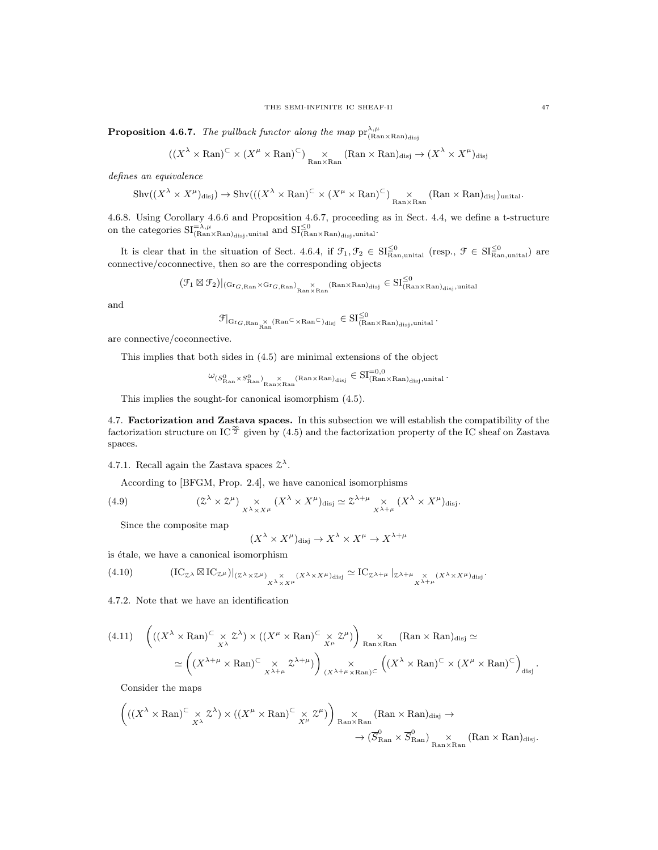**Proposition 4.6.7.** The pullback functor along the map  $pr_{(Ran \times Ran)_{disj}}^{\lambda,\mu}$ 

$$
((X^{\lambda} \times \mathrm{Ran})^{\subset} \times (X^{\mu} \times \mathrm{Ran})^{\subset})
$$
 <sub>$\underset{\mathrm{Ran} \times \mathrm{Ran}}{\times} (\mathrm{Ran} \times \mathrm{Ran})_{\mathrm{disj}} \to (X^{\lambda} \times X^{\mu})_{\mathrm{disj}}$</sub> 

defines an equivalence

$$
\mathrm{Shv}((X^{\lambda} \times X^{\mu})_{\mathrm{disj}}) \to \mathrm{Shv}(((X^{\lambda} \times \mathrm{Ran})^{\subset} \times (X^{\mu} \times \mathrm{Ran})^{\subset})_{\mathrm{Ran} \times \mathrm{Ran}} (\mathrm{Ran} \times \mathrm{Ran})_{\mathrm{disj}})_{\mathrm{unital}}.
$$

4.6.8. Using Corollary 4.6.6 and Proposition 4.6.7, proceeding as in Sect. 4.4, we define a t-structure on the categories  $SI_{(Ran \times Ran)_{disj},unital}^{-\lambda,\mu}$  and  $SI_{(Ran \times Ran)_{disj},unital}^{\leq 0}$ .

It is clear that in the situation of Sect. 4.6.4, if  $\mathcal{F}_1, \mathcal{F}_2 \in \mathrm{SI}_{\mathrm{Ran}, \mathrm{unital}}^{\leq 0}$  (resp.,  $\mathcal{F} \in \mathrm{SI}_{\mathrm{Ran}, \mathrm{unital}}^{\leq 0}$ ) are connective/coconnective, then so are the corresponding objects

$$
(\mathcal{F}_1\boxtimes\mathcal{F}_2)|_{(\mathrm{Gr}_{G,\mathrm{Ran}}\times\mathrm{Gr}_{G,\mathrm{Ran}})_{\mathrm{Ran}\times\mathrm{Ran}}\times\mathrm{Ran}\times\mathrm{Ran})_{\mathrm{disj}}}\in \mathrm{SI}_{(\mathrm{Ran}\times\mathrm{Ran})_{\mathrm{disj}},\mathrm{unital}}^{\leq 0}
$$

and

$$
\mathcal{F}|_{\mathrm{Gr}_{G,\mathrm{Ran}}_{\mathrm{Ran}}\times\,(\mathrm{Ran}^{\subset}\times\mathrm{Ran}^{\subset})_{\mathrm{disj}}}\in \mathrm{SI}^{\leq 0}_{(\mathrm{Ran}\times\mathrm{Ran})_{\mathrm{disj}},\mathrm{unital}}\,.
$$

are connective/coconnective.

This implies that both sides in (4.5) are minimal extensions of the object

$$
\omega_{(S^0_{\text{Ran}} \times S^0_{\text{Ran}})}_{\text{Ran} \times \text{Ran}} \times_{\text{Ran}} (\text{Ran} \times \text{Ran})_{\text{disj}} \in \text{SI}^{=0,0}_{(\text{Ran} \times \text{Ran})_{\text{disj}}, \text{unital}}.
$$

 $\epsilon = 0.0$ 

This implies the sought-for canonical isomorphism (4.5).

4.7. Factorization and Zastava spaces. In this subsection we will establish the compatibility of the factorization structure on IC $\frac{\infty}{2}$  given by (4.5) and the factorization property of the IC sheaf on Zastava spaces.

4.7.1. Recall again the Zastava spaces  $\mathcal{Z}^{\lambda}$ .

According to [BFGM, Prop. 2.4], we have canonical isomorphisms

(4.9) 
$$
(Z^{\lambda} \times Z^{\mu}) \underset{X^{\lambda} \times X^{\mu}}{\times} (X^{\lambda} \times X^{\mu})_{\text{disj}} \simeq Z^{\lambda + \mu} \underset{X^{\lambda + \mu}}{\times} (X^{\lambda} \times X^{\mu})_{\text{disj}}.
$$

Since the composite map

$$
(X^{\lambda} \times X^{\mu})_{\text{disj}} \to X^{\lambda} \times X^{\mu} \to X^{\lambda + \mu}
$$

is étale, we have a canonical isomorphism

$$
(4.10) \qquad (\mathrm{IC}_{\mathcal{Z}^{\lambda}} \boxtimes \mathrm{IC}_{\mathcal{Z}^{\mu}})|_{(\mathcal{Z}^{\lambda} \times \mathcal{Z}^{\mu})} \times \chi^{\lambda} \times X^{\mu} \times (X^{\lambda} \times X^{\mu})_{\text{disj}} \simeq \mathrm{IC}_{\mathcal{Z}^{\lambda+\mu}}|_{\mathcal{Z}^{\lambda+\mu}} \times \chi^{\lambda} \times X^{\mu} \times X^{\mu} \times X^{\mu} \times X^{\mu} \times X^{\mu} \times X^{\mu} \times X^{\mu} \times X^{\mu} \times X^{\mu} \times X^{\mu} \times X^{\mu} \times X^{\mu} \times X^{\mu} \times X^{\mu} \times X^{\mu} \times X^{\mu} \times X^{\mu} \times X^{\mu} \times X^{\mu} \times X^{\mu} \times X^{\mu} \times X^{\mu} \times X^{\mu} \times X^{\mu} \times X^{\mu} \times X^{\mu} \times X^{\mu} \times X^{\mu} \times X^{\mu} \times X^{\mu} \times X^{\mu} \times X^{\mu} \times X^{\mu} \times X^{\mu} \times X^{\mu} \times X^{\mu} \times X^{\mu} \times X^{\mu} \times X^{\mu} \times X^{\mu} \times X^{\mu} \times X^{\mu} \times X^{\mu} \times X^{\mu} \times X^{\mu} \times X^{\mu} \times X^{\mu} \times X^{\mu} \times X^{\mu} \times X^{\mu} \times X^{\mu} \times X^{\mu} \times X^{\mu} \times X^{\mu} \times X^{\mu} \times X^{\mu} \times X^{\mu} \times X^{\mu} \times X^{\mu} \times X^{\mu} \times X^{\mu} \times X^{\mu} \times X^{\mu} \times X^{\mu} \times X^{\mu} \times X^{\mu} \times X^{\mu} \times X^{\mu} \times X^{\mu} \times X^{\mu} \times X^{\mu} \times X^{\mu} \times X^{\mu} \times X^{\mu} \times X^{\mu} \times X^{\mu} \times X^{\mu} \times X^{\mu} \times X^{\mu} \times X^{\mu} \times X^{\mu} \times X^{\mu} \times X^{\mu} \times X^{\mu} \times X^{\mu} \times X^{\mu} \times X^{\mu} \times X^
$$

4.7.2. Note that we have an identification

$$
(4.11) \quad \left( ((X^{\lambda} \times \mathrm{Ran})^{\subset} \times Z^{\lambda}) \times ((X^{\mu} \times \mathrm{Ran})^{\subset} \times Z^{\mu}) \right) \underset{(X^{\lambda + \mu} \times \mathrm{Ran})^{\subset} (\times Z^{\mu})}{\times} \underset{(X^{\lambda + \mu} \times \mathrm{Ran})^{\subset} \times (X^{\lambda + \mu})}{\times} \underset{(X^{\lambda + \mu} \times \mathrm{Ran})^{\subset} (\times X^{\mu} \times \mathrm{Ran})^{\subset} \times (X^{\mu} \times \mathrm{Ran})^{\subset} \times} (X^{\mu} \times \mathrm{Ran})^{\subset} \right)_{\mathrm{disj}}.
$$

Consider the maps

$$
\left(((X^{\lambda} \times \mathrm{Ran})^{\subset} \times X^{\lambda}) \times ((X^{\mu} \times \mathrm{Ran})^{\subset} \times X^{\mu})\right) \underset{\mathrm{Ran} \times \mathrm{Ran}}{\times} (\mathrm{Ran} \times \mathrm{Ran})_{\mathrm{disj}} \to \\
 \longrightarrow (\overline{S}_{\mathrm{Ran}}^{0} \times \overline{S}_{\mathrm{Ran}}^{0}) \underset{\mathrm{Ran} \times \mathrm{Ran}}{\times} (\mathrm{Ran} \times \mathrm{Ran})_{\mathrm{disj}}.
$$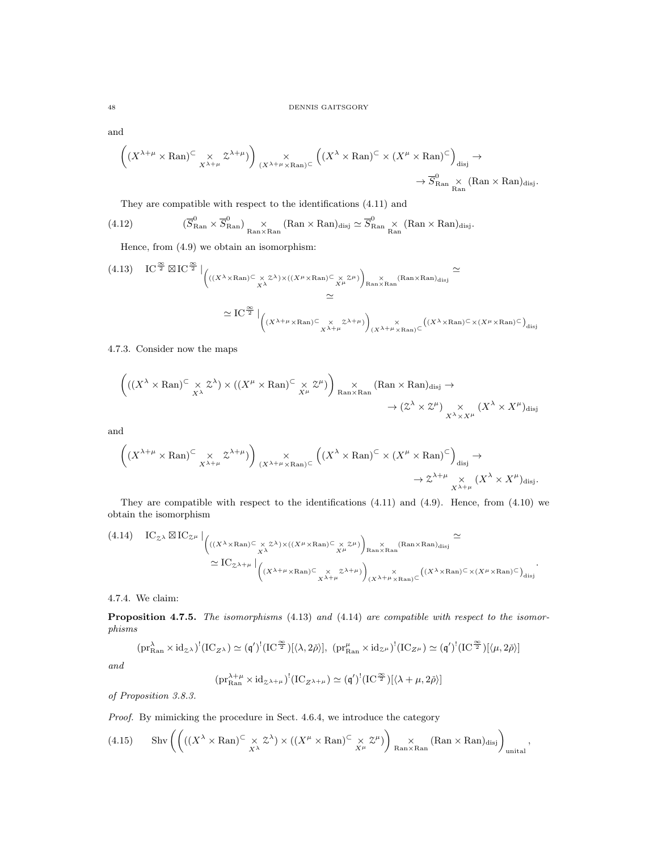and

$$
\left( (X^{\lambda+\mu} \times \mathrm{Ran})^{\subset} \underset{X^{\lambda+\mu}}{\times} \mathcal{Z}^{\lambda+\mu}) \right) \underset{(X^{\lambda+\mu} \times \mathrm{Ran})^{\subset}}{\times} \left( (X^{\lambda} \times \mathrm{Ran})^{\subset} \times (X^{\mu} \times \mathrm{Ran})^{\subset} \right)_{\text{disj}} \to
$$
  

$$
\rightarrow \overline{S}_{\mathrm{Ran}}^0 \underset{\mathrm{Ran}}{\times} (\mathrm{Ran} \times \mathrm{Ran})_{\text{disj}}.
$$

They are compatible with respect to the identifications (4.11) and

$$
(4.12) \qquad \qquad (\overline{S}_{\mathrm{Ran}}^{0}\times\overline{S}_{\mathrm{Ran}}^{0})\underset{\mathrm{Ran}\times\mathrm{Ran}}{\times}(\mathrm{Ran}\times\mathrm{Ran})_{\mathrm{disj}}\simeq\overline{S}_{\mathrm{Ran}}^{0}\underset{\mathrm{Ran}}{\times}(\mathrm{Ran}\times\mathrm{Ran})_{\mathrm{disj}}.
$$

Hence, from (4.9) we obtain an isomorphism:

$$
(4.13) \quad IC^{\frac{\infty}{2}} \boxtimes IC^{\frac{\infty}{2}} \Big|_{\begin{pmatrix} ((X^{\lambda} \times \text{Ran}) \subseteq \underset{X^{\lambda}}{\times} \mathbb{Z}^{\lambda}) \times ((X^{\mu} \times \text{Ran}) \subseteq \underset{X^{\mu}}{\times} \mathbb{Z}^{\mu}) \Big)_{\text{Ran} \times \text{Ran}}} \times (\text{Ran} \times \text{Ran})_{\text{disj}} \cong \\ \cong \\ \mathbb{Z} \end{pmatrix}
$$

$$
\simeq IC^{\frac{\infty}{2}} \Big|_{\begin{pmatrix} (X^{\lambda + \mu} \times \text{Ran}) \subseteq \underset{X^{\lambda + \mu}}{\times} \mathbb{Z}^{\lambda + \mu} \end{pmatrix}_{\begin{subarray}{c} (X^{\lambda} \times \text{Ran}) \subseteq \underset{X^{\mu} \times \text{Ran}}{\times} \mathbb{Z}^{\mu \times \text{Ran}}} ((X^{\lambda} \times \text{Ran}) \subseteq \underset{X^{\mu} \times \text{Ran}}{\times} \mathbb{Z}^{\mu \times \text{Ran}}) \Big|_{\text{disj}} \end{pmatrix}
$$

# 4.7.3. Consider now the maps

$$
\left(((X^{\lambda} \times \mathrm{Ran})^{\subset} \times X^{\lambda}) \times ((X^{\mu} \times \mathrm{Ran})^{\subset} \times X^{\mu})\right) \underset{\mathrm{Ran} \times \mathrm{Ran}}{\times} (\mathrm{Ran} \times \mathrm{Ran})_{\mathrm{disj}} \to
$$
  

$$
\rightarrow (\mathcal{Z}^{\lambda} \times \mathcal{Z}^{\mu}) \underset{X^{\lambda} \times X^{\mu}}{\times} (X^{\lambda} \times X^{\mu})_{\mathrm{disj}}
$$

and

$$
\left( (X^{\lambda+\mu} \times \mathrm{Ran})^{\subset} \underset{X^{\lambda+\mu}}{\times} \mathcal{Z}^{\lambda+\mu}) \right) \underset{(X^{\lambda+\mu} \times \mathrm{Ran})^{\subset}}{\times} \left( (X^{\lambda} \times \mathrm{Ran})^{\subset} \times (X^{\mu} \times \mathrm{Ran})^{\subset} \right)_{\text{disj}} \to
$$
  

$$
\rightarrow \mathcal{Z}^{\lambda+\mu} \underset{X^{\lambda+\mu}}{\times} (X^{\lambda} \times X^{\mu})_{\text{disj}}.
$$

They are compatible with respect to the identifications (4.11) and (4.9). Hence, from (4.10) we obtain the isomorphism

$$
(4.14) \quad IC_{\mathcal{Z}^{\lambda}} \boxtimes IC_{\mathcal{Z}^{\mu}} \Big|_{\begin{pmatrix} ((X^{\lambda} \times \text{Ran}) \subseteq \times \mathcal{Z}^{\lambda}) \times ((X^{\mu} \times \text{Ran}) \subseteq \times \mathcal{Z}^{\mu}) \\ X^{\lambda} \end{pmatrix}_{\text{Ran} \times \text{Ran}} \times (\text{Ran} \times \text{Ran})_{\text{disj}}} \simeq \sum_{\substack{\text{X} \subseteq \mathcal{Z}^{\lambda + \mu} \\ X^{\lambda + \mu} \times \text{Ran} \rangle \subseteq X}} \begin{pmatrix} (X^{\lambda} \times \text{Ran}) \times (X^{\mu} \times \text{Ran}) \subseteq X^{\mu} \\ (X^{\lambda} \times \text{Ran}) \subseteq X^{\mu} \times \text{Ran} \end{pmatrix}_{\text{disj}} \times (\text{Ran} \times \text{Ran}) \times (\text{Ran} \times \text{Ran}) \times \text{Ran} \times \text{Ran} \times \text{Ran} \times \text{Ran} \times \text{Ran} \times \text{Ran} \times \text{Ran} \times \text{Ran} \times \text{Ran} \times \text{Ran} \times \text{Ran} \times \text{Ran} \times \text{Ran} \times \text{Ran} \times \text{Ran} \times \text{Ran} \times \text{Ran} \times \text{Ran} \times \text{Ran} \times \text{Ran} \times \text{Ran} \times \text{Ran} \times \text{Ran} \times \text{Ran} \times \text{Ran} \times \text{Ran} \times \text{Ran} \times \text{Ran} \times \text{Ran} \times \text{Ran} \times \text{Ran} \times \text{Ran} \times \text{Ran} \times \text{Ran} \times \text{Ran} \times \text{Ran} \times \text{Ran} \times \text{Ran} \times \text{Ran} \times \text{Ran} \times \text{Ran} \times \text{Ran} \times \text{Ran} \times \text{Ran} \times \text{Ran} \times \text{Ran} \times \text{Ran} \times \text{Ran} \times \text{Ran} \times \text{Ran} \times \text{Ran} \times \text{Ran} \times \text{Ran} \times \text{Ran} \times \text{R
$$

.

4.7.4. We claim:

Proposition 4.7.5. The isomorphisms (4.13) and (4.14) are compatible with respect to the isomorphisms

$$
(\text{pr}_{\text{Ran}}^{\lambda} \times \text{id}_{\mathcal{Z}^{\lambda}})^{!}(\text{IC}_{Z^{\lambda}}) \simeq (\mathfrak{q}')^{!}(\text{IC}^{\frac{\infty}{2}})[\langle \lambda, 2\check{\rho} \rangle], (\text{pr}_{\text{Ran}}^{\mu} \times \text{id}_{\mathcal{Z}^{\mu}})^{!}(\text{IC}_{Z^{\mu}}) \simeq (\mathfrak{q}')^{!}(\text{IC}^{\frac{\infty}{2}})[\langle \mu, 2\check{\rho} \rangle]
$$

and

$$
(\text{pr}_{\text{Ran}}^{\lambda+\mu} \times \text{id}_{\mathcal{Z}^{\lambda+\mu}})^!(\text{IC}_{Z^{\lambda+\mu}}) \simeq (\mathfrak{q}')^!(\text{IC}^{\frac{\infty}{2}})[\langle \lambda+\mu, 2\check{\rho} \rangle]
$$

of Proposition 3.8.3.

# Proof. By mimicking the procedure in Sect. 4.6.4, we introduce the category

(4.15) Show 
$$
\left( \left( ((X^\lambda \times \mathrm{Ran})^{\subset} \times \mathcal{Z}^\lambda) \times ((X^\mu \times \mathrm{Ran})^{\subset} \times \mathcal{Z}^\mu) \right) \underset{\mathrm{Ran} \times \mathrm{Ran}}{\times} (\mathrm{Ran} \times \mathrm{Ran})_{\mathrm{disj}} \right)_{\mathrm{unital}},
$$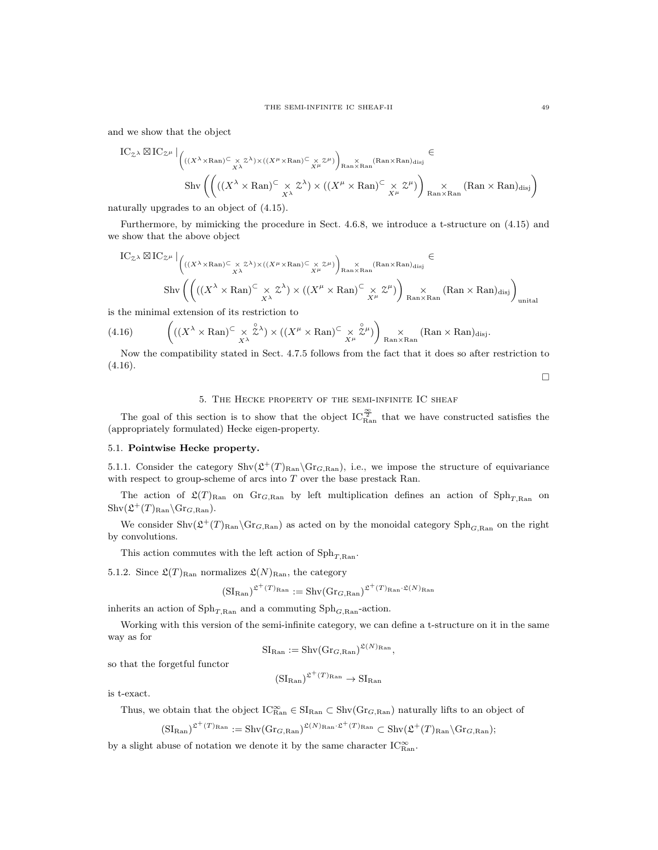and we show that the object

$$
\text{IC}_{\mathcal{Z}^{\lambda}} \boxtimes \text{IC}_{\mathcal{Z}^{\mu}} \Big|_{\left( ((X^{\lambda} \times \text{Ran}) \subseteq \underset{X^{\lambda}}{\times} \mathbb{Z}^{\lambda}) \times ((X^{\mu} \times \text{Ran}) \subseteq \underset{X^{\mu}}{\times} \mathbb{Z}^{\mu}) \right)_{\text{Ran} \times \text{Ran}} (\text{Ran} \times \text{Ran})_{\text{disj}}} \in
$$
  
\n
$$
\text{Shv}\left( \left( ((X^{\lambda} \times \text{Ran}) \subseteq \underset{X^{\lambda}}{\times} \mathbb{Z}^{\lambda}) \times ((X^{\mu} \times \text{Ran}) \subseteq \underset{X^{\mu}}{\times} \mathbb{Z}^{\mu}) \right) \underset{\text{Ran} \times \text{Ran}}{\times} (\text{Ran} \times \text{Ran})_{\text{disj}} \right)
$$

naturally upgrades to an object of (4.15).

Furthermore, by mimicking the procedure in Sect. 4.6.8, we introduce a t-structure on (4.15) and we show that the above object

$$
IC_{\mathbb{Z}^{\lambda}} \boxtimes IC_{\mathbb{Z}^{\mu}} \Big|_{\begin{pmatrix} ((X^{\lambda} \times \text{Ran}) \subseteq \times \mathbb{Z}^{\lambda}) \times ((X^{\mu} \times \text{Ran}) \subseteq \times \mathbb{Z}^{\mu}) \\ X^{\lambda} \end{pmatrix}_{\text{Ran} \times \text{Ran}} (\text{Ran} \times \text{Ran})_{\text{disj}} \in
$$
  
\n
$$
\text{Shv}\left( \begin{pmatrix} ((X^{\lambda} \times \text{Ran}) \subseteq \times \mathbb{Z}^{\lambda}) \times ((X^{\mu} \times \text{Ran}) \subseteq \times \mathbb{Z}^{\mu}) \\ X^{\lambda} \end{pmatrix}_{\text{Ran} \times \text{Ran}} (\text{Ran} \times \text{Ran})_{\text{disj}} \right)_{\text{unital}}
$$

is the minimal extension of its restriction to

(4.16) 
$$
\left(((X^{\lambda} \times \mathrm{Ran})^{\subset} \times \overset{\circ}{\mathcal{Z}}^{\lambda}) \times ((X^{\mu} \times \mathrm{Ran})^{\subset} \times \overset{\circ}{\mathcal{Z}}^{\mu})\right) \underset{\mathrm{Ran} \times \mathrm{Ran}}{\times} (\mathrm{Ran} \times \mathrm{Ran})_{\mathrm{disj}}.
$$

Now the compatibility stated in Sect. 4.7.5 follows from the fact that it does so after restriction to (4.16).

 $\Box$ 

# 5. The Hecke property of the semi-infinite IC sheaf

The goal of this section is to show that the object  $IC_{\text{Ran}}^{\frac{\infty}{2}}$  that we have constructed satisfies the (appropriately formulated) Hecke eigen-property.

# 5.1. Pointwise Hecke property.

5.1.1. Consider the category  $\text{Shv}(\mathfrak{L}^+(T)_{\text{Ran}}\backslash \text{Gr}_{G,\text{Ran}})$ , i.e., we impose the structure of equivariance with respect to group-scheme of arcs into  $T$  over the base prestack Ran.

The action of  $\mathfrak{L}(T)_{\text{Ran}}$  on  $\text{Gr}_{G,\text{Ran}}$  by left multiplication defines an action of  $\text{Sph}_{T,\text{Ran}}$  on  $\mathrm{Shv}(\mathfrak{L}^+(T)_{\mathrm{Ran}}\backslash \mathrm{Gr}_{G,\mathrm{Ran}}).$ 

We consider  $\text{Shv}(\mathfrak{L}^+(T)_{\text{Ran}}\backslash \text{Gr}_{G,\text{Ran}})$  as acted on by the monoidal category  $\text{Sph}_{G,\text{Ran}}$  on the right by convolutions.

This action commutes with the left action of  $Sph_{T, Ran}$ .

5.1.2. Since  $\mathfrak{L}(T)_{\text{Ran}}$  normalizes  $\mathfrak{L}(N)_{\text{Ran}}$ , the category

$$
(\mathrm{SI}_{\mathrm{Ran}})^{\mathfrak{L}^+(T)_{\mathrm{Ran}}} := \mathrm{Shv}(\mathrm{Gr}_{G,\mathrm{Ran}})^{\mathfrak{L}^+(T)_{\mathrm{Ran}}\cdot \mathfrak{L}(N)_{\mathrm{Ran}}}
$$

inherits an action of  $\mathrm{Sph}_{T, \mathrm{Ran}}$  and a commuting  $\mathrm{Sph}_{G, \mathrm{Ran}}$ -action.

Working with this version of the semi-infinite category, we can define a t-structure on it in the same way as for

$$
\mathrm{SI}_{\mathrm{Ran}} := \mathrm{Shv}(\mathrm{Gr}_{G,\mathrm{Ran}})^{\mathfrak{L}(N)_{\mathrm{Ran}}},
$$

so that the forgetful functor

$$
(\mathrm{SI}_{\mathrm{Ran}})^{\mathfrak{L}^+(T)_{\mathrm{Ran}}} \to \mathrm{SI}_{\mathrm{Ran}}
$$

is t-exact.

Thus, we obtain that the object  $IC_{\text{Ran}}^{\infty} \in \text{SI}_{\text{Ran}} \subset \text{Shv}(Gr_{G,\text{Ran}})$  naturally lifts to an object of

$$
(\mathrm{SI}_{\mathrm{Ran}})^{\mathfrak{L}^+(T)_{\mathrm{Ran}}} := \mathrm{Shv}(\mathrm{Gr}_{G,\mathrm{Ran}})^{\mathfrak{L}(N)_{\mathrm{Ran}} \cdot \mathfrak{L}^+(T)_{\mathrm{Ran}}} \subset \mathrm{Shv}(\mathfrak{L}^+(T)_{\mathrm{Ran}} \backslash \mathrm{Gr}_{G,\mathrm{Ran}});
$$

by a slight abuse of notation we denote it by the same character  $\text{IC}^\infty_{\text{Ran}}$ .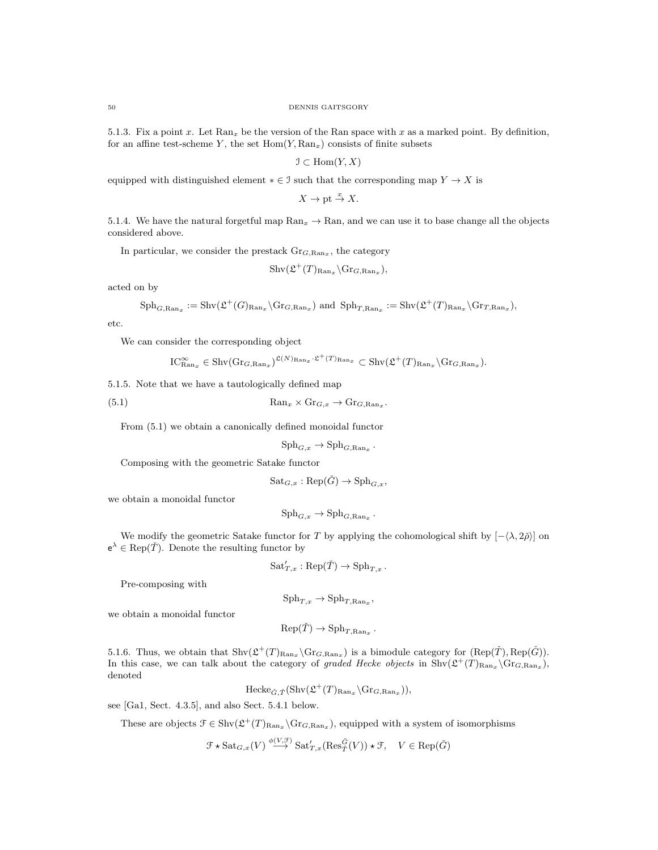5.1.3. Fix a point x. Let  $\text{Ran}_x$  be the version of the Ran space with x as a marked point. By definition, for an affine test-scheme Y, the set  $Hom(Y, Ran_x)$  consists of finite subsets

 $\mathfrak{I} \subset \text{Hom}(Y,X)$ 

equipped with distinguished element  $* \in \mathcal{I}$  such that the corresponding map  $Y \to X$  is

 $X \to \text{pt} \stackrel{x}{\to} X$ .

5.1.4. We have the natural forgetful map  $\text{Ran}_x \to \text{Ran}$ , and we can use it to base change all the objects considered above.

In particular, we consider the prestack  $\text{Gr}_{G, \text{Ran}_x}$ , the category

$$
\mathrm{Shv}(\mathfrak{L}^+(T)_{\mathrm{Ran}_x}\backslash \mathrm{Gr}_{G,\mathrm{Ran}_x}),
$$

acted on by

$$
\mathrm{Sph}_{G,\mathrm{Ran}_x} := \mathrm{Shv}(\mathfrak{L}^+(G)_{\mathrm{Ran}_x}\backslash \mathrm{Gr}_{G,\mathrm{Ran}_x}) \text{ and } \mathrm{Sph}_{T,\mathrm{Ran}_x} := \mathrm{Shv}(\mathfrak{L}^+(T)_{\mathrm{Ran}_x}\backslash \mathrm{Gr}_{T,\mathrm{Ran}_x}),
$$

etc.

We can consider the corresponding object

$$
\mathrm{IC}_{\mathrm{Ran}_x}^{\infty} \in \mathrm{Shv}(\mathrm{Gr}_{G,\mathrm{Ran}_x})^{\mathfrak{L}(N)_{\mathrm{Ran}_x} \cdot \mathfrak{L}^+(T)_{\mathrm{Ran}_x}} \subset \mathrm{Shv}(\mathfrak{L}^+(T)_{\mathrm{Ran}_x} \setminus \mathrm{Gr}_{G,\mathrm{Ran}_x}).
$$

5.1.5. Note that we have a tautologically defined map

(5.1) 
$$
\text{Ran}_x \times \text{Gr}_{G,x} \to \text{Gr}_{G,\text{Ran}_x}.
$$

From (5.1) we obtain a canonically defined monoidal functor

$$
\mathrm{Sph}_{G,x} \to \mathrm{Sph}_{G,\mathrm{Ran}_x}.
$$

Composing with the geometric Satake functor

$$
Sat_{G,x}:Rep(\check{G})\to {\rm Sph}_{G,x},
$$

we obtain a monoidal functor

$$
\mathrm{Sph}_{G,x} \to \mathrm{Sph}_{G,\mathrm{Ran}_x}.
$$

We modify the geometric Satake functor for T by applying the cohomological shift by  $[-\langle \lambda, 2\rangle]$  on  $e^{\lambda} \in \text{Rep}(\check{T})$ . Denote the resulting functor by

$$
Sat'_{T,x}:\text{Rep}(\check{T})\to \text{Sph}_{T,x}.
$$

Pre-composing with

$$
\mathrm{Sph}_{T,x} \to \mathrm{Sph}_{T,\mathrm{Ran}_x},
$$

we obtain a monoidal functor

$$
Rep(\check{T}) \to Sph_{T, Ran_x}.
$$

5.1.6. Thus, we obtain that  $\text{Shv}(\mathcal{L}^+(T)_{\text{Ran}_x} \backslash \text{Gr}_{G,\text{Ran}_x})$  is a bimodule category for  $(\text{Rep}(\check{T}), \text{Rep}(\check{G}))$ . In this case, we can talk about the category of graded Hecke objects in  $\text{Shv}(\mathfrak{L}^+(T)_{\text{Ran}_x}\backslash \text{Gr}_{G,\text{Ran}_x}),$ denoted

$$
\text{Hecke}_{\check{G},\check{T}}(\text{Shv}(\mathfrak{L}^+(T)_{\text{Ran}_x}\backslash \text{Gr}_{G,\text{Ran}_x})),
$$

see [Ga1, Sect. 4.3.5], and also Sect. 5.4.1 below.

These are objects  $\mathcal{F} \in \text{Shv}(\mathfrak{L}^+(T)_{\text{Ran}_x} \backslash \text{Gr}_{G,\text{Ran}_x})$ , equipped with a system of isomorphisms

 $\mathcal{F} \star \mathrm{Sat}_{G,x}(V) \stackrel{\phi(V,\mathcal{F})}{\longrightarrow} \mathrm{Sat}'_{T,x}(\mathrm{Res}_{\tilde{T}}^{\tilde{G}}(V)) \star \mathcal{F}, \quad V \in \mathrm{Rep}(\tilde{G})$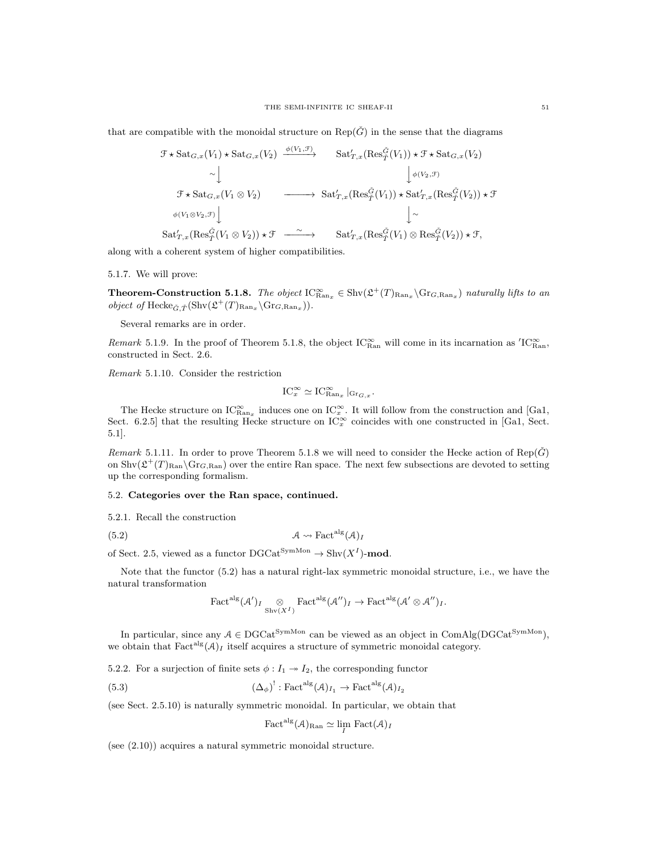that are compatible with the monoidal structure on  $\text{Rep}(\tilde{G})$  in the sense that the diagrams

$$
\mathcal{F} \star \operatorname{Sat}_{G,x}(V_1) \star \operatorname{Sat}_{G,x}(V_2) \xrightarrow{\phi(V_1, \mathcal{F})} \operatorname{Sat}_{T,x}(\operatorname{Res}_{T}^{\tilde{G}}(V_1)) \star \mathcal{F} \star \operatorname{Sat}_{G,x}(V_2)
$$
  
\n
$$
\sim \downarrow \qquad \qquad \downarrow \phi(V_2, \mathcal{F})
$$
  
\n
$$
\mathcal{F} \star \operatorname{Sat}_{G,x}(V_1 \otimes V_2) \xrightarrow{\qquad \qquad } \operatorname{Sat}_{T,x}'(\operatorname{Res}_{T}^{\tilde{G}}(V_1)) \star \operatorname{Sat}_{T,x}'(\operatorname{Res}_{T}^{\tilde{G}}(V_2)) \star \mathcal{F}
$$
  
\n
$$
\phi(V_1 \otimes V_2, \mathcal{F}) \downarrow \qquad \qquad \downarrow \sim
$$
  
\n
$$
\operatorname{Sat}_{T,x}'(\operatorname{Res}_{T}^{\tilde{G}}(V_1 \otimes V_2)) \star \mathcal{F} \xrightarrow{\qquad \qquad } \operatorname{Sat}_{T,x}'(\operatorname{Res}_{T}^{\tilde{G}}(V_1) \otimes \operatorname{Res}_{T}^{\tilde{G}}(V_2)) \star \mathcal{F},
$$

along with a coherent system of higher compatibilities.

5.1.7. We will prove:

**Theorem-Construction 5.1.8.** The object  $IC_{\text{Ran}_x}^{\infty} \in \text{Shv}(\mathfrak{L}^+(T)_{\text{Ran}_x} \backslash \text{Gr}_{G,\text{Ran}_x})$  naturally lifts to an object of  $\text{Hecke}_{\check{G},\check{T}}(\text{Shv}(\mathfrak{L}^+(T)_{\text{Ran}_x}\backslash \text{Gr}_{G,\text{Ran}_x})).$ 

Several remarks are in order.

Remark 5.1.9. In the proof of Theorem 5.1.8, the object IC<sup>∞</sup><sub>Ran</sub> will come in its incarnation as  ${}^{\prime}$ IC<sub>Ran</sub>, constructed in Sect. 2.6.

Remark 5.1.10. Consider the restriction

$$
IC_x^{\infty} \simeq IC_{\text{Ran}_x}^{\infty} |_{\text{Gr}_{G,x}}.
$$

The Hecke structure on  $IC^{\infty}_{\text{Ran}_x}$  induces one on  $IC^{\infty}_x$ . It will follow from the construction and [Ga1, Sect. 6.2.5] that the resulting Hecke structure on  $\mathrm{IC}_x^{\infty}$  coincides with one constructed in [Ga1, Sect. 5.1].

Remark 5.1.11. In order to prove Theorem 5.1.8 we will need to consider the Hecke action of  $\text{Rep}(\dot{G})$ on  $\text{Shv}(\mathcal{L}^+(T)_{\text{Ran}}\backslash \text{Gr}_{G,\text{Ran}})$  over the entire Ran space. The next few subsections are devoted to setting up the corresponding formalism.

#### 5.2. Categories over the Ran space, continued.

5.2.1. Recall the construction

$$
(5.2) \t\t \mathcal{A} \rightsquigarrow \text{Fact}^{\text{alg}}(\mathcal{A})_I
$$

of Sect. 2.5, viewed as a functor  $DGCat^{SymMon} \rightarrow Shv(X^I)$ -mod.

Note that the functor (5.2) has a natural right-lax symmetric monoidal structure, i.e., we have the natural transformation

$$
\text{Fact}^{\text{alg}}(\mathcal{A}')_I \underset{\text{Shv}(X^I)}{\otimes} \text{Fact}^{\text{alg}}(\mathcal{A}'')_I \to \text{Fact}^{\text{alg}}(\mathcal{A}' \otimes \mathcal{A}'')_I.
$$

In particular, since any  $A \in DGCat^{SymMon}$  can be viewed as an object in  $ComAlg(DGCat^{SymMon})$ , we obtain that  $Facting(\mathcal{A})_I$  itself acquires a structure of symmetric monoidal category.

5.2.2. For a surjection of finite sets  $\phi: I_1 \rightarrow I_2$ , the corresponding functor

(5.3) 
$$
(\Delta_{\phi})^!: \text{Fact}^{\text{alg}}(\mathcal{A})_{I_1} \to \text{Fact}^{\text{alg}}(\mathcal{A})_{I_2}
$$

(see Sect. 2.5.10) is naturally symmetric monoidal. In particular, we obtain that

$$
\text{Fact}^{\text{alg}}(\mathcal{A})_{\text{Ran}} \simeq \lim_{I} \text{Fact}(\mathcal{A})_{I}
$$

(see (2.10)) acquires a natural symmetric monoidal structure.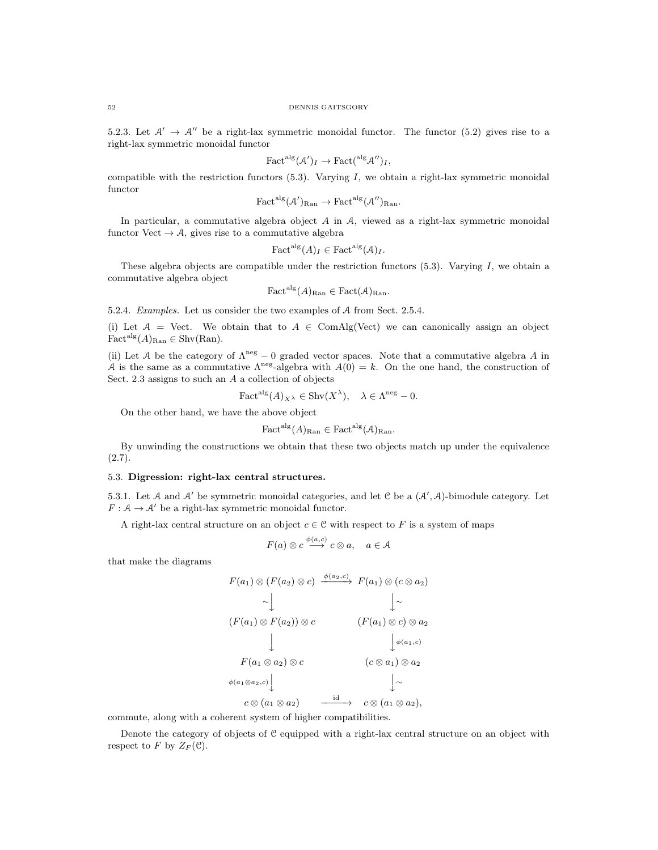5.2.3. Let  $\mathcal{A}' \to \mathcal{A}''$  be a right-lax symmetric monoidal functor. The functor (5.2) gives rise to a right-lax symmetric monoidal functor

$$
\text{Fact}^{\text{alg}}(\mathcal{A}')_I \to \text{Fact}^{\text{alg}}(\mathcal{A}'')_I,
$$

compatible with the restriction functors  $(5.3)$ . Varying I, we obtain a right-lax symmetric monoidal functor

$$
\text{Fact}^{\text{alg}}(\mathcal{A}')_{\text{Ran}} \to \text{Fact}^{\text{alg}}(\mathcal{A}'')_{\text{Ran}}.
$$

In particular, a commutative algebra object A in A, viewed as a right-lax symmetric monoidal functor Vect  $\rightarrow \mathcal{A}$ , gives rise to a commutative algebra

$$
\text{Fact}^{\text{alg}}(A)_I \in \text{Fact}^{\text{alg}}(\mathcal{A})_I.
$$

These algebra objects are compatible under the restriction functors  $(5.3)$ . Varying I, we obtain a commutative algebra object

$$
Factalg(A)Ran \in Fact(A)Ran.
$$

5.2.4. Examples. Let us consider the two examples of A from Sect. 2.5.4.

(i) Let  $A =$  Vect. We obtain that to  $A \in \text{ComAlg}(\text{Vect})$  we can canonically assign an object  $Fact<sup>alg</sup>(A)<sub>Ran</sub> \in Shv(Ran).$ 

(ii) Let A be the category of  $\Lambda^{neg} - 0$  graded vector spaces. Note that a commutative algebra A in A is the same as a commutative  $\Lambda^{neg}$ -algebra with  $A(0) = k$ . On the one hand, the construction of Sect. 2.3 assigns to such an A a collection of objects

$$
\text{Fact}^{\text{alg}}(A)_{X^{\lambda}} \in \text{Shv}(X^{\lambda}), \quad \lambda \in \Lambda^{\text{neg}} - 0.
$$

On the other hand, we have the above object

$$
\text{Fact}^{\text{alg}}(A)_{\text{Ran}} \in \text{Fact}^{\text{alg}}(\mathcal{A})_{\text{Ran}}.
$$

By unwinding the constructions we obtain that these two objects match up under the equivalence  $(2.7).$ 

## 5.3. Digression: right-lax central structures.

5.3.1. Let A and A' be symmetric monoidal categories, and let C be a  $(A', A)$ -bimodule category. Let  $F : A \to A'$  be a right-lax symmetric monoidal functor.

A right-lax central structure on an object  $c \in \mathcal{C}$  with respect to F is a system of maps

$$
F(a) \otimes c \stackrel{\phi(a,c)}{\longrightarrow} c \otimes a, \quad a \in \mathcal{A}
$$

that make the diagrams

$$
F(a_1) \otimes (F(a_2) \otimes c) \xrightarrow{\phi(a_2,c)} F(a_1) \otimes (c \otimes a_2)
$$
  
\n
$$
\sim \downarrow \qquad \qquad \downarrow \sim
$$
  
\n
$$
(F(a_1) \otimes F(a_2)) \otimes c \qquad (F(a_1) \otimes c) \otimes a_2
$$
  
\n
$$
\downarrow \qquad \qquad \downarrow \phi(a_1,c)
$$
  
\n
$$
F(a_1 \otimes a_2) \otimes c \qquad (c \otimes a_1) \otimes a_2
$$
  
\n
$$
\phi(a_1 \otimes a_2,c) \qquad \qquad \downarrow \sim
$$
  
\n
$$
c \otimes (a_1 \otimes a_2) \qquad \xrightarrow{\text{id}} \qquad c \otimes (a_1 \otimes a_2),
$$

commute, along with a coherent system of higher compatibilities.

Denote the category of objects of C equipped with a right-lax central structure on an object with respect to F by  $Z_F(\mathcal{C})$ .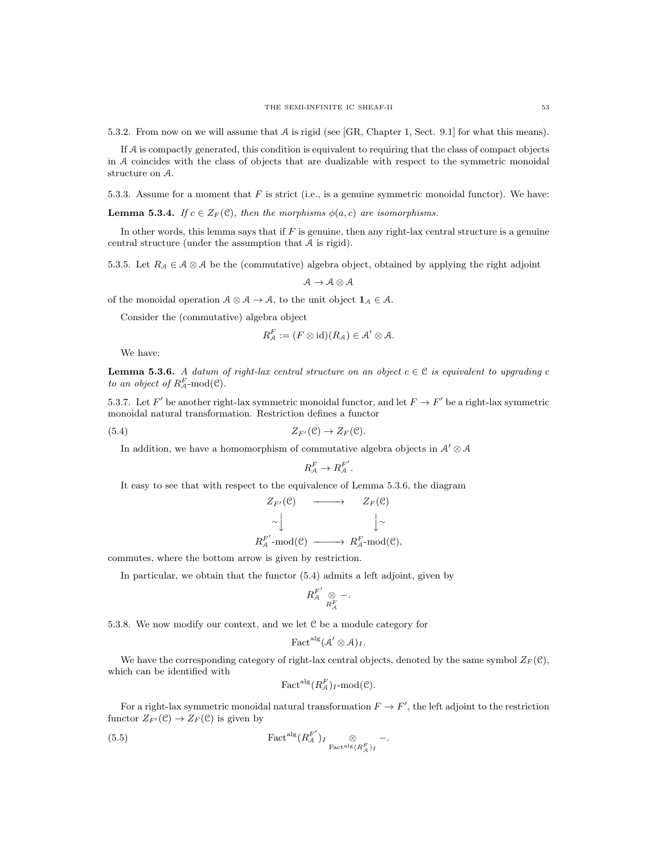5.3.2. From now on we will assume that A is rigid (see [GR, Chapter 1, Sect. 9.1] for what this means).

If A is compactly generated, this condition is equivalent to requiring that the class of compact objects in A coincides with the class of objects that are dualizable with respect to the symmetric monoidal structure on A.

5.3.3. Assume for a moment that  $F$  is strict (i.e., is a genuine symmetric monoidal functor). We have:

**Lemma 5.3.4.** If  $c \in Z_F(\mathcal{C})$ , then the morphisms  $\phi(a, c)$  are isomorphisms.

In other words, this lemma says that if  $F$  is genuine, then any right-lax central structure is a genuine central structure (under the assumption that A is rigid).

5.3.5. Let  $R_A \in \mathcal{A} \otimes \mathcal{A}$  be the (commutative) algebra object, obtained by applying the right adjoint

$$
\mathcal{A} \to \mathcal{A} \otimes \mathcal{A}
$$

of the monoidal operation  $A \otimes A \rightarrow A$ , to the unit object  $\mathbf{1}_{A} \in A$ .

Consider the (commutative) algebra object

$$
R_{\mathcal{A}}^F := (F \otimes id)(R_{\mathcal{A}}) \in \mathcal{A}' \otimes \mathcal{A}.
$$

We have:

**Lemma 5.3.6.** A datum of right-lax central structure on an object  $c \in \mathcal{C}$  is equivalent to upgrading c to an object of  $R_{\mathcal{A}}^F$ -mod $(\mathcal{C})$ .

5.3.7. Let F' be another right-lax symmetric monoidal functor, and let  $F \to F'$  be a right-lax symmetric monoidal natural transformation. Restriction defines a functor

(5.4) 
$$
Z_{F'}(\mathcal{C}) \to Z_F(\mathcal{C}).
$$

In addition, we have a homomorphism of commutative algebra objects in  $\mathcal{A}' \otimes \mathcal{A}$ 

$$
R_{\mathcal{A}}^{F} \to R_{\mathcal{A}}^{F'}.
$$

It easy to see that with respect to the equivalence of Lemma 5.3.6, the diagram

$$
Z_{F'}(\mathcal{C}) \longrightarrow Z_F(\mathcal{C})
$$
  
\n
$$
\sim \downarrow \qquad \qquad \downarrow \sim
$$
  
\n
$$
R_A^{F'}\text{-mod}(\mathcal{C}) \longrightarrow R_A^{F}\text{-mod}(\mathcal{C}),
$$

commutes, where the bottom arrow is given by restriction.

In particular, we obtain that the functor (5.4) admits a left adjoint, given by

$$
R_{\mathcal{A}}^{F'} \underset{R_{\mathcal{A}}^F}{\otimes} -.
$$

5.3.8. We now modify our context, and we let C be a module category for

$$
\mathrm{Fact}^{\mathrm{alg}}(\mathcal{A}' \otimes \mathcal{A})_{I}.
$$

We have the corresponding category of right-lax central objects, denoted by the same symbol  $Z_F(\mathcal{C}),$ which can be identified with

Fact<sup>alg</sup>
$$
(R_{\mathcal{A}}^F)_{I}
$$
-mod $(\mathcal{C})$ .

For a right-lax symmetric monoidal natural transformation  $F \to F'$ , the left adjoint to the restriction functor  $Z_{F'}(\mathcal{C}) \to Z_F(\mathcal{C})$  is given by

(5.5) 
$$
\qquad \qquad \text{Factalg}(R_{\mathcal{A}}^{F'})_{I} \underset{\text{Factalg } (R_{\mathcal{A}}^{F})_{I}}{\otimes} -.
$$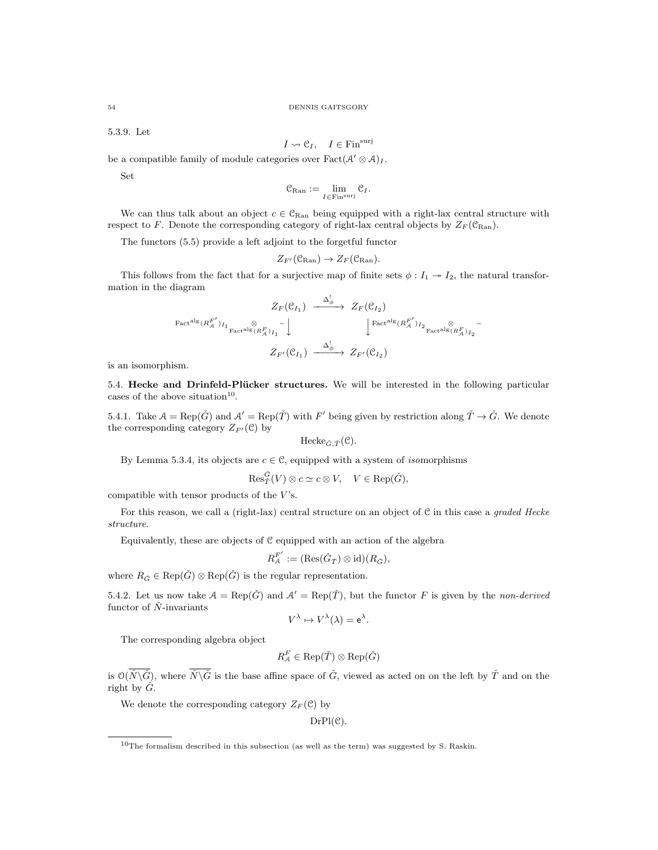5.3.9. Let

$$
I \leadsto \mathcal{C}_I, \quad I \in \text{Fin}^{\text{surj}}
$$

be a compatible family of module categories over  $Fact(\mathcal{A}' \otimes \mathcal{A})_I$ .

Set

$$
\mathcal{C}_{\mathrm{Ran}} := \lim_{I \in \mathrm{Fin}^{\mathrm{surj}}} \mathcal{C}_I.
$$

We can thus talk about an object  $c \in \mathcal{C}_{\text{Ran}}$  being equipped with a right-lax central structure with respect to F. Denote the corresponding category of right-lax central objects by  $Z_F(\mathcal{C}_{\text{Ran}})$ .

The functors (5.5) provide a left adjoint to the forgetful functor

$$
Z_{F'}(\mathcal{C}_{\mathrm{Ran}}) \to Z_F(\mathcal{C}_{\mathrm{Ran}}).
$$

This follows from the fact that for a surjective map of finite sets  $\phi: I_1 \rightarrow I_2$ , the natural transformation in the diagram

$$
\begin{array}{ccc}\nZ_F(\mathcal{C}_{I_1}) & \xrightarrow{\Delta_{\phi}^!} & Z_F(\mathcal{C}_{I_2}) \\
\downarrow^{\text{Factalg}}(R_A^{F'})_{I_1} & \otimes & \downarrow^{\text{Factalg}}(R_A^{F'})_{I_2} \\
 & & \downarrow^{\text{Factalg}}(R_A^{F'})_{I_1} \xrightarrow{\otimes} & \downarrow^{\text{Factalg}}(R_A^{F'})_{I_2} \\
 & & Z_{F'}(\mathcal{C}_{I_1}) & \xrightarrow{\Delta_{\phi}^!} & Z_{F'}(\mathcal{C}_{I_2})\n\end{array}
$$

is an isomorphism.

5.4. Hecke and Drinfeld-Plücker structures. We will be interested in the following particular cases of the above situation<sup>10</sup>.

5.4.1. Take  $A = \text{Rep}(\check{G})$  and  $A' = \text{Rep}(\check{T})$  with F' being given by restriction along  $\check{T} \to \check{G}$ . We denote the corresponding category  $Z_{F'}(\mathcal{C})$  by

$$
\text{Hecke}_{\check{G},\check{T}}(\mathcal{C}).
$$

By Lemma 5.3.4, its objects are  $c \in \mathcal{C}$ , equipped with a system of *isomorphisms* 

$$
\mathrm{Res}_{\check{T}}^{\check{G}}(V)\otimes c\simeq c\otimes V, \quad V\in \mathrm{Rep}(\check{G}),
$$

compatible with tensor products of the  $V$ 's.

For this reason, we call a (right-lax) central structure on an object of C in this case a graded Hecke structure.

Equivalently, these are objects of C equipped with an action of the algebra

$$
R_{\mathcal{A}}^{F'} := (\text{Res}(\check{G}_{\check{T}}) \otimes \text{id})(R_{\check{G}}),
$$

where  $R_{\check{G}} \in \text{Rep}(\check{G}) \otimes \text{Rep}(\check{G})$  is the regular representation.

5.4.2. Let us now take  $A = \text{Rep}(\check{G})$  and  $A' = \text{Rep}(\check{T})$ , but the functor F is given by the non-derived functor of  $\check{N}$ -invariants

$$
V^{\lambda} \mapsto V^{\lambda}(\lambda) = e^{\lambda}.
$$

The corresponding algebra object

 $R_{\mathcal{A}}^{F} \in \operatorname{Rep}(\check{T}) \otimes \operatorname{Rep}(\check{G})$ 

is  $\mathcal{O}(\overline{N}\backslash\overline{G})$ , where  $\overline{N}\backslash\overline{G}$  is the base affine space of  $\check{G}$ , viewed as acted on on the left by  $\check{T}$  and on the right by  $\check{G}$ .

We denote the corresponding category  $Z_F(\mathcal{C})$  by

 $DrPl(\mathcal{C})$ .

<sup>&</sup>lt;sup>10</sup>The formalism described in this subsection (as well as the term) was suggested by S. Raskin.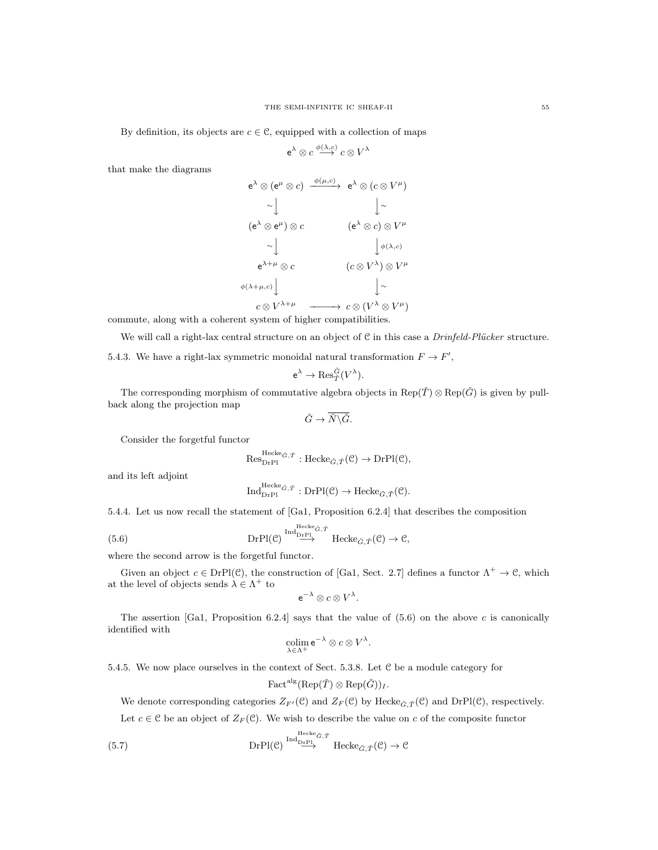By definition, its objects are  $c \in \mathcal{C}$ , equipped with a collection of maps

$$
\mathsf{e}^{\lambda} \otimes c \stackrel{\phi(\lambda, c)}{\longrightarrow} c \otimes V^{\lambda}
$$

that make the diagrams

$$
e^{\lambda} \otimes (e^{\mu} \otimes c) \xrightarrow{\phi(\mu, c)} e^{\lambda} \otimes (c \otimes V^{\mu})
$$
  
\sim 
$$
\downarrow \sim
$$
  
\n
$$
(e^{\lambda} \otimes e^{\mu}) \otimes c \qquad (e^{\lambda} \otimes c) \otimes V^{\mu}
$$
  
\sim 
$$
\downarrow \qquad \qquad \downarrow \phi(\lambda, c)
$$
  
\n
$$
e^{\lambda + \mu} \otimes c \qquad (c \otimes V^{\lambda}) \otimes V^{\mu}
$$
  
\n
$$
\phi(\lambda + \mu, c) \downarrow \qquad \qquad \downarrow \sim
$$
  
\n
$$
c \otimes V^{\lambda + \mu} \qquad \qquad \downarrow \sim
$$
  
\n
$$
c \otimes (V^{\lambda} \otimes V^{\mu})
$$

commute, along with a coherent system of higher compatibilities.

We will call a right-lax central structure on an object of  $C$  in this case a *Drinfeld-Plücker* structure.

5.4.3. We have a right-lax symmetric monoidal natural transformation  $F \to F'$ ,

$$
\mathrm{e}^{\lambda}\rightarrow \mathrm{Res}_{\check T}^{\check G}(V^{\lambda}).
$$

The corresponding morphism of commutative algebra objects in Rep( $\check{T}$ ) ⊗ Rep( $\check{G}$ ) is given by pullback along the projection map

$$
\check{G}\to \overline{\check{N}\backslash \check{G}}.
$$

Consider the forgetful functor

$$
\mathrm{Res}_{\mathrm{DrPl}}^{\mathrm{Hecke}_{\check{G},\check{T}}}:\mathrm{Hecke}_{\check{G},\check{T}}(\mathcal{C})\to\mathrm{DrPl}(\mathcal{C}),
$$

and its left adjoint

$$
\text{Ind}_{\text{DrPl}}^{\text{Hecke}_{\check{G},\check{T}}}: \text{DrPl}(\mathcal{C}) \to \text{Hecke}_{\check{G},\check{T}}(\mathcal{C}).
$$

5.4.4. Let us now recall the statement of [Ga1, Proposition 6.2.4] that describes the composition

(5.6) 
$$
\text{DrPl}(\mathcal{C}) \stackrel{\text{Hed}_{{\rm DrPl}}}{\longrightarrow} \text{Hecke}_{\check{G},\check{T}}(\mathcal{C}) \to \mathcal{C},
$$

where the second arrow is the forgetful functor.

Given an object  $c \in DrP1(\mathcal{C})$ , the construction of [Ga1, Sect. 2.7] defines a functor  $\Lambda^+ \to \mathcal{C}$ , which at the level of objects sends  $\lambda \in \Lambda^+$  to

$$
e^{-\lambda} \otimes c \otimes V^{\lambda}.
$$

The assertion  $[Ga1,$  Proposition 6.2.4 says that the value of  $(5.6)$  on the above c is canonically identified with

$$
\operatornamewithlimits{colim}_{\lambda\in\Lambda^+}\mathsf{e}^{-\lambda}\otimes c\otimes V^\lambda.
$$

5.4.5. We now place ourselves in the context of Sect. 5.3.8. Let C be a module category for

$$
\text{Fact}^{\text{alg}}(\text{Rep}(\check{\mathcal{I}}) \otimes \text{Rep}(\check{G}))_{I}.
$$

We denote corresponding categories  $Z_{F'}(\mathcal{C})$  and  $Z_F(\mathcal{C})$  by Hecke $_{\tilde{G}, \tilde{T}}(\mathcal{C})$  and DrPl( $\mathcal{C}$ ), respectively.

Let  $c \in \mathcal{C}$  be an object of  $Z_F(\mathcal{C})$ . We wish to describe the value on c of the composite functor

(5.7) 
$$
\text{DrPl}(\mathcal{C}) \overset{\text{Hed}_{{\rm D}\text{-}{\rm P}\text{-}{\rm P}}}{\text{D}{\rm rPl}(\mathcal{C})}^{\text{Hed}_{{\rm D}\text{-}{\rm P}\text{-}{\rm P}}}\text{Hecke}_{\tilde{G},\tilde{T}}(\mathcal{C}) \to \mathcal{C}
$$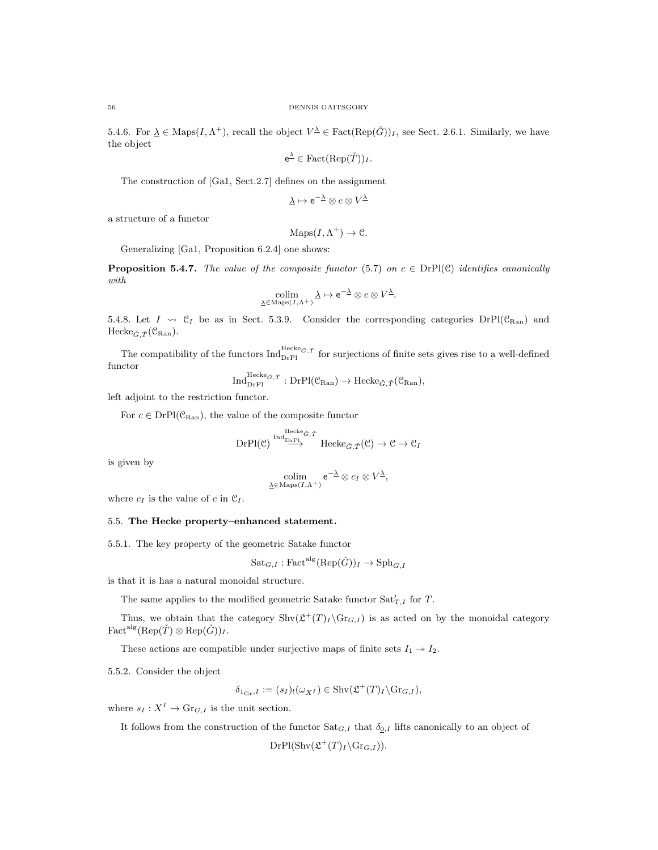5.4.6. For  $\underline{\lambda} \in \text{Maps}(I, \Lambda^+)$ , recall the object  $V^{\underline{\lambda}} \in \text{Fact}(\text{Rep}(\check{G}))_I$ , see Sect. 2.6.1. Similarly, we have the object

$$
e^{\underline{\lambda}} \in \text{Fact}(\text{Rep}(\check{T}))_I.
$$

The construction of [Ga1, Sect.2.7] defines on the assignment

$$
\underline{\lambda} \mapsto \mathrm{e}^{-\underline{\lambda}} \otimes c \otimes V^{\underline{\lambda}}
$$

a structure of a functor

 $\text{Maps}(I, \Lambda^+) \to \mathcal{C}.$ 

Generalizing [Ga1, Proposition 6.2.4] one shows:

**Proposition 5.4.7.** The value of the composite functor (5.7) on  $c \in \text{DrPl}(\mathcal{C})$  identifies canonically with

$$
\underset{\underline{\lambda} \in \mathrm{Maps}(I,\Lambda^{+})}{\text{colim}} \underline{\lambda} \mapsto e^{-\underline{\lambda}} \otimes c \otimes V^{\underline{\lambda}}.
$$

5.4.8. Let  $I \leadsto \mathfrak{C}_I$  be as in Sect. 5.3.9. Consider the corresponding categories  $DrP(C_{\text{Ran}})$  and Hecke $_{\check{G}, \check{T}}(\mathcal{C}_{\mathrm{Ran}})$ .

The compatibility of the functors  $Ind_{DrP1}^{Hecke\check{c},\check{\tau}}$  for surjections of finite sets gives rise to a well-defined functor

$$
\mathrm{Ind}_{\mathrm{DrPl}}^{\mathrm{Hecke}_{\check{G},\check{T}}}:\mathrm{DrPl}(\mathfrak{C}_{\mathrm{Ran}})\rightarrow\mathrm{Hecke}_{\check{G},\check{T}}(\mathfrak{C}_{\mathrm{Ran}}),
$$

left adjoint to the restriction functor.

For  $c \in DrP( $\mathcal{C}_{\text{Ran}}$ ), the value of the composite functor$ 

$$
\mathrm{DrPl}(\mathcal{C}) \overset{\mathrm{Ind}_{\mathrm{DrPl}_{\check{G}},\check{T}}}{\longrightarrow} \mathrm{Hecke}_{\check{G},\check{T}}(\mathcal{C}) \to \mathcal{C} \to \mathcal{C}_I
$$

is given by

$$
\underset{\underline{\lambda}\in\operatorname{Maps}(I,\Lambda^{+})}{\operatorname{colim}}\,\mathrm{e}^{-\underline{\lambda}}\otimes c_{I}\otimes V^{\underline{\lambda}},
$$

where  $c_I$  is the value of c in  $\mathfrak{C}_I$ .

#### 5.5. The Hecke property–enhanced statement.

5.5.1. The key property of the geometric Satake functor

$$
\mathrm{Sat}_{G,I}:\mathrm{Fact}^{\mathrm{alg}}(\mathrm{Rep}(\check{G}))_{I}\to \mathrm{Sph}_{G,I}
$$

is that it is has a natural monoidal structure.

The same applies to the modified geometric Satake functor  $\text{Sat}'_{T,I}$  for T.

Thus, we obtain that the category  $\text{Shv}(\mathcal{L}^+(T)_I \backslash \text{Gr}_{G,I})$  is as acted on by the monoidal category  $Fact<sup>alg</sup>(Rep( $\check{T}$ )  $\otimes$  Rep( $\check{G}$ ))<sub>I</sub>.$ 

These actions are compatible under surjective maps of finite sets  $I_1 \rightarrow I_2$ .

5.5.2. Consider the object

$$
\delta_{1_{\mathrm{Gr}},I} := (s_I)_! (\omega_{X^I}) \in \mathrm{Shv}(\mathfrak{L}^+(T)_I \backslash \mathrm{Gr}_{G,I}),
$$

where  $s_I : X^I \to \mathrm{Gr}_{G,I}$  is the unit section.

It follows from the construction of the functor  $\text{Sat}_{G,I}$  that  $\delta_{0,I}$  lifts canonically to an object of

 $DrPl(Shv(\mathfrak{L}^+(T)_I \backslash \mathrm{Gr}_{G,I})).$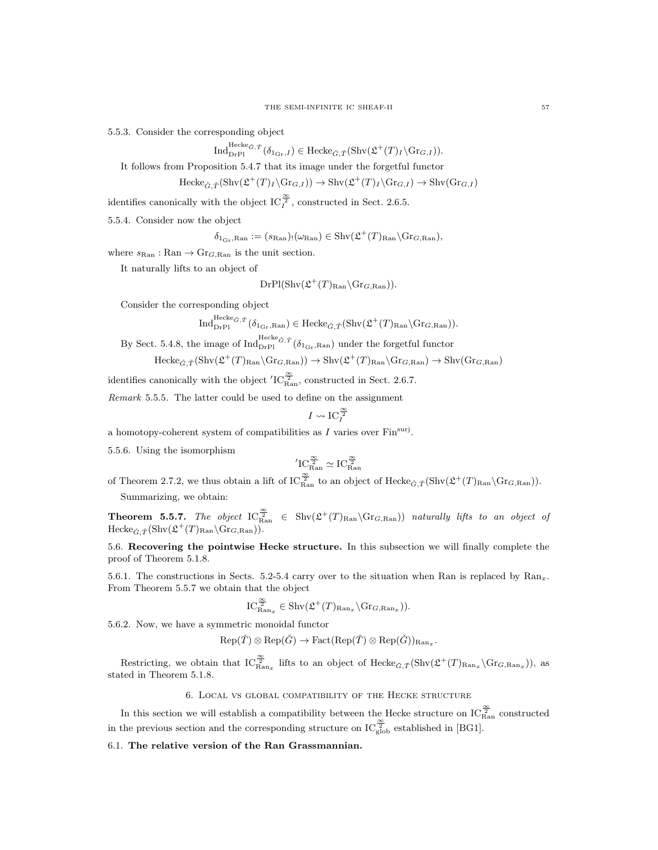5.5.3. Consider the corresponding object

$$
\text{Ind}_{\text{DrPl}}^{\text{Hecke}_{\check{G},\check{T}}}\left(\delta_{1_{\text{Gr}},I}\right) \in \text{Hecke}_{\check{G},\check{T}}(\text{Shv}(\mathfrak{L}^+(T)_I \backslash \text{Gr}_{G,I})).
$$

It follows from Proposition 5.4.7 that its image under the forgetful functor

$$
\text{Hecke}_{\check{G},\check{T}}(\text{Shv}(\mathfrak{L}^+(T)_I\backslash\text{Gr}_{G,I}))\to \text{Shv}(\mathfrak{L}^+(T)_I\backslash\text{Gr}_{G,I})\to \text{Shv}(\text{Gr}_{G,I})
$$

identifies canonically with the object  $\text{IC}_{I}^{\frac{\infty}{2}}$ , constructed in Sect. 2.6.5.

5.5.4. Consider now the object

 $\delta_{1_{\text{Gr}},\text{Ran}} := (s_{\text{Ran}})_{!}(\omega_{\text{Ran}}) \in \text{Shv}(\mathfrak{L}^+(T)_{\text{Ran}} \backslash \text{Gr}_{G,\text{Ran}}),$ 

where  $s_{\text{Ran}} : \text{Ran} \to \text{Gr}_{G,\text{Ran}}$  is the unit section.

It naturally lifts to an object of

$$
DrPl(Shv(\mathfrak{L}^+(T)_{\text{Ran}}\backslash \text{Gr}_{G,\text{Ran}})).
$$

Consider the corresponding object

$$
\operatorname{Ind}_{\operatorname{Dr} \operatorname{Pl}}^{\operatorname{Hecke}_{\check{G},\check{T}}}\left( \delta_{1_{\operatorname{Gr}},\operatorname{Ran}} \right) \in \operatorname{Hecke}_{\check{G},\check{T}}(\operatorname{Shv}(\mathfrak{L}^+(T)_{\operatorname{Ran}} \backslash \operatorname{Gr}_{G,\operatorname{Ran}})).
$$

By Sect. 5.4.8, the image of  $\text{Ind}_{\text{DrPI}}^{\text{Hecke}_{\tilde{G},\tilde{T}}}(\delta_{1_{\text{Gr}},\text{Ran}})$  under the forgetful functor

$$
\mathrm{Hecke}_{\check{G},\check{T}}(\mathrm{Shv}(\mathfrak{L}^+(T)_{\mathrm{Ran}}\backslash \mathrm{Gr}_{G,\mathrm{Ran}}))\rightarrow \mathrm{Shv}(\mathfrak{L}^+(T)_{\mathrm{Ran}}\backslash \mathrm{Gr}_{G,\mathrm{Ran}})\rightarrow \mathrm{Shv}(\mathrm{Gr}_{G,\mathrm{Ran}})
$$

identifies canonically with the object  $'IC_{\text{Ran}}^{\frac{\infty}{2}}$ , constructed in Sect. 2.6.7.

Remark 5.5.5. The latter could be used to define on the assignment

$$
I\leadsto \operatorname{IC}_I^{\frac{\infty}{2}}
$$

a homotopy-coherent system of compatibilities as  $I$  varies over  $\text{Fin}^{\text{surj}}$ .

5.5.6. Using the isomorphism

$$
{}^{\prime}IC_{\rm Ran}^{\frac{\infty}{2}}\simeq IC_{\rm Ran}^{\frac{\infty}{2}}
$$

of Theorem 2.7.2, we thus obtain a lift of  $IC_{\text{Ran}}^{\frac{\infty}{2}}$  to an object of  $\text{Hecke}_{\tilde{G},\tilde{T}}(\text{Shv}(\mathfrak{L}^+(T)_{\text{Ran}}\backslash \text{Gr}_{G,\text{Ran}})).$ Summarizing, we obtain:

**Theorem 5.5.7.** The object  $IC_{\text{Ran}}^{\frac{\infty}{2}} \in Shv(\mathcal{L}^+(T)_{\text{Ran}}\backslash \text{Gr}_{G,\text{Ran}}))$  naturally lifts to an object of  $\mathrm{Hecke}_{\check{G}, \check{T}}(\mathrm{Shv}(\mathfrak{L}^+(T)_{\mathrm{Ran}}\backslash \mathrm{Gr}_{G,\mathrm{Ran}})).$ 

5.6. Recovering the pointwise Hecke structure. In this subsection we will finally complete the proof of Theorem 5.1.8.

5.6.1. The constructions in Sects. 5.2-5.4 carry over to the situation when Ran is replaced by  $\text{Ran}_x$ . From Theorem 5.5.7 we obtain that the object

$$
\mathrm{IC}_{\mathrm{Ran}_x}^{\frac{\infty}{2}} \in \mathrm{Shv}(\mathfrak{L}^+(T)_{\mathrm{Ran}_x} \backslash \mathrm{Gr}_{G,\mathrm{Ran}_x})).
$$

5.6.2. Now, we have a symmetric monoidal functor

 $\operatorname{Rep}(\check{T}) \otimes \operatorname{Rep}(\check{G}) \to \operatorname{Fact}(\operatorname{Rep}(\check{T}) \otimes \operatorname{Rep}(\check{G}))_{\operatorname{Ran}_x}.$ 

Restricting, we obtain that  $IC_{\text{Ran}_x}^{\frac{\infty}{2}}$  lifts to an object of  $\text{Hecke}_{\check{G},\check{T}}(\text{Shv}(\mathfrak{L}^+(T)_{\text{Ran}_x}\backslash \text{Gr}_{G,\text{Ran}_x}))$ , as stated in Theorem 5.1.8.

6. Local vs global compatibility of the Hecke structure

In this section we will establish a compatibility between the Hecke structure on  $\text{IC}_{\text{Ran}}^{\frac{\infty}{2}}$  constructed in the previous section and the corresponding structure on  $IC_{\rm glob}^{\frac{\infty}{2}}$  established in [BG1].

6.1. The relative version of the Ran Grassmannian.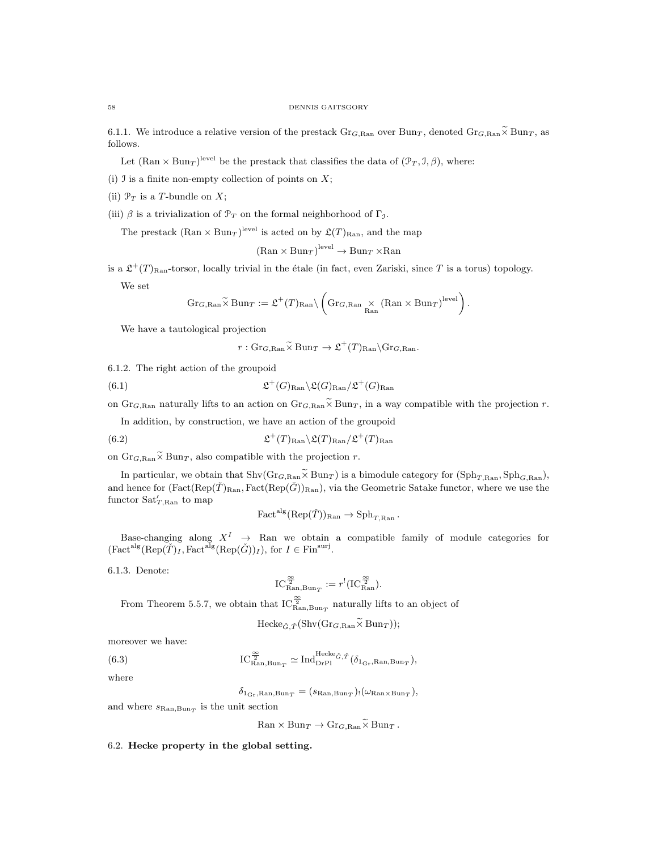6.1.1. We introduce a relative version of the prestack  $\text{Gr}_{G, \text{Ran}}$  over  $\text{Bun}_T$ , denoted  $\text{Gr}_{G, \text{Ran}} \tilde{\times} \text{Bun}_T$ , as follows.

Let  $(\text{Ran} \times \text{Bun}_T)^{\text{level}}$  be the prestack that classifies the data of  $(\mathcal{P}_T, \mathcal{I}, \beta)$ , where:

(i)  $\mathfrak I$  is a finite non-empty collection of points on  $X$ ;

(ii)  $\mathcal{P}_T$  is a T-bundle on X;

(iii)  $\beta$  is a trivialization of  $\mathcal{P}_T$  on the formal neighborhood of  $\Gamma_{\mathcal{I}}$ .

The prestack  $(\text{Ran} \times \text{Bun}_T)$ <sup>level</sup> is acted on by  $\mathfrak{L}(T)_{\text{Ran}}$ , and the map

 $(\text{Ran} \times \text{Bun}_T)^{\text{level}} \to \text{Bun}_T \times \text{Ran}$ 

is a  $\mathfrak{L}^+(T)_{\text{Ran}}$ -torsor, locally trivial in the étale (in fact, even Zariski, since T is a torus) topology.

We set

$$
\operatorname{Gr}_{G,\text{Ran}}\widetilde{\times}\operatorname{Bun}_T := \mathfrak{L}^+(T)_{\text{Ran}} \setminus \left(\operatorname{Gr}_{G,\text{Ran}}\underset{\text{Ran}}{\times} (\text{Ran} \times \operatorname{Bun}_T)^{\text{level}}\right).
$$

We have a tautological projection

$$
r: \mathrm{Gr}_{G,\mathrm{Ran}} \widetilde{\times} \mathrm{Bun}_T \to \mathfrak{L}^+(T)_{\mathrm{Ran}} \backslash \mathrm{Gr}_{G,\mathrm{Ran}}.
$$

6.1.2. The right action of the groupoid

(6.1) 
$$
\mathfrak{L}^+(G)_{\text{Ran}} \backslash \mathfrak{L}(G)_{\text{Ran}} / \mathfrak{L}^+(G)_{\text{Ran}}
$$

on Gr<sub>G,Ran</sub> naturally lifts to an action on Gr<sub>G,Ran</sub> $\widetilde{\times}$  Bun<sub>T</sub>, in a way compatible with the projection r.

In addition, by construction, we have an action of the groupoid

(6.2) 
$$
\mathfrak{L}^+(T)_{\text{Ran}} \backslash \mathfrak{L}(T)_{\text{Ran}} / \mathfrak{L}^+(T)_{\text{Ran}}
$$

on  $\text{Gr}_{G, \text{Ran}} \tilde{\times} \text{Bun}_T$ , also compatible with the projection r.

In particular, we obtain that  $\text{Shv}(Gr_{G, Ran} \tilde{\times} \text{Bun}_T)$  is a bimodule category for  $(\text{Sph}_{T, Ran}, \text{Sph}_{G, Ran})$ , and hence for  $(Fact(Rep(\check{T})_{\text{Ran}}, Fact(Rep(\check{G}))_{\text{Ran}})$ , via the Geometric Satake functor, where we use the functor  $\text{Sat}'_{T,\text{Ran}}$  to map

$$
\text{Fact}^{\text{alg}}(\text{Rep}(\check{T}))_{\text{Ran}} \to \text{Sph}_{T,\text{Ran}}.
$$

Base-changing along  $X^I \rightarrow \mathbb{R}$ an we obtain a compatible family of module categories for  $(\text{Fact}^{\text{alg}}(\text{Rep}(\check{T})_I, \text{Fact}^{\text{alg}}(\text{Rep}(\check{G}))_I), \text{ for } I \in \text{Fin}^{\text{surj}}.$ 

6.1.3. Denote:

$$
\mathrm{IC}_{\mathrm{Ran}, \mathrm{Bun}_T}^{\frac{\infty}{2}} := r^!(\mathrm{IC}_{\mathrm{Ran}}^{\frac{\infty}{2}}).
$$

From Theorem 5.5.7, we obtain that  $IC_{\text{Ran,Bun}_T}^{\frac{\infty}{2}}$  naturally lifts to an object of

$$
\text{Hecke}_{\check{G},\check{T}}(\text{Shv}(\text{Gr}_{G,\text{Ran}}\widetilde{\times}\text{Bun}_{T}));
$$

moreover we have:

(6.3) 
$$
IC_{\mathrm{Ran}, \mathrm{Bun}_T}^{\frac{\infty}{2}} \simeq \mathrm{Ind}_{\mathrm{DrPl}}^{\mathrm{Hecke}_{\tilde{G}, \tilde{T}}}(\delta_{1_{\mathrm{Gr}}, \mathrm{Ran}, \mathrm{Bun}_T}),
$$

where

$$
\delta_{1_{\text{Gr}}, \text{Ran}, \text{Bun}_T} = (s_{\text{Ran}, \text{Bun}_T})_! (\omega_{\text{Ran} \times \text{Bun}_T}),
$$

and where  $s_{\text{Ran}, \text{Bun}_T}$  is the unit section

 $\text{Ran} \times \text{Bun}_T \to \text{Gr}_{G, \text{Ran}} \widetilde{\times} \text{Bun}_T$ .

# 6.2. Hecke property in the global setting.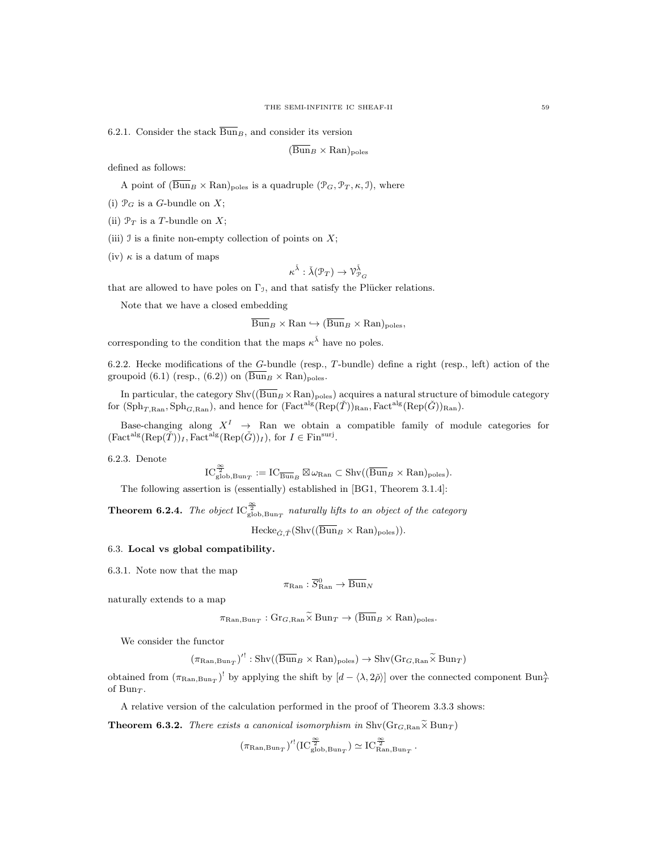6.2.1. Consider the stack  $\overline{\text{Bun}}_B$ , and consider its version

$$
(\overline{\text{Bun}}_B \times \text{Ran})_{\text{poles}}
$$

defined as follows:

A point of  $(\overline{\text{Bun}}_B \times \text{Ran})_{\text{poles}}$  is a quadruple  $(\mathcal{P}_G, \mathcal{P}_T, \kappa, \mathcal{I})$ , where

(i)  $\mathcal{P}_G$  is a G-bundle on X;

(ii)  $\mathcal{P}_T$  is a T-bundle on X;

(iii)  $\mathcal I$  is a finite non-empty collection of points on  $X$ ;

(iv)  $\kappa$  is a datum of maps

$$
\kappa^{\check\lambda}:\check\lambda({\mathcal P}_T)\to\mathcal{V}^{\check\lambda}_{{\mathcal P}_G}
$$

that are allowed to have poles on  $\Gamma_{\mathcal{I}}$ , and that satisfy the Plücker relations.

Note that we have a closed embedding

 $\overline{\text{Bun}}_B \times \text{Ran} \hookrightarrow (\overline{\text{Bun}}_B \times \text{Ran})_{\text{poles}},$ 

corresponding to the condition that the maps  $\kappa^{\tilde{\lambda}}$  have no poles.

6.2.2. Hecke modifications of the G-bundle (resp., T-bundle) define a right (resp., left) action of the groupoid (6.1) (resp., (6.2)) on  $(\overline{\text{Bun}}_B \times \text{Ran})_{\text{poles}}$ .

In particular, the category  $\text{Shv}((\overline{\text{Bun}}_B \times \text{Ran})_{\text{poles}})$  acquires a natural structure of bimodule category for  $(\mathrm{Sph}_{T,\mathrm{Ran}}, \mathrm{Sph}_{G,\mathrm{Ran}})$ , and hence for  $(\mathrm{Fact}^{\mathrm{alg}}(\mathrm{Rep}(\check{T}))_{\mathrm{Ran}}, \mathrm{Fact}^{\mathrm{alg}}(\mathrm{Rep}(\check{G}))_{\mathrm{Ran}})$ .

Base-changing along  $X^I \rightarrow \mathbb{R}$ an we obtain a compatible family of module categories for  $(\text{Fact}^{\text{alg}}(\text{Rep}(\check{T}))_I, \text{Fact}^{\text{alg}}(\text{Rep}(\check{G}))_I), \text{ for } I \in \text{Fin}^{\text{surj}}.$ 

6.2.3. Denote

 $\text{IC}_{\text{glob}, \text{Bun}_T}^{\frac{\infty}{2}} := \text{IC}_{\overline{\text{Bun}}_B} \boxtimes \omega_{\text{Ran}} \subset \text{Shv}((\overline{\text{Bun}}_B \times \text{Ran})_{\text{poles}}).$ 

The following assertion is (essentially) established in [BG1, Theorem 3.1.4]:

**Theorem 6.2.4.** The object  $\text{IC}_{\text{glob,Bun}_T}^{\frac{\infty}{2}}$  naturally lifts to an object of the category

 $\text{Hecke}_{\tilde{G}, \tilde{T}}(\text{Shv}((\overline{\text{Bun}}_B \times \text{Ran})_{\text{poles}})).$ 

# 6.3. Local vs global compatibility.

6.3.1. Note now that the map

$$
\pi_{\mathrm{Ran}} : \overline{S}_{\mathrm{Ran}}^0 \to \overline{\mathrm{Bun}}_N
$$

naturally extends to a map

$$
\pi_{\mathrm{Ran}, \mathrm{Bun}_T} : \mathrm{Gr}_{G, \mathrm{Ran}} \times \mathrm{Bun}_T \to (\mathrm{Bun}_B \times \mathrm{Ran})_{\mathrm{poles}}.
$$

We consider the functor

$$
(\pi_{\mathrm{Ran}, \mathrm{Bun}_T})'^! : \mathrm{Shv}((\overline{\mathrm{Bun}}_B \times \mathrm{Ran})_{\mathrm{poles}}) \to \mathrm{Shv}(\mathrm{Gr}_{G, \mathrm{Ran}} \widetilde{\times} \mathrm{Bun}_T)
$$

obtained from  $(\pi_{\text{Ran}, \text{Bun}_T})^!$  by applying the shift by  $[d - \langle \lambda, 2\rangle]$  over the connected component  $\text{Bun}_T^{\lambda}$ of Bun $\tau$ .

A relative version of the calculation performed in the proof of Theorem 3.3.3 shows:

**Theorem 6.3.2.** There exists a canonical isomorphism in  $\text{Shv}(Gr_{G, Ran} \tilde{\times} Bun_T)$ 

$$
\left(\pi_{\mathrm{Ran}, \mathrm{Bun}_T}\right)'\left({\mathrm{IC}}_{\mathrm{glob}, \mathrm{Bun}_T}^{\frac{\infty}{2}}\right) \simeq {\mathrm{IC}}_{\mathrm{Ran}, \mathrm{Bun}_T}^{\frac{\infty}{2}}\,.
$$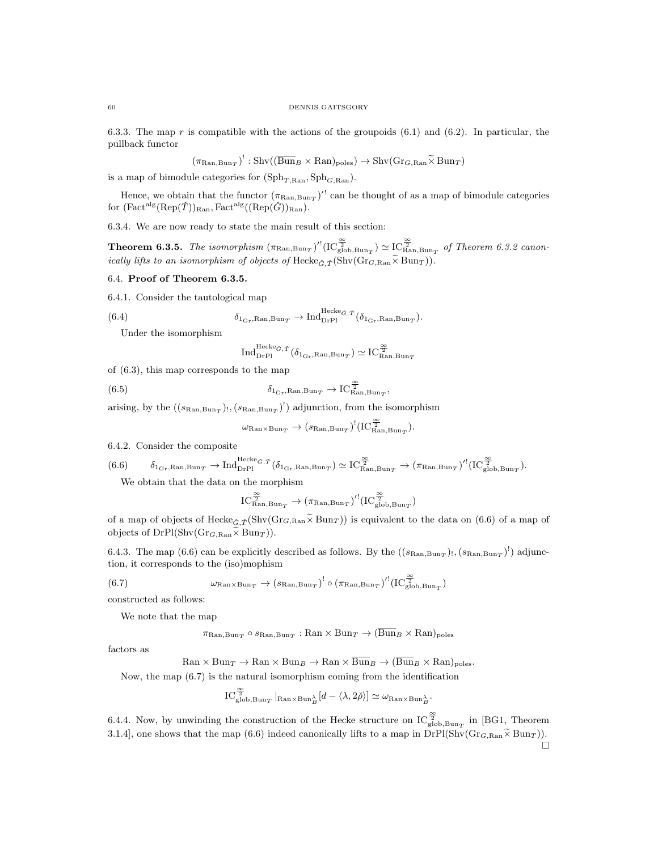6.3.3. The map r is compatible with the actions of the groupoids (6.1) and (6.2). In particular, the pullback functor

$$
(\pi_{\mathrm{Ran}, \mathrm{Bun}_T})^!: \mathrm{Shv}((\overline{\mathrm{Bun}}_B \times \mathrm{Ran})_{\mathrm{poles}}) \to \mathrm{Shv}(\mathrm{Gr}_{G, \mathrm{Ran}} \widetilde{\times} \mathrm{Bun}_T)
$$

is a map of bimodule categories for  $(\mathrm{Sph}_{T, Ran}, \mathrm{Sph}_{G, Ran})$ .

Hence, we obtain that the functor  $(\pi_{\text{Ran,Bun}_T})'$  can be thought of as a map of bimodule categories for  $(\text{Fact}^{\text{alg}}(\text{Rep}(\check{T}))_{\text{Ran}}, \text{Fact}^{\text{alg}}((\text{Rep}(\check{G}))_{\text{Ran}}).$ 

6.3.4. We are now ready to state the main result of this section:

**Theorem 6.3.5.** The isomorphism  $(\pi_{\text{Ran,Bun}_T})'$ <sup>[</sup> $[IC_{\text{glob,Bun}_T}^{\frac{\infty}{2}}) \simeq IC_{\text{Ran,Bun}_T}^{\frac{\infty}{2}}$  of Theorem 6.3.2 canonically lifts to an isomorphism of objects of Hecke<sub>G,  $\check{\tau}$ </sub>(Shv(Gr<sub>G,Ran</sub> $\widetilde{\times}$  Bun<sub>T</sub>)).

#### 6.4. Proof of Theorem 6.3.5.

6.4.1. Consider the tautological map

(6.4) 
$$
\delta_{1_{\text{Gr}}, \text{Ran}, \text{Bun}_T} \to \text{Ind}_{\text{DrPl}}^{\text{Hecke}_{\tilde{G}, \tilde{T}}}(\delta_{1_{\text{Gr}}, \text{Ran}, \text{Bun}_T}).
$$

Under the isomorphism

$$
\mathrm{Ind}_{\mathrm{DrPl}}^{\mathrm{Hecke}_{\check G},\check T}\big(\delta_{1_{\mathrm{Gr}},\mathrm{Ran}, \mathrm{Bun}_T}\big)\simeq \mathrm{IC}^{\frac{\infty}{2}}_{\mathrm{Ran},\mathrm{Bun}_T}
$$

,

of (6.3), this map corresponds to the map

(6.5) 
$$
\delta_{1_{\text{Gr}}, \text{Ran}, \text{Bun}_T} \to \text{IC}_{\text{Ran}, \text{Bun}_T}^{\frac{\infty}{2}}
$$

arising, by the  $((s_{\text{Ran}, \text{Bun}_T})$ ,  $(s_{\text{Ran}, \text{Bun}_T})$ <sup>'</sup>) adjunction, from the isomorphism

$$
\omega_{\mathrm{Ran}\times \mathrm{Bun}_T} \rightarrow (s_{\mathrm{Ran}, \mathrm{Bun}_T})^!(\mathrm{IC}^{\frac{\infty}{2}}_{\mathrm{Ran}, \mathrm{Bun}_T}).
$$

6.4.2. Consider the composite

$$
(6.6) \qquad \delta_{1_{\text{Gr}},\text{Ran},\text{Bun}_T} \to \text{Ind}_{\text{DrPl}}^{\text{Hecke}_{\check{G},\check{T}}}( \delta_{1_{\text{Gr}},\text{Ran},\text{Bun}_T}) \simeq \text{IC}_{\text{Ran},\text{Bun}_T}^{\frac{\infty}{2}} \to (\pi_{\text{Ran},\text{Bun}_T})'^!(\text{IC}_{\text{glob},\text{Bun}_T}^{\frac{\infty}{2}}).
$$

We obtain that the data on the morphism

$$
IC_{\text{Ran}, \text{Bun}_T}^{\frac{\infty}{2}} \to (\pi_{\text{Ran}, \text{Bun}_T})' (IC_{\text{glob}, \text{Bun}_T}^{\frac{\infty}{2}})
$$

of a map of objects of Hecke<sub>G, T</sub><sup>(Shv(Gr<sub>G,Ran</sub> $\widetilde{\times}$  Bun<sub>T</sub>)) is equivalent to the data on (6.6) of a map of</sup> objects of  $DrPl(Shv(Gr_{G, Ran} \tilde{\times} Bun_T)).$ 

6.4.3. The map (6.6) can be explicitly described as follows. By the  $((s_{\text{Ran,Bun}_T})_!,(s_{\text{Ran,Bun}_T})^!)$  adjunction, it corresponds to the (iso)mophism

(6.7) 
$$
\omega_{\text{Ran}\times\text{Bun}_T} \to (s_{\text{Ran},\text{Bun}_T})^! \circ (\pi_{\text{Ran},\text{Bun}_T})'^! (\text{IC}_{\text{glob},\text{Bun}_T}^{\frac{\infty}{2}})
$$

constructed as follows:

We note that the map

$$
\pi_{\text{Ran}, \text{Bun}_T} \circ s_{\text{Ran}, \text{Bun}_T} : \text{Ran} \times \text{Bun}_T \to (\text{Bun}_B \times \text{Ran})_{\text{poles}}
$$

factors as

 $\text{Ran} \times \text{Bun}_T \to \text{Ran} \times \text{Bun}_B \to \text{Ran} \times \overline{\text{Bun}}_B \to (\overline{\text{Bun}}_B \times \text{Ran})_{\text{poles}}.$ 

Now, the map (6.7) is the natural isomorphism coming from the identification

$$
\mathrm{IC}^{\frac{\infty}{2}}_{\mathrm{glob}, \mathrm{Bun}_T}|_{\mathrm{Ran} \times \mathrm{Bun}_B^{\lambda}}[d - \langle \lambda, 2\check{\rho} \rangle] \simeq \omega_{\mathrm{Ran} \times \mathrm{Bun}_B^{\lambda}}.
$$

6.4.4. Now, by unwinding the construction of the Hecke structure on  $IC_{\rm glob,Bun_{T}}^{\frac{\infty}{2}}$  in [BG1, Theorem 3.1.4], one shows that the map (6.6) indeed canonically lifts to a map in  $DrP(Shv(Gr_{G, Ran} \tilde{\times} Bun_T))$ .  $\Box$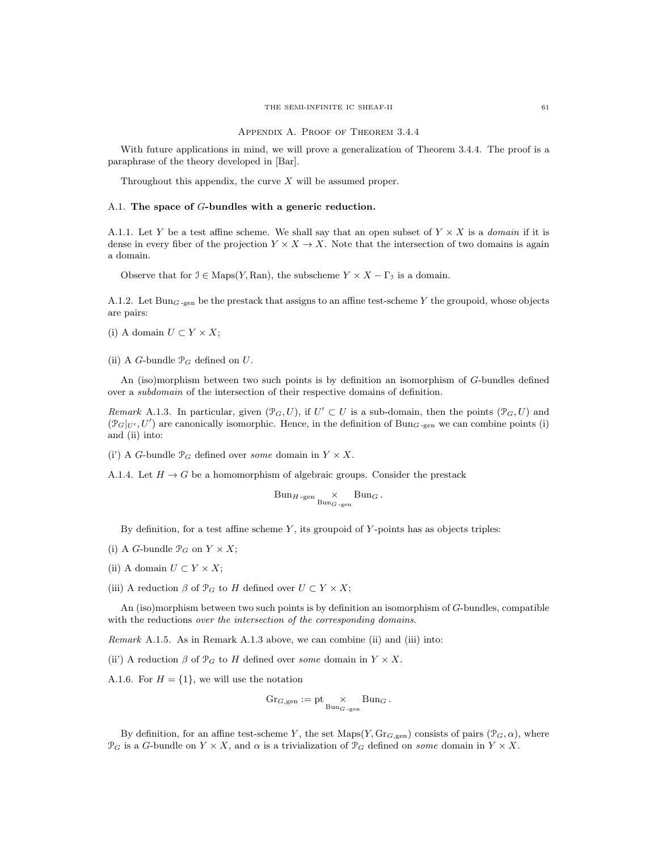Appendix A. Proof of Theorem 3.4.4

With future applications in mind, we will prove a generalization of Theorem 3.4.4. The proof is a paraphrase of the theory developed in [Bar].

Throughout this appendix, the curve  $X$  will be assumed proper.

# A.1. The space of G-bundles with a generic reduction.

A.1.1. Let Y be a test affine scheme. We shall say that an open subset of  $Y \times X$  is a *domain* if it is dense in every fiber of the projection  $Y \times X \to X$ . Note that the intersection of two domains is again a domain.

Observe that for  $\mathcal{I} \in \text{Maps}(Y, \text{Ran})$ , the subscheme  $Y \times X - \Gamma_{\mathcal{I}}$  is a domain.

A.1.2. Let Bun<sub>G-gen</sub> be the prestack that assigns to an affine test-scheme Y the groupoid, whose objects are pairs:

(i) A domain  $U \subset Y \times X$ ;

(ii) A G-bundle  $\mathcal{P}_G$  defined on  $U$ .

An (iso)morphism between two such points is by definition an isomorphism of G-bundles defined over a subdomain of the intersection of their respective domains of definition.

Remark A.1.3. In particular, given  $(\mathcal{P}_G, U)$ , if  $U' \subset U$  is a sub-domain, then the points  $(\mathcal{P}_G, U)$  and  $(\mathcal{P}_G|_{U'}, U')$  are canonically isomorphic. Hence, in the definition of Bun<sub>G-gen</sub> we can combine points (i) and (ii) into:

(i') A G-bundle  $\mathcal{P}_G$  defined over some domain in  $Y \times X$ .

A.1.4. Let  $H \to G$  be a homomorphism of algebraic groups. Consider the prestack

$$
Bun_{H\text{-gen}} \times_{Bun_{G\text{-gen}}} Bun_G.
$$

By definition, for a test affine scheme  $Y$ , its groupoid of  $Y$ -points has as objects triples:

- (i) A G-bundle  $\mathcal{P}_G$  on  $Y \times X$ ;
- (ii) A domain  $U \subset Y \times X$ ;
- (iii) A reduction  $\beta$  of  $\mathcal{P}_G$  to H defined over  $U \subset Y \times X$ ;

An (iso)morphism between two such points is by definition an isomorphism of G-bundles, compatible with the reductions over the intersection of the corresponding domains.

Remark A.1.5. As in Remark A.1.3 above, we can combine (ii) and (iii) into:

(ii) A reduction  $\beta$  of  $\mathcal{P}_G$  to H defined over some domain in  $Y \times X$ .

A.1.6. For  $H = \{1\}$ , we will use the notation

$$
\mathrm{Gr}_{G,\mathrm{gen}} := \mathrm{pt} \underset{\mathrm{Bun}_{G-\mathrm{gen}}}{\times} \mathrm{Bun}_G.
$$

By definition, for an affine test-scheme Y, the set Maps(Y, Gr<sub>G,gen</sub>) consists of pairs ( $\mathcal{P}_G, \alpha$ ), where  $\mathcal{P}_G$  is a G-bundle on  $Y \times X$ , and  $\alpha$  is a trivialization of  $\mathcal{P}_G$  defined on some domain in  $Y \times X$ .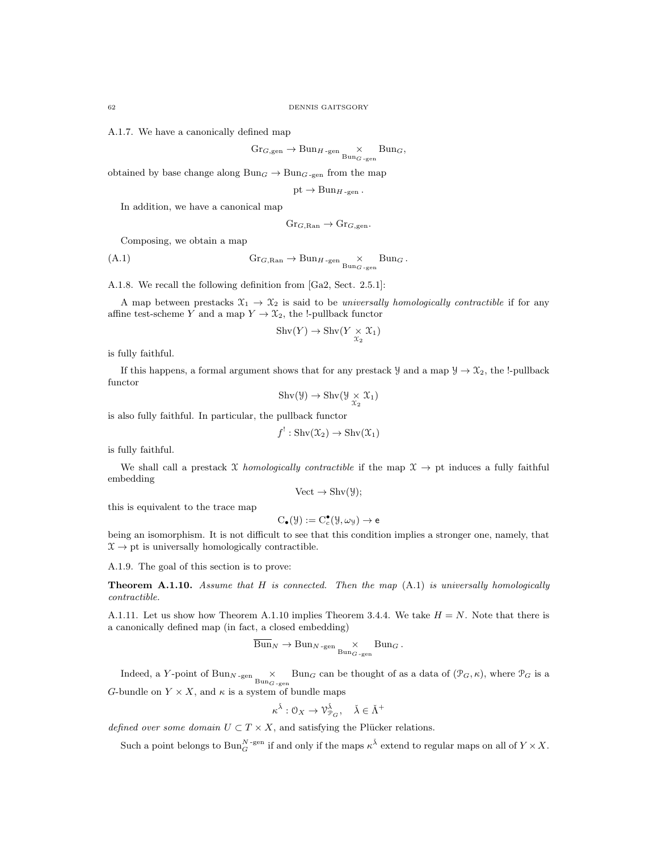A.1.7. We have a canonically defined map

$$
\mathrm{Gr}_{G,\mathrm{gen}} \to \mathrm{Bun}_{H\text{-gen}} \times \mathrm{Bun}_{G\text{-gen}} \mathrm{Bun}_{G},
$$

obtained by base change along  $Bun_G \to Bun_{G-gen}$  from the map

$$
pt \to Bun_{H\text{-gen}}
$$
.

In addition, we have a canonical map

$$
\mathrm{Gr}_{G,\mathrm{Ran}} \to \mathrm{Gr}_{G,\mathrm{gen}}.
$$

Composing, we obtain a map

$$
(A.1) \t\t\t Gr_{G, Ran} \to Bun_{H-\text{gen}} \underset{Bun_{G-\text{gen}}}{\times} \text{Bun}_{G}.
$$

A.1.8. We recall the following definition from [Ga2, Sect. 2.5.1]:

A map between prestacks  $\mathfrak{X}_1 \to \mathfrak{X}_2$  is said to be universally homologically contractible if for any affine test-scheme Y and a map  $Y \to \mathfrak{X}_2$ , the !-pullback functor

$$
Shv(Y) \to Shv(Y \underset{\mathfrak{X}_2}{\times} \mathfrak{X}_1)
$$

is fully faithful.

If this happens, a formal argument shows that for any prestack  $\mathcal{Y}$  and a map  $\mathcal{Y} \to \mathcal{X}_2$ , the !-pullback functor

$$
Shv(\mathcal{Y}) \to Shv(\mathcal{Y} \underset{\mathcal{X}_2}{\times} \mathcal{X}_1)
$$

is also fully faithful. In particular, the pullback functor

$$
f^!: \operatorname{Shv}(\mathfrak{X}_2) \to \operatorname{Shv}(\mathfrak{X}_1)
$$

is fully faithful.

We shall call a prestack X homologically contractible if the map  $\mathfrak{X} \to$  pt induces a fully faithful embedding

$$
Vect \to Shv(\mathcal{Y});
$$

this is equivalent to the trace map

$$
C_{\bullet}(\mathcal{Y}) := C_{c}^{\bullet}(\mathcal{Y}, \omega_{\mathcal{Y}}) \to e
$$

being an isomorphism. It is not difficult to see that this condition implies a stronger one, namely, that  $\mathfrak{X} \to \mathrm{pt}$  is universally homologically contractible.

A.1.9. The goal of this section is to prove:

**Theorem A.1.10.** Assume that H is connected. Then the map  $(A.1)$  is universally homologically contractible.

A.1.11. Let us show how Theorem A.1.10 implies Theorem 3.4.4. We take  $H = N$ . Note that there is a canonically defined map (in fact, a closed embedding)

$$
Bun_N \to Bun_{N\text{-gen}} \times_{\text{Bun}_{G\text{-gen}}} \text{Bun}_G.
$$

Indeed, a Y-point of Bun<sub>N-gen</sub>  $\times$  Bun<sub>G</sub> can be thought of as a data of  $(\mathcal{P}_G, \kappa)$ , where  $\mathcal{P}_G$  is a G-bundle on  $Y \times X$ , and  $\kappa$  is a system of bundle maps

$$
\kappa^{\check{\lambda}}: \mathcal{O}_X \to \mathcal{V}_{\mathcal{P}_G}^{\check{\lambda}}, \quad \check{\lambda} \in \check{\Lambda}^+
$$

defined over some domain  $U \subset T \times X$ , and satisfying the Plücker relations.

Such a point belongs to  $\text{Bun}_G^{N\text{-}\mathrm{gen}}$  if and only if the maps  $\kappa^{\check{\lambda}}$  extend to regular maps on all of  $Y\times X$ .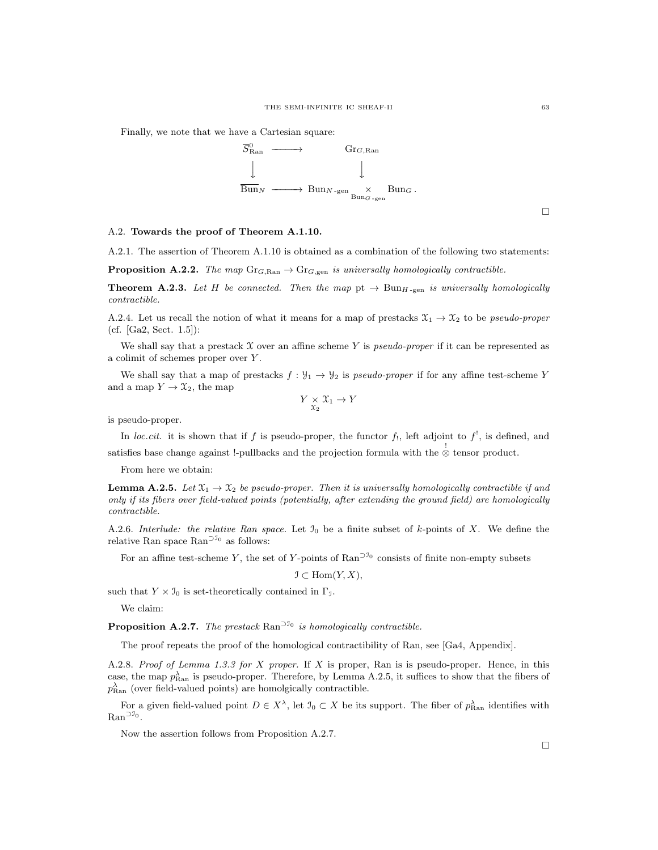Finally, we note that we have a Cartesian square:



 $\Box$ 

#### A.2. Towards the proof of Theorem A.1.10.

A.2.1. The assertion of Theorem A.1.10 is obtained as a combination of the following two statements:

**Proposition A.2.2.** The map  $\text{Gr}_{G, \text{Ran}} \to \text{Gr}_{G, \text{gen}}$  is universally homologically contractible.

**Theorem A.2.3.** Let H be connected. Then the map  $pt \rightarrow Bun_{H-gen}$  is universally homologically contractible.

A.2.4. Let us recall the notion of what it means for a map of prestacks  $\mathfrak{X}_1 \to \mathfrak{X}_2$  to be *pseudo-proper* (cf. [Ga2, Sect. 1.5]):

We shall say that a prestack  $X$  over an affine scheme Y is *pseudo-proper* if it can be represented as a colimit of schemes proper over Y .

We shall say that a map of prestacks  $f: \mathcal{Y}_1 \to \mathcal{Y}_2$  is pseudo-proper if for any affine test-scheme Y and a map  $Y \to \mathfrak{X}_2$ , the map

$$
Y \underset{\mathcal{X}_2}{\times} \mathcal{X}_1 \to Y
$$

is pseudo-proper.

In loc.cit. it is shown that if f is pseudo-proper, the functor f<sub>1</sub>, left adjoint to  $f^!$ , is defined, and satisfies base change against !-pullbacks and the projection formula with the  $\stackrel{!}{\otimes}$  tensor product.

From here we obtain:

**Lemma A.2.5.** Let  $\mathfrak{X}_1 \to \mathfrak{X}_2$  be pseudo-proper. Then it is universally homologically contractible if and only if its fibers over field-valued points (potentially, after extending the ground field) are homologically contractible.

A.2.6. Interlude: the relative Ran space. Let  $\mathcal{I}_0$  be a finite subset of k-points of X. We define the relative Ran space  $\text{Ran}^{\supset \mathcal{I}_0}$  as follows:

For an affine test-scheme Y, the set of Y-points of Ran<sup> $\supset I_0$ </sup> consists of finite non-empty subsets

$$
\mathcal{I} \subset \text{Hom}(Y, X),
$$

such that  $Y \times \mathcal{I}_0$  is set-theoretically contained in  $\Gamma_{\mathcal{I}}$ .

We claim:

**Proposition A.2.7.** The prestack  $\text{Ran}^{\supset J_0}$  is homologically contractible.

The proof repeats the proof of the homological contractibility of Ran, see [Ga4, Appendix].

A.2.8. Proof of Lemma 1.3.3 for X proper. If X is proper, Ran is is pseudo-proper. Hence, in this case, the map  $p_{\text{Ran}}^{\lambda}$  is pseudo-proper. Therefore, by Lemma A.2.5, it suffices to show that the fibers of  $p_{\text{Ran}}^{\lambda}$  (over field-valued points) are homolgically contractible.

For a given field-valued point  $D \in X^{\lambda}$ , let  $\mathfrak{I}_0 \subset X$  be its support. The fiber of  $p_{\text{Ran}}^{\lambda}$  identifies with Ran<sup>⊃J<sub>0</sub></sup>.

Now the assertion follows from Proposition A.2.7.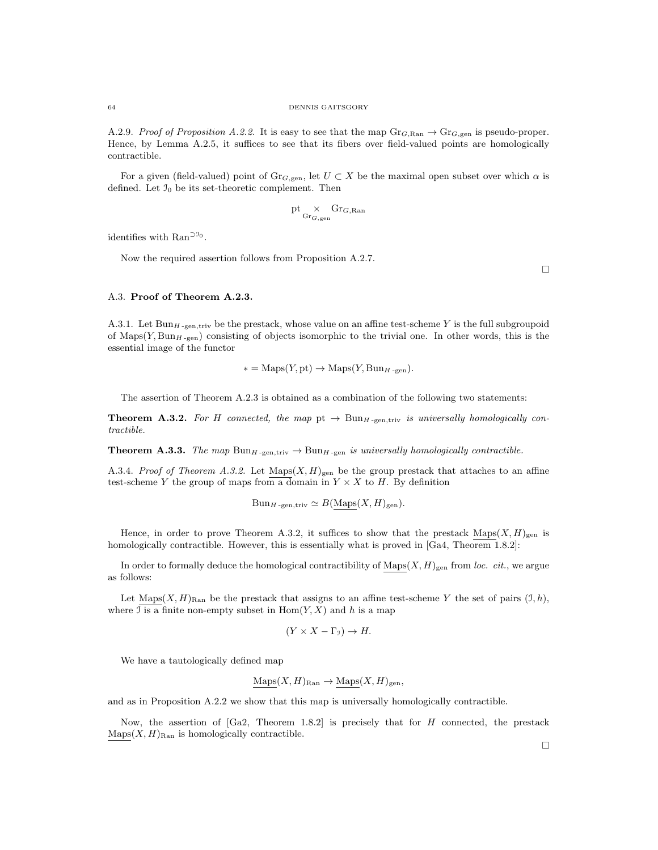A.2.9. Proof of Proposition A.2.2. It is easy to see that the map  $\text{Gr}_{G, \text{Ran}} \to \text{Gr}_{G, \text{gen}}$  is pseudo-proper. Hence, by Lemma A.2.5, it suffices to see that its fibers over field-valued points are homologically contractible.

For a given (field-valued) point of  $Gr_{G,gen}$ , let  $U \subset X$  be the maximal open subset over which  $\alpha$  is defined. Let  $\mathfrak{I}_0$  be its set-theoretic complement. Then

$$
\mathrm{pt} \mathop{\times}_{\mathrm{Gr}_{G,\mathrm{gen}}} \mathrm{Gr}_{G,\mathrm{Ran}}
$$

identifies with  $\text{Ran}^{\supset 0}$ .

Now the required assertion follows from Proposition A.2.7.

 $\Box$ 

#### A.3. Proof of Theorem A.2.3.

A.3.1. Let  $Bun_{H-gen,triv}$  be the prestack, whose value on an affine test-scheme Y is the full subgroupoid of  $\text{Maps}(Y, \text{Bun}_{H\text{-gen}})$  consisting of objects isomorphic to the trivial one. In other words, this is the essential image of the functor

$$
* = \text{Maps}(Y, \text{pt}) \to \text{Maps}(Y, \text{Bun}_{H\text{-gen}}).
$$

The assertion of Theorem A.2.3 is obtained as a combination of the following two statements:

**Theorem A.3.2.** For H connected, the map pt  $\rightarrow$  Bun<sub>H-gen,triv</sub> is universally homologically contractible.

**Theorem A.3.3.** The map  $\text{Bun}_{H-\text{gen},\text{triv}} \to \text{Bun}_{H-\text{gen}}$  is universally homologically contractible.

A.3.4. Proof of Theorem A.3.2. Let  $\text{Maps}(X, H)_{\text{gen}}$  be the group prestack that attaches to an affine test-scheme Y the group of maps from a domain in  $Y \times X$  to H. By definition

$$
Bun_{H\text{-gen,triv}} \simeq B(\text{Maps}(X, H)_{\text{gen}}).
$$

Hence, in order to prove Theorem A.3.2, it suffices to show that the prestack  $\text{Maps}(X, H)_{\text{gen}}$  is homologically contractible. However, this is essentially what is proved in [Ga4, Theorem 1.8.2]:

In order to formally deduce the homological contractibility of  $\text{Maps}(X, H)_{\text{gen}}$  from loc. cit., we argue as follows:

Let Maps $(X, H)_{\text{Ran}}$  be the prestack that assigns to an affine test-scheme Y the set of pairs  $(\mathcal{I}, h)$ , where  $\overline{\mathcal{I}}$  is a finite non-empty subset in  $\text{Hom}(Y, X)$  and h is a map

$$
(Y \times X - \Gamma_{\mathfrak{I}}) \to H.
$$

We have a tautologically defined map

$$
Maps(X, H)_{\text{Ran}} \to \text{Maps}(X, H)_{\text{gen}},
$$

and as in Proposition A.2.2 we show that this map is universally homologically contractible.

Now, the assertion of  $[Ga2, Theorem 1.8.2]$  is precisely that for H connected, the prestack  $\text{Maps}(X, H)_{\text{Ran}}$  is homologically contractible.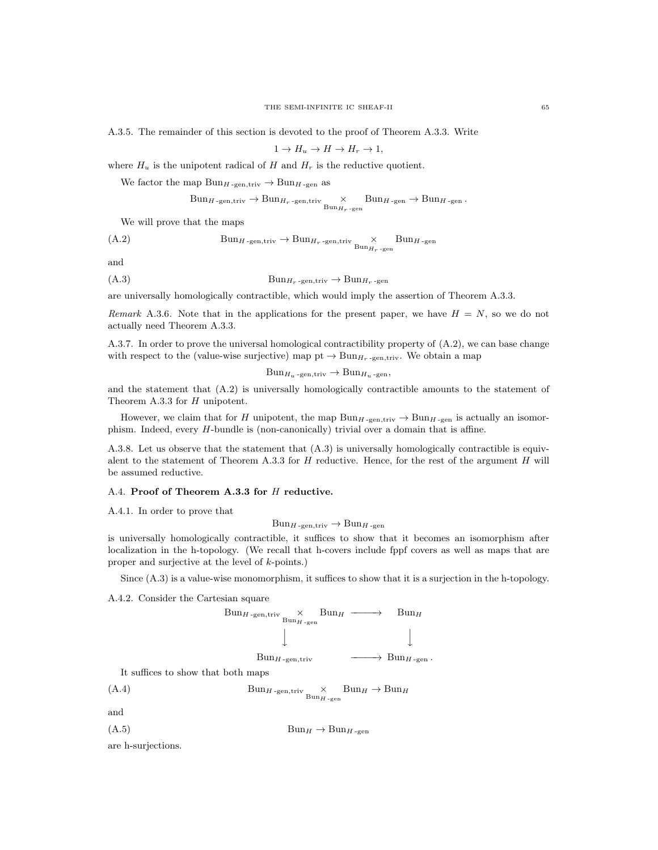A.3.5. The remainder of this section is devoted to the proof of Theorem A.3.3. Write

$$
1 \to H_u \to H \to H_r \to 1,
$$

where  $H_u$  is the unipotent radical of H and  $H_r$  is the reductive quotient.

We factor the map  $Bun_{H\text{-gen,triv}} \to Bun_{H\text{-gen}}$  as

$$
\text{Bun}_{H\text{-gen,triv}}\to\text{Bun}_{H_r\text{-gen,triv}}\underset{\text{Bun}_{H_r\text{-gen}}}{\times}\text{Bun}_{H\text{-gen}}\to\text{Bun}_{H\text{-gen}}.
$$

We will prove that the maps

$$
(A.2) \t\t\t Bun_{H-\text{gen},\text{triv}} \to Bun_{H_r-\text{gen},\text{triv}} \times \text{Bun}_{H_r-\text{gen}} Bun_{H-\text{gen}}
$$

and

(A.3) Bun<sup>H</sup><sup>r</sup> -gen,triv → Bun<sup>H</sup><sup>r</sup> -gen

are universally homologically contractible, which would imply the assertion of Theorem A.3.3.

Remark A.3.6. Note that in the applications for the present paper, we have  $H = N$ , so we do not actually need Theorem A.3.3.

A.3.7. In order to prove the universal homological contractibility property of (A.2), we can base change with respect to the (value-wise surjective) map pt  $\rightarrow$  Bun<sub>Hr</sub>-gen,triv. We obtain a map

 $Bun_{H_u\text{-gen,triv}} \to Bun_{H_u\text{-gen}}$ 

and the statement that (A.2) is universally homologically contractible amounts to the statement of Theorem A.3.3 for H unipotent.

However, we claim that for H unipotent, the map  $Bun_{H\text{-gen},\text{triv}} \to Bun_{H\text{-gen}}$  is actually an isomorphism. Indeed, every H-bundle is (non-canonically) trivial over a domain that is affine.

A.3.8. Let us observe that the statement that (A.3) is universally homologically contractible is equivalent to the statement of Theorem A.3.3 for  $H$  reductive. Hence, for the rest of the argument  $H$  will be assumed reductive.

#### A.4. Proof of Theorem A.3.3 for H reductive.

A.4.1. In order to prove that

 $Bun_{H\text{-gen,triv}} \to Bun_{H\text{-gen}}$ 

is universally homologically contractible, it suffices to show that it becomes an isomorphism after localization in the h-topology. (We recall that h-covers include fppf covers as well as maps that are proper and surjective at the level of k-points.)

Since (A.3) is a value-wise monomorphism, it suffices to show that it is a surjection in the h-topology.

A.4.2. Consider the Cartesian square



and



are h-surjections.